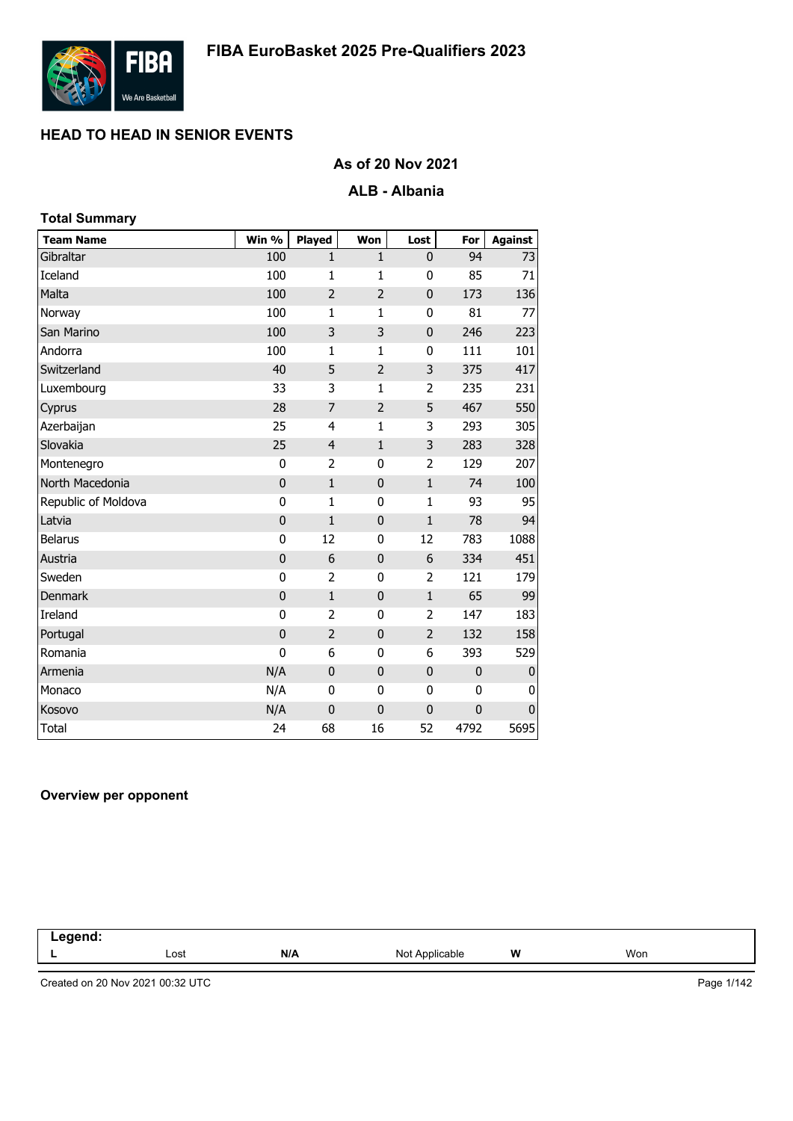

# **As of 20 Nov 2021**

### **ALB - Albania**

| <b>Total Summary</b> |             |                |                |                |             |                |
|----------------------|-------------|----------------|----------------|----------------|-------------|----------------|
| <b>Team Name</b>     | Win %       | <b>Played</b>  | Won            | Lost           | For         | <b>Against</b> |
| Gibraltar            | 100         | $\mathbf{1}$   | $\mathbf{1}$   | 0              | 94          | 73             |
| Iceland              | 100         | $\mathbf{1}$   | $\mathbf{1}$   | 0              | 85          | 71             |
| Malta                | 100         | $\overline{2}$ | $\overline{2}$ | $\mathbf 0$    | 173         | 136            |
| Norway               | 100         | $\mathbf{1}$   | $\mathbf{1}$   | 0              | 81          | 77             |
| San Marino           | 100         | 3              | 3              | 0              | 246         | 223            |
| Andorra              | 100         | $\mathbf{1}$   | $\mathbf{1}$   | 0              | 111         | 101            |
| Switzerland          | 40          | 5              | $\overline{2}$ | 3              | 375         | 417            |
| Luxembourg           | 33          | 3              | 1              | $\overline{2}$ | 235         | 231            |
| Cyprus               | 28          | 7              | $\overline{2}$ | 5              | 467         | 550            |
| Azerbaijan           | 25          | 4              | $\mathbf{1}$   | 3              | 293         | 305            |
| Slovakia             | 25          | $\overline{4}$ | $\mathbf{1}$   | 3              | 283         | 328            |
| Montenegro           | 0           | $\overline{2}$ | 0              | 2              | 129         | 207            |
| North Macedonia      | $\mathbf 0$ | $\mathbf{1}$   | $\mathbf 0$    | $\mathbf 1$    | 74          | 100            |
| Republic of Moldova  | $\bf{0}$    | $\mathbf{1}$   | 0              | $\mathbf{1}$   | 93          | 95             |
| Latvia               | $\mathbf 0$ | $\mathbf{1}$   | $\pmb{0}$      | $\mathbf{1}$   | 78          | 94             |
| <b>Belarus</b>       | 0           | 12             | $\mathbf{0}$   | 12             | 783         | 1088           |
| Austria              | $\mathbf 0$ | 6              | $\mathbf 0$    | 6              | 334         | 451            |
| Sweden               | 0           | $\overline{2}$ | 0              | 2              | 121         | 179            |
| <b>Denmark</b>       | $\mathbf 0$ | $\mathbf{1}$   | $\pmb{0}$      | $\mathbf 1$    | 65          | 99             |
| Ireland              | 0           | $\overline{2}$ | 0              | $\overline{2}$ | 147         | 183            |
| Portugal             | $\mathbf 0$ | $\overline{2}$ | $\pmb{0}$      | $\overline{2}$ | 132         | 158            |
| Romania              | $\mathbf 0$ | 6              | 0              | 6              | 393         | 529            |
| Armenia              | N/A         | $\mathbf 0$    | $\bf{0}$       | 0              | $\mathbf 0$ | $\bf{0}$       |
| Monaco               | N/A         | $\mathbf 0$    | 0              | 0              | $\mathbf 0$ | 0              |
| Kosovo               | N/A         | $\mathbf 0$    | $\mathbf 0$    | $\mathbf 0$    | $\mathbf 0$ | $\pmb{0}$      |
| <b>Total</b>         | 24          | 68             | 16             | 52             | 4792        | 5695           |

#### **Overview per opponent**

| -----<br>the company of the company of the company of<br>-- |      |     |                     |   |     |  |
|-------------------------------------------------------------|------|-----|---------------------|---|-----|--|
|                                                             | Lost | N/A | Not A<br>Applicable | W | Won |  |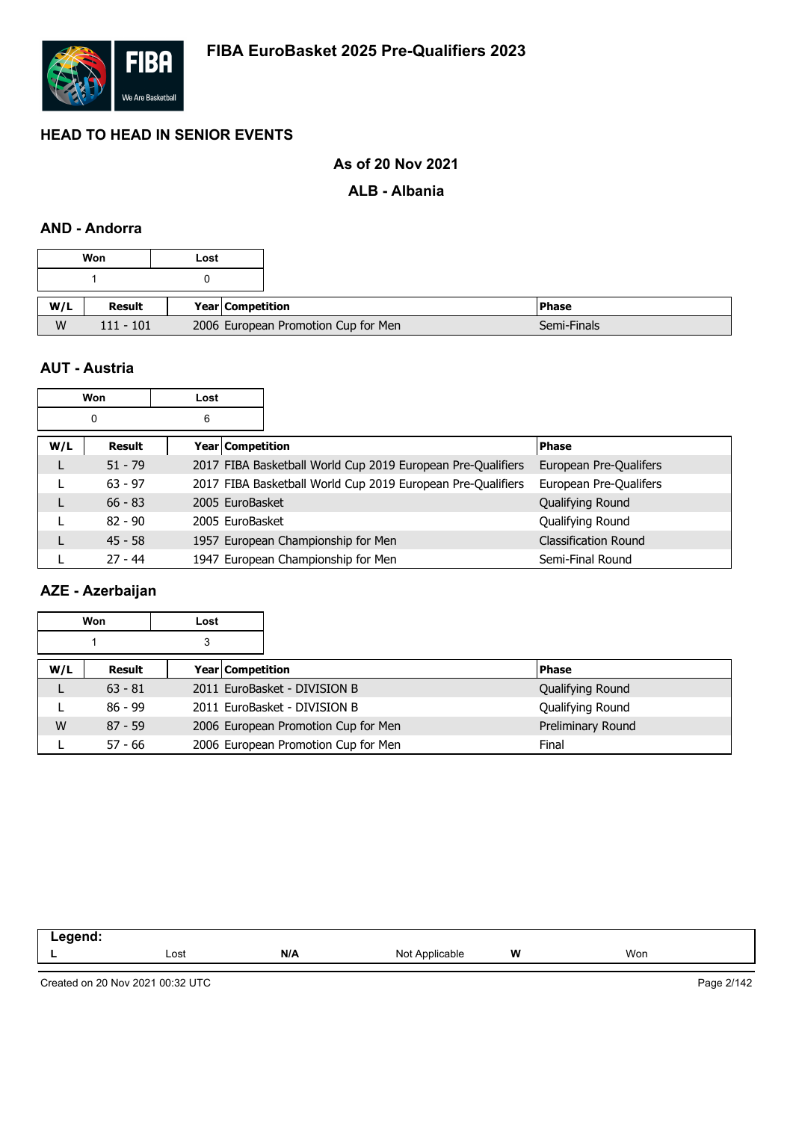

# **As of 20 Nov 2021**

#### **ALB - Albania**

### **AND - Andorra**

|     | Won           | Lost                                |                    |
|-----|---------------|-------------------------------------|--------------------|
|     |               |                                     |                    |
|     |               |                                     |                    |
| W/L | <b>Result</b> |                                     | Year   Competition |
| W   | $111 - 101$   | 2006 European Promotion Cup for Men |                    |

#### **AUT - Austria**

|     | Won       | Lost |                                    |                                                             |                             |
|-----|-----------|------|------------------------------------|-------------------------------------------------------------|-----------------------------|
|     | 0         | 6    |                                    |                                                             |                             |
| W/L | Result    |      | <b>Year Competition</b>            |                                                             | <b>Phase</b>                |
| L   | $51 - 79$ |      |                                    | 2017 FIBA Basketball World Cup 2019 European Pre-Qualifiers | European Pre-Qualifers      |
|     | $63 - 97$ |      |                                    | 2017 FIBA Basketball World Cup 2019 European Pre-Qualifiers | European Pre-Qualifers      |
| L   | $66 - 83$ |      | 2005 EuroBasket                    |                                                             | Qualifying Round            |
|     | $82 - 90$ |      | 2005 EuroBasket                    |                                                             | Qualifying Round            |
| L   | $45 - 58$ |      | 1957 European Championship for Men |                                                             | <b>Classification Round</b> |
|     | $27 - 44$ |      | 1947 European Championship for Men |                                                             | Semi-Final Round            |

# **AZE - Azerbaijan**

| Won<br>Lost |           |   |                  |                                     |  |                   |
|-------------|-----------|---|------------------|-------------------------------------|--|-------------------|
|             |           | 3 |                  |                                     |  |                   |
| W/L         | Result    |   | Year Competition |                                     |  | <b>Phase</b>      |
|             | $63 - 81$ |   |                  | 2011 EuroBasket - DIVISION B        |  | Qualifying Round  |
|             | $86 - 99$ |   |                  | 2011 EuroBasket - DIVISION B        |  | Qualifying Round  |
| W           | $87 - 59$ |   |                  | 2006 European Promotion Cup for Men |  | Preliminary Round |
|             | $57 - 66$ |   |                  | 2006 European Promotion Cup for Men |  | Final             |

| -- - |      |     |                        |   |     |
|------|------|-----|------------------------|---|-----|
|      | Lost | N/A | Not<br>Annlıc<br>able. | W | Won |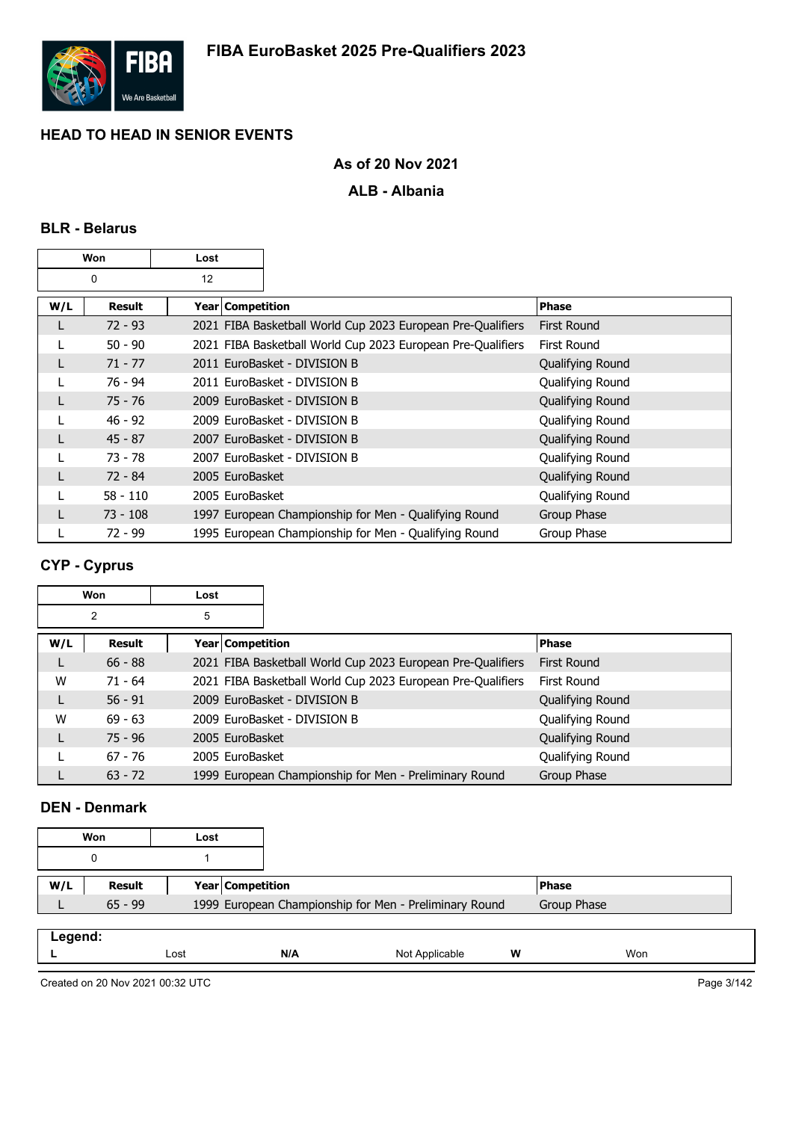

# **As of 20 Nov 2021**

### **ALB - Albania**

#### **BLR - Belarus**

|     | Won        | Lost               |                                                             |                    |
|-----|------------|--------------------|-------------------------------------------------------------|--------------------|
|     | 0          | 12                 |                                                             |                    |
| W/L | Result     | Year   Competition |                                                             | <b>Phase</b>       |
|     | $72 - 93$  |                    | 2021 FIBA Basketball World Cup 2023 European Pre-Qualifiers | <b>First Round</b> |
|     | $50 - 90$  |                    | 2021 FIBA Basketball World Cup 2023 European Pre-Qualifiers | First Round        |
|     | $71 - 77$  |                    | 2011 EuroBasket - DIVISION B                                | Qualifying Round   |
|     | 76 - 94    |                    | 2011 EuroBasket - DIVISION B                                | Qualifying Round   |
|     | 75 - 76    |                    | 2009 EuroBasket - DIVISION B                                | Qualifying Round   |
|     | $46 - 92$  |                    | 2009 EuroBasket - DIVISION B                                | Qualifying Round   |
|     | $45 - 87$  |                    | 2007 EuroBasket - DIVISION B                                | Qualifying Round   |
|     | 73 - 78    |                    | 2007 EuroBasket - DIVISION B                                | Qualifying Round   |
|     | $72 - 84$  | 2005 EuroBasket    |                                                             | Qualifying Round   |
|     | $58 - 110$ | 2005 EuroBasket    |                                                             | Qualifying Round   |
|     | 73 - 108   |                    | 1997 European Championship for Men - Qualifying Round       | Group Phase        |
|     | 72 - 99    |                    | 1995 European Championship for Men - Qualifying Round       | Group Phase        |

# **CYP - Cyprus**

|     | Won           | Lost             |                                                             |                  |
|-----|---------------|------------------|-------------------------------------------------------------|------------------|
|     | 2             | 5                |                                                             |                  |
| W/L | <b>Result</b> | Year Competition |                                                             | <b>Phase</b>     |
|     | $66 - 88$     |                  | 2021 FIBA Basketball World Cup 2023 European Pre-Qualifiers | First Round      |
| W   | $71 - 64$     |                  | 2021 FIBA Basketball World Cup 2023 European Pre-Qualifiers | First Round      |
| L   | $56 - 91$     |                  | 2009 EuroBasket - DIVISION B                                | Qualifying Round |
| W   | $69 - 63$     |                  | 2009 EuroBasket - DIVISION B                                | Qualifying Round |
| L   | $75 - 96$     | 2005 EuroBasket  |                                                             | Qualifying Round |
|     | $67 - 76$     | 2005 EuroBasket  |                                                             | Qualifying Round |
|     | $63 - 72$     |                  | 1999 European Championship for Men - Preliminary Round      | Group Phase      |

### **DEN - Denmark**

|         | Won       | Lost |                  |                                                        |              |  |
|---------|-----------|------|------------------|--------------------------------------------------------|--------------|--|
|         | 0         |      |                  |                                                        |              |  |
| W/L     | Result    |      | Year Competition |                                                        | <b>Phase</b> |  |
|         | $65 - 99$ |      |                  | 1999 European Championship for Men - Preliminary Round | Group Phase  |  |
|         |           |      |                  |                                                        |              |  |
| Legend: |           |      |                  |                                                        |              |  |

|  | .os | NI I<br>. | NK. | W | Wor |  |
|--|-----|-----------|-----|---|-----|--|
|  |     |           |     |   |     |  |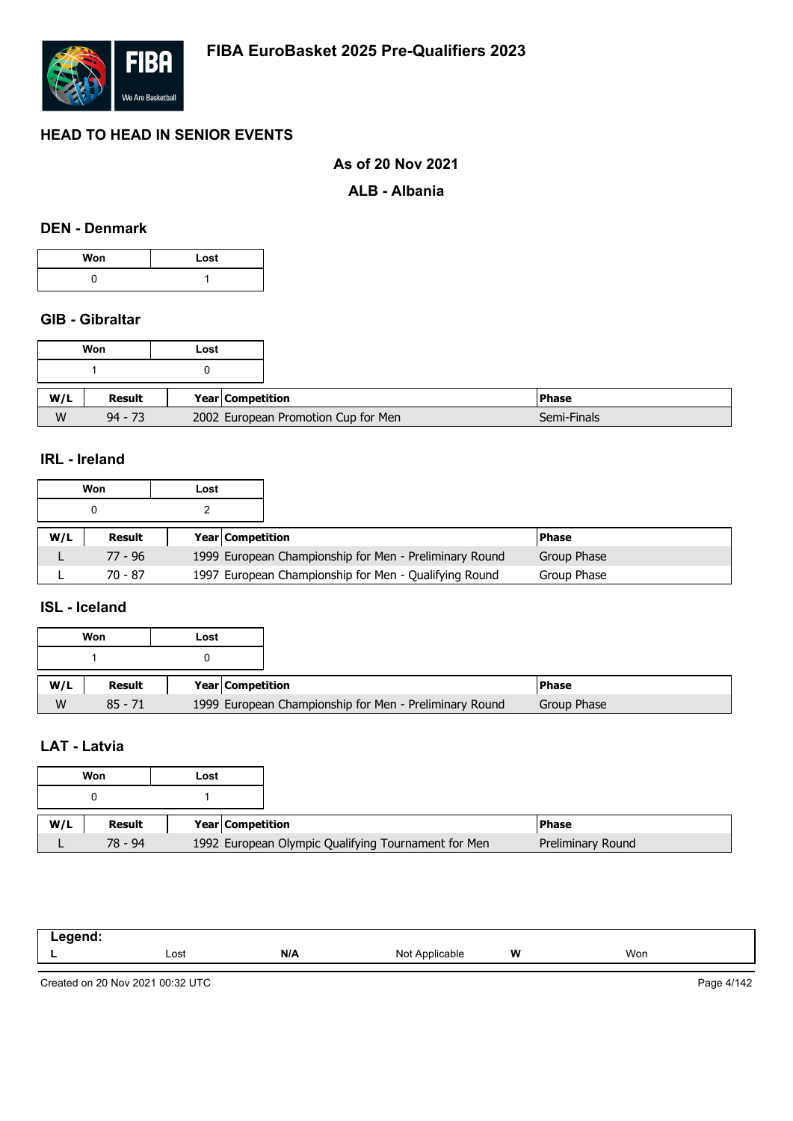

#### **As of 20 Nov 2021**

#### **ALB - Albania**

#### **DEN - Denmark**

| Won | Lost |
|-----|------|
|     |      |

## **GIB - Gibraltar**

|     | Won       | Lost                                |
|-----|-----------|-------------------------------------|
|     |           |                                     |
|     |           |                                     |
| W/L | Result    | <b>Year Competition</b>             |
| W   | $94 - 73$ | 2002 European Promotion Cup for Men |

## **IRL - Ireland**

|     | Won       | Lost |                         |                                                        |              |
|-----|-----------|------|-------------------------|--------------------------------------------------------|--------------|
|     |           |      |                         |                                                        |              |
| W/L | Result    |      | <b>Year Competition</b> |                                                        | <b>Phase</b> |
|     | $77 - 96$ |      |                         | 1999 European Championship for Men - Preliminary Round | Group Phase  |
|     | 70 - 87   |      |                         | 1997 European Championship for Men - Qualifying Round  | Group Phase  |

# **ISL - Iceland**

|     | Won       | Lost |                         |                                                        |              |
|-----|-----------|------|-------------------------|--------------------------------------------------------|--------------|
|     |           |      |                         |                                                        |              |
| W/L | Result    |      | <b>Year Competition</b> |                                                        | <b>Phase</b> |
| W   | $85 - 71$ |      |                         | 1999 European Championship for Men - Preliminary Round | Group Phase  |

### **LAT - Latvia**

|     | Won       | Lost |                  |                                                     |
|-----|-----------|------|------------------|-----------------------------------------------------|
|     |           |      |                  |                                                     |
|     |           |      |                  |                                                     |
| W/L | Result    |      | Year Competition |                                                     |
|     | $78 - 94$ |      |                  | 1992 European Olympic Qualifying Tournament for Men |

| nand<br>-- - -<br>$\sim$ $\sim$ $\sim$ $\sim$ $\sim$ $\sim$ |      |     |                              |   |     |
|-------------------------------------------------------------|------|-----|------------------------------|---|-----|
| . .                                                         | Lost | N/A | Nnt<br>* Applicable<br>, וער | W | Won |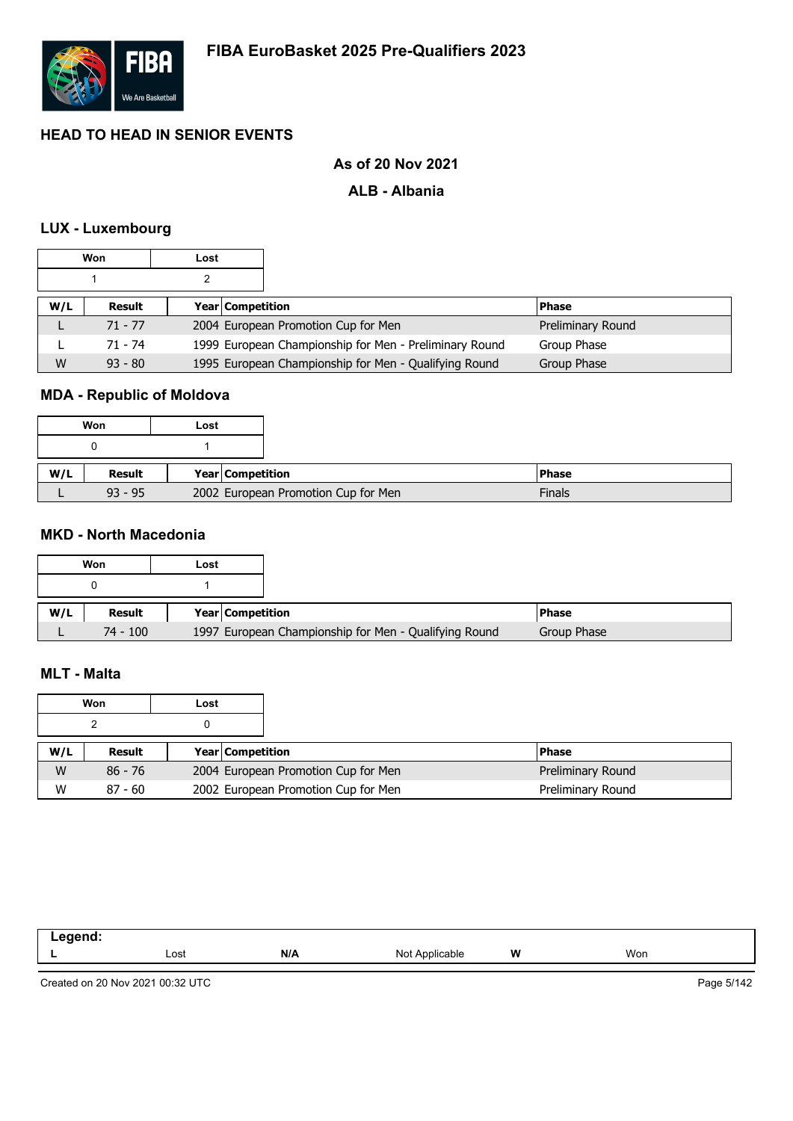

# **As of 20 Nov 2021**

### **ALB - Albania**

### **LUX - Luxembourg**

|     | Won       | Lost |                         |                                                        |                   |
|-----|-----------|------|-------------------------|--------------------------------------------------------|-------------------|
|     |           |      |                         |                                                        |                   |
| W/L | Result    |      | <b>Year Competition</b> |                                                        | <b>Phase</b>      |
|     | $71 - 77$ |      |                         | 2004 European Promotion Cup for Men                    | Preliminary Round |
|     | 71 - 74   |      |                         | 1999 European Championship for Men - Preliminary Round | Group Phase       |
| W   | $93 - 80$ |      |                         | 1995 European Championship for Men - Qualifying Round  | Group Phase       |

### **MDA - Republic of Moldova**

|     | Won       | Lost |                  |                                     |              |
|-----|-----------|------|------------------|-------------------------------------|--------------|
|     |           |      |                  |                                     |              |
| W/L | Result    |      | Year Competition |                                     | <b>Phase</b> |
|     | $93 - 95$ |      |                  | 2002 European Promotion Cup for Men |              |

# **MKD - North Macedonia**

|     | Won        | Lost |                                                       |  |
|-----|------------|------|-------------------------------------------------------|--|
|     |            |      |                                                       |  |
| W/L | Result     |      | <b>Year Competition</b>                               |  |
|     | $74 - 100$ |      | 1997 European Championship for Men - Qualifying Round |  |

#### **MLT - Malta**

|     | Won       | Lost |                         |                                     |                   |
|-----|-----------|------|-------------------------|-------------------------------------|-------------------|
|     |           |      |                         |                                     |                   |
| W/L | Result    |      | <b>Year Competition</b> |                                     | <b>Phase</b>      |
| W   | $86 - 76$ |      |                         | 2004 European Promotion Cup for Men | Preliminary Round |
| W   | $87 - 60$ |      |                         | 2002 European Promotion Cup for Men | Preliminary Round |

| -----<br>- - - |      |     |                        |   |     |  |
|----------------|------|-----|------------------------|---|-----|--|
|                | Lost | N/A | Not<br>Ann<br>plicable | W | Won |  |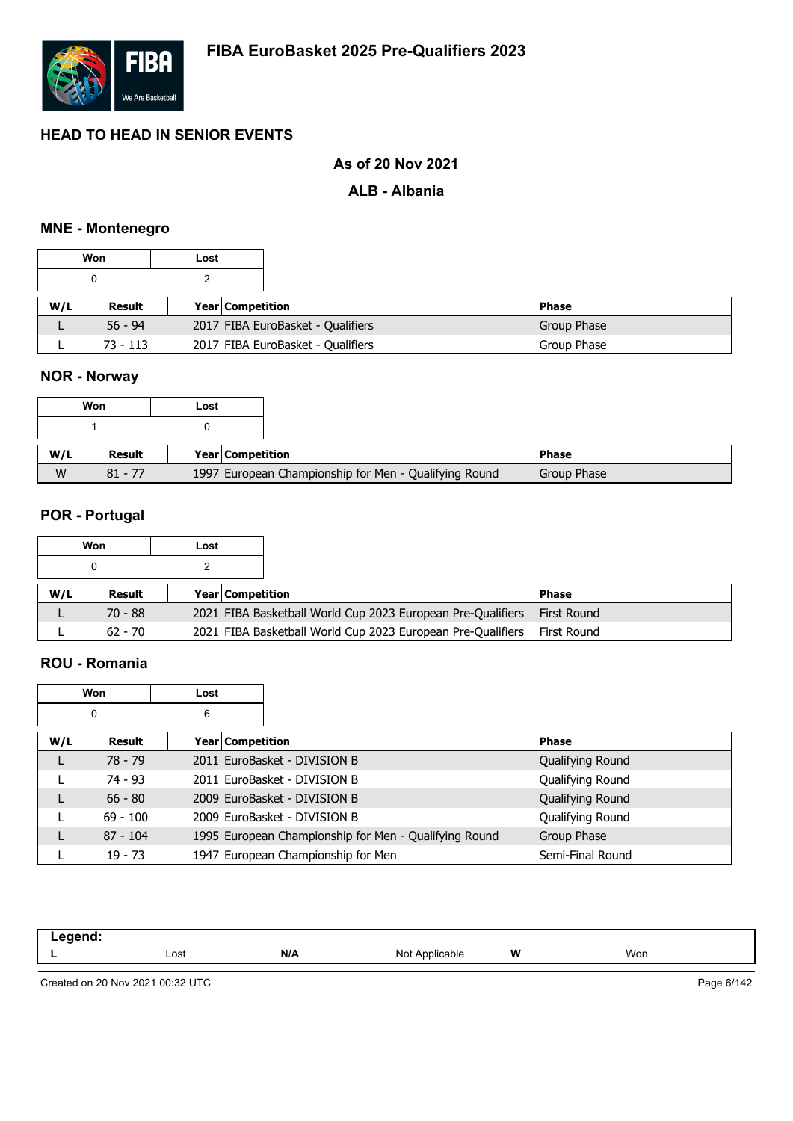

# **As of 20 Nov 2021**

#### **ALB - Albania**

#### **MNE - Montenegro**

|     | Won       | Lost |                         |                                   |              |
|-----|-----------|------|-------------------------|-----------------------------------|--------------|
|     |           |      |                         |                                   |              |
| W/L | Result    |      | <b>Year Competition</b> |                                   | <b>Phase</b> |
|     | $56 - 94$ |      |                         | 2017 FIBA EuroBasket - Qualifiers | Group Phase  |
|     | 73 - 113  |      |                         | 2017 FIBA EuroBasket - Qualifiers | Group Phase  |

# **NOR - Norway**

|     | Won       | Lost |                  |                                                       |              |  |
|-----|-----------|------|------------------|-------------------------------------------------------|--------------|--|
|     |           |      |                  |                                                       |              |  |
| W/L | Result    |      | Year Competition |                                                       | <b>Phase</b> |  |
| W   | $81 - 77$ |      |                  | 1997 European Championship for Men - Qualifying Round | Group Phase  |  |

#### **POR - Portugal**

|     | Won       | Lost |                         |                                                             |              |
|-----|-----------|------|-------------------------|-------------------------------------------------------------|--------------|
|     |           |      |                         |                                                             |              |
| W/L | Result    |      | <b>Year Competition</b> |                                                             | <b>Phase</b> |
|     | $70 - 88$ |      |                         | 2021 FIBA Basketball World Cup 2023 European Pre-Qualifiers | First Round  |
|     | $62 - 70$ |      |                         | 2021 FIBA Basketball World Cup 2023 European Pre-Qualifiers | First Round  |

### **ROU - Romania**

|     | Won        | Lost |                                                       |                  |
|-----|------------|------|-------------------------------------------------------|------------------|
|     | 0          | 6    |                                                       |                  |
| W/L | Result     |      | Year   Competition                                    | <b>Phase</b>     |
| L   | $78 - 79$  |      | 2011 EuroBasket - DIVISION B                          | Qualifying Round |
|     | 74 - 93    |      | 2011 EuroBasket - DIVISION B                          | Qualifying Round |
| L   | $66 - 80$  |      | 2009 EuroBasket - DIVISION B                          | Qualifying Round |
|     | $69 - 100$ |      | 2009 EuroBasket - DIVISION B                          | Qualifying Round |
| L   | $87 - 104$ |      | 1995 European Championship for Men - Qualifying Round | Group Phase      |
|     | $19 - 73$  |      | 1947 European Championship for Men                    | Semi-Final Round |

| .<br>. |      |     |                   |   |     |  |
|--------|------|-----|-------------------|---|-----|--|
|        | Lost | N/A | Not /<br>olicable | W | Won |  |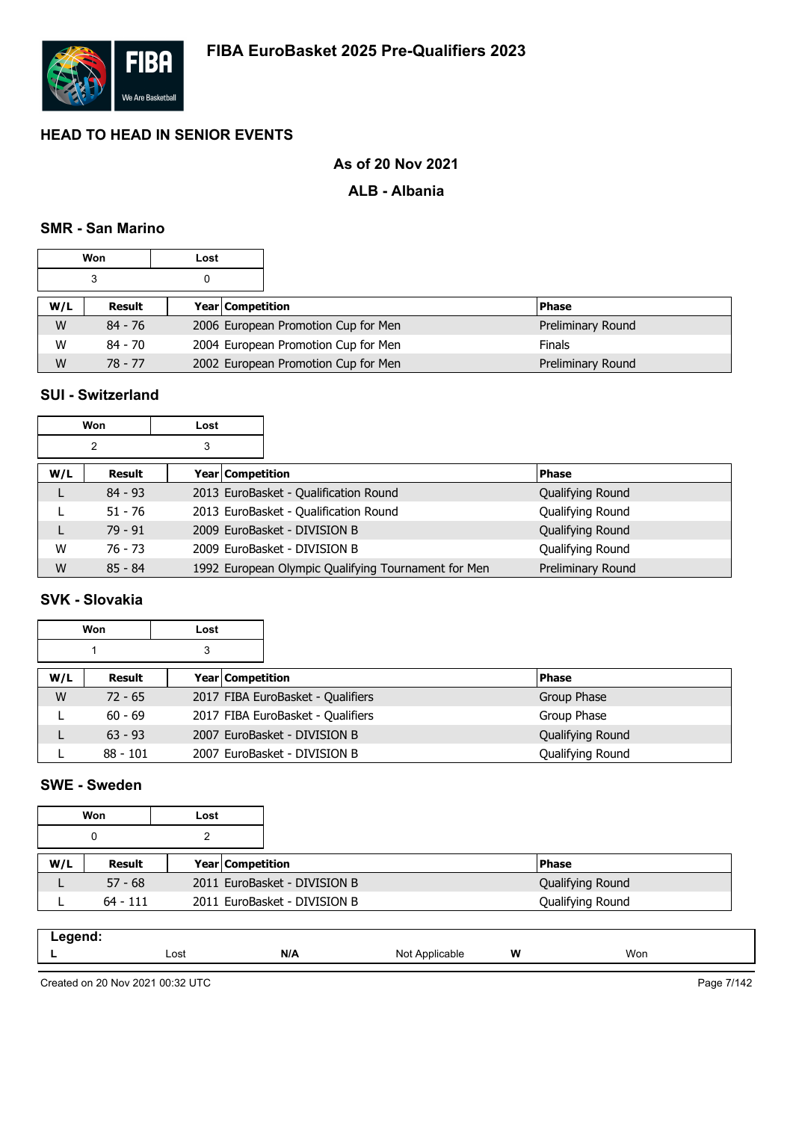

# **As of 20 Nov 2021**

### **ALB - Albania**

#### **SMR - San Marino**

|     | Won       | Lost |                                     |                   |
|-----|-----------|------|-------------------------------------|-------------------|
|     | 3         |      |                                     |                   |
| W/L | Result    |      | Year   Competition                  | <b>Phase</b>      |
| W   | 84 - 76   |      | 2006 European Promotion Cup for Men | Preliminary Round |
| W   | $84 - 70$ |      | 2004 European Promotion Cup for Men | <b>Finals</b>     |
| W   | $78 - 77$ |      | 2002 European Promotion Cup for Men | Preliminary Round |

### **SUI - Switzerland**

|     | Won       | Lost |                                                     |                   |
|-----|-----------|------|-----------------------------------------------------|-------------------|
|     | 2         | 3    |                                                     |                   |
| W/L | Result    |      | Year Competition                                    | <b>Phase</b>      |
|     | $84 - 93$ |      | 2013 EuroBasket - Qualification Round               | Qualifying Round  |
|     | $51 - 76$ |      | 2013 EuroBasket - Qualification Round               | Qualifying Round  |
|     | $79 - 91$ |      | 2009 EuroBasket - DIVISION B                        | Qualifying Round  |
| W   | $76 - 73$ |      | 2009 EuroBasket - DIVISION B                        | Qualifying Round  |
| W   | $85 - 84$ |      | 1992 European Olympic Qualifying Tournament for Men | Preliminary Round |

# **SVK - Slovakia**

|     | Won        | Lost |                  |                                   |                  |
|-----|------------|------|------------------|-----------------------------------|------------------|
|     |            | 3    |                  |                                   |                  |
| W/L | Result     |      | Year Competition |                                   | <b>Phase</b>     |
| W   | $72 - 65$  |      |                  | 2017 FIBA EuroBasket - Qualifiers | Group Phase      |
|     | $60 - 69$  |      |                  | 2017 FIBA EuroBasket - Qualifiers | Group Phase      |
|     | $63 - 93$  |      |                  | 2007 EuroBasket - DIVISION B      | Qualifying Round |
|     | $88 - 101$ |      |                  | 2007 EuroBasket - DIVISION B      | Qualifying Round |

# **SWE - Sweden**

|     | Won        | Lost |                              |                  |
|-----|------------|------|------------------------------|------------------|
|     | 0          |      |                              |                  |
| W/L | Result     |      | <b>Year Competition</b>      | <b>Phase</b>     |
|     | $57 - 68$  |      | 2011 EuroBasket - DIVISION B | Qualifying Round |
|     | $64 - 111$ |      | 2011 EuroBasket - DIVISION B | Qualifying Round |

| .<br>____<br>- - - |      |     |            |   |     |
|--------------------|------|-----|------------|---|-----|
| -                  | Lost | N/A | NM<br>able | W | Won |
|                    |      |     |            |   |     |

Created on 20 Nov 2021 00:32 UTC

Page 7/142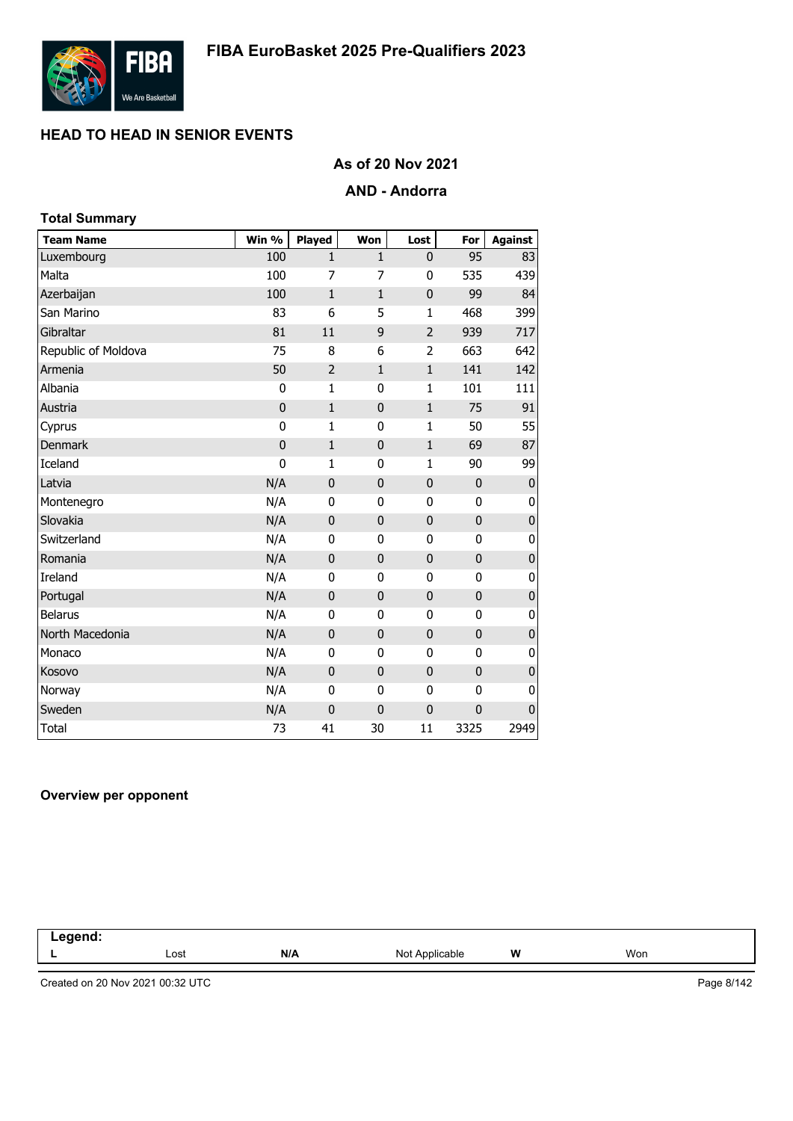

## **As of 20 Nov 2021**

### **AND - Andorra**

| <b>Total Summary</b> |             |                |              |              |                |                |
|----------------------|-------------|----------------|--------------|--------------|----------------|----------------|
| <b>Team Name</b>     | Win %       | <b>Played</b>  | Won          | Lost         | For            | <b>Against</b> |
| Luxembourg           | 100         | $\mathbf{1}$   | $\mathbf{1}$ | $\mathbf{0}$ | 95             | 83             |
| Malta                | 100         | 7              | 7            | 0            | 535            | 439            |
| Azerbaijan           | 100         | $\mathbf{1}$   | $\mathbf{1}$ | $\mathbf 0$  | 99             | 84             |
| San Marino           | 83          | 6              | 5            | $\mathbf{1}$ | 468            | 399            |
| Gibraltar            | 81          | 11             | 9            | 2            | 939            | 717            |
| Republic of Moldova  | 75          | 8              | 6            | 2            | 663            | 642            |
| Armenia              | 50          | $\overline{2}$ | $\mathbf{1}$ | $\mathbf{1}$ | 141            | 142            |
| Albania              | 0           | 1              | 0            | $\mathbf{1}$ | 101            | 111            |
| Austria              | $\mathbf 0$ | $\mathbf{1}$   | $\mathbf 0$  | $\mathbf{1}$ | 75             | 91             |
| Cyprus               | $\mathbf 0$ | $\mathbf{1}$   | 0            | $\mathbf{1}$ | 50             | 55             |
| <b>Denmark</b>       | $\mathbf 0$ | $\mathbf{1}$   | $\mathbf 0$  | $\mathbf{1}$ | 69             | 87             |
| Iceland              | $\mathbf 0$ | $\mathbf{1}$   | 0            | $\mathbf{1}$ | 90             | 99             |
| Latvia               | N/A         | $\pmb{0}$      | $\pmb{0}$    | 0            | $\mathbf 0$    | $\bf 0$        |
| Montenegro           | N/A         | 0              | 0            | 0            | 0              | 0              |
| Slovakia             | N/A         | $\mathbf 0$    | $\bf 0$      | $\mathbf 0$  | 0              | $\mathbf 0$    |
| Switzerland          | N/A         | $\mathbf{0}$   | $\mathbf{0}$ | 0            | 0              | 0              |
| Romania              | N/A         | $\mathbf{0}$   | $\mathbf{0}$ | 0            | $\overline{0}$ | $\pmb{0}$      |
| Ireland              | N/A         | 0              | 0            | 0            | 0              | 0              |
| Portugal             | N/A         | $\mathbf 0$    | $\pmb{0}$    | 0            | 0              | $\pmb{0}$      |
| <b>Belarus</b>       | N/A         | 0              | 0            | 0            | 0              | 0              |
| North Macedonia      | N/A         | $\mathbf 0$    | $\bf 0$      | $\mathbf 0$  | $\pmb{0}$      | $\mathbf 0$    |
| Monaco               | N/A         | 0              | 0            | 0            | 0              | 0              |
| Kosovo               | N/A         | $\mathbf{0}$   | $\mathbf{0}$ | 0            | $\mathbf{0}$   | 0              |
| Norway               | N/A         | $\mathbf{0}$   | 0            | 0            | 0              | 0              |
| Sweden               | N/A         | $\mathbf 0$    | 0            | $\mathbf 0$  | 0              | $\mathbf{0}$   |
| <b>Total</b>         | 73          | 41             | 30           | 11           | 3325           | 2949           |

#### **Overview per opponent**

| ------<br>11 L<br>-- |      |     |                           |   |     |  |
|----------------------|------|-----|---------------------------|---|-----|--|
|                      | Lost | N/A | Not<br>Annlicable<br>apie | W | Won |  |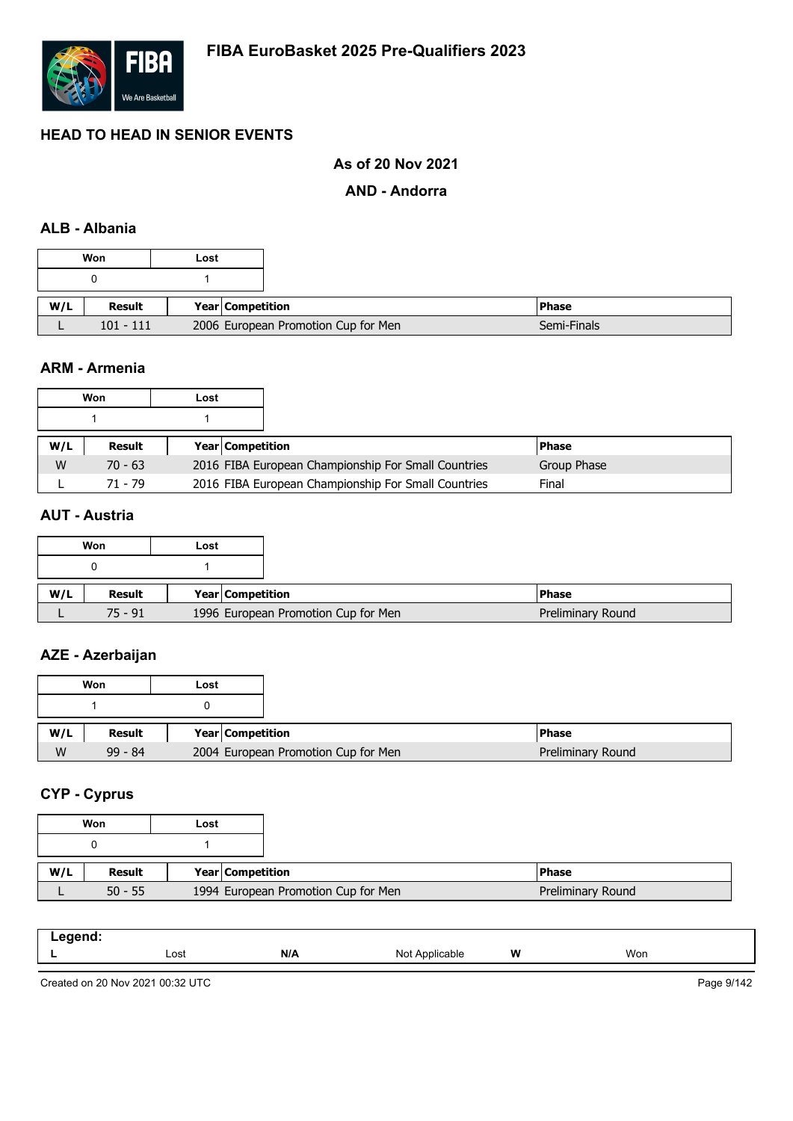

# **As of 20 Nov 2021**

#### **AND - Andorra**

### **ALB - Albania**

|     | Won         | Lost                    |                                     |               |
|-----|-------------|-------------------------|-------------------------------------|---------------|
|     |             |                         |                                     |               |
| W/L | Result      | <b>Year Competition</b> |                                     | <b>IPhase</b> |
|     | $101 - 111$ |                         | 2006 European Promotion Cup for Men |               |

#### **ARM - Armenia**

|     | Won       | Lost |                         |                                                     |             |  |
|-----|-----------|------|-------------------------|-----------------------------------------------------|-------------|--|
|     |           |      |                         |                                                     |             |  |
| W/L | Result    |      | <b>Year Competition</b> |                                                     | l Phase     |  |
| W   | $70 - 63$ |      |                         | 2016 FIBA European Championship For Small Countries | Group Phase |  |
|     | 71 - 79   |      |                         | 2016 FIBA European Championship For Small Countries | Final       |  |

### **AUT - Austria**

|     | Won       | Lost |                                     |
|-----|-----------|------|-------------------------------------|
|     |           |      |                                     |
| W/L | Result    |      | Year Competition                    |
|     | $75 - 91$ |      | 1996 European Promotion Cup for Men |

# **AZE - Azerbaijan**

|     | Won       | Lost |                                     |
|-----|-----------|------|-------------------------------------|
|     |           |      |                                     |
| W/L | Result    |      | <b>Year Competition</b>             |
| W   | $99 - 84$ |      | 2004 European Promotion Cup for Men |

## **CYP - Cyprus**

|     | Won       | Lost |                  |                                     |
|-----|-----------|------|------------------|-------------------------------------|
|     |           |      |                  |                                     |
|     |           |      |                  |                                     |
| W/L | Result    |      | Year Competition |                                     |
|     | $50 - 55$ |      |                  | 1994 European Promotion Cup for Men |

| .<br>- - - |      |     |                               |   |     |  |
|------------|------|-----|-------------------------------|---|-----|--|
|            | Lost | N/A | Not<br>n r<br>าnlıca<br>ible. | W | Won |  |

Created on 20 Nov 2021 00:32 UTC

Page 9/142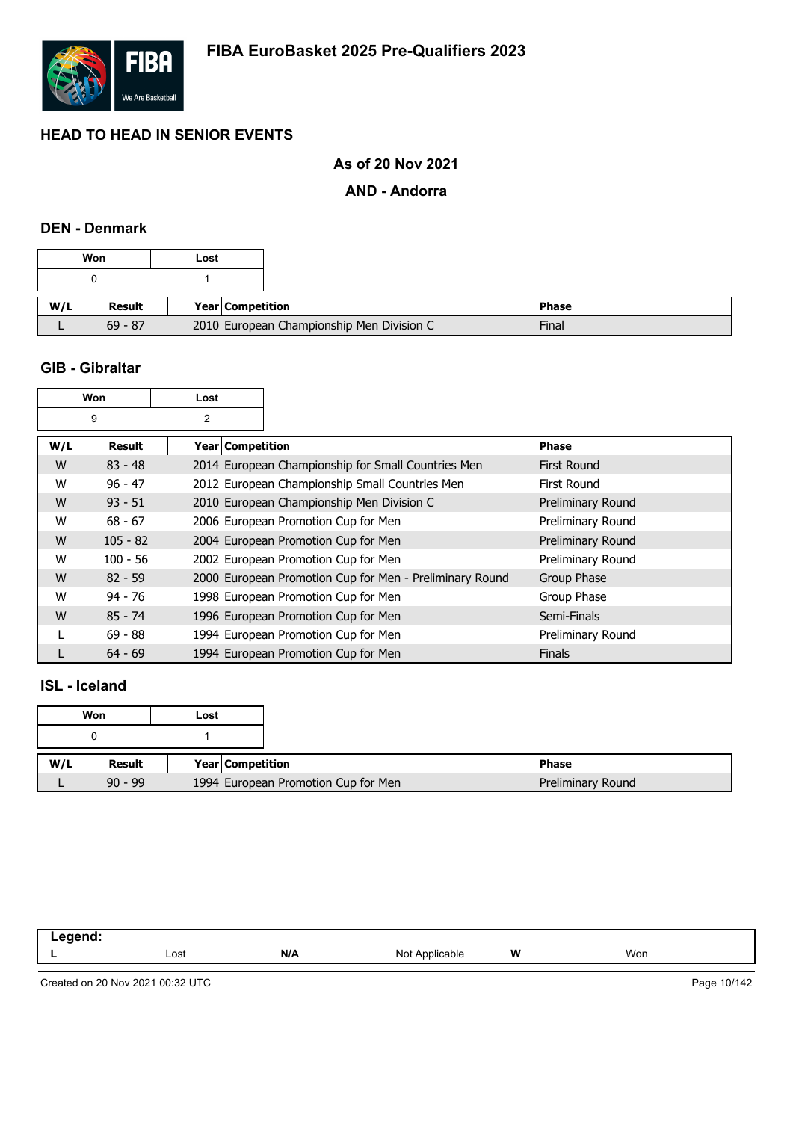

# **As of 20 Nov 2021**

### **AND - Andorra**

### **DEN - Denmark**

| Won |               | Lost                    |                                           |         |
|-----|---------------|-------------------------|-------------------------------------------|---------|
|     |               |                         |                                           |         |
| W/L | <b>Result</b> | <b>Year Competition</b> |                                           | l Phase |
|     | $69 - 87$     |                         | 2010 European Championship Men Division C |         |

#### **GIB - Gibraltar**

| Won |               | Lost               |                                                         |                    |
|-----|---------------|--------------------|---------------------------------------------------------|--------------------|
|     | 9             | $\overline{2}$     |                                                         |                    |
| W/L | <b>Result</b> | Year   Competition |                                                         | <b>Phase</b>       |
| W   | $83 - 48$     |                    | 2014 European Championship for Small Countries Men      | <b>First Round</b> |
| W   | $96 - 47$     |                    | 2012 European Championship Small Countries Men          | First Round        |
| W   | $93 - 51$     |                    | 2010 European Championship Men Division C               | Preliminary Round  |
| W   | $68 - 67$     |                    | 2006 European Promotion Cup for Men                     | Preliminary Round  |
| W   | $105 - 82$    |                    | 2004 European Promotion Cup for Men                     | Preliminary Round  |
| W   | $100 - 56$    |                    | 2002 European Promotion Cup for Men                     | Preliminary Round  |
| W   | $82 - 59$     |                    | 2000 European Promotion Cup for Men - Preliminary Round | Group Phase        |
| W   | $94 - 76$     |                    | 1998 European Promotion Cup for Men                     | Group Phase        |
| W   | $85 - 74$     |                    | 1996 European Promotion Cup for Men                     | Semi-Finals        |
|     | $69 - 88$     |                    | 1994 European Promotion Cup for Men                     | Preliminary Round  |
|     | $64 - 69$     |                    | 1994 European Promotion Cup for Men                     | <b>Finals</b>      |

#### **ISL - Iceland**

|     | Won       | Lost                                |
|-----|-----------|-------------------------------------|
|     |           |                                     |
| W/L | Result    | Year Competition                    |
|     | $90 - 99$ | 1994 European Promotion Cup for Men |

| - | Lost | N/A | nnlica.<br>NIC<br>. | W | Won |
|---|------|-----|---------------------|---|-----|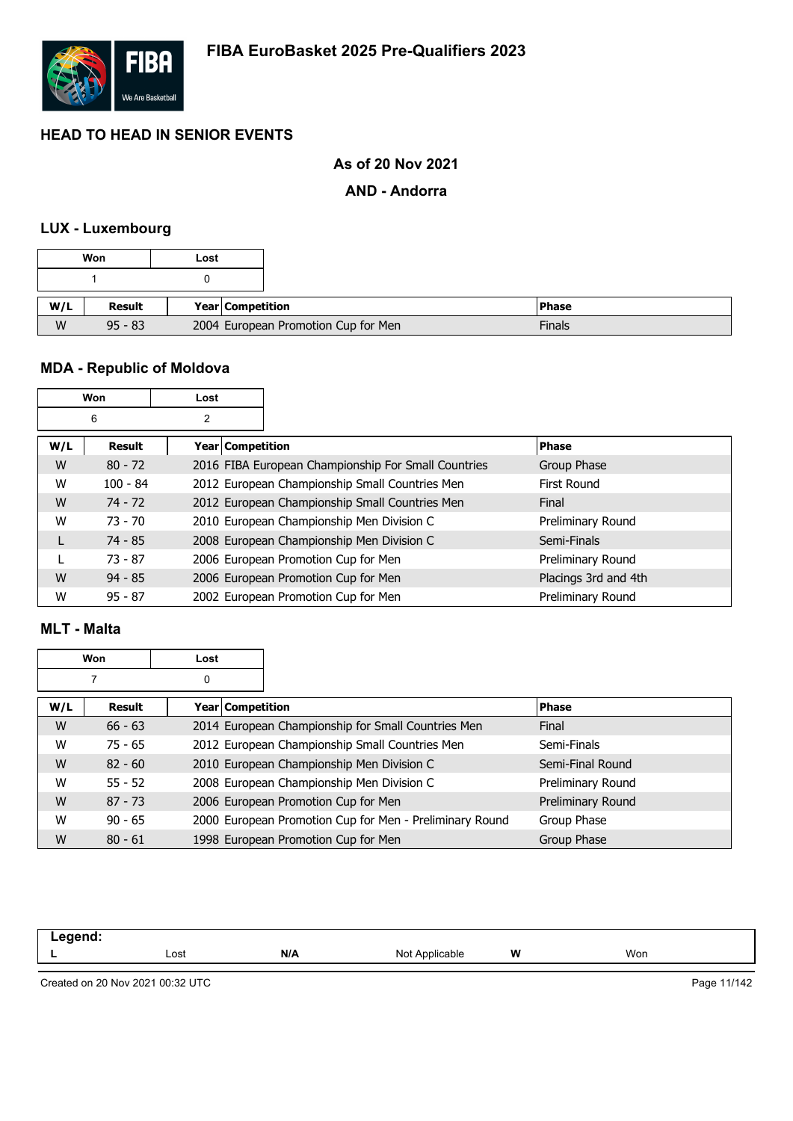

# **As of 20 Nov 2021**

### **AND - Andorra**

# **LUX - Luxembourg**

|     | Won           | Lost |                  |                                     |
|-----|---------------|------|------------------|-------------------------------------|
|     |               |      |                  |                                     |
|     |               |      |                  |                                     |
| W/L | <b>Result</b> |      | Year Competition | <b>IPhase</b>                       |
| W   | $95 - 83$     |      |                  | 2004 European Promotion Cup for Men |

# **MDA - Republic of Moldova**

|     | Won        | Lost               |                                                     |                      |
|-----|------------|--------------------|-----------------------------------------------------|----------------------|
|     | 6          | 2                  |                                                     |                      |
| W/L | Result     | Year   Competition |                                                     | <b>Phase</b>         |
| W   | $80 - 72$  |                    | 2016 FIBA European Championship For Small Countries | Group Phase          |
| W   | $100 - 84$ |                    | 2012 European Championship Small Countries Men      | First Round          |
| W   | $74 - 72$  |                    | 2012 European Championship Small Countries Men      | Final                |
| W   | $73 - 70$  |                    | 2010 European Championship Men Division C           | Preliminary Round    |
|     | $74 - 85$  |                    | 2008 European Championship Men Division C           | Semi-Finals          |
|     | $73 - 87$  |                    | 2006 European Promotion Cup for Men                 | Preliminary Round    |
| W   | $94 - 85$  |                    | 2006 European Promotion Cup for Men                 | Placings 3rd and 4th |
| W   | $95 - 87$  |                    | 2002 European Promotion Cup for Men                 | Preliminary Round    |

### **MLT - Malta**

|     | <b>Won</b> | Lost                    |                                                         |                   |
|-----|------------|-------------------------|---------------------------------------------------------|-------------------|
|     |            | 0                       |                                                         |                   |
| W/L | Result     | <b>Year Competition</b> |                                                         | <b>Phase</b>      |
| W   | $66 - 63$  |                         | 2014 European Championship for Small Countries Men      | Final             |
| W   | $75 - 65$  |                         | 2012 European Championship Small Countries Men          | Semi-Finals       |
| W   | $82 - 60$  |                         | 2010 European Championship Men Division C               | Semi-Final Round  |
| W   | $55 - 52$  |                         | 2008 European Championship Men Division C               | Preliminary Round |
| W   | $87 - 73$  |                         | 2006 European Promotion Cup for Men                     | Preliminary Round |
| W   | $90 - 65$  |                         | 2000 European Promotion Cup for Men - Preliminary Round | Group Phase       |
| W   | $80 - 61$  |                         | 1998 European Promotion Cup for Men                     | Group Phase       |

| - | Lost | N/A | <b>N<sub>IC</sub></b><br>11011 | W | Won |  |
|---|------|-----|--------------------------------|---|-----|--|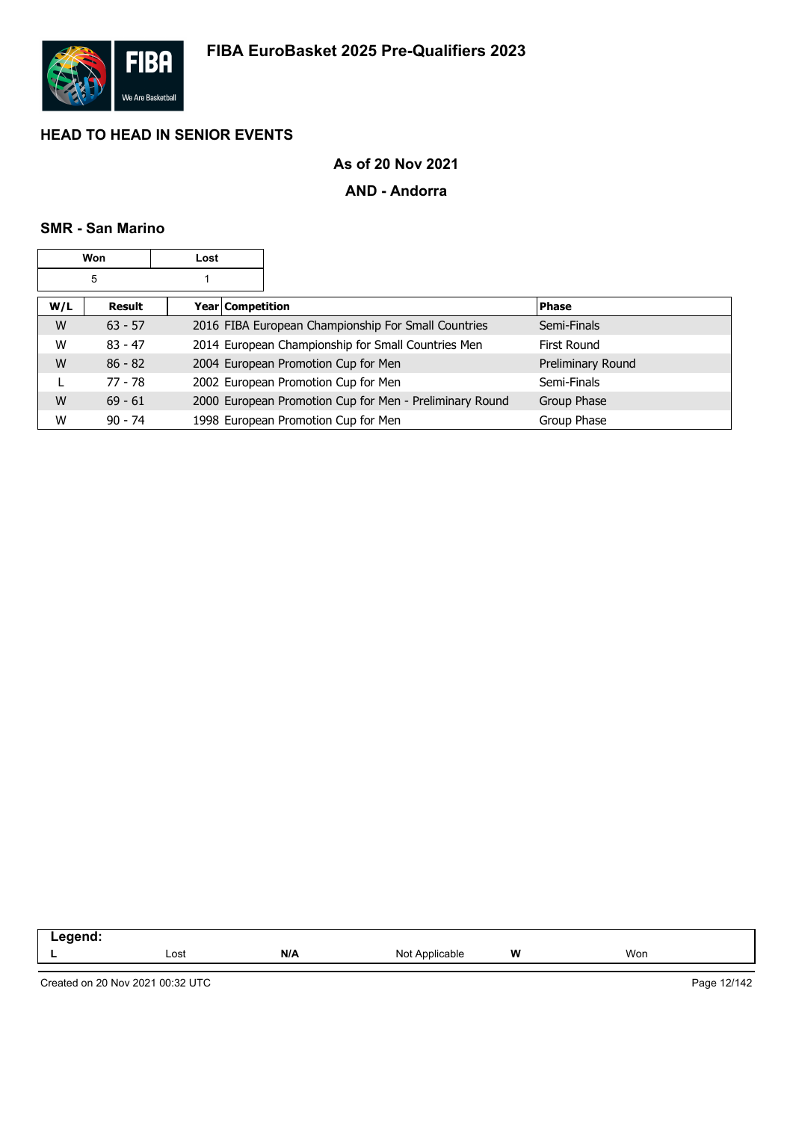

# **As of 20 Nov 2021**

### **AND - Andorra**

#### **SMR - San Marino**

|     | Won       | Lost |                    |                                                         |                   |
|-----|-----------|------|--------------------|---------------------------------------------------------|-------------------|
|     | 5         |      |                    |                                                         |                   |
| W/L | Result    |      | Year   Competition |                                                         | <b>Phase</b>      |
| W   | $63 - 57$ |      |                    | 2016 FIBA European Championship For Small Countries     | Semi-Finals       |
| W   | $83 - 47$ |      |                    | 2014 European Championship for Small Countries Men      | First Round       |
| W   | $86 - 82$ |      |                    | 2004 European Promotion Cup for Men                     | Preliminary Round |
|     | 77 - 78   |      |                    | 2002 European Promotion Cup for Men                     | Semi-Finals       |
| W   | $69 - 61$ |      |                    | 2000 European Promotion Cup for Men - Preliminary Round | Group Phase       |
| W   | $90 - 74$ |      |                    | 1998 European Promotion Cup for Men                     | Group Phase       |

| $\overline{\phantom{a}}$<br>-- - |      |     |                   |          |     |
|----------------------------------|------|-----|-------------------|----------|-----|
|                                  | Lost | N/A | Not<br>Applicable | W<br>. . | Won |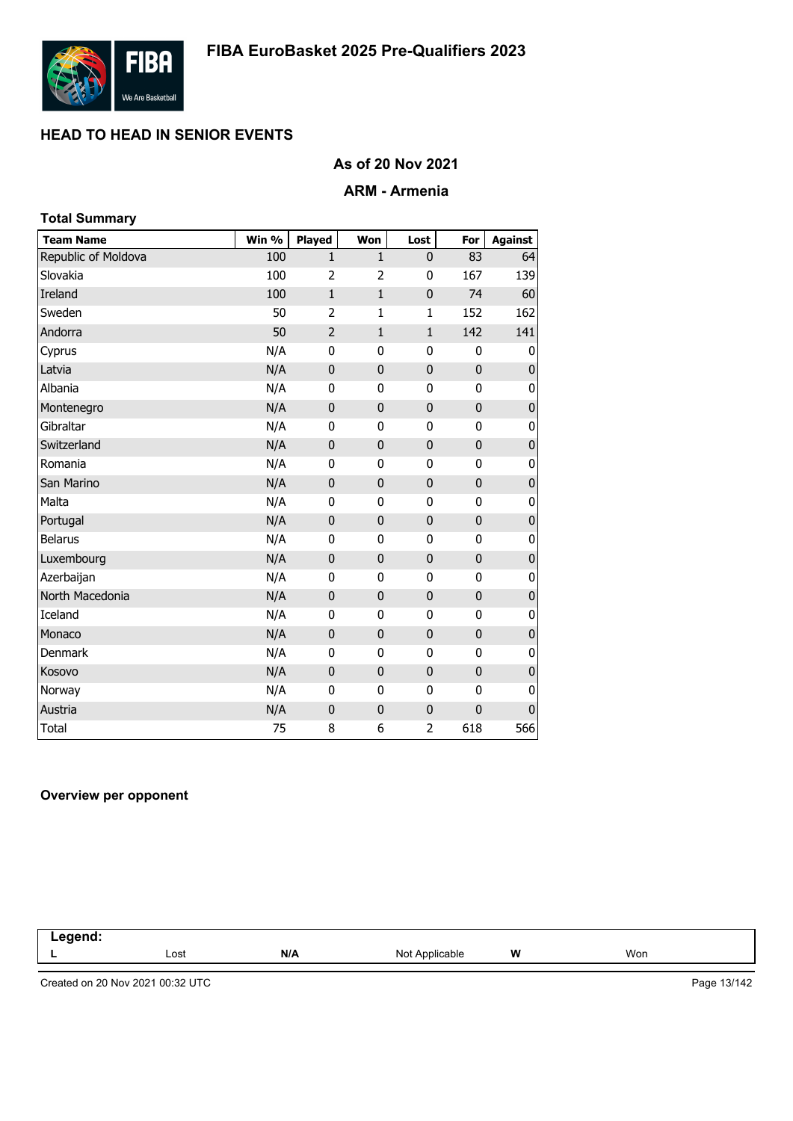

## **As of 20 Nov 2021**

#### **ARM - Armenia**

| <b>Total Summary</b> |       |                |                |                |              |                |
|----------------------|-------|----------------|----------------|----------------|--------------|----------------|
| <b>Team Name</b>     | Win % | Played         | Won            | Lost           | For          | <b>Against</b> |
| Republic of Moldova  | 100   | $\mathbf{1}$   | $\mathbf{1}$   | $\mathbf{0}$   | 83           | 64             |
| Slovakia             | 100   | $\overline{2}$ | $\overline{2}$ | 0              | 167          | 139            |
| Ireland              | 100   | $\mathbf{1}$   | $\mathbf{1}$   | $\mathbf 0$    | 74           | 60             |
| Sweden               | 50    | $\overline{2}$ | $\mathbf{1}$   | $\mathbf{1}$   | 152          | 162            |
| Andorra              | 50    | $\overline{2}$ | $\mathbf{1}$   | $\mathbf{1}$   | 142          | 141            |
| Cyprus               | N/A   | 0              | 0              | 0              | 0            | 0              |
| Latvia               | N/A   | $\mathbf 0$    | $\mathbf{0}$   | 0              | $\mathbf 0$  | 0              |
| Albania              | N/A   | 0              | 0              | 0              | $\mathbf{0}$ | 0              |
| Montenegro           | N/A   | $\mathbf 0$    | $\bf{0}$       | $\mathbf 0$    | $\mathbf 0$  | $\pmb{0}$      |
| Gibraltar            | N/A   | 0              | 0              | 0              | $\mathbf 0$  | 0              |
| Switzerland          | N/A   | $\mathbf 0$    | $\bf{0}$       | $\mathbf 0$    | $\mathbf 0$  | $\pmb{0}$      |
| Romania              | N/A   | $\mathbf 0$    | 0              | $\mathbf 0$    | $\mathbf 0$  | 0              |
| San Marino           | N/A   | $\pmb{0}$      | $\pmb{0}$      | $\pmb{0}$      | $\mathbf 0$  | $\pmb{0}$      |
| Malta                | N/A   | 0              | 0              | 0              | $\mathbf{0}$ | 0              |
| Portugal             | N/A   | $\mathbf 0$    | $\bf{0}$       | $\mathbf 0$    | $\mathbf 0$  | $\pmb{0}$      |
| <b>Belarus</b>       | N/A   | 0              | $\mathbf{0}$   | $\mathbf{0}$   | $\mathbf 0$  | 0              |
| Luxembourg           | N/A   | $\mathbf 0$    | $\mathbf{0}$   | $\mathbf 0$    | $\mathbf{0}$ | $\pmb{0}$      |
| Azerbaijan           | N/A   | $\mathbf 0$    | 0              | $\mathbf 0$    | 0            | 0              |
| North Macedonia      | N/A   | 0              | $\pmb{0}$      | $\pmb{0}$      | $\mathbf 0$  | $\pmb{0}$      |
| Iceland              | N/A   | 0              | 0              | 0              | 0            | 0              |
| Monaco               | N/A   | $\mathbf 0$    | $\pmb{0}$      | $\mathbf 0$    | $\mathbf 0$  | $\pmb{0}$      |
| <b>Denmark</b>       | N/A   | 0              | 0              | 0              | $\mathbf 0$  | 0              |
| Kosovo               | N/A   | $\mathbf{0}$   | $\mathbf{0}$   | $\mathbf 0$    | $\mathbf{0}$ | $\pmb{0}$      |
| Norway               | N/A   | 0              | 0              | 0              | 0            | 0              |
| Austria              | N/A   | 0              | $\bf{0}$       | $\pmb{0}$      | $\mathbf 0$  | $\bf{0}$       |
| <b>Total</b>         | 75    | 8              | 6              | $\overline{2}$ | 618          | 566            |

#### **Overview per opponent**

| ------<br>-- |      |     |                |   |     |  |
|--------------|------|-----|----------------|---|-----|--|
|              | Lost | N/A | Not Applicable | W | Won |  |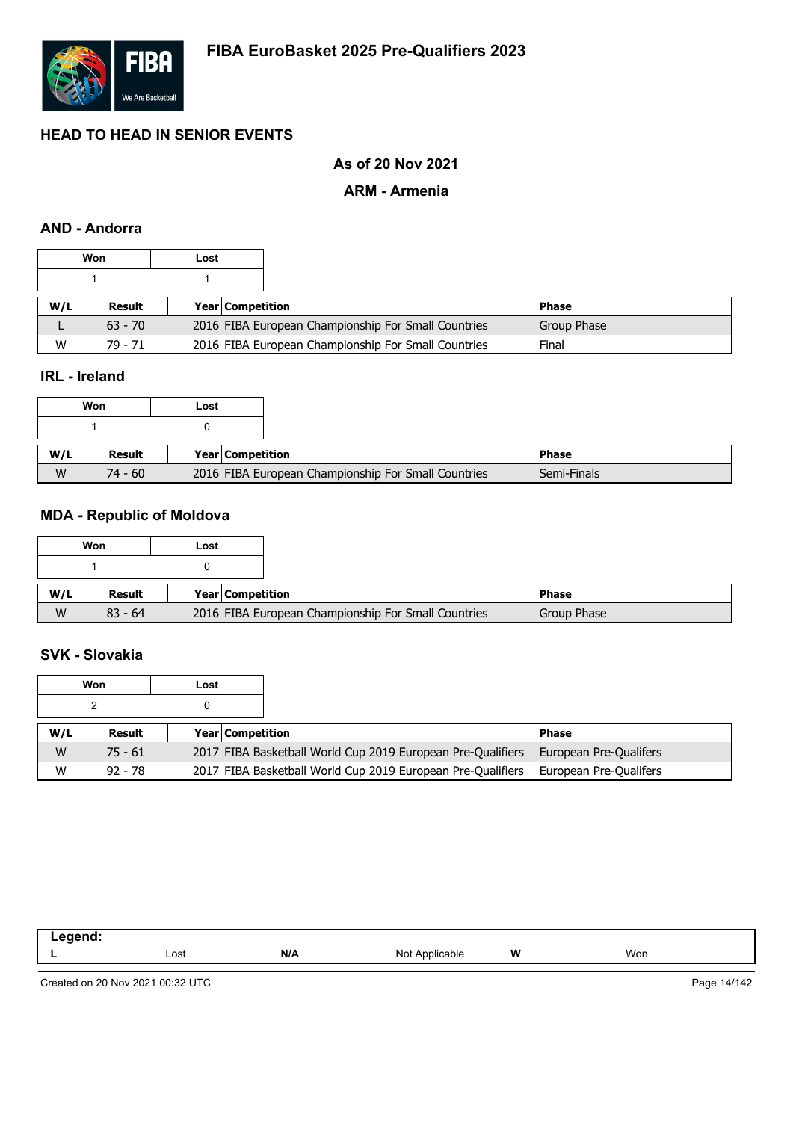

# **As of 20 Nov 2021**

#### **ARM - Armenia**

### **AND - Andorra**

|     | Won       | Lost |                         |                                                     |             |  |
|-----|-----------|------|-------------------------|-----------------------------------------------------|-------------|--|
|     |           |      |                         |                                                     |             |  |
| W/L | Result    |      | <b>Year Competition</b> |                                                     | l Phase     |  |
|     | $63 - 70$ |      |                         | 2016 FIBA European Championship For Small Countries | Group Phase |  |
| W   | 79 - 71   |      |                         | 2016 FIBA European Championship For Small Countries | Final       |  |

## **IRL - Ireland**

|     | Won       | Lost |                  |                                                     |             |
|-----|-----------|------|------------------|-----------------------------------------------------|-------------|
|     |           |      |                  |                                                     |             |
| W/L | Result    |      | Year Competition |                                                     | l Phase     |
|     |           |      |                  |                                                     |             |
| W   | $74 - 60$ |      |                  | 2016 FIBA European Championship For Small Countries | Semi-Finals |

## **MDA - Republic of Moldova**

|     | Won       | Lost |                                                     |               |
|-----|-----------|------|-----------------------------------------------------|---------------|
|     |           |      |                                                     |               |
| W/L | Result    |      | <b>Year Competition</b>                             | <b>IPhase</b> |
| W   | $83 - 64$ |      | 2016 FIBA European Championship For Small Countries | Group Phase   |

# **SVK - Slovakia**

|     | Won       | Lost |                         |                                                             |                        |
|-----|-----------|------|-------------------------|-------------------------------------------------------------|------------------------|
|     |           |      |                         |                                                             |                        |
| W/L | Result    |      | <b>Year Competition</b> |                                                             | <b>Phase</b>           |
| W   | $75 - 61$ |      |                         | 2017 FIBA Basketball World Cup 2019 European Pre-Qualifiers | European Pre-Qualifers |
| W   | $92 - 78$ |      |                         | 2017 FIBA Basketball World Cup 2019 European Pre-Qualifiers | European Pre-Qualifers |

| .<br>nenc<br>--<br>-- 3 |      |     |                    |   |     |
|-------------------------|------|-----|--------------------|---|-----|
|                         | Lost | N/A | Not<br>`Applicable | W | Won |

Created on 20 Nov 2021 00:32 UTC

Page 14/142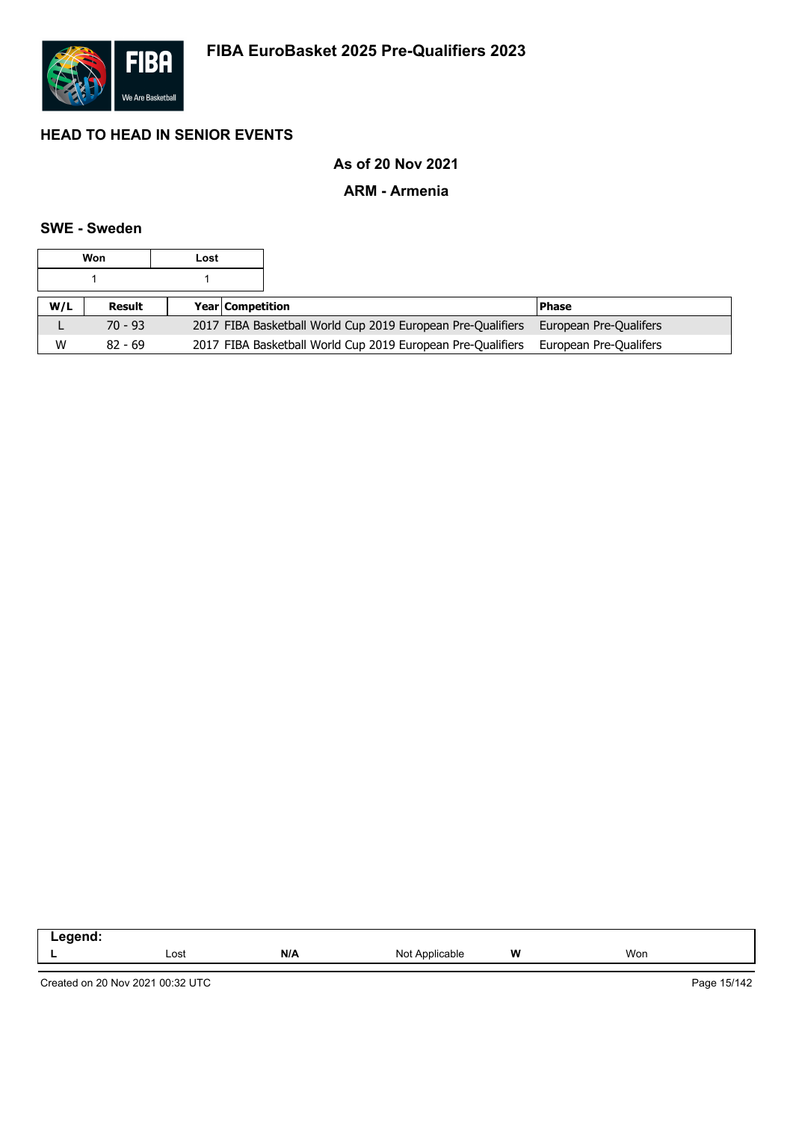

# **As of 20 Nov 2021**

### **ARM - Armenia**

#### **SWE - Sweden**

|     | Won       | Lost |                         |                                                             |                        |
|-----|-----------|------|-------------------------|-------------------------------------------------------------|------------------------|
|     |           |      |                         |                                                             |                        |
| W/L | Result    |      | <b>Year Competition</b> |                                                             | <b>Phase</b>           |
| ட   | $70 - 93$ |      |                         | 2017 FIBA Basketball World Cup 2019 European Pre-Qualifiers | European Pre-Qualifers |
| W   | $82 - 69$ |      |                         | 2017 FIBA Basketball World Cup 2019 European Pre-Qualifiers | European Pre-Qualifers |

| .<br>$\sim$ $\sim$ |      |     |                   |          |     |
|--------------------|------|-----|-------------------|----------|-----|
|                    | Lost | N/A | NM<br>able<br>טוי | W<br>. . | Won |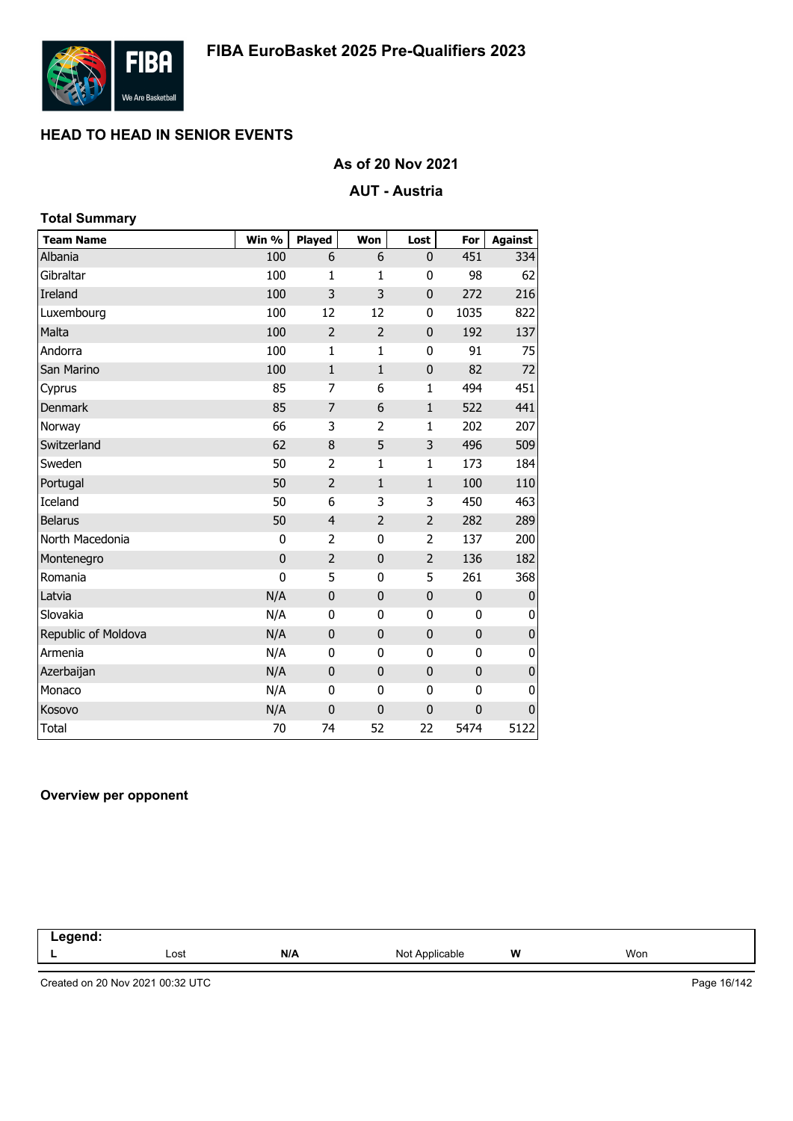

# **As of 20 Nov 2021**

### **AUT - Austria**

| <b>Total Summary</b> |             |                |                |                |              |                |
|----------------------|-------------|----------------|----------------|----------------|--------------|----------------|
| <b>Team Name</b>     | Win %       | Played         | Won            | Lost           | For          | <b>Against</b> |
| Albania              | 100         | 6              | 6              | 0              | 451          | 334            |
| Gibraltar            | 100         | 1              | 1              | 0              | 98           | 62             |
| Ireland              | 100         | 3              | 3              | $\mathbf 0$    | 272          | 216            |
| Luxembourg           | 100         | 12             | 12             | $\bf{0}$       | 1035         | 822            |
| Malta                | 100         | $\overline{2}$ | $\overline{2}$ | $\mathbf 0$    | 192          | 137            |
| Andorra              | 100         | $\mathbf{1}$   | 1              | $\bf{0}$       | 91           | 75             |
| San Marino           | 100         | $\mathbf{1}$   | $\mathbf{1}$   | $\pmb{0}$      | 82           | 72             |
| Cyprus               | 85          | 7              | 6              | 1              | 494          | 451            |
| Denmark              | 85          | 7              | 6              | $\mathbf{1}$   | 522          | 441            |
| Norway               | 66          | 3              | 2              | 1              | 202          | 207            |
| Switzerland          | 62          | 8              | 5              | 3              | 496          | 509            |
| Sweden               | 50          | $\overline{2}$ | 1              | 1              | 173          | 184            |
| Portugal             | 50          | $\overline{2}$ | $\mathbf{1}$   | $\mathbf{1}$   | 100          | 110            |
| Iceland              | 50          | 6              | 3              | 3              | 450          | 463            |
| <b>Belarus</b>       | 50          | $\overline{4}$ | $\overline{2}$ | $\overline{2}$ | 282          | 289            |
| North Macedonia      | 0           | 2              | 0              | 2              | 137          | 200            |
| Montenegro           | $\bf{0}$    | $\overline{2}$ | $\mathbf 0$    | $\overline{2}$ | 136          | 182            |
| Romania              | $\mathbf 0$ | 5              | $\mathbf 0$    | 5              | 261          | 368            |
| Latvia               | N/A         | $\mathbf 0$    | $\bf 0$        | $\pmb{0}$      | $\mathbf 0$  | 0              |
| Slovakia             | N/A         | $\mathbf{0}$   | 0              | 0              | 0            | 0              |
| Republic of Moldova  | N/A         | $\mathbf 0$    | $\bf{0}$       | $\mathbf 0$    | $\bf{0}$     | 0              |
| Armenia              | N/A         | 0              | 0              | 0              | $\mathbf{0}$ | 0              |
| Azerbaijan           | N/A         | $\mathbf{0}$   | $\mathbf 0$    | $\mathbf 0$    | $\mathbf 0$  | $\pmb{0}$      |
| Monaco               | N/A         | 0              | 0              | 0              | 0            | 0              |
| Kosovo               | N/A         | $\mathbf 0$    | $\mathbf 0$    | $\mathbf 0$    | 0            | 0              |
| <b>Total</b>         | 70          | 74             | 52             | 22             | 5474         | 5122           |

#### **Overview per opponent**

| .<br>.<br>- - - |      |     |                           |   |     |  |
|-----------------|------|-----|---------------------------|---|-----|--|
|                 | Lost | N/A | ™∩ N<br>Applicable<br>ישו | W | Won |  |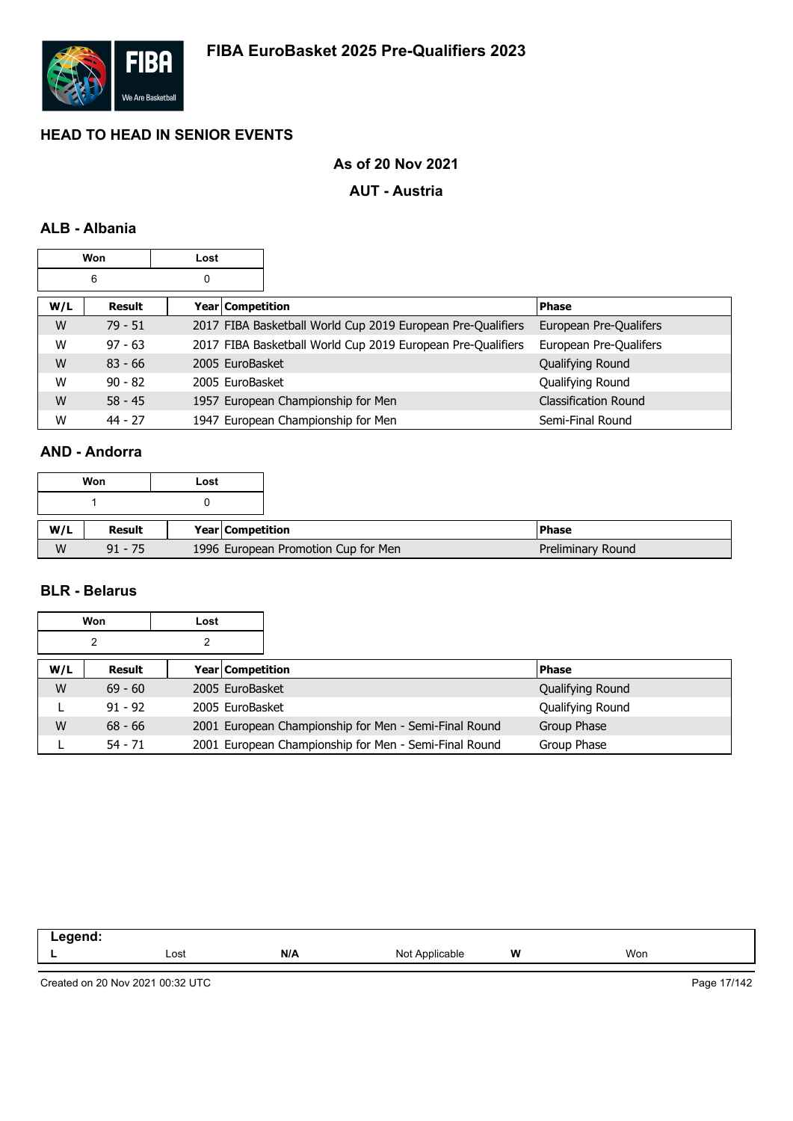

# **As of 20 Nov 2021**

#### **AUT - Austria**

## **ALB - Albania**

| Won<br>Lost |           |   |                    |                                                             |                             |
|-------------|-----------|---|--------------------|-------------------------------------------------------------|-----------------------------|
|             | 6         | 0 |                    |                                                             |                             |
| W/L         | Result    |   | Year   Competition |                                                             | Phase                       |
| W           | $79 - 51$ |   |                    | 2017 FIBA Basketball World Cup 2019 European Pre-Qualifiers | European Pre-Qualifers      |
| W           | $97 - 63$ |   |                    | 2017 FIBA Basketball World Cup 2019 European Pre-Qualifiers | European Pre-Qualifers      |
| W           | $83 - 66$ |   | 2005 EuroBasket    |                                                             | Qualifying Round            |
| W           | $90 - 82$ |   | 2005 EuroBasket    |                                                             | Qualifying Round            |
| W           | $58 - 45$ |   |                    | 1957 European Championship for Men                          | <b>Classification Round</b> |
| W           | $44 - 27$ |   |                    | 1947 European Championship for Men                          | Semi-Final Round            |

# **AND - Andorra**

| Won |           | Lost |                  |                                     |                   |
|-----|-----------|------|------------------|-------------------------------------|-------------------|
|     |           |      |                  |                                     |                   |
| W/L | Result    |      | Year Competition |                                     | <b>Phase</b>      |
| W   | $91 - 75$ |      |                  | 1996 European Promotion Cup for Men | Preliminary Round |

### **BLR - Belarus**

|     | Won       | Lost |                         |                                                       |                  |
|-----|-----------|------|-------------------------|-------------------------------------------------------|------------------|
|     | 2         | 2    |                         |                                                       |                  |
| W/L | Result    |      | <b>Year Competition</b> |                                                       | <b>Phase</b>     |
| W   | $69 - 60$ |      | 2005 EuroBasket         |                                                       | Qualifying Round |
|     | $91 - 92$ |      | 2005 EuroBasket         |                                                       | Qualifying Round |
| W   | $68 - 66$ |      |                         | 2001 European Championship for Men - Semi-Final Round | Group Phase      |
|     | $54 - 71$ |      |                         | 2001 European Championship for Men - Semi-Final Round | Group Phase      |

| ------<br>--<br>-- 3 |      |     |                   |   |     |
|----------------------|------|-----|-------------------|---|-----|
|                      | ∟ost | N/A | Not<br>Applicable | W | Won |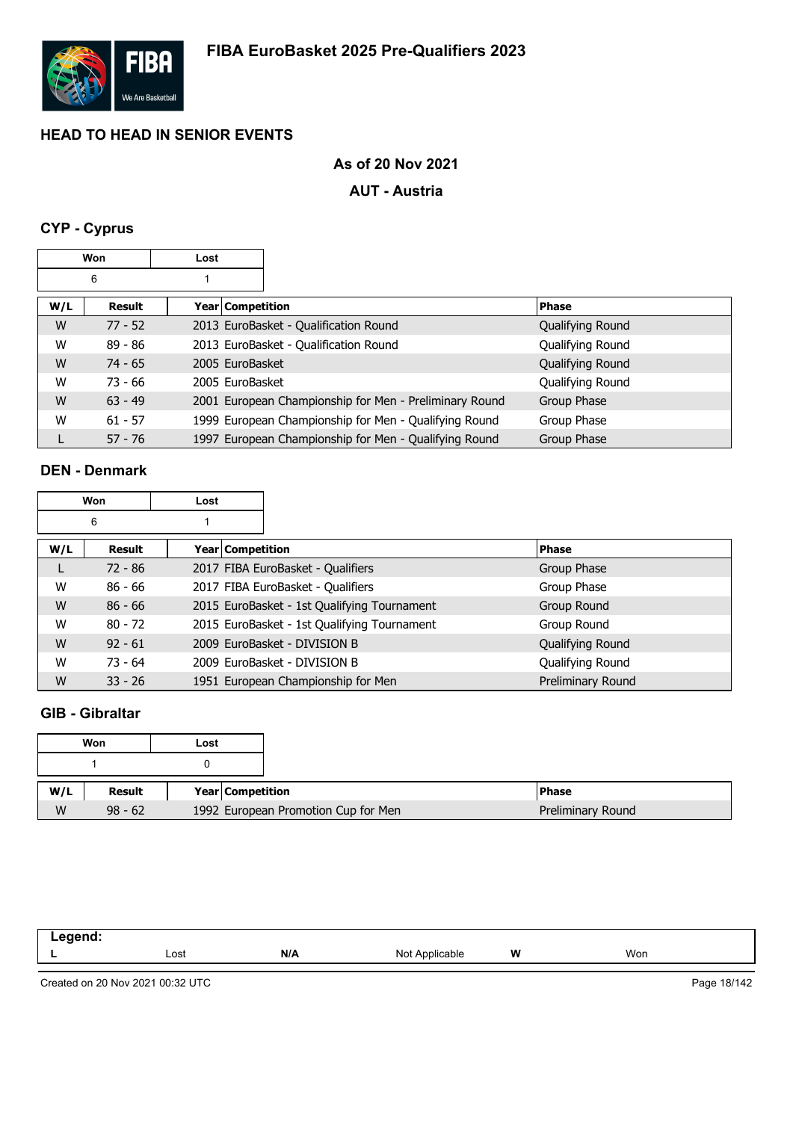

# **As of 20 Nov 2021**

### **AUT - Austria**

# **CYP - Cyprus**

| Won |           | Lost |                                                        |                  |
|-----|-----------|------|--------------------------------------------------------|------------------|
|     | 6         |      |                                                        |                  |
| W/L | Result    |      | Year Competition                                       | <b>Phase</b>     |
| W   | $77 - 52$ |      | 2013 EuroBasket - Qualification Round                  | Qualifying Round |
| W   | $89 - 86$ |      | 2013 EuroBasket - Qualification Round                  | Qualifying Round |
| W   | $74 - 65$ |      | 2005 EuroBasket                                        | Qualifying Round |
| W   | $73 - 66$ |      | 2005 EuroBasket                                        | Qualifying Round |
| W   | $63 - 49$ |      | 2001 European Championship for Men - Preliminary Round | Group Phase      |
| W   | $61 - 57$ |      | 1999 European Championship for Men - Qualifying Round  | Group Phase      |
|     | $57 - 76$ |      | 1997 European Championship for Men - Qualifying Round  | Group Phase      |

### **DEN - Denmark**

| <b>Won</b> |           | Lost |                    |                                             |                   |
|------------|-----------|------|--------------------|---------------------------------------------|-------------------|
|            | 6         |      |                    |                                             |                   |
| W/L        | Result    |      | Year   Competition |                                             | <b>Phase</b>      |
| L.         | $72 - 86$ |      |                    | 2017 FIBA EuroBasket - Qualifiers           | Group Phase       |
| W          | $86 - 66$ |      |                    | 2017 FIBA EuroBasket - Qualifiers           | Group Phase       |
| W          | $86 - 66$ |      |                    | 2015 EuroBasket - 1st Qualifying Tournament | Group Round       |
| W          | $80 - 72$ |      |                    | 2015 EuroBasket - 1st Qualifying Tournament | Group Round       |
| W          | $92 - 61$ |      |                    | 2009 EuroBasket - DIVISION B                | Qualifying Round  |
| W          | $73 - 64$ |      |                    | 2009 EuroBasket - DIVISION B                | Qualifying Round  |
| W          | $33 - 26$ |      |                    | 1951 European Championship for Men          | Preliminary Round |

### **GIB - Gibraltar**

|     | Won       | Lost |                                     |
|-----|-----------|------|-------------------------------------|
|     |           |      |                                     |
| W/L | Result    |      | Year Competition                    |
| W   | $98 - 62$ |      | 1992 European Promotion Cup for Men |

| ----- |      |     |                                                            |   |     |  |
|-------|------|-----|------------------------------------------------------------|---|-----|--|
| -     | Lost | N/A | N <sub>o</sub><br>∵nlicable<br>$\sim$ $\sim$ $\sim$ $\sim$ | W | Won |  |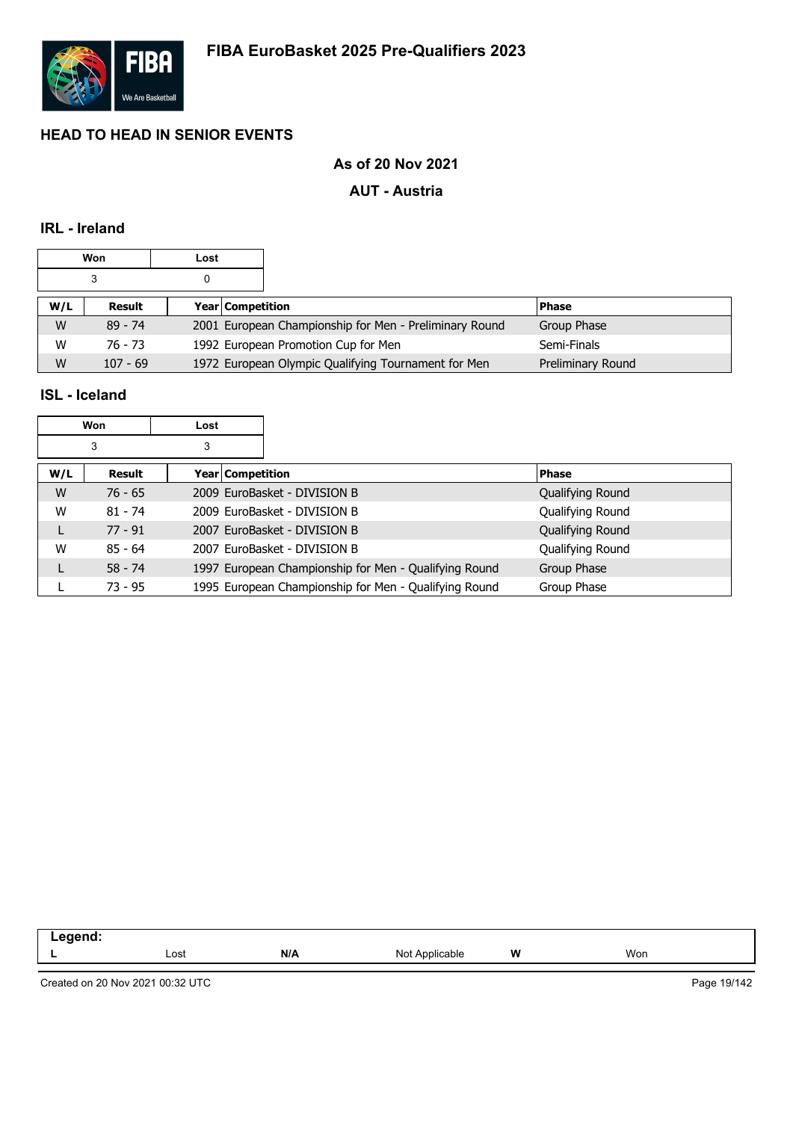

# **As of 20 Nov 2021**

### **AUT - Austria**

# **IRL - Ireland**

|     | Won        | Lost |                                                        |                   |
|-----|------------|------|--------------------------------------------------------|-------------------|
|     |            |      |                                                        |                   |
| W/L | Result     |      | <b>Year Competition</b>                                | <b>Phase</b>      |
| W   | $89 - 74$  |      | 2001 European Championship for Men - Preliminary Round | Group Phase       |
| W   | 76 - 73    |      | 1992 European Promotion Cup for Men                    | Semi-Finals       |
| W   | $107 - 69$ |      | 1972 European Olympic Qualifying Tournament for Men    | Preliminary Round |

### **ISL - Iceland**

|     | Won       | Lost |                                                       |                  |
|-----|-----------|------|-------------------------------------------------------|------------------|
|     | 3         | 3    |                                                       |                  |
| W/L | Result    |      | Year   Competition                                    | <b>Phase</b>     |
| W   | $76 - 65$ |      | 2009 EuroBasket - DIVISION B                          | Qualifying Round |
| W   | $81 - 74$ |      | 2009 EuroBasket - DIVISION B                          | Qualifying Round |
| L   | $77 - 91$ |      | 2007 EuroBasket - DIVISION B                          | Qualifying Round |
| W   | $85 - 64$ |      | 2007 EuroBasket - DIVISION B                          | Qualifying Round |
| L   | $58 - 74$ |      | 1997 European Championship for Men - Qualifying Round | Group Phase      |
|     | $73 - 95$ |      | 1995 European Championship for Men - Qualifying Round | Group Phase      |

| $     -$<br>- - -<br>$\sim$ $\sim$ |      |     |                    |          |     |  |
|------------------------------------|------|-----|--------------------|----------|-----|--|
|                                    | Lost | N/A | Nl∩'<br>Applicable | W<br>v v | Won |  |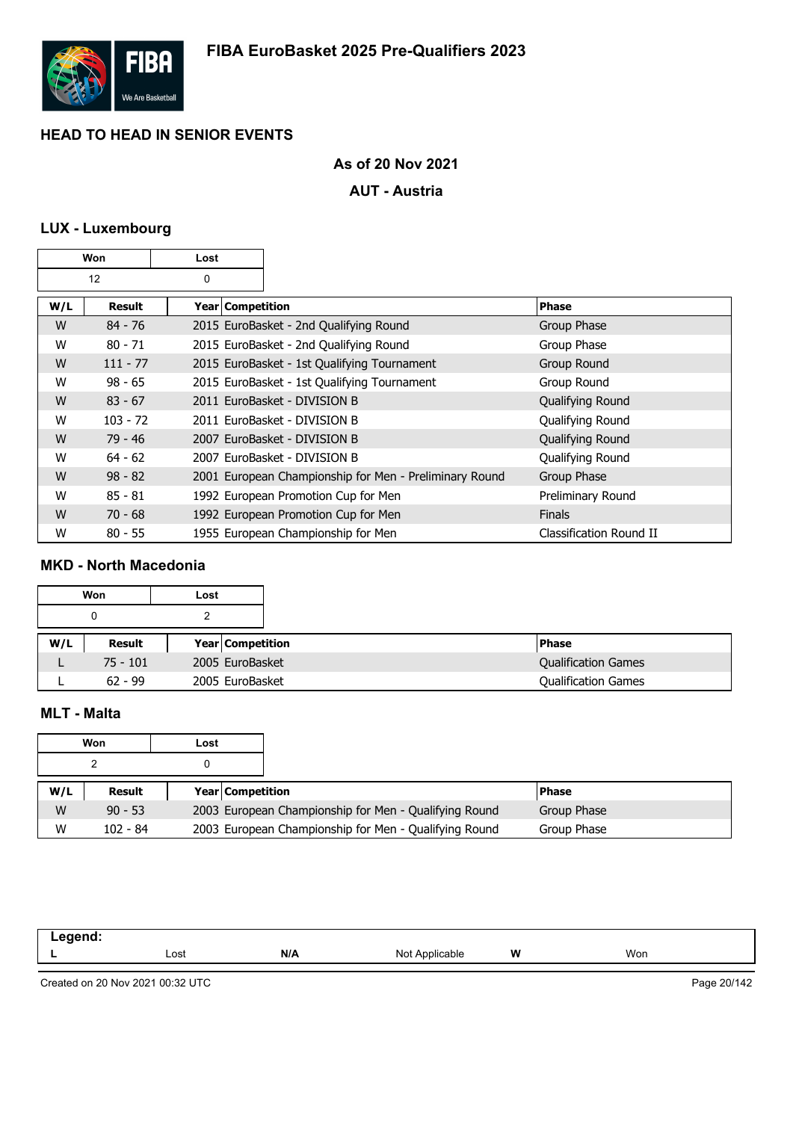

# **As of 20 Nov 2021**

### **AUT - Austria**

# **LUX - Luxembourg**

| Won |            | Lost               |                                                        |                         |
|-----|------------|--------------------|--------------------------------------------------------|-------------------------|
| 12  |            | 0                  |                                                        |                         |
| W/L | Result     | Year   Competition |                                                        | <b>Phase</b>            |
| W   | $84 - 76$  |                    | 2015 EuroBasket - 2nd Qualifying Round                 | Group Phase             |
| W   | $80 - 71$  |                    | 2015 EuroBasket - 2nd Qualifying Round                 | Group Phase             |
| W   | $111 - 77$ |                    | 2015 EuroBasket - 1st Qualifying Tournament            | Group Round             |
| W   | $98 - 65$  |                    | 2015 EuroBasket - 1st Qualifying Tournament            | Group Round             |
| W   | $83 - 67$  |                    | 2011 EuroBasket - DIVISION B                           | Qualifying Round        |
| W   | $103 - 72$ |                    | 2011 EuroBasket - DIVISION B                           | Qualifying Round        |
| W   | $79 - 46$  |                    | 2007 EuroBasket - DIVISION B                           | Qualifying Round        |
| W   | $64 - 62$  |                    | 2007 EuroBasket - DIVISION B                           | Qualifying Round        |
| W   | $98 - 82$  |                    | 2001 European Championship for Men - Preliminary Round | Group Phase             |
| W   | $85 - 81$  |                    | 1992 European Promotion Cup for Men                    | Preliminary Round       |
| W   | $70 - 68$  |                    | 1992 European Promotion Cup for Men                    | <b>Finals</b>           |
| W   | $80 - 55$  |                    | 1955 European Championship for Men                     | Classification Round II |

#### **MKD - North Macedonia**

|     | Won        | Lost |                         |  |
|-----|------------|------|-------------------------|--|
|     |            |      |                         |  |
| W/L | Result     |      | <b>Year Competition</b> |  |
|     | $75 - 101$ |      | 2005 EuroBasket         |  |
|     | $62 - 99$  |      | 2005 EuroBasket         |  |

# **MLT - Malta**

|     | Won        | Lost |                         |                                                       |             |
|-----|------------|------|-------------------------|-------------------------------------------------------|-------------|
|     |            |      |                         |                                                       |             |
| W/L | Result     |      | <b>Year Competition</b> |                                                       | l Phase     |
| W   | $90 - 53$  |      |                         | 2003 European Championship for Men - Qualifying Round | Group Phase |
| W   | $102 - 84$ |      |                         | 2003 European Championship for Men - Qualifying Round | Group Phase |

| eqend:<br>$-\cdot$ . |      |     |                |   |     |
|----------------------|------|-----|----------------|---|-----|
| . .                  | Lost | N/A | Not Applicable | W | Won |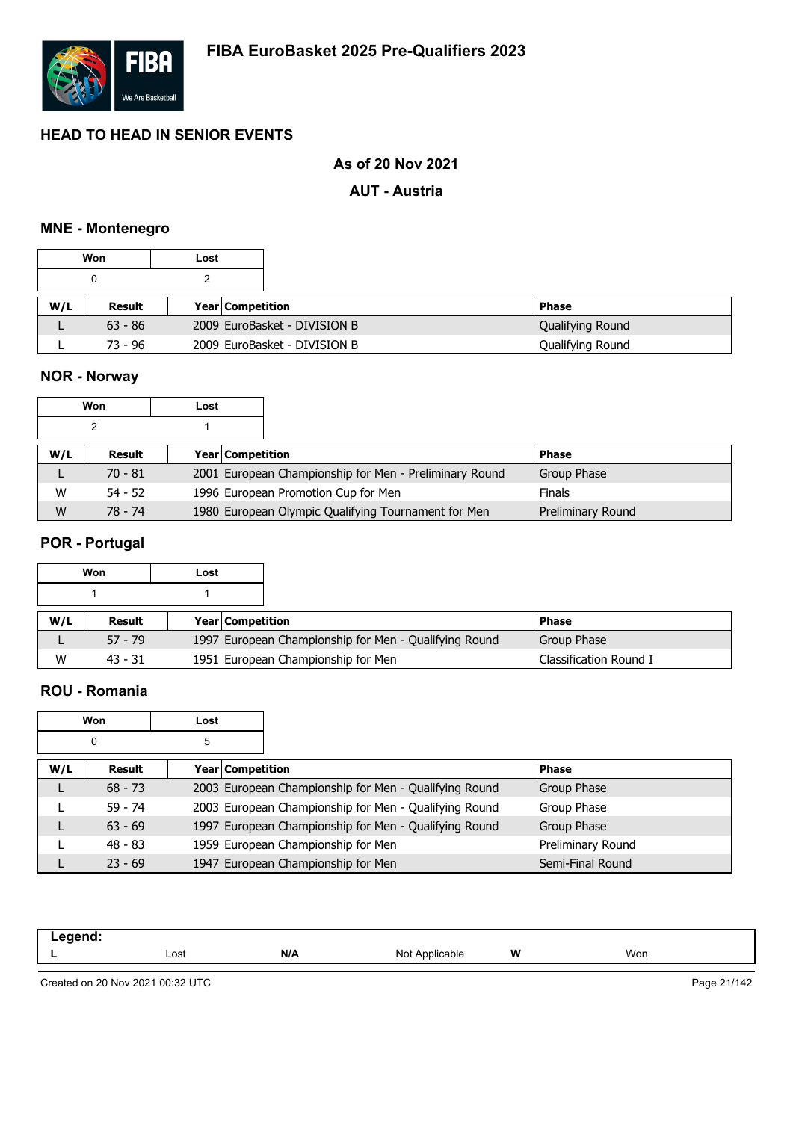

## **As of 20 Nov 2021**

#### **AUT - Austria**

#### **MNE - Montenegro**

|     | Won       | Lost |                         |                              |                  |
|-----|-----------|------|-------------------------|------------------------------|------------------|
|     |           |      |                         |                              |                  |
| W/L | Result    |      | <b>Year Competition</b> |                              | <b>Phase</b>     |
|     | $63 - 86$ |      |                         | 2009 EuroBasket - DIVISION B | Qualifying Round |
|     | 73 - 96   |      |                         | 2009 EuroBasket - DIVISION B | Qualifying Round |

# **NOR - Norway**

| Won |           | Lost                    |                                                        |                   |
|-----|-----------|-------------------------|--------------------------------------------------------|-------------------|
|     |           |                         |                                                        |                   |
| W/L | Result    | <b>Year Competition</b> |                                                        | l Phase           |
|     | $70 - 81$ |                         | 2001 European Championship for Men - Preliminary Round | Group Phase       |
| w   | $54 - 52$ |                         | 1996 European Promotion Cup for Men                    | <b>Finals</b>     |
| W   | 78 - 74   |                         | 1980 European Olympic Qualifying Tournament for Men    | Preliminary Round |

#### **POR - Portugal**

|     | Won       | Lost |                         |                                                       |                        |
|-----|-----------|------|-------------------------|-------------------------------------------------------|------------------------|
|     |           |      |                         |                                                       |                        |
| W/L | Result    |      | <b>Year Competition</b> |                                                       | l Phase                |
|     | $57 - 79$ |      |                         | 1997 European Championship for Men - Qualifying Round | Group Phase            |
| W   | $43 - 31$ |      |                         | 1951 European Championship for Men                    | Classification Round I |

#### **ROU - Romania**

| Won |           | Lost             |                                                       |                   |
|-----|-----------|------------------|-------------------------------------------------------|-------------------|
|     | 0         | 5                |                                                       |                   |
| W/L | Result    | Year Competition |                                                       | <b>Phase</b>      |
|     | $68 - 73$ |                  | 2003 European Championship for Men - Qualifying Round | Group Phase       |
|     | $59 - 74$ |                  | 2003 European Championship for Men - Qualifying Round | Group Phase       |
|     | $63 - 69$ |                  | 1997 European Championship for Men - Qualifying Round | Group Phase       |
|     | $48 - 83$ |                  | 1959 European Championship for Men                    | Preliminary Round |
|     | $23 - 69$ |                  | 1947 European Championship for Men                    | Semi-Final Round  |

| Lost | N/I<br>N/A | Not<br>ıcable | W | Won |
|------|------------|---------------|---|-----|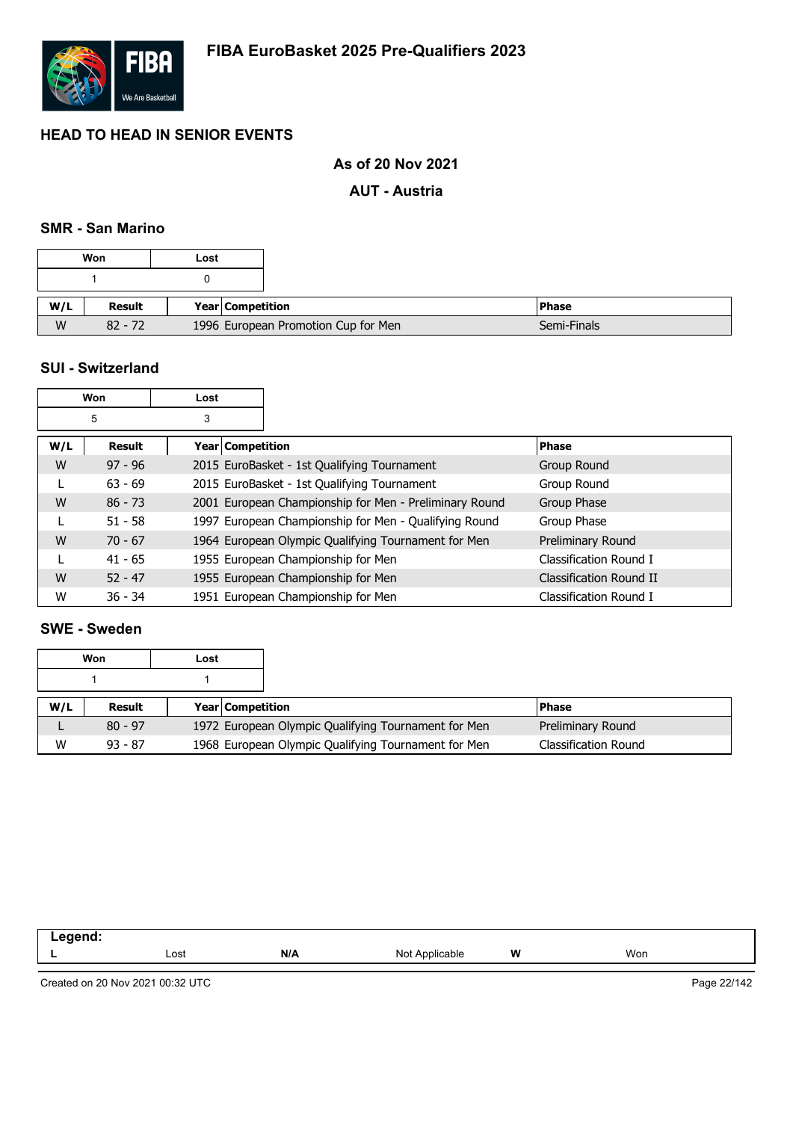

# **As of 20 Nov 2021**

#### **AUT - Austria**

#### **SMR - San Marino**

|     | Won       | Lost                                |                         |
|-----|-----------|-------------------------------------|-------------------------|
|     |           |                                     |                         |
|     |           |                                     |                         |
| W/L | Result    |                                     | <b>Year Competition</b> |
| W   | $82 - 72$ | 1996 European Promotion Cup for Men |                         |

#### **SUI - Switzerland**

|     | Won       | Lost                    |                                                        |                         |
|-----|-----------|-------------------------|--------------------------------------------------------|-------------------------|
|     | 5         | 3                       |                                                        |                         |
| W/L | Result    | <b>Year Competition</b> |                                                        | <b>Phase</b>            |
| W   | $97 - 96$ |                         | 2015 EuroBasket - 1st Qualifying Tournament            | Group Round             |
|     | $63 - 69$ |                         | 2015 EuroBasket - 1st Qualifying Tournament            | Group Round             |
| W   | $86 - 73$ |                         | 2001 European Championship for Men - Preliminary Round | Group Phase             |
|     | $51 - 58$ |                         | 1997 European Championship for Men - Qualifying Round  | Group Phase             |
| W   | $70 - 67$ |                         | 1964 European Olympic Qualifying Tournament for Men    | Preliminary Round       |
|     | $41 - 65$ |                         | 1955 European Championship for Men                     | Classification Round I  |
| W   | $52 - 47$ |                         | 1955 European Championship for Men                     | Classification Round II |
| W   | $36 - 34$ |                         | 1951 European Championship for Men                     | Classification Round I  |

### **SWE - Sweden**

|     | Won       | Lost |                         |                                                     |                      |
|-----|-----------|------|-------------------------|-----------------------------------------------------|----------------------|
|     |           |      |                         |                                                     |                      |
| W/L | Result    |      | <b>Year Competition</b> |                                                     | <b>IPhase</b>        |
|     | $80 - 97$ |      |                         | 1972 European Olympic Qualifying Tournament for Men | Preliminary Round    |
| W   | $93 - 87$ |      |                         | 1968 European Olympic Qualifying Tournament for Men | Classification Round |

| - |      |     |                     |   |     |
|---|------|-----|---------------------|---|-----|
|   | Lost | N/A | * Applicable<br>Not | W | Won |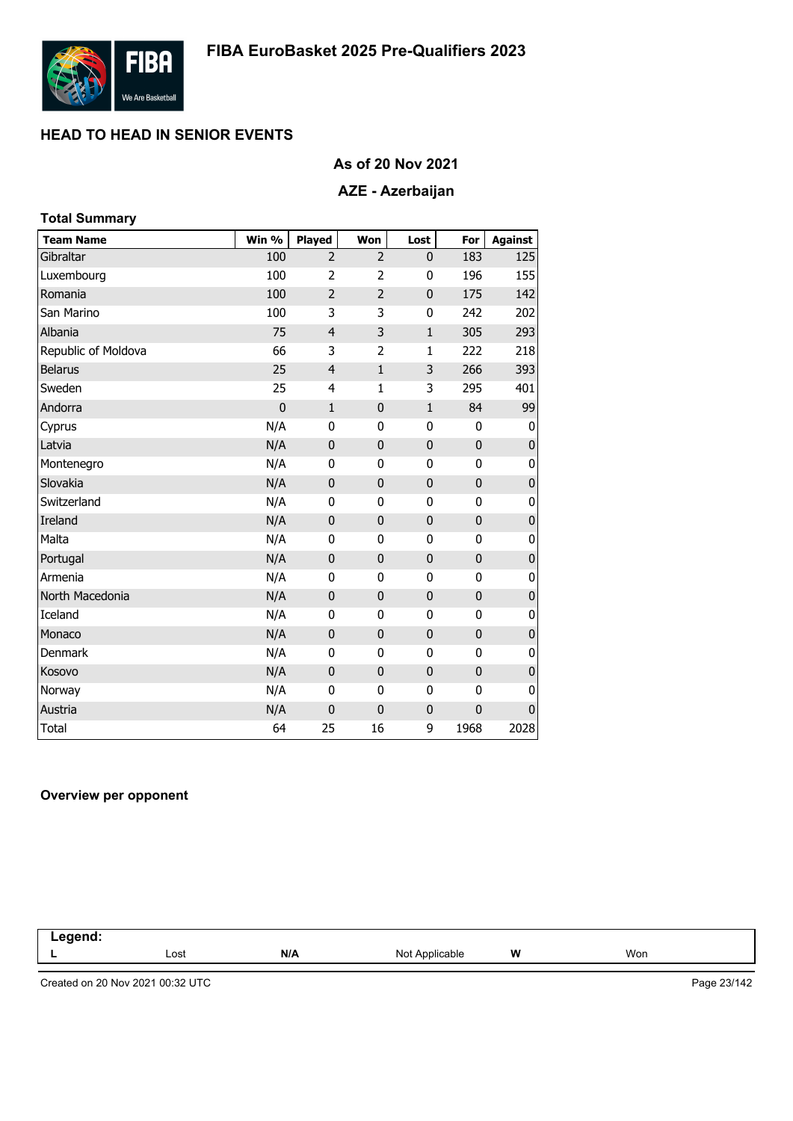

### **As of 20 Nov 2021**

# **AZE - Azerbaijan**

| <b>Total Summary</b> |              |                |                |              |              |                |
|----------------------|--------------|----------------|----------------|--------------|--------------|----------------|
| <b>Team Name</b>     | Win %        | Played         | Won            | Lost         | For          | <b>Against</b> |
| Gibraltar            | 100          | $\overline{2}$ | $\overline{2}$ | 0            | 183          | 125            |
| Luxembourg           | 100          | $\overline{2}$ | $\overline{2}$ | 0            | 196          | 155            |
| Romania              | 100          | $\overline{2}$ | $\overline{2}$ | 0            | 175          | 142            |
| San Marino           | 100          | 3              | 3              | 0            | 242          | 202            |
| Albania              | 75           | $\overline{4}$ | 3              | $\mathbf{1}$ | 305          | 293            |
| Republic of Moldova  | 66           | 3              | 2              | 1            | 222          | 218            |
| <b>Belarus</b>       | 25           | $\overline{4}$ | $\mathbf{1}$   | 3            | 266          | 393            |
| Sweden               | 25           | 4              | $\mathbf{1}$   | 3            | 295          | 401            |
| Andorra              | $\mathbf{0}$ | $\mathbf 1$    | $\pmb{0}$      | $\mathbf{1}$ | 84           | 99             |
| Cyprus               | N/A          | 0              | 0              | 0            | 0            | 0              |
| Latvia               | N/A          | $\mathbf 0$    | $\bf{0}$       | $\mathbf 0$  | $\mathbf 0$  | 0              |
| Montenegro           | N/A          | $\mathbf{0}$   | 0              | 0            | $\mathbf{0}$ | 0              |
| Slovakia             | N/A          | $\mathbf 0$    | $\bf{0}$       | 0            | $\mathbf 0$  | $\pmb{0}$      |
| Switzerland          | N/A          | 0              | 0              | 0            | 0            | 0              |
| Ireland              | N/A          | $\mathbf 0$    | $\pmb{0}$      | $\mathbf 0$  | $\mathbf 0$  | $\pmb{0}$      |
| Malta                | N/A          | 0              | 0              | 0            | 0            | 0              |
| Portugal             | N/A          | $\mathbf 0$    | $\bf{0}$       | $\mathbf 0$  | $\mathbf{0}$ | $\pmb{0}$      |
| Armenia              | N/A          | $\mathbf{0}$   | 0              | 0            | $\mathbf{0}$ | 0              |
| North Macedonia      | N/A          | $\mathbf 0$    | $\bf{0}$       | 0            | $\mathbf{0}$ | $\pmb{0}$      |
| Iceland              | N/A          | 0              | 0              | 0            | 0            | 0              |
| Monaco               | N/A          | $\mathbf 0$    | $\pmb{0}$      | $\mathbf 0$  | $\mathbf 0$  | $\pmb{0}$      |
| <b>Denmark</b>       | N/A          | 0              | 0              | 0            | 0            | 0              |
| Kosovo               | N/A          | $\mathbf 0$    | $\bf{0}$       | $\mathbf 0$  | $\mathbf{0}$ | $\pmb{0}$      |
| Norway               | N/A          | 0              | 0              | 0            | 0            | 0              |
| Austria              | N/A          | $\mathbf 0$    | $\bf{0}$       | 0            | $\mathbf{0}$ | 0              |
| <b>Total</b>         | 64           | 25             | 16             | 9            | 1968         | 2028           |

#### **Overview per opponent**

| .<br>nenc.<br>-- |      |     |                     |   |     |  |
|------------------|------|-----|---------------------|---|-----|--|
|                  | Lost | N/A | Not<br>`Applicable` | W | Won |  |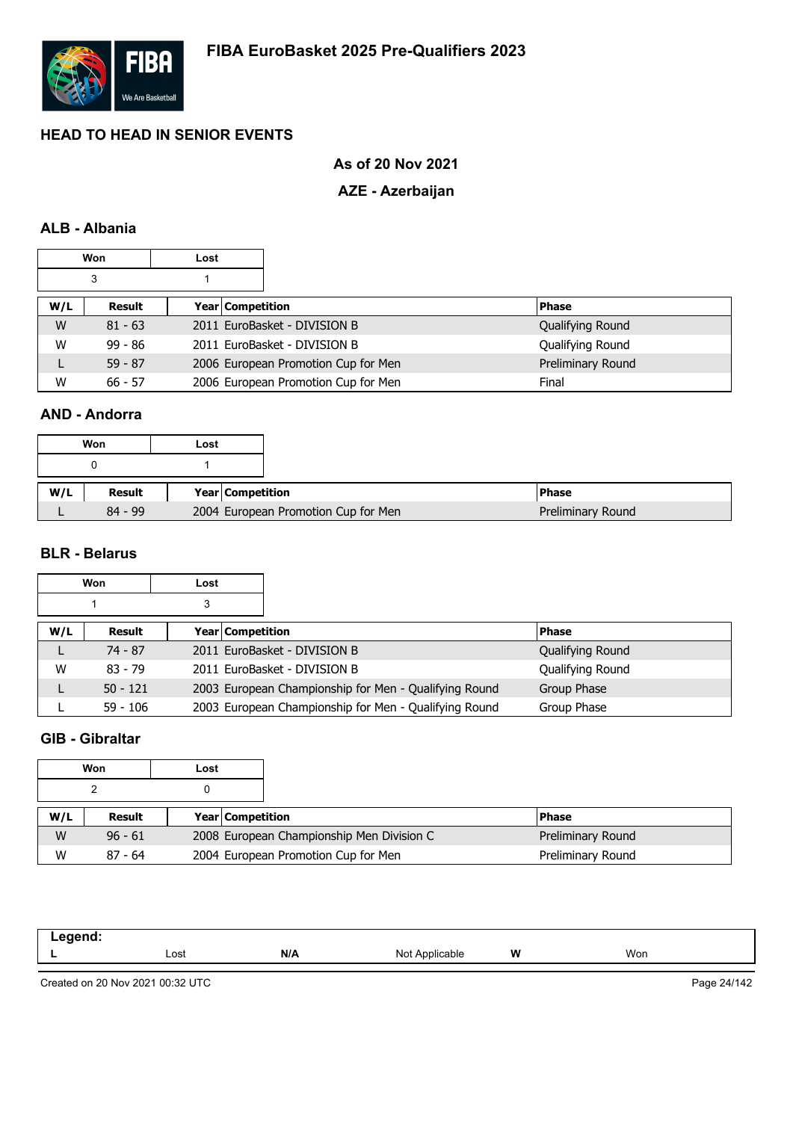

### **As of 20 Nov 2021**

### **AZE - Azerbaijan**

### **ALB - Albania**

|     | <b>Won</b> | Lost |                  |                                     |  |                   |
|-----|------------|------|------------------|-------------------------------------|--|-------------------|
|     | 3          |      |                  |                                     |  |                   |
| W/L | Result     |      | Year Competition |                                     |  | <b>Phase</b>      |
| W   | $81 - 63$  |      |                  | 2011 EuroBasket - DIVISION B        |  | Qualifying Round  |
| W   | $99 - 86$  |      |                  | 2011 EuroBasket - DIVISION B        |  | Qualifying Round  |
|     | $59 - 87$  |      |                  | 2006 European Promotion Cup for Men |  | Preliminary Round |
| W   | $66 - 57$  |      |                  | 2006 European Promotion Cup for Men |  | Final             |

#### **AND - Andorra**

|     | Won       | Lost |                  |                                     |
|-----|-----------|------|------------------|-------------------------------------|
|     |           |      |                  |                                     |
| W/L | Result    |      | Year Competition |                                     |
|     | $84 - 99$ |      |                  | 2004 European Promotion Cup for Men |

### **BLR - Belarus**

|     | <b>Won</b> | Lost |                                                       |                  |
|-----|------------|------|-------------------------------------------------------|------------------|
|     |            | 3    |                                                       |                  |
| W/L | Result     |      | <b>Year Competition</b>                               | <b>Phase</b>     |
| ┗   | $74 - 87$  |      | 2011 EuroBasket - DIVISION B                          | Qualifying Round |
| W   | $83 - 79$  |      | 2011 EuroBasket - DIVISION B                          | Qualifying Round |
|     | $50 - 121$ |      | 2003 European Championship for Men - Qualifying Round | Group Phase      |
|     | $59 - 106$ |      | 2003 European Championship for Men - Qualifying Round | Group Phase      |

# **GIB - Gibraltar**

|     | Won       | Lost |                         |                                           |                   |
|-----|-----------|------|-------------------------|-------------------------------------------|-------------------|
|     |           |      |                         |                                           |                   |
| W/L | Result    |      | <b>Year Competition</b> |                                           | <b>Phase</b>      |
| W   | $96 - 61$ |      |                         | 2008 European Championship Men Division C | Preliminary Round |
| W   | $87 - 64$ |      |                         | 2004 European Promotion Cup for Men       | Preliminary Round |

| .<br>. |      |     |                 |   |     |
|--------|------|-----|-----------------|---|-----|
| -      | Lost | N/A | Not /<br>∵°able | W | Won |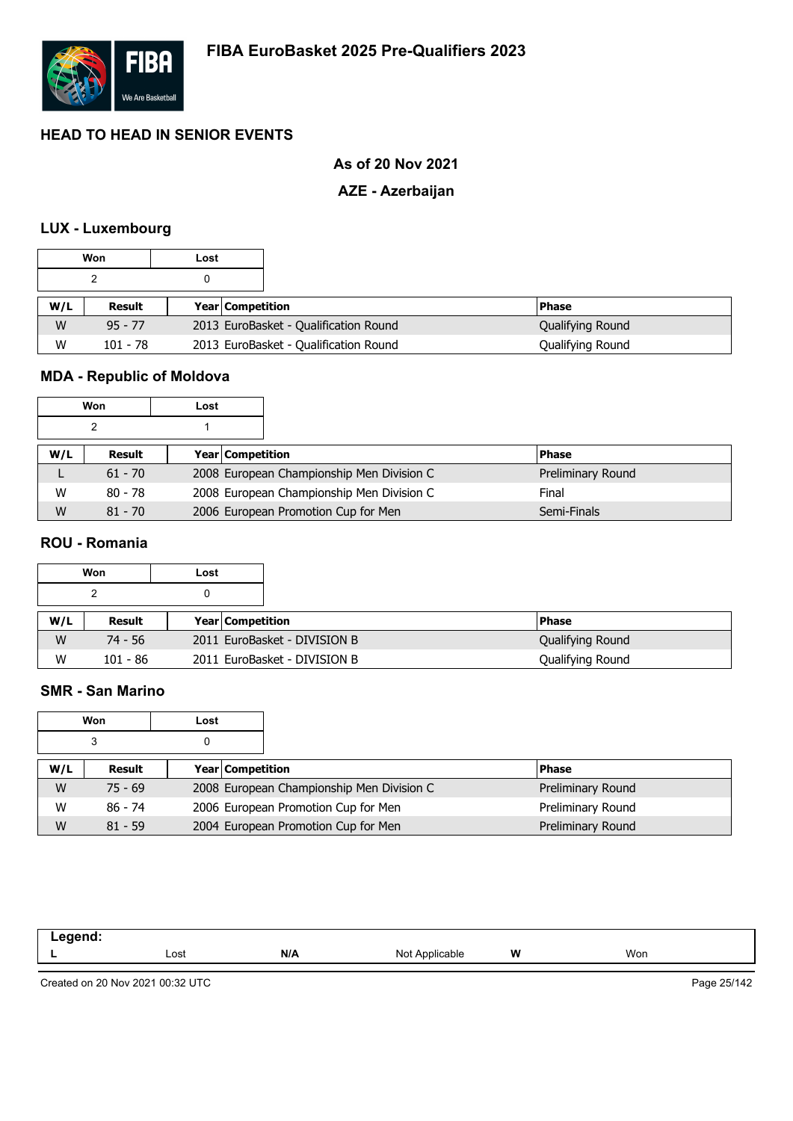

# **As of 20 Nov 2021**

### **AZE - Azerbaijan**

#### **LUX - Luxembourg**

|                 | Won                               | Lost                                  |                                       |                  |
|-----------------|-----------------------------------|---------------------------------------|---------------------------------------|------------------|
|                 |                                   |                                       |                                       |                  |
| W/L             | Result<br><b>Year Competition</b> |                                       |                                       | <b>Phase</b>     |
| W               | $95 - 77$                         |                                       | 2013 EuroBasket - Qualification Round | Qualifying Round |
| W<br>$101 - 78$ |                                   | 2013 EuroBasket - Qualification Round | Qualifying Round                      |                  |

# **MDA - Republic of Moldova**

| Won |           | Lost                    |                                           |                   |  |
|-----|-----------|-------------------------|-------------------------------------------|-------------------|--|
|     |           |                         |                                           |                   |  |
| W/L | Result    | <b>Year Competition</b> |                                           | <b>Phase</b>      |  |
|     | $61 - 70$ |                         | 2008 European Championship Men Division C | Preliminary Round |  |
| w   | $80 - 78$ |                         | 2008 European Championship Men Division C | Final             |  |
| W   | $81 - 70$ |                         | 2006 European Promotion Cup for Men       | Semi-Finals       |  |

#### **ROU - Romania**

|     | Won      | Lost |                              |                  |
|-----|----------|------|------------------------------|------------------|
|     |          |      |                              |                  |
| W/L | Result   |      | <b>Year Competition</b>      | l Phase          |
| W   | 74 - 56  |      | 2011 EuroBasket - DIVISION B | Qualifying Round |
| W   | 101 - 86 |      | 2011 EuroBasket - DIVISION B | Qualifying Round |

#### **SMR - San Marino**

|     | Won       | Lost                    |  |                                           |  |                   |
|-----|-----------|-------------------------|--|-------------------------------------------|--|-------------------|
|     | 3         |                         |  |                                           |  |                   |
| W/L | Result    | <b>Year Competition</b> |  |                                           |  | <b>Phase</b>      |
| W   | $75 - 69$ |                         |  | 2008 European Championship Men Division C |  | Preliminary Round |
| W   | 86 - 74   |                         |  | 2006 European Promotion Cup for Men       |  | Preliminary Round |
| W   | $81 - 59$ |                         |  | 2004 European Promotion Cup for Men       |  | Preliminary Round |

| ----- |      |     |                          |   |     |
|-------|------|-----|--------------------------|---|-----|
| -     | Lost | N/A | N <sub>Ic</sub><br>11011 | W | Won |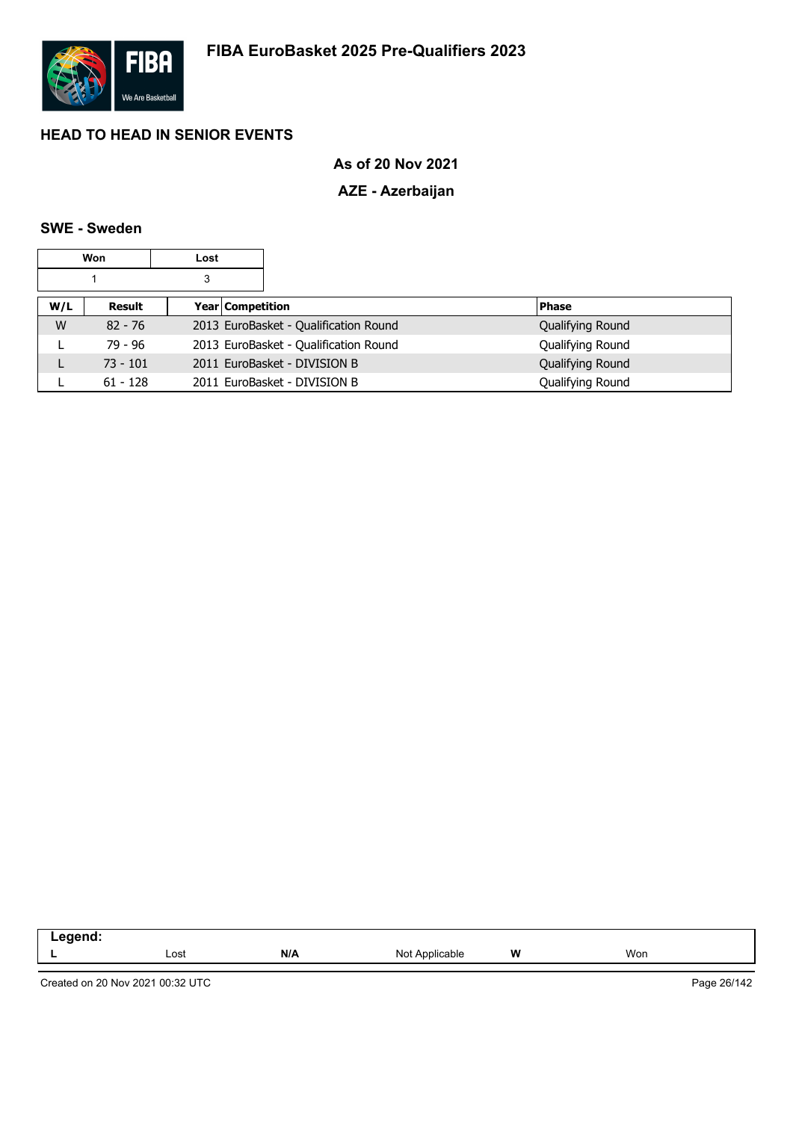

# **As of 20 Nov 2021**

# **AZE - Azerbaijan**

# **SWE - Sweden**

|     | Won        | Lost |                  |                                       |                  |
|-----|------------|------|------------------|---------------------------------------|------------------|
|     |            | 3    |                  |                                       |                  |
| W/L | Result     |      | Year Competition |                                       | <b>Phase</b>     |
| W   | $82 - 76$  |      |                  | 2013 EuroBasket - Qualification Round | Qualifying Round |
|     | 79 - 96    |      |                  | 2013 EuroBasket - Qualification Round | Qualifying Round |
| L   | $73 - 101$ |      |                  | 2011 EuroBasket - DIVISION B          | Qualifying Round |
|     | $61 - 128$ |      |                  | 2011 EuroBasket - DIVISION B          | Qualifying Round |

| --<br>-- - |      |     |                         |       |     |  |
|------------|------|-----|-------------------------|-------|-----|--|
|            | Lost | N/A | N∩t<br>Applicable<br>◥◡ | W<br> | Won |  |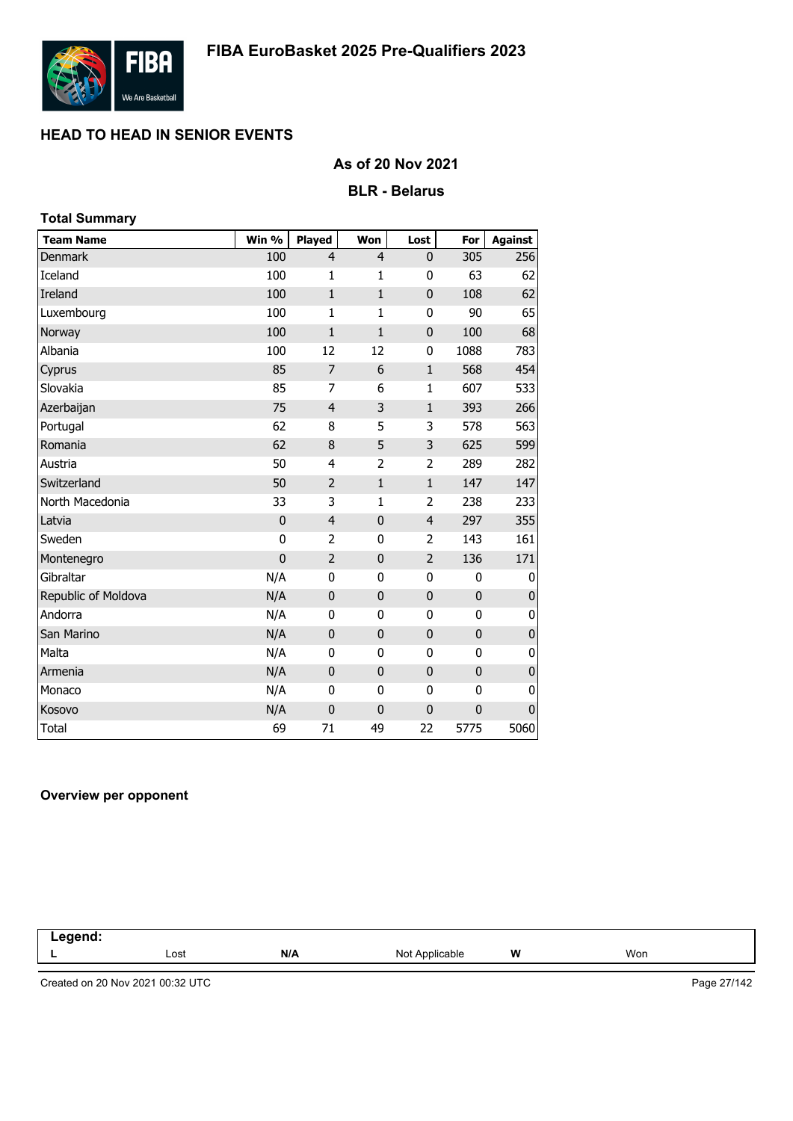

### **As of 20 Nov 2021**

### **BLR - Belarus**

| <b>Total Summary</b> |             |                |                |                |             |                |
|----------------------|-------------|----------------|----------------|----------------|-------------|----------------|
| <b>Team Name</b>     | Win %       | Played         | Won            | Lost           | For         | <b>Against</b> |
| <b>Denmark</b>       | 100         | $\overline{4}$ | $\overline{4}$ | 0              | 305         | 256            |
| Iceland              | 100         | 1              | 1              | 0              | 63          | 62             |
| Ireland              | 100         | $\mathbf{1}$   | $\mathbf{1}$   | $\mathbf 0$    | 108         | 62             |
| Luxembourg           | 100         | $\mathbf{1}$   | 1              | $\bf{0}$       | 90          | 65             |
| Norway               | 100         | $\mathbf{1}$   | 1              | $\mathbf 0$    | 100         | 68             |
| Albania              | 100         | 12             | 12             | $\bf{0}$       | 1088        | 783            |
| Cyprus               | 85          | $\overline{7}$ | 6              | $\mathbf 1$    | 568         | 454            |
| Slovakia             | 85          | 7              | 6              | $\mathbf{1}$   | 607         | 533            |
| Azerbaijan           | 75          | $\overline{4}$ | 3              | $\mathbf{1}$   | 393         | 266            |
| Portugal             | 62          | 8              | 5              | 3              | 578         | 563            |
| Romania              | 62          | 8              | 5              | 3              | 625         | 599            |
| Austria              | 50          | 4              | $\overline{2}$ | 2              | 289         | 282            |
| Switzerland          | 50          | $\overline{2}$ | $\mathbf{1}$   | $\mathbf{1}$   | 147         | 147            |
| North Macedonia      | 33          | 3              | 1              | 2              | 238         | 233            |
| Latvia               | $\mathbf 0$ | $\overline{4}$ | $\mathbf 0$    | $\overline{4}$ | 297         | 355            |
| Sweden               | 0           | 2              | $\mathbf 0$    | 2              | 143         | 161            |
| Montenegro           | $\mathbf 0$ | $\overline{2}$ | $\mathbf 0$    | $\overline{2}$ | 136         | 171            |
| Gibraltar            | N/A         | $\mathbf 0$    | $\mathbf 0$    | $\mathbf 0$    | $\mathbf 0$ | 0              |
| Republic of Moldova  | N/A         | $\mathbf 0$    | $\bf 0$        | $\pmb{0}$      | $\mathbf 0$ | $\pmb{0}$      |
| Andorra              | N/A         | $\mathbf{0}$   | 0              | 0              | 0           | 0              |
| San Marino           | N/A         | $\mathbf 0$    | $\bf{0}$       | $\mathbf 0$    | $\bf{0}$    | $\mathbf 0$    |
| Malta                | N/A         | 0              | 0              | 0              | 0           | 0              |
| Armenia              | N/A         | $\mathbf{0}$   | $\mathbf 0$    | $\mathbf 0$    | $\mathbf 0$ | $\pmb{0}$      |
| Monaco               | N/A         | 0              | 0              | 0              | 0           | 0              |
| Kosovo               | N/A         | $\mathbf 0$    | $\mathbf 0$    | $\mathbf 0$    | 0           | 0              |
| <b>Total</b>         | 69          | 71             | 49             | 22             | 5775        | 5060           |

#### **Overview per opponent**

| . |      |     |                    |         |     |  |
|---|------|-----|--------------------|---------|-----|--|
| - | Lost | N/A | Not<br>'\pplicable | W<br>-- | Won |  |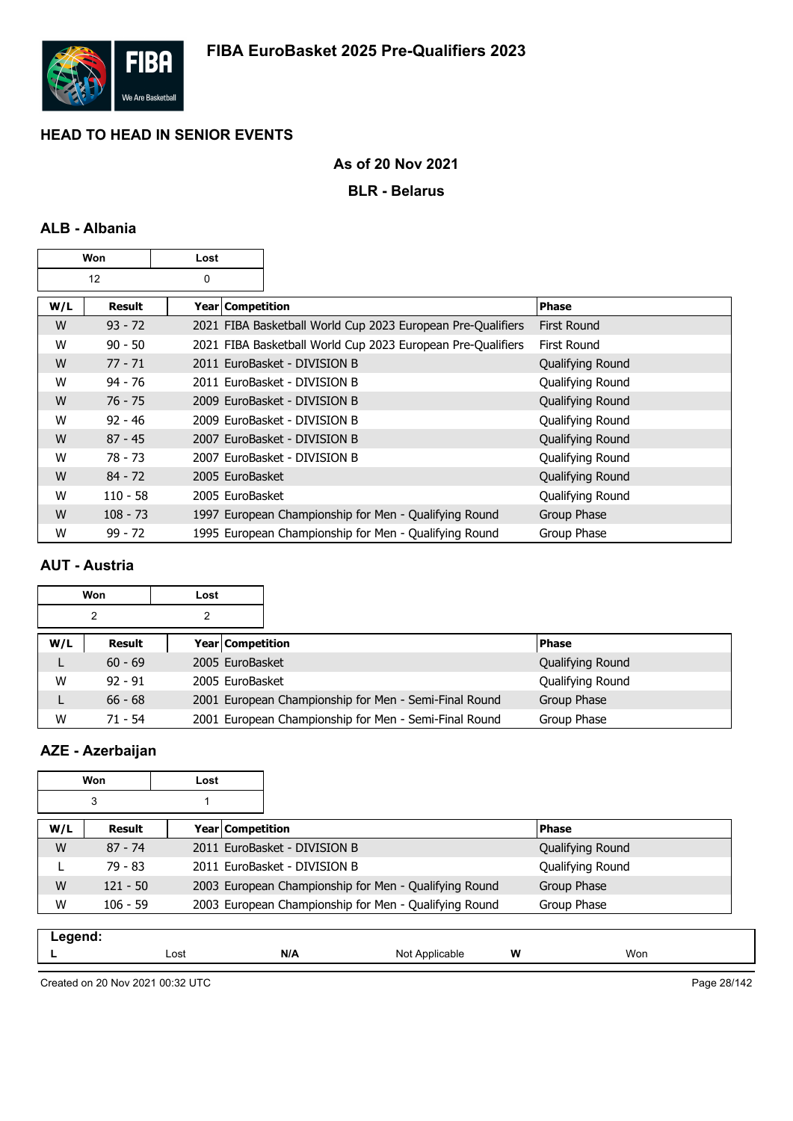

### **As of 20 Nov 2021**

### **BLR - Belarus**

# **ALB - Albania**

|     | Won        | Lost             |                                                             |                    |
|-----|------------|------------------|-------------------------------------------------------------|--------------------|
|     | 12         | 0                |                                                             |                    |
| W/L | Result     | Year Competition |                                                             | <b>Phase</b>       |
| W   | $93 - 72$  |                  | 2021 FIBA Basketball World Cup 2023 European Pre-Qualifiers | <b>First Round</b> |
| W   | $90 - 50$  |                  | 2021 FIBA Basketball World Cup 2023 European Pre-Qualifiers | First Round        |
| W   | $77 - 71$  |                  | 2011 EuroBasket - DIVISION B                                | Qualifying Round   |
| W   | $94 - 76$  |                  | 2011 EuroBasket - DIVISION B                                | Qualifying Round   |
| W   | $76 - 75$  |                  | 2009 EuroBasket - DIVISION B                                | Qualifying Round   |
| W   | $92 - 46$  |                  | 2009 EuroBasket - DIVISION B                                | Qualifying Round   |
| W   | $87 - 45$  |                  | 2007 EuroBasket - DIVISION B                                | Qualifying Round   |
| W   | 78 - 73    |                  | 2007 EuroBasket - DIVISION B                                | Qualifying Round   |
| W   | $84 - 72$  | 2005 EuroBasket  |                                                             | Qualifying Round   |
| W   | $110 - 58$ | 2005 EuroBasket  |                                                             | Qualifying Round   |
| W   | $108 - 73$ |                  | 1997 European Championship for Men - Qualifying Round       | Group Phase        |
| W   | $99 - 72$  |                  | 1995 European Championship for Men - Qualifying Round       | Group Phase        |

# **AUT - Austria**

|     | Won       | Lost |                    |                                                       |                  |  |
|-----|-----------|------|--------------------|-------------------------------------------------------|------------------|--|
|     | 2         |      |                    |                                                       |                  |  |
| W/L | Result    |      | Year   Competition |                                                       | <b>Phase</b>     |  |
|     | $60 - 69$ |      | 2005 EuroBasket    |                                                       | Qualifying Round |  |
| W   | $92 - 91$ |      | 2005 EuroBasket    |                                                       | Qualifying Round |  |
| L   | $66 - 68$ |      |                    | 2001 European Championship for Men - Semi-Final Round | Group Phase      |  |
| W   | $71 - 54$ |      |                    | 2001 European Championship for Men - Semi-Final Round | Group Phase      |  |

# **AZE - Azerbaijan**

|     | Won        | Lost             |                                                       |                  |
|-----|------------|------------------|-------------------------------------------------------|------------------|
|     | 3          |                  |                                                       |                  |
| W/L | Result     | Year Competition |                                                       | <b>Phase</b>     |
| W   | $87 - 74$  |                  | 2011 EuroBasket - DIVISION B                          | Qualifying Round |
|     | 79 - 83    |                  | 2011 EuroBasket - DIVISION B                          | Qualifying Round |
| W   | $121 - 50$ |                  | 2003 European Championship for Men - Qualifying Round | Group Phase      |
| W   | $106 - 59$ |                  | 2003 European Championship for Men - Qualifying Round | Group Phase      |
|     |            |                  |                                                       |                  |

| -----<br>-- - - - |      |     |                   |   |     |
|-------------------|------|-----|-------------------|---|-----|
| -                 | Lost | N/A | പ്പ<br>Annlicable | W | Won |
|                   |      |     |                   |   |     |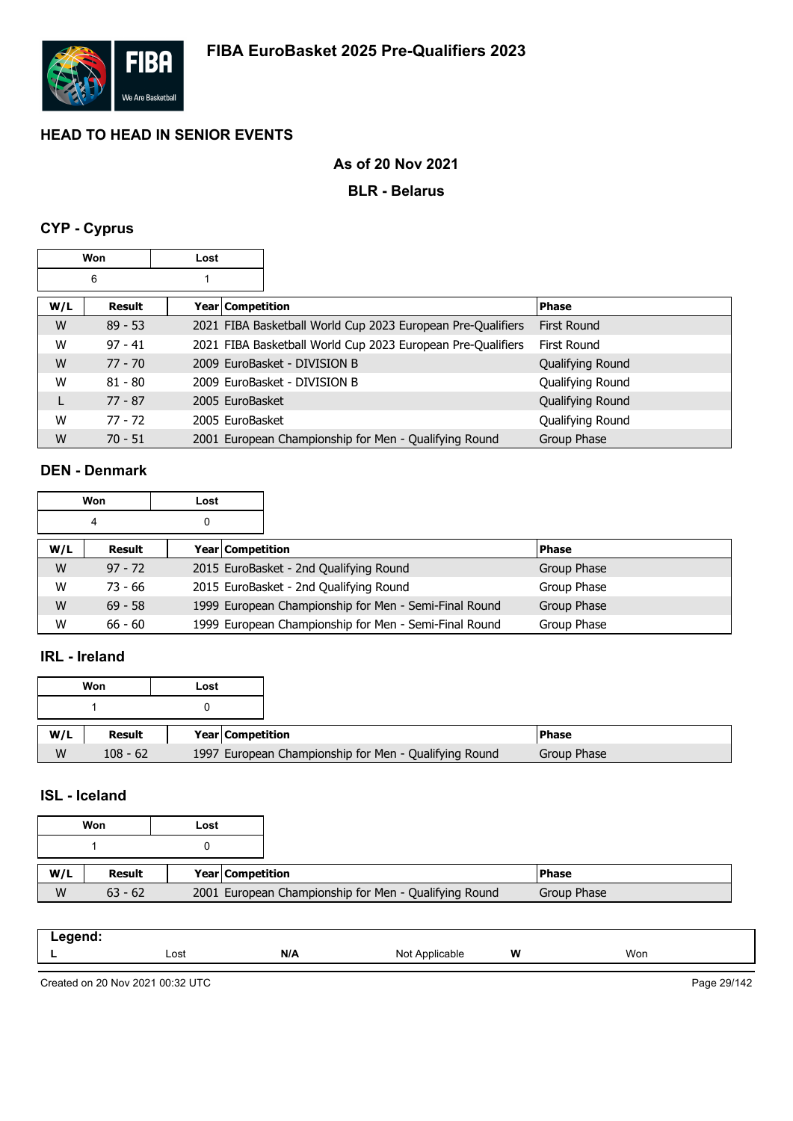

# **As of 20 Nov 2021**

### **BLR - Belarus**

# **CYP - Cyprus**

|     | Won       | Lost |                    |                                                             |                    |
|-----|-----------|------|--------------------|-------------------------------------------------------------|--------------------|
|     | 6         |      |                    |                                                             |                    |
| W/L | Result    |      | Year   Competition |                                                             | <b>Phase</b>       |
| W   | $89 - 53$ |      |                    | 2021 FIBA Basketball World Cup 2023 European Pre-Qualifiers | <b>First Round</b> |
| W   | $97 - 41$ |      |                    | 2021 FIBA Basketball World Cup 2023 European Pre-Qualifiers | First Round        |
| W   | $77 - 70$ |      |                    | 2009 EuroBasket - DIVISION B                                | Qualifying Round   |
| W   | $81 - 80$ |      |                    | 2009 EuroBasket - DIVISION B                                | Qualifying Round   |
|     | $77 - 87$ |      | 2005 EuroBasket    |                                                             | Qualifying Round   |
| W   | $77 - 72$ |      | 2005 EuroBasket    |                                                             | Qualifying Round   |
| W   | $70 - 51$ |      |                    | 2001 European Championship for Men - Qualifying Round       | Group Phase        |

### **DEN - Denmark**

|     | Won       | Lost |                  |                                                       |              |  |
|-----|-----------|------|------------------|-------------------------------------------------------|--------------|--|
|     | 4         | 0    |                  |                                                       |              |  |
| W/L | Result    |      | Year Competition |                                                       | <b>Phase</b> |  |
| W   | $97 - 72$ |      |                  | 2015 EuroBasket - 2nd Qualifying Round                | Group Phase  |  |
| W   | 73 - 66   |      |                  | 2015 EuroBasket - 2nd Qualifying Round                | Group Phase  |  |
| W   | $69 - 58$ |      |                  | 1999 European Championship for Men - Semi-Final Round | Group Phase  |  |
| W   | $66 - 60$ |      |                  | 1999 European Championship for Men - Semi-Final Round | Group Phase  |  |

# **IRL - Ireland**

|     | Won           | Lost |                  |                                                       |               |
|-----|---------------|------|------------------|-------------------------------------------------------|---------------|
|     |               |      |                  |                                                       |               |
| W/L | <b>Result</b> |      | Year Competition |                                                       | <b>IPhase</b> |
| W   | $108 - 62$    |      |                  | 1997 European Championship for Men - Qualifying Round | Group Phase   |

# **ISL - Iceland**

|     | Won<br>Lost |  |                  |                                                       |              |
|-----|-------------|--|------------------|-------------------------------------------------------|--------------|
|     |             |  |                  |                                                       |              |
| W/L | Result      |  | Year Competition |                                                       | <b>Phase</b> |
| W   | $63 - 62$   |  |                  | 2001 European Championship for Men - Qualifying Round | Group Phase  |

| - - - - - - -<br>--<br>- - - |      |     |                    |   |     |
|------------------------------|------|-----|--------------------|---|-----|
| -                            | Lost | N/A | Not<br>חור<br>able | W | Won |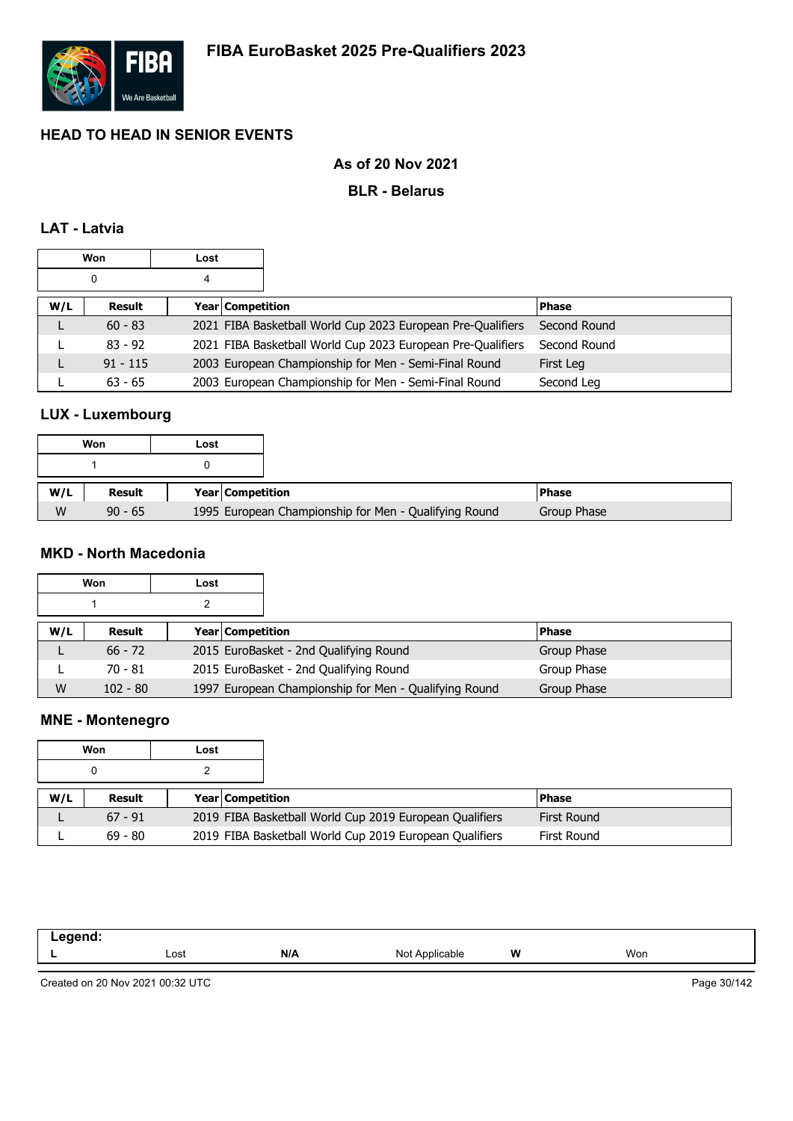

# **As of 20 Nov 2021**

#### **BLR - Belarus**

# **LAT - Latvia**

|     | <b>Won</b> | Lost |                  |                                                             |              |
|-----|------------|------|------------------|-------------------------------------------------------------|--------------|
|     | 0          | 4    |                  |                                                             |              |
| W/L | Result     |      | Year Competition |                                                             | <b>Phase</b> |
|     | $60 - 83$  |      |                  | 2021 FIBA Basketball World Cup 2023 European Pre-Qualifiers | Second Round |
|     | $83 - 92$  |      |                  | 2021 FIBA Basketball World Cup 2023 European Pre-Qualifiers | Second Round |
|     | $91 - 115$ |      |                  | 2003 European Championship for Men - Semi-Final Round       | First Leg    |
|     | $63 - 65$  |      |                  | 2003 European Championship for Men - Semi-Final Round       | Second Leg   |

## **LUX - Luxembourg**

|     | Won       | Lost |                                                       |
|-----|-----------|------|-------------------------------------------------------|
|     |           |      |                                                       |
| W/L | Result    |      | Year Competition                                      |
| W   | $90 - 65$ |      | 1995 European Championship for Men - Qualifying Round |

# **MKD - North Macedonia**

|     | Won        | Lost |                  |                                                       |              |             |
|-----|------------|------|------------------|-------------------------------------------------------|--------------|-------------|
|     |            |      |                  |                                                       |              |             |
| W/L | Result     |      | Year Competition |                                                       | <b>Phase</b> |             |
|     | $66 - 72$  |      |                  | 2015 EuroBasket - 2nd Qualifying Round                |              | Group Phase |
|     | $70 - 81$  |      |                  | 2015 EuroBasket - 2nd Qualifying Round                |              | Group Phase |
| W   | $102 - 80$ |      |                  | 1997 European Championship for Men - Qualifying Round |              | Group Phase |

## **MNE - Montenegro**

|     | Won       | Lost |                         |                                                         |              |
|-----|-----------|------|-------------------------|---------------------------------------------------------|--------------|
|     |           |      |                         |                                                         |              |
| W/L | Result    |      | <b>Year Competition</b> |                                                         | <b>Phase</b> |
|     | $67 - 91$ |      |                         | 2019 FIBA Basketball World Cup 2019 European Qualifiers | First Round  |
|     | $69 - 80$ |      |                         | 2019 FIBA Basketball World Cup 2019 European Qualifiers | First Round  |

| .eaend:<br>$- -$<br>____ |      |     |                |   |     |
|--------------------------|------|-----|----------------|---|-----|
|                          | Lost | N/A | Not Applicable | W | Won |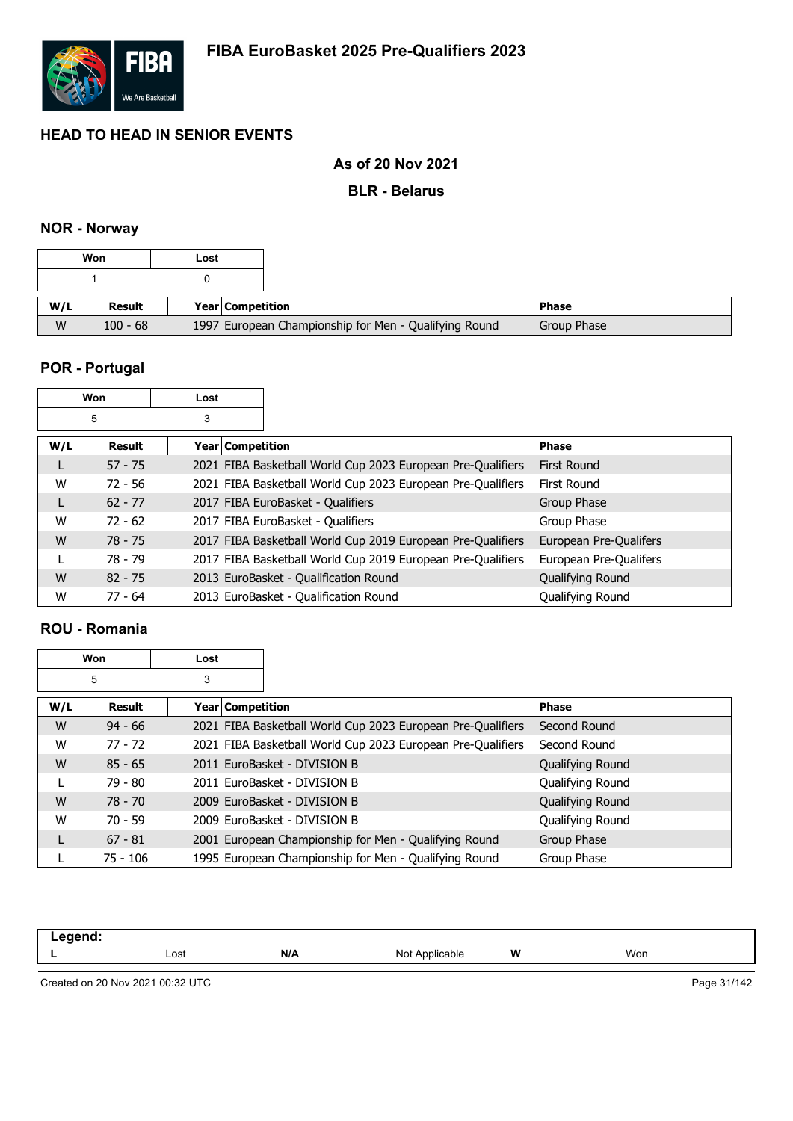

# **As of 20 Nov 2021**

#### **BLR - Belarus**

#### **NOR - Norway**

|   | Won           | Lost                                                  |
|---|---------------|-------------------------------------------------------|
|   |               |                                                       |
|   | <b>Result</b> | <b>Year Competition</b>                               |
| W | $100 - 68$    | 1997 European Championship for Men - Qualifying Round |

# **POR - Portugal**

|     | Won       | Lost                    |                                                             |                        |
|-----|-----------|-------------------------|-------------------------------------------------------------|------------------------|
|     | 5         | 3                       |                                                             |                        |
| W/L | Result    | <b>Year Competition</b> |                                                             | <b>Phase</b>           |
|     | $57 - 75$ |                         | 2021 FIBA Basketball World Cup 2023 European Pre-Qualifiers | First Round            |
| W   | $72 - 56$ |                         | 2021 FIBA Basketball World Cup 2023 European Pre-Qualifiers | First Round            |
| L   | $62 - 77$ |                         | 2017 FIBA EuroBasket - Qualifiers                           | Group Phase            |
| W   | $72 - 62$ |                         | 2017 FIBA EuroBasket - Qualifiers                           | Group Phase            |
| W   | $78 - 75$ |                         | 2017 FIBA Basketball World Cup 2019 European Pre-Qualifiers | European Pre-Qualifers |
|     | 78 - 79   |                         | 2017 FIBA Basketball World Cup 2019 European Pre-Qualifiers | European Pre-Qualifers |
| W   | $82 - 75$ |                         | 2013 EuroBasket - Qualification Round                       | Qualifying Round       |
| W   | $77 - 64$ |                         | 2013 EuroBasket - Qualification Round                       | Qualifying Round       |

### **ROU - Romania**

|     | Won        | Lost             |                                                             |                  |
|-----|------------|------------------|-------------------------------------------------------------|------------------|
|     | 5          | 3                |                                                             |                  |
| W/L | Result     | Year Competition |                                                             | <b>Phase</b>     |
| W   | $94 - 66$  |                  | 2021 FIBA Basketball World Cup 2023 European Pre-Qualifiers | Second Round     |
| W   | $77 - 72$  |                  | 2021 FIBA Basketball World Cup 2023 European Pre-Qualifiers | Second Round     |
| W   | $85 - 65$  |                  | 2011 EuroBasket - DIVISION B                                | Qualifying Round |
|     | 79 - 80    |                  | 2011 EuroBasket - DIVISION B                                | Qualifying Round |
| W   | $78 - 70$  |                  | 2009 EuroBasket - DIVISION B                                | Qualifying Round |
| W   | $70 - 59$  |                  | 2009 EuroBasket - DIVISION B                                | Qualifying Round |
|     | $67 - 81$  |                  | 2001 European Championship for Men - Qualifying Round       | Group Phase      |
|     | $75 - 106$ |                  | 1995 European Championship for Men - Qualifying Round       | Group Phase      |

| . |      |     |                     |   |     |
|---|------|-----|---------------------|---|-----|
| - | Lost | N/A | Not.<br>`Applicable | W | Won |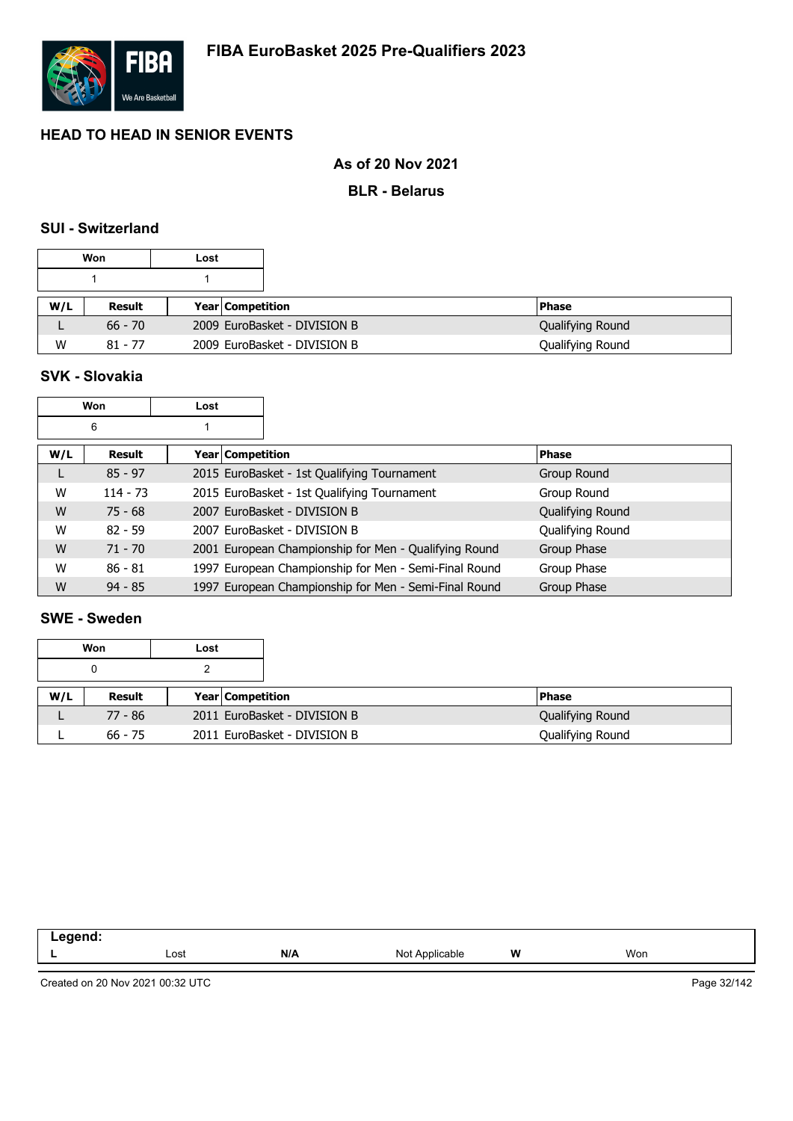

### **As of 20 Nov 2021**

#### **BLR - Belarus**

### **SUI - Switzerland**

|     | Won       | Lost |                  |                              |                  |
|-----|-----------|------|------------------|------------------------------|------------------|
|     |           |      |                  |                              |                  |
| W/L | Result    |      | Year Competition |                              | l Phase          |
|     | $66 - 70$ |      |                  | 2009 EuroBasket - DIVISION B | Qualifying Round |
| W   | $81 - 77$ |      |                  | 2009 EuroBasket - DIVISION B | Qualifying Round |

# **SVK - Slovakia**

|     | Won           | Lost             |                                                       |                  |
|-----|---------------|------------------|-------------------------------------------------------|------------------|
|     | 6             |                  |                                                       |                  |
| W/L | <b>Result</b> | Year Competition |                                                       | <b>Phase</b>     |
| L   | $85 - 97$     |                  | 2015 EuroBasket - 1st Qualifying Tournament           | Group Round      |
| W   | $114 - 73$    |                  | 2015 EuroBasket - 1st Qualifying Tournament           | Group Round      |
| W   | $75 - 68$     |                  | 2007 EuroBasket - DIVISION B                          | Qualifying Round |
| W   | $82 - 59$     |                  | 2007 EuroBasket - DIVISION B                          | Qualifying Round |
| W   | $71 - 70$     |                  | 2001 European Championship for Men - Qualifying Round | Group Phase      |
| W   | $86 - 81$     |                  | 1997 European Championship for Men - Semi-Final Round | Group Phase      |
| W   | $94 - 85$     |                  | 1997 European Championship for Men - Semi-Final Round | Group Phase      |

#### **SWE - Sweden**

| Won<br>Lost |               |  |                              |               |                  |
|-------------|---------------|--|------------------------------|---------------|------------------|
| 0           |               |  |                              |               |                  |
| W/L         | <b>Result</b> |  | <b>Year Competition</b>      | <b>IPhase</b> |                  |
|             | 77 - 86       |  | 2011 EuroBasket - DIVISION B |               | Qualifying Round |
|             | $66 - 75$     |  | 2011 EuroBasket - DIVISION B |               | Qualifying Round |

| $    -$<br>$-0.7$ |      |     |                |   |     |
|-------------------|------|-----|----------------|---|-----|
| -                 | Lost | N/A | Not Applicable | W | Won |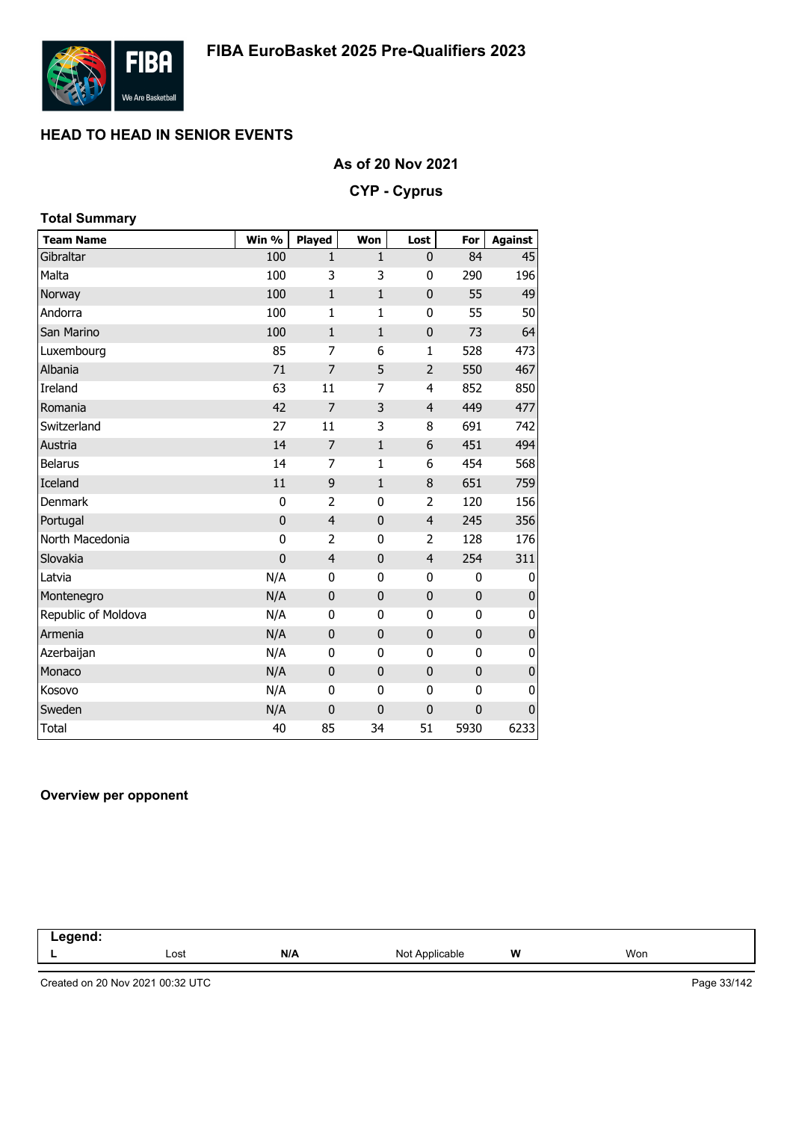

### **As of 20 Nov 2021**

#### **CYP - Cyprus**

| <b>Total Summary</b> |             |                |              |                |              |                |
|----------------------|-------------|----------------|--------------|----------------|--------------|----------------|
| <b>Team Name</b>     | Win %       | Played         | Won          | Lost           | For          | <b>Against</b> |
| Gibraltar            | 100         | $\mathbf{1}$   | $\mathbf{1}$ | 0              | 84           | 45             |
| Malta                | 100         | 3              | 3            | 0              | 290          | 196            |
| Norway               | 100         | $\mathbf{1}$   | $\mathbf{1}$ | $\mathbf 0$    | 55           | 49             |
| Andorra              | 100         | $\mathbf{1}$   | $\mathbf{1}$ | 0              | 55           | 50             |
| San Marino           | 100         | $\mathbf{1}$   | $\mathbf{1}$ | $\mathbf 0$    | 73           | 64             |
| Luxembourg           | 85          | 7              | 6            | $\mathbf{1}$   | 528          | 473            |
| Albania              | 71          | 7              | 5            | $\overline{2}$ | 550          | 467            |
| Ireland              | 63          | 11             | 7            | $\overline{4}$ | 852          | 850            |
| Romania              | 42          | $\overline{7}$ | 3            | $\overline{4}$ | 449          | 477            |
| Switzerland          | 27          | 11             | 3            | 8              | 691          | 742            |
| Austria              | 14          | $\overline{7}$ | $1\,$        | 6              | 451          | 494            |
| <b>Belarus</b>       | 14          | $\overline{7}$ | 1            | 6              | 454          | 568            |
| Iceland              | 11          | 9              | $1\,$        | 8              | 651          | 759            |
| <b>Denmark</b>       | 0           | 2              | $\mathbf 0$  | 2              | 120          | 156            |
| Portugal             | $\mathbf 0$ | $\overline{4}$ | $\mathbf 0$  | $\overline{4}$ | 245          | 356            |
| North Macedonia      | 0           | 2              | $\mathbf{0}$ | 2              | 128          | 176            |
| Slovakia             | $\mathbf 0$ | $\overline{4}$ | $\mathbf 0$  | $\overline{4}$ | 254          | 311            |
| Latvia               | N/A         | 0              | $\mathbf 0$  | 0              | 0            | 0              |
| Montenegro           | N/A         | $\mathbf 0$    | $\mathbf{0}$ | $\mathbf 0$    | $\mathbf 0$  | 0              |
| Republic of Moldova  | N/A         | $\mathbf{0}$   | 0            | 0              | 0            | 0              |
| Armenia              | N/A         | $\mathbf 0$    | $\mathbf{0}$ | $\mathbf 0$    | $\mathbf 0$  | 0              |
| Azerbaijan           | N/A         | 0              | $\mathbf{0}$ | 0              | 0            | 0              |
| Monaco               | N/A         | $\mathbf 0$    | $\mathbf 0$  | $\mathbf 0$    | $\mathbf 0$  | $\pmb{0}$      |
| Kosovo               | N/A         | 0              | 0            | 0              | 0            | 0              |
| Sweden               | N/A         | $\mathbf 0$    | $\mathbf 0$  | $\mathbf 0$    | $\mathbf{0}$ | $\mathbf{0}$   |
| Total                | 40          | 85             | 34           | 51             | 5930         | 6233           |

#### **Overview per opponent**

| and the state of the state of the<br>- - - |      |     |                              |   |     |  |
|--------------------------------------------|------|-----|------------------------------|---|-----|--|
|                                            | Lost | N/A | Not $\epsilon$<br>Applicable | W | Won |  |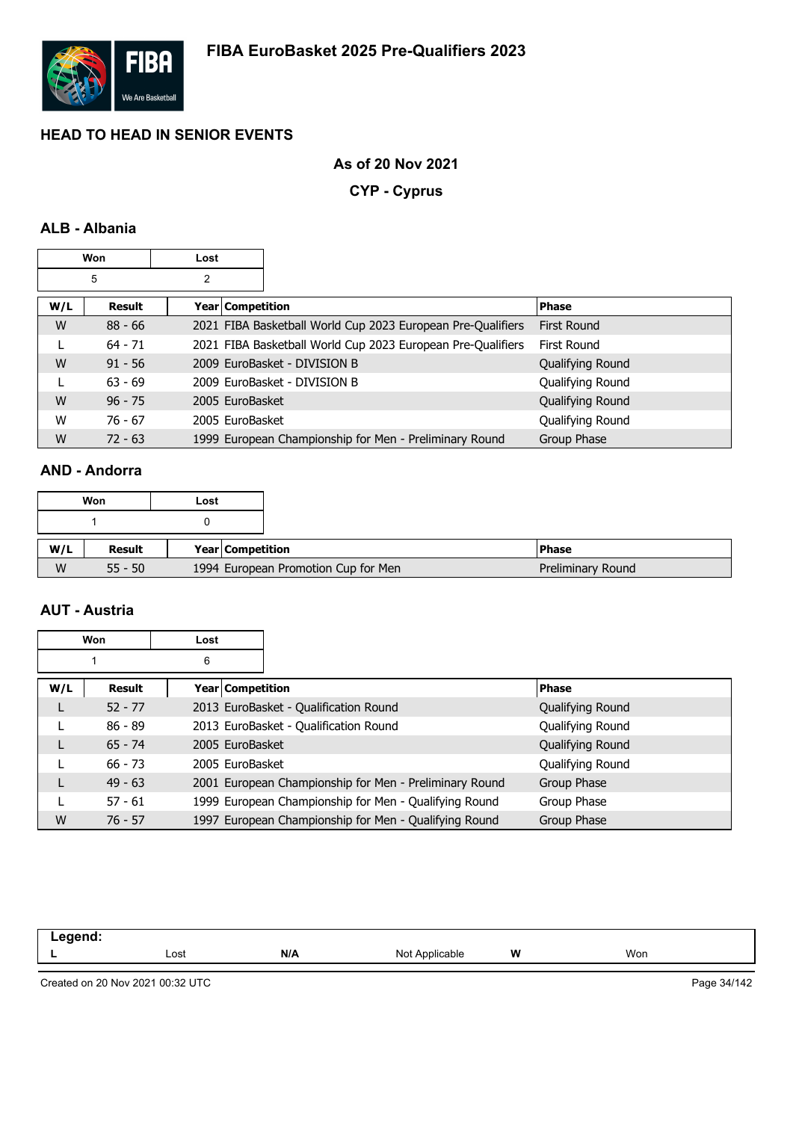

### **As of 20 Nov 2021**

**CYP - Cyprus**

# **ALB - Albania**

|     | Won       | Lost |                  |                                                             |                    |
|-----|-----------|------|------------------|-------------------------------------------------------------|--------------------|
|     | 5         | 2    |                  |                                                             |                    |
| W/L | Result    |      | Year Competition |                                                             | <b>Phase</b>       |
| W   | $88 - 66$ |      |                  | 2021 FIBA Basketball World Cup 2023 European Pre-Qualifiers | <b>First Round</b> |
|     | $64 - 71$ |      |                  | 2021 FIBA Basketball World Cup 2023 European Pre-Qualifiers | First Round        |
| W   | $91 - 56$ |      |                  | 2009 EuroBasket - DIVISION B                                | Qualifying Round   |
|     | $63 - 69$ |      |                  | 2009 EuroBasket - DIVISION B                                | Qualifying Round   |
| W   | $96 - 75$ |      | 2005 EuroBasket  |                                                             | Qualifying Round   |
| W   | $76 - 67$ |      | 2005 EuroBasket  |                                                             | Qualifying Round   |
| W   | $72 - 63$ |      |                  | 1999 European Championship for Men - Preliminary Round      | Group Phase        |

# **AND - Andorra**

|          | Won       | Lost |                                     |
|----------|-----------|------|-------------------------------------|
|          |           |      |                                     |
|          | Result    |      | Year Competition                    |
| W/L<br>W | $55 - 50$ |      | 1994 European Promotion Cup for Men |

## **AUT - Austria**

|     | Won           | Lost             |                                                        |                  |  |
|-----|---------------|------------------|--------------------------------------------------------|------------------|--|
|     |               | 6                |                                                        |                  |  |
| W/L | <b>Result</b> | Year Competition |                                                        | <b>Phase</b>     |  |
| L   | $52 - 77$     |                  | 2013 EuroBasket - Qualification Round                  | Qualifying Round |  |
|     | $86 - 89$     |                  | 2013 EuroBasket - Qualification Round                  | Qualifying Round |  |
| L   | $65 - 74$     | 2005 EuroBasket  |                                                        | Qualifying Round |  |
|     | $66 - 73$     | 2005 EuroBasket  |                                                        | Qualifying Round |  |
| L   | $49 - 63$     |                  | 2001 European Championship for Men - Preliminary Round | Group Phase      |  |
|     | $57 - 61$     |                  | 1999 European Championship for Men - Qualifying Round  | Group Phase      |  |
| W   | $76 - 57$     |                  | 1997 European Championship for Men - Qualifying Round  | Group Phase      |  |

| -----<br>--<br>-- 3 |      |     |                   |   |     |  |
|---------------------|------|-----|-------------------|---|-----|--|
|                     | Lost | N/A | Not<br>Applicable | W | Won |  |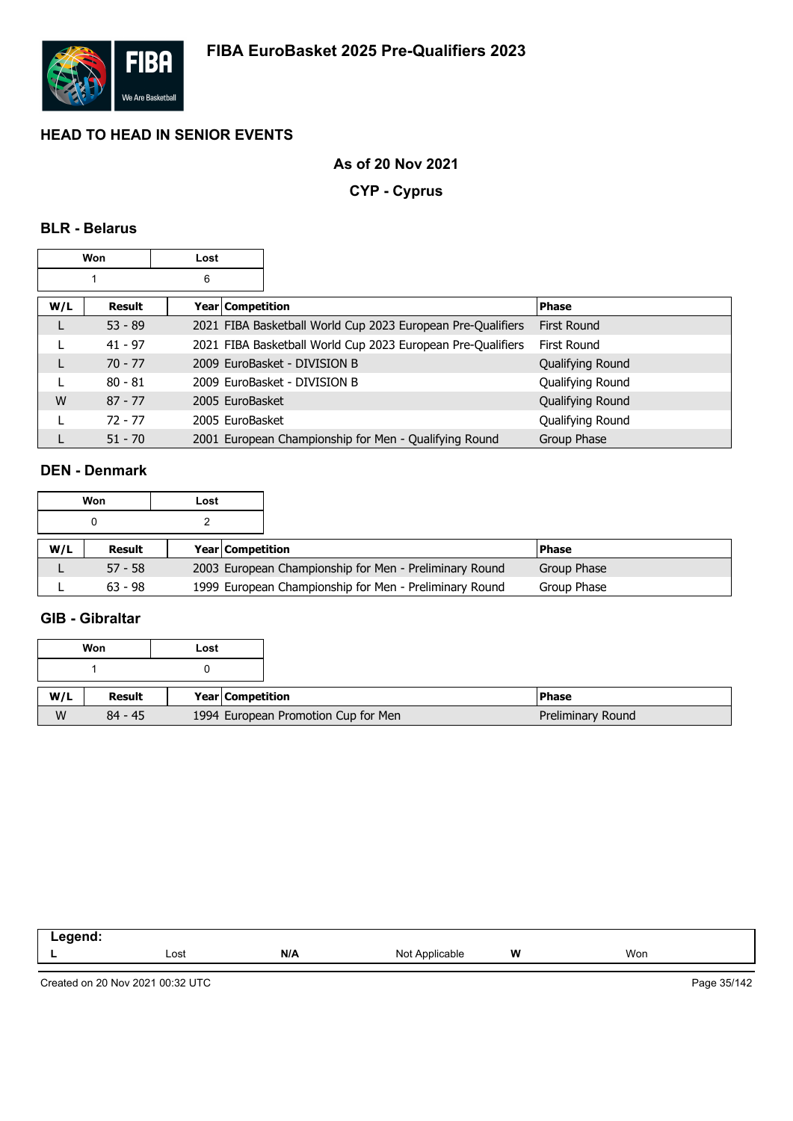

### **As of 20 Nov 2021**

**CYP - Cyprus**

# **BLR - Belarus**

|     | Won       | Lost |                  |                                                             |                    |
|-----|-----------|------|------------------|-------------------------------------------------------------|--------------------|
|     |           | 6    |                  |                                                             |                    |
| W/L | Result    |      | Year Competition |                                                             | Phase              |
|     | $53 - 89$ |      |                  | 2021 FIBA Basketball World Cup 2023 European Pre-Qualifiers | <b>First Round</b> |
|     | $41 - 97$ |      |                  | 2021 FIBA Basketball World Cup 2023 European Pre-Qualifiers | First Round        |
|     | $70 - 77$ |      |                  | 2009 EuroBasket - DIVISION B                                | Qualifying Round   |
|     | $80 - 81$ |      |                  | 2009 EuroBasket - DIVISION B                                | Qualifying Round   |
| W   | $87 - 77$ |      | 2005 EuroBasket  |                                                             | Qualifying Round   |
|     | $72 - 77$ |      | 2005 EuroBasket  |                                                             | Qualifying Round   |
|     | $51 - 70$ |      |                  | 2001 European Championship for Men - Qualifying Round       | Group Phase        |

### **DEN - Denmark**

|     | Won       | Lost |                         |                                                        |              |  |
|-----|-----------|------|-------------------------|--------------------------------------------------------|--------------|--|
|     |           |      |                         |                                                        |              |  |
| W/L | Result    |      | <b>Year Competition</b> |                                                        | <b>Phase</b> |  |
|     | $57 - 58$ |      |                         | 2003 European Championship for Men - Preliminary Round | Group Phase  |  |
|     | $63 - 98$ |      |                         | 1999 European Championship for Men - Preliminary Round | Group Phase  |  |

#### **GIB - Gibraltar**

|     | Won       | Lost |                                     |                   |
|-----|-----------|------|-------------------------------------|-------------------|
|     |           |      |                                     |                   |
| W/L | Result    |      | <b>Year Competition</b>             | <b>Phase</b>      |
| W   | $84 - 45$ |      | 1994 European Promotion Cup for Men | Preliminary Round |

| ----<br>-- 3 |      |     |                                                            |   |     |
|--------------|------|-----|------------------------------------------------------------|---|-----|
|              | Lost | N/A | N <sub>Io</sub><br>plicable<br>$\sim$ $\sim$ $\sim$ $\sim$ | W | Won |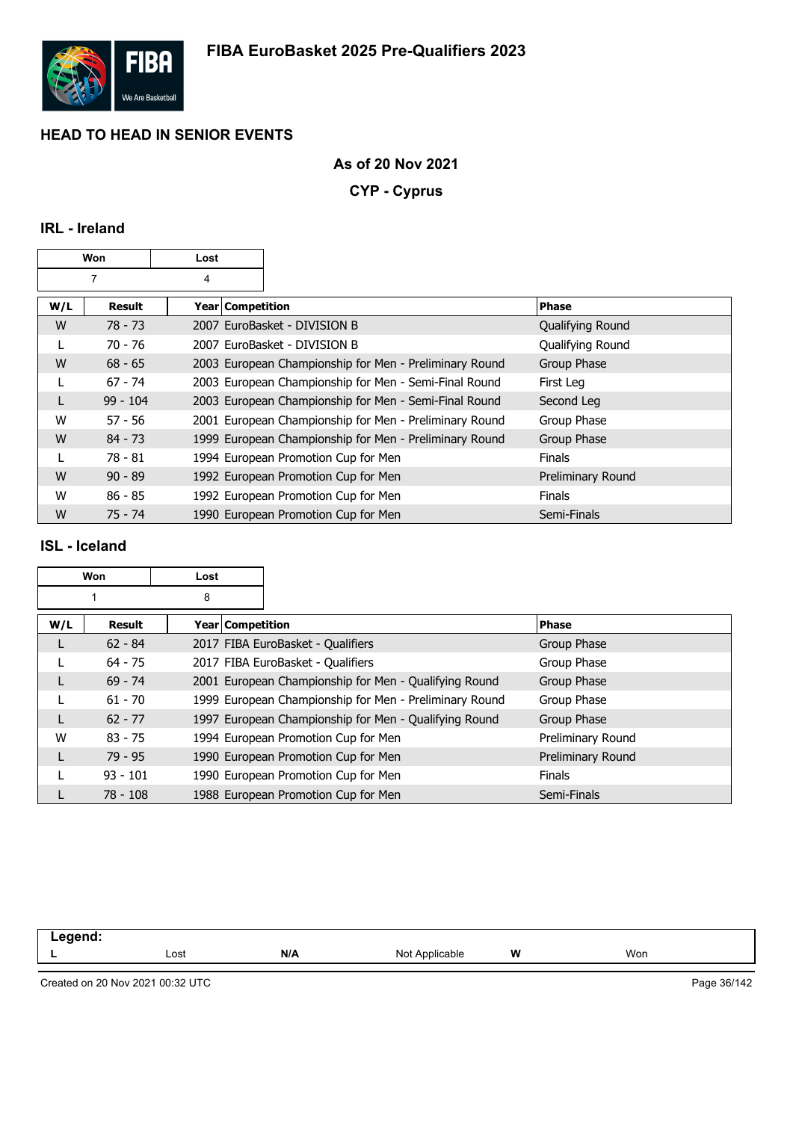

### **As of 20 Nov 2021**

**CYP - Cyprus**

# **IRL - Ireland**

| Won |            | Lost               |                                                        |                   |
|-----|------------|--------------------|--------------------------------------------------------|-------------------|
|     |            | 4                  |                                                        |                   |
| W/L | Result     | Year   Competition |                                                        | <b>Phase</b>      |
| W   | $78 - 73$  |                    | 2007 EuroBasket - DIVISION B                           | Qualifying Round  |
|     | $70 - 76$  |                    | 2007 EuroBasket - DIVISION B                           | Qualifying Round  |
| W   | $68 - 65$  |                    | 2003 European Championship for Men - Preliminary Round | Group Phase       |
| L   | $67 - 74$  |                    | 2003 European Championship for Men - Semi-Final Round  | First Leg         |
| L   | $99 - 104$ |                    | 2003 European Championship for Men - Semi-Final Round  | Second Leg        |
| W   | $57 - 56$  |                    | 2001 European Championship for Men - Preliminary Round | Group Phase       |
| W   | $84 - 73$  |                    | 1999 European Championship for Men - Preliminary Round | Group Phase       |
|     | 78 - 81    |                    | 1994 European Promotion Cup for Men                    | <b>Finals</b>     |
| W   | $90 - 89$  |                    | 1992 European Promotion Cup for Men                    | Preliminary Round |
| W   | $86 - 85$  |                    | 1992 European Promotion Cup for Men                    | <b>Finals</b>     |
| W   | $75 - 74$  |                    | 1990 European Promotion Cup for Men                    | Semi-Finals       |

### **ISL - Iceland**

| Won |            | Lost             |                                                        |                   |
|-----|------------|------------------|--------------------------------------------------------|-------------------|
|     |            | 8                |                                                        |                   |
| W/L | Result     | Year Competition |                                                        | <b>Phase</b>      |
|     | $62 - 84$  |                  | 2017 FIBA EuroBasket - Qualifiers                      | Group Phase       |
|     | $64 - 75$  |                  | 2017 FIBA EuroBasket - Qualifiers                      | Group Phase       |
|     | $69 - 74$  |                  | 2001 European Championship for Men - Qualifying Round  | Group Phase       |
|     | $61 - 70$  |                  | 1999 European Championship for Men - Preliminary Round | Group Phase       |
|     | $62 - 77$  |                  | 1997 European Championship for Men - Qualifying Round  | Group Phase       |
| W   | $83 - 75$  |                  | 1994 European Promotion Cup for Men                    | Preliminary Round |
|     | $79 - 95$  |                  | 1990 European Promotion Cup for Men                    | Preliminary Round |
|     | $93 - 101$ |                  | 1990 European Promotion Cup for Men                    | <b>Finals</b>     |
|     | $78 - 108$ |                  | 1988 European Promotion Cup for Men                    | Semi-Finals       |

| - | Lost | N/A | Not | W | Won |
|---|------|-----|-----|---|-----|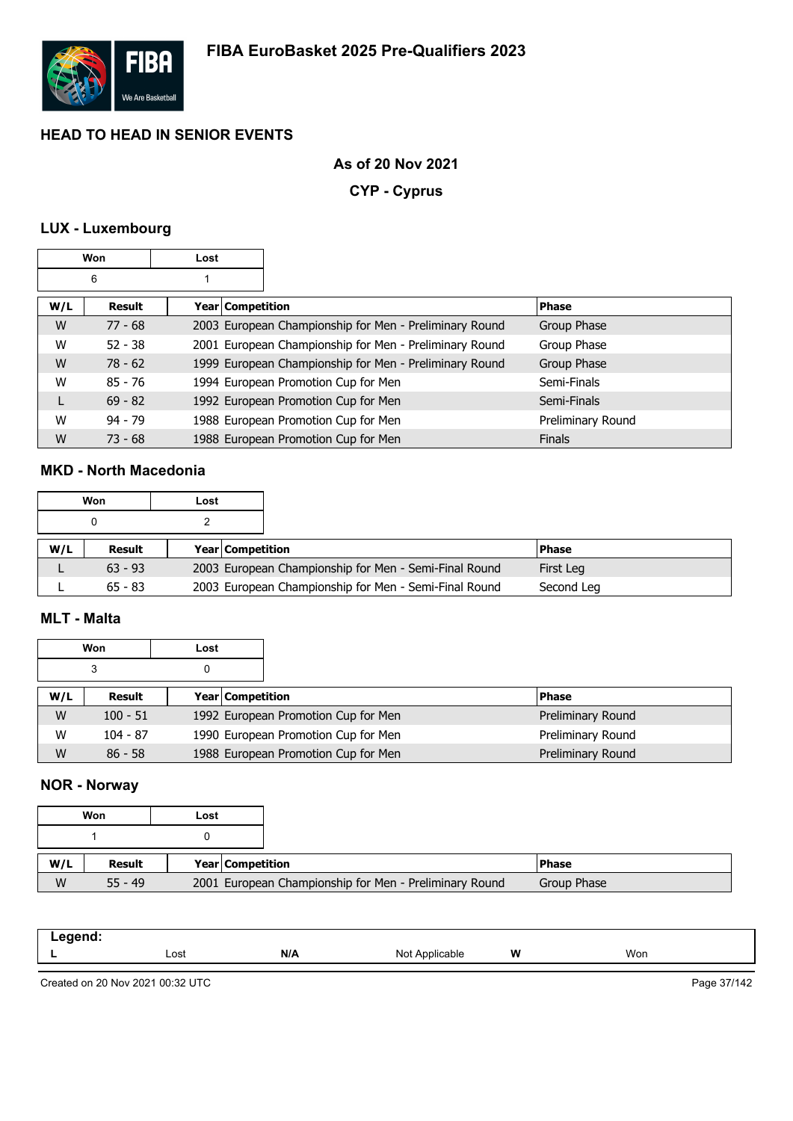

### **As of 20 Nov 2021**

**CYP - Cyprus**

# **LUX - Luxembourg**

| Won |               | Lost |                    |                                                        |                   |
|-----|---------------|------|--------------------|--------------------------------------------------------|-------------------|
|     | 6             |      |                    |                                                        |                   |
| W/L | <b>Result</b> |      | Year   Competition |                                                        | <b>Phase</b>      |
| W   | $77 - 68$     |      |                    | 2003 European Championship for Men - Preliminary Round | Group Phase       |
| W   | $52 - 38$     |      |                    | 2001 European Championship for Men - Preliminary Round | Group Phase       |
| W   | $78 - 62$     |      |                    | 1999 European Championship for Men - Preliminary Round | Group Phase       |
| W   | $85 - 76$     |      |                    | 1994 European Promotion Cup for Men                    | Semi-Finals       |
| L   | $69 - 82$     |      |                    | 1992 European Promotion Cup for Men                    | Semi-Finals       |
| W   | $94 - 79$     |      |                    | 1988 European Promotion Cup for Men                    | Preliminary Round |
| W   | $73 - 68$     |      |                    | 1988 European Promotion Cup for Men                    | <b>Finals</b>     |

### **MKD - North Macedonia**

|     | Won       | Lost |                  |                                                       |           |
|-----|-----------|------|------------------|-------------------------------------------------------|-----------|
|     | 0         |      |                  |                                                       |           |
| W/L | Result    |      | Year Competition |                                                       | l Phase   |
|     |           |      |                  |                                                       |           |
|     | $63 - 93$ |      |                  | 2003 European Championship for Men - Semi-Final Round | First Leg |

#### **MLT - Malta**

| Won |            | Lost |                                     |                   |
|-----|------------|------|-------------------------------------|-------------------|
|     | 3          |      |                                     |                   |
| W/L | Result     |      | <b>Year Competition</b>             | <b>Phase</b>      |
| W   | $100 - 51$ |      | 1992 European Promotion Cup for Men | Preliminary Round |
| W   | $104 - 87$ |      | 1990 European Promotion Cup for Men | Preliminary Round |
| W   | $86 - 58$  |      | 1988 European Promotion Cup for Men | Preliminary Round |

### **NOR - Norway**

|     | Won       | Lost |                  |                                                        |
|-----|-----------|------|------------------|--------------------------------------------------------|
|     |           |      |                  |                                                        |
|     |           |      |                  |                                                        |
| W/L | Result    |      | Year Competition |                                                        |
| W   | $55 - 49$ |      |                  | 2001 European Championship for Men - Preliminary Round |

| Lost | N/A | ∕ہا∧<br>cable<br>ישו | W | Won |
|------|-----|----------------------|---|-----|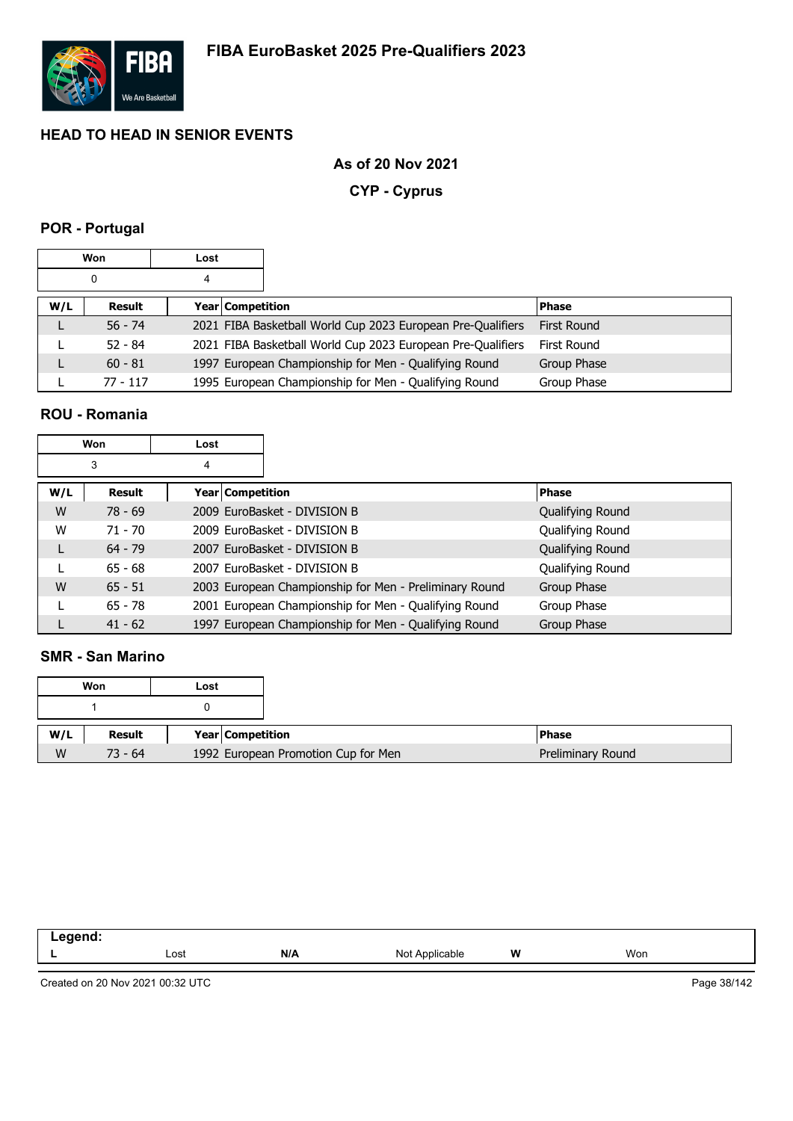

### **As of 20 Nov 2021**

**CYP - Cyprus**

# **POR - Portugal**

| Won |           | Lost |                  |                                                             |                    |
|-----|-----------|------|------------------|-------------------------------------------------------------|--------------------|
|     | 0         | 4    |                  |                                                             |                    |
| W/L | Result    |      | Year Competition |                                                             | <b>Phase</b>       |
|     | $56 - 74$ |      |                  | 2021 FIBA Basketball World Cup 2023 European Pre-Qualifiers | <b>First Round</b> |
|     | $52 - 84$ |      |                  | 2021 FIBA Basketball World Cup 2023 European Pre-Qualifiers | First Round        |
|     | $60 - 81$ |      |                  | 1997 European Championship for Men - Qualifying Round       | Group Phase        |
|     | 77 - 117  |      |                  | 1995 European Championship for Men - Qualifying Round       | Group Phase        |

### **ROU - Romania**

|     | Won       | Lost |                    |                                                        |                  |
|-----|-----------|------|--------------------|--------------------------------------------------------|------------------|
|     | 3         | 4    |                    |                                                        |                  |
| W/L | Result    |      | Year   Competition |                                                        | <b>Phase</b>     |
| W   | $78 - 69$ |      |                    | 2009 EuroBasket - DIVISION B                           | Qualifying Round |
| W   | $71 - 70$ |      |                    | 2009 EuroBasket - DIVISION B                           | Qualifying Round |
| L   | $64 - 79$ |      |                    | 2007 EuroBasket - DIVISION B                           | Qualifying Round |
|     | $65 - 68$ |      |                    | 2007 EuroBasket - DIVISION B                           | Qualifying Round |
| W   | $65 - 51$ |      |                    | 2003 European Championship for Men - Preliminary Round | Group Phase      |
|     | $65 - 78$ |      |                    | 2001 European Championship for Men - Qualifying Round  | Group Phase      |
|     | $41 - 62$ |      |                    | 1997 European Championship for Men - Qualifying Round  | Group Phase      |

### **SMR - San Marino**

|     |           | Won | Lost                                |
|-----|-----------|-----|-------------------------------------|
|     |           |     |                                     |
| W/L | Result    |     | Year Competition                    |
| W   | $73 - 64$ |     | 1992 European Promotion Cup for Men |

| ------<br>. |      |     |                   |   |     |
|-------------|------|-----|-------------------|---|-----|
| -           | Lost | N/A | Applicable<br>Not | W | Won |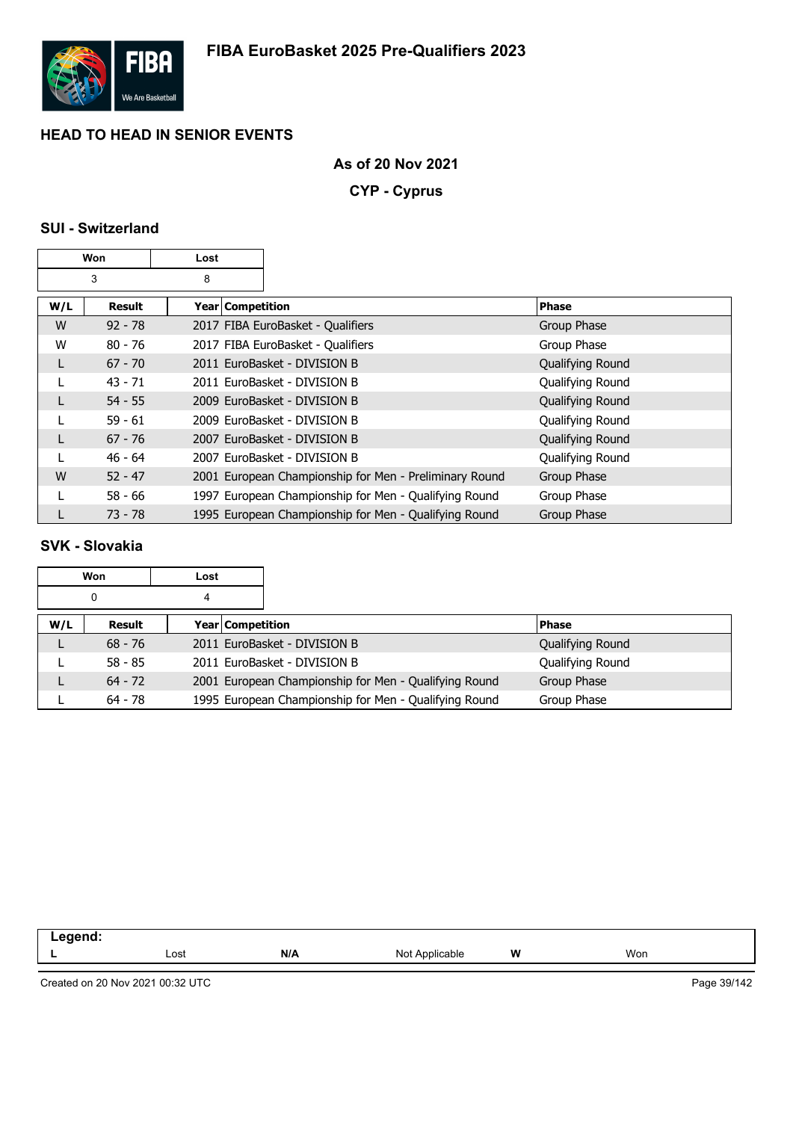

### **As of 20 Nov 2021**

**CYP - Cyprus**

# **SUI - Switzerland**

| Won    |           | Lost |                    |                                                        |                  |
|--------|-----------|------|--------------------|--------------------------------------------------------|------------------|
| 3<br>8 |           |      |                    |                                                        |                  |
| W/L    | Result    |      | Year   Competition |                                                        | <b>Phase</b>     |
| W      | $92 - 78$ |      |                    | 2017 FIBA EuroBasket - Qualifiers                      | Group Phase      |
| W      | $80 - 76$ |      |                    | 2017 FIBA EuroBasket - Qualifiers                      | Group Phase      |
| L      | $67 - 70$ |      |                    | 2011 EuroBasket - DIVISION B                           | Qualifying Round |
| L      | $43 - 71$ |      |                    | 2011 EuroBasket - DIVISION B                           | Qualifying Round |
| L      | $54 - 55$ |      |                    | 2009 EuroBasket - DIVISION B                           | Qualifying Round |
|        | $59 - 61$ |      |                    | 2009 EuroBasket - DIVISION B                           | Qualifying Round |
| L      | $67 - 76$ |      |                    | 2007 EuroBasket - DIVISION B                           | Qualifying Round |
|        | $46 - 64$ |      |                    | 2007 EuroBasket - DIVISION B                           | Qualifying Round |
| W      | $52 - 47$ |      |                    | 2001 European Championship for Men - Preliminary Round | Group Phase      |
|        | $58 - 66$ |      |                    | 1997 European Championship for Men - Qualifying Round  | Group Phase      |
|        | $73 - 78$ |      |                    | 1995 European Championship for Men - Qualifying Round  | Group Phase      |

## **SVK - Slovakia**

| Won |           | Lost |                  |                                                       |                  |
|-----|-----------|------|------------------|-------------------------------------------------------|------------------|
|     | 0<br>4    |      |                  |                                                       |                  |
| W/L | Result    |      | Year Competition |                                                       | <b>Phase</b>     |
|     | $68 - 76$ |      |                  | 2011 EuroBasket - DIVISION B                          | Qualifying Round |
|     | $58 - 85$ |      |                  | 2011 EuroBasket - DIVISION B                          | Qualifying Round |
|     | $64 - 72$ |      |                  | 2001 European Championship for Men - Qualifying Round | Group Phase      |
|     | $64 - 78$ |      |                  | 1995 European Championship for Men - Qualifying Round | Group Phase      |

| <b>ANANA</b><br>na<br>- - - |      |     |                     |          |     |
|-----------------------------|------|-----|---------------------|----------|-----|
|                             | Lost | N/A | Applicable<br>Not A | W<br>. . | Won |
|                             |      |     |                     |          |     |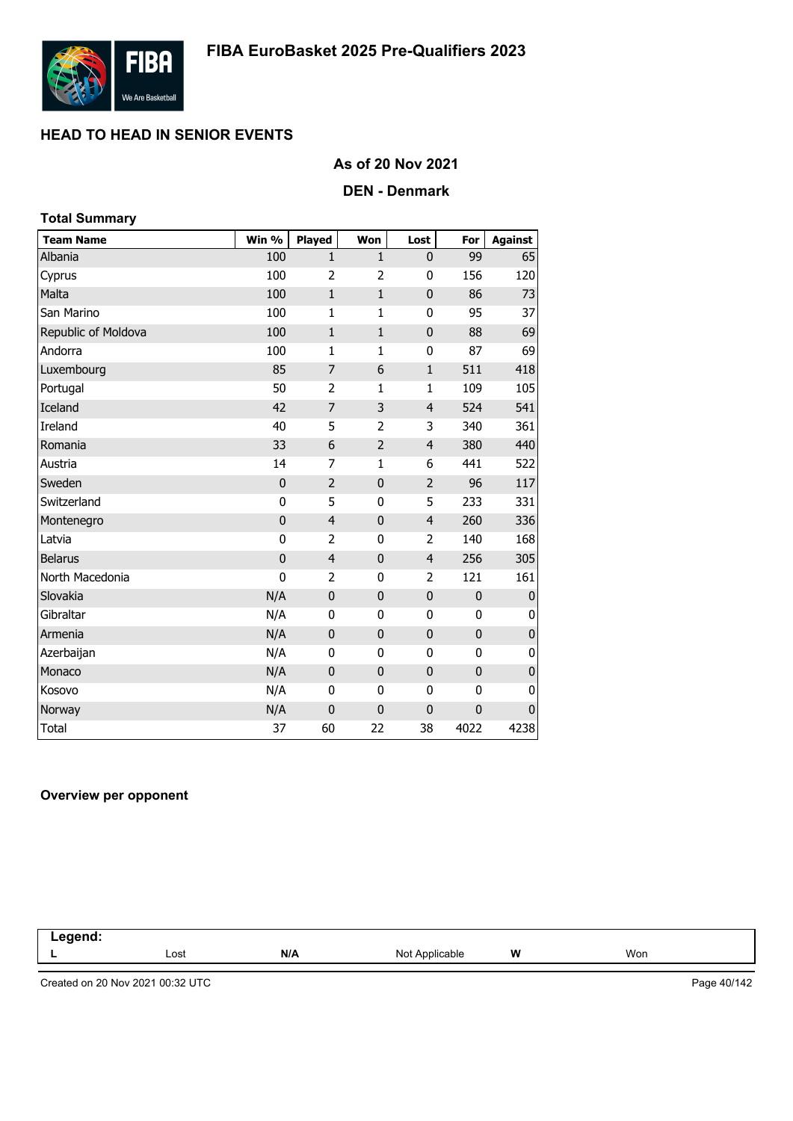

### **As of 20 Nov 2021**

### **DEN - Denmark**

| <b>Total Summary</b> |             |                |                |                |             |                |
|----------------------|-------------|----------------|----------------|----------------|-------------|----------------|
| <b>Team Name</b>     | Win %       | Played         | Won            | Lost           | For         | <b>Against</b> |
| Albania              | 100         | $\mathbf{1}$   | $\mathbf{1}$   | 0              | 99          | 65             |
| Cyprus               | 100         | $\overline{2}$ | 2              | 0              | 156         | 120            |
| Malta                | 100         | $\mathbf{1}$   | $\mathbf{1}$   | $\mathbf 0$    | 86          | 73             |
| San Marino           | 100         | $\mathbf{1}$   | $\mathbf{1}$   | $\mathbf{0}$   | 95          | 37             |
| Republic of Moldova  | 100         | $\mathbf{1}$   | $\mathbf{1}$   | 0              | 88          | 69             |
| Andorra              | 100         | $\mathbf{1}$   | $\mathbf{1}$   | 0              | 87          | 69             |
| Luxembourg           | 85          | $\overline{7}$ | 6              | $\mathbf{1}$   | 511         | 418            |
| Portugal             | 50          | $\overline{2}$ | 1              | $\mathbf{1}$   | 109         | 105            |
| <b>Iceland</b>       | 42          | $\overline{7}$ | 3              | $\overline{4}$ | 524         | 541            |
| Ireland              | 40          | 5              | $\overline{2}$ | 3              | 340         | 361            |
| Romania              | 33          | 6              | $\overline{2}$ | $\overline{4}$ | 380         | 440            |
| Austria              | 14          | $\overline{7}$ | 1              | 6              | 441         | 522            |
| Sweden               | $\mathbf 0$ | $\overline{2}$ | $\pmb{0}$      | $\overline{2}$ | 96          | 117            |
| Switzerland          | 0           | 5              | 0              | 5              | 233         | 331            |
| Montenegro           | $\mathbf 0$ | $\overline{4}$ | $\pmb{0}$      | $\overline{4}$ | 260         | 336            |
| Latvia               | 0           | 2              | 0              | 2              | 140         | 168            |
| <b>Belarus</b>       | $\mathbf 0$ | $\overline{4}$ | $\bf{0}$       | $\overline{4}$ | 256         | 305            |
| North Macedonia      | 0           | 2              | 0              | 2              | 121         | 161            |
| Slovakia             | N/A         | $\mathbf 0$    | $\mathbf{0}$   | $\mathbf 0$    | $\mathbf 0$ | 0              |
| Gibraltar            | N/A         | $\mathbf 0$    | 0              | 0              | 0           | 0              |
| Armenia              | N/A         | $\mathbf 0$    | $\mathbf{0}$   | 0              | $\mathbf 0$ | $\pmb{0}$      |
| Azerbaijan           | N/A         | 0              | 0              | 0              | 0           | 0              |
| Monaco               | N/A         | $\mathbf 0$    | $\bf{0}$       | $\mathbf 0$    | $\mathbf 0$ | $\pmb{0}$      |
| Kosovo               | N/A         | 0              | 0              | 0              | 0           | 0              |
| Norway               | N/A         | $\mathbf 0$    | $\bf{0}$       | $\mathbf 0$    | $\mathbf 0$ | 0              |
| <b>Total</b>         | 37          | 60             | 22             | 38             | 4022        | 4238           |

#### **Overview per opponent**

| $\blacksquare$ . And $\blacksquare$<br>nena. |      |     |                   |   |     |  |
|----------------------------------------------|------|-----|-------------------|---|-----|--|
|                                              | Lost | N/A | Not<br>Applicable | W | Won |  |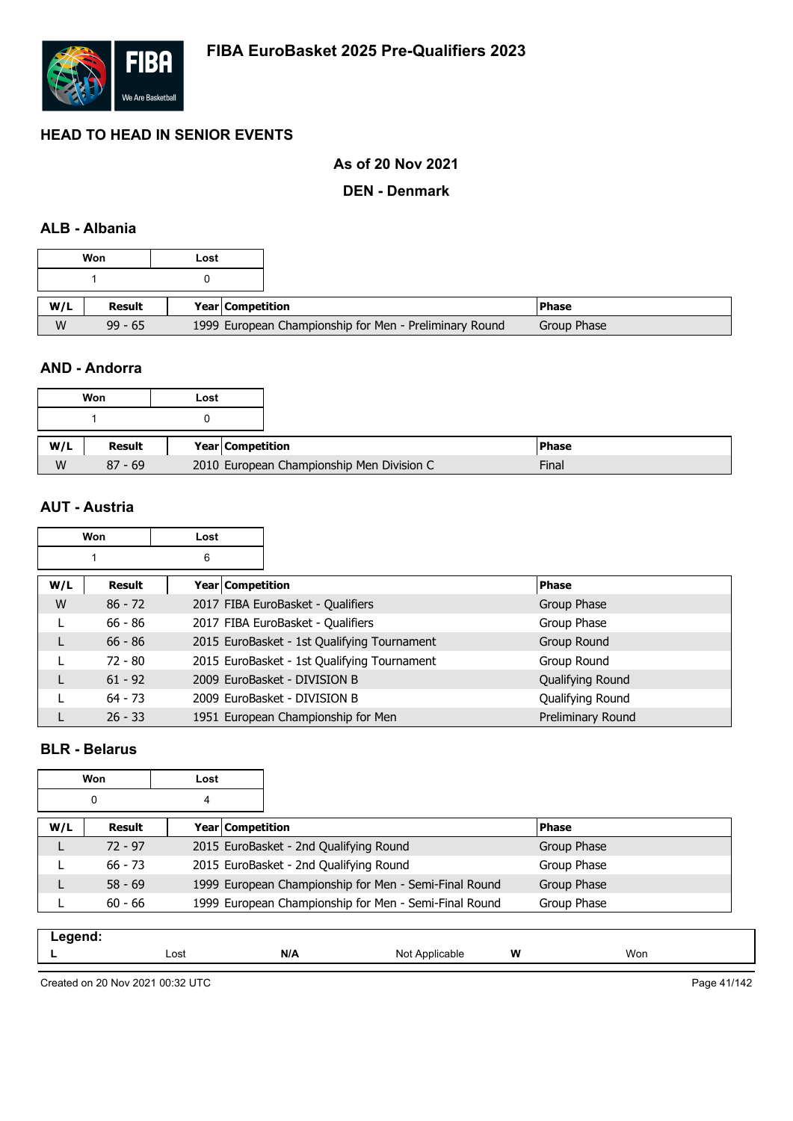

### **As of 20 Nov 2021**

### **DEN - Denmark**

### **ALB - Albania**

|     | Won           | Lost |                  |                                                        |             |
|-----|---------------|------|------------------|--------------------------------------------------------|-------------|
|     |               |      |                  |                                                        |             |
| W/L | <b>Result</b> |      | Year Competition |                                                        | l Phase     |
| W   | $99 - 65$     |      |                  | 1999 European Championship for Men - Preliminary Round | Group Phase |

### **AND - Andorra**

|     | Won       | Lost |                  |                                           |              |
|-----|-----------|------|------------------|-------------------------------------------|--------------|
|     |           |      |                  |                                           |              |
| W/L | Result    |      | Year Competition |                                           | <b>Phase</b> |
| W   | $87 - 69$ |      |                  | 2010 European Championship Men Division C | Final        |

### **AUT - Austria**

|     | Won       | Lost |                    |                                             |                   |
|-----|-----------|------|--------------------|---------------------------------------------|-------------------|
|     |           | 6    |                    |                                             |                   |
| W/L | Result    |      | Year   Competition |                                             | <b>Phase</b>      |
| W   | $86 - 72$ |      |                    | 2017 FIBA EuroBasket - Qualifiers           | Group Phase       |
|     | $66 - 86$ |      |                    | 2017 FIBA EuroBasket - Qualifiers           | Group Phase       |
| L   | $66 - 86$ |      |                    | 2015 EuroBasket - 1st Qualifying Tournament | Group Round       |
|     | $72 - 80$ |      |                    | 2015 EuroBasket - 1st Qualifying Tournament | Group Round       |
| L   | $61 - 92$ |      |                    | 2009 EuroBasket - DIVISION B                | Qualifying Round  |
|     | $64 - 73$ |      |                    | 2009 EuroBasket - DIVISION B                | Qualifying Round  |
|     | $26 - 33$ |      |                    | 1951 European Championship for Men          | Preliminary Round |

### **BLR - Belarus**

|     | Won       | Lost |                  |                                                       |              |  |
|-----|-----------|------|------------------|-------------------------------------------------------|--------------|--|
|     | 0         | 4    |                  |                                                       |              |  |
| W/L | Result    |      | Year Competition |                                                       | <b>Phase</b> |  |
|     | $72 - 97$ |      |                  | 2015 EuroBasket - 2nd Qualifying Round                | Group Phase  |  |
|     | $66 - 73$ |      |                  | 2015 EuroBasket - 2nd Qualifying Round                | Group Phase  |  |
|     | $58 - 69$ |      |                  | 1999 European Championship for Men - Semi-Final Round | Group Phase  |  |
|     | $60 - 66$ |      |                  | 1999 European Championship for Men - Semi-Final Round | Group Phase  |  |

| hnana |      |         |                   |   |     |
|-------|------|---------|-------------------|---|-----|
| . .   | Lost | M<br>ШF | Applicable<br>Not | W | Won |
|       |      |         |                   |   |     |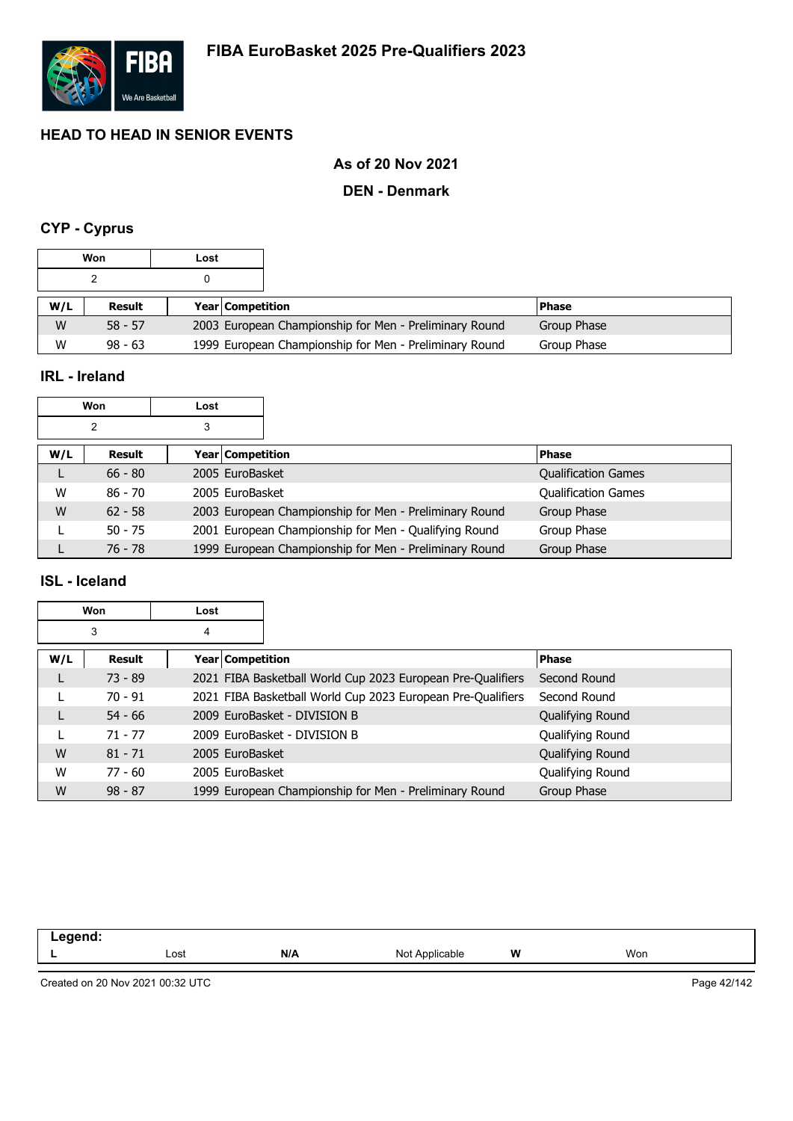

## **As of 20 Nov 2021**

### **DEN - Denmark**

# **CYP - Cyprus**

|     | Won           | Lost |                         |                                                        |              |
|-----|---------------|------|-------------------------|--------------------------------------------------------|--------------|
|     |               |      |                         |                                                        |              |
| W/L | <b>Result</b> |      | <b>Year Competition</b> |                                                        | <b>Phase</b> |
| W   | $58 - 57$     |      |                         | 2003 European Championship for Men - Preliminary Round | Group Phase  |
| W   | $98 - 63$     |      |                         | 1999 European Championship for Men - Preliminary Round | Group Phase  |

### **IRL - Ireland**

|     | Won           | Lost |                         |
|-----|---------------|------|-------------------------|
|     |               |      |                         |
| W/L | <b>Result</b> |      | <b>Year Competition</b> |
|     | 66 - QN       |      | 2005 EuroBackot         |

| W/L | Result    | Year Competition                                       | <b>Phase</b>               |
|-----|-----------|--------------------------------------------------------|----------------------------|
| ட   | $66 - 80$ | 2005 EuroBasket                                        | <b>Qualification Games</b> |
| W   | $86 - 70$ | 2005 EuroBasket                                        | <b>Qualification Games</b> |
| W   | $62 - 58$ | 2003 European Championship for Men - Preliminary Round | Group Phase                |
|     | $50 - 75$ | 2001 European Championship for Men - Qualifying Round  | Group Phase                |
|     | 76 - 78   | 1999 European Championship for Men - Preliminary Round | Group Phase                |

### **ISL - Iceland**

|     | Won       | Lost             |                                                             |                  |
|-----|-----------|------------------|-------------------------------------------------------------|------------------|
|     | 3         | 4                |                                                             |                  |
| W/L | Result    | Year Competition |                                                             | <b>Phase</b>     |
|     | $73 - 89$ |                  | 2021 FIBA Basketball World Cup 2023 European Pre-Qualifiers | Second Round     |
|     | $70 - 91$ |                  | 2021 FIBA Basketball World Cup 2023 European Pre-Qualifiers | Second Round     |
|     | $54 - 66$ |                  | 2009 EuroBasket - DIVISION B                                | Qualifying Round |
|     | $71 - 77$ |                  | 2009 EuroBasket - DIVISION B                                | Qualifying Round |
| W   | $81 - 71$ | 2005 EuroBasket  |                                                             | Qualifying Round |
| W   | $77 - 60$ | 2005 EuroBasket  |                                                             | Qualifying Round |
| W   | $98 - 87$ |                  | 1999 European Championship for Men - Preliminary Round      | Group Phase      |

| -- 9 - |      |     |     |   |     |
|--------|------|-----|-----|---|-----|
|        | Lost | N/A | Not | W | Won |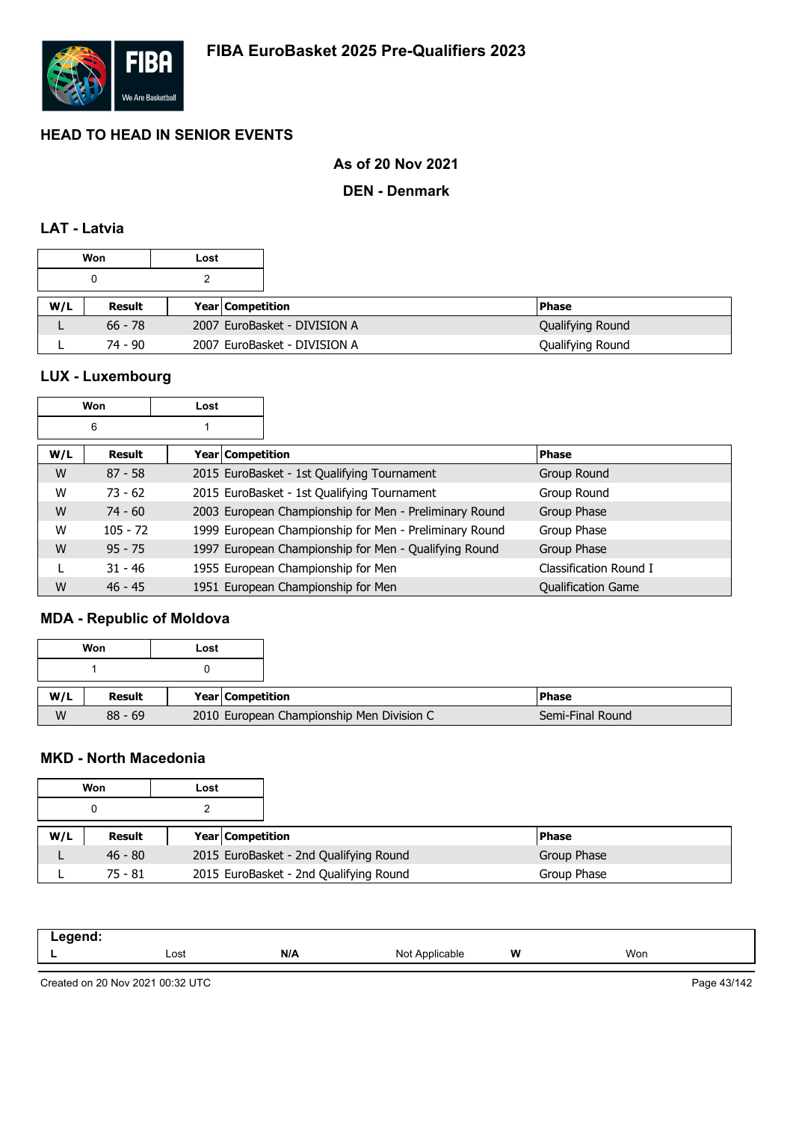

## **As of 20 Nov 2021**

### **DEN - Denmark**

### **LAT - Latvia**

| Won |           | Lost |                         |                              |                  |
|-----|-----------|------|-------------------------|------------------------------|------------------|
|     |           |      |                         |                              |                  |
| W/L | Result    |      | <b>Year Competition</b> |                              | <b>Phase</b>     |
|     | $66 - 78$ |      |                         | 2007 EuroBasket - DIVISION A | Qualifying Round |
|     | 74 - 90   |      |                         | 2007 EuroBasket - DIVISION A | Qualifying Round |

# **LUX - Luxembourg**

 $\Gamma$ 

| Won |            | Lost               |                                                        |                        |
|-----|------------|--------------------|--------------------------------------------------------|------------------------|
|     | 6          |                    |                                                        |                        |
| W/L | Result     | Year   Competition |                                                        | <b>Phase</b>           |
| W   | $87 - 58$  |                    | 2015 EuroBasket - 1st Qualifying Tournament            | Group Round            |
| W   | $73 - 62$  |                    | 2015 EuroBasket - 1st Qualifying Tournament            | Group Round            |
| W   | $74 - 60$  |                    | 2003 European Championship for Men - Preliminary Round | Group Phase            |
| W   | $105 - 72$ |                    | 1999 European Championship for Men - Preliminary Round | Group Phase            |
| W   | $95 - 75$  |                    | 1997 European Championship for Men - Qualifying Round  | Group Phase            |
|     | $31 - 46$  |                    | 1955 European Championship for Men                     | Classification Round I |
| W   | $46 - 45$  |                    | 1951 European Championship for Men                     | Qualification Game     |

٦

# **MDA - Republic of Moldova**

| Won |           | Lost |                  |                                           |                  |
|-----|-----------|------|------------------|-------------------------------------------|------------------|
|     |           |      |                  |                                           |                  |
| W/L | Result    |      | Year Competition |                                           | l Phase          |
| W   | $88 - 69$ |      |                  | 2010 European Championship Men Division C | Semi-Final Round |

### **MKD - North Macedonia**

| Won |           | Lost |                                        |              |
|-----|-----------|------|----------------------------------------|--------------|
| 0   |           |      |                                        |              |
| W/L | Result    |      | Year   Competition                     | <b>Phase</b> |
|     | $46 - 80$ |      | 2015 EuroBasket - 2nd Qualifying Round | Group Phase  |
|     | $75 - 81$ |      | 2015 EuroBasket - 2nd Qualifying Round | Group Phase  |

| .<br>-- 3 |      |     |                         |   |     |  |
|-----------|------|-----|-------------------------|---|-----|--|
|           | Lost | N/A | Nl∩t<br>Applicable<br>⋯ | W | Won |  |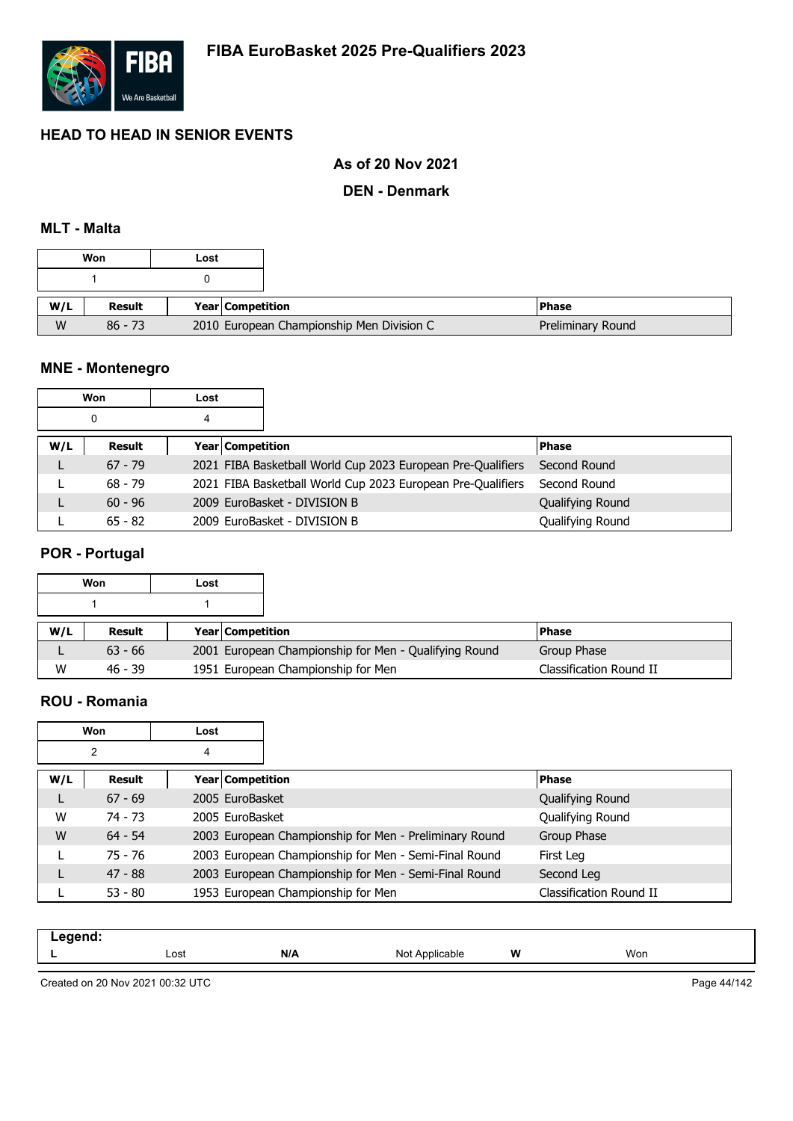

### **As of 20 Nov 2021**

### **DEN - Denmark**

### **MLT - Malta**

| Won |           | Lost |                                           |
|-----|-----------|------|-------------------------------------------|
|     |           |      |                                           |
|     |           |      |                                           |
| W/L | Result    |      | <b>Year Competition</b>                   |
| W   | $86 - 73$ |      | 2010 European Championship Men Division C |

# **MNE - Montenegro**

| Won |           | Lost |                                                             |                  |
|-----|-----------|------|-------------------------------------------------------------|------------------|
| 0   |           | 4    |                                                             |                  |
| W/L | Result    |      | <b>Year Competition</b>                                     | <b>Phase</b>     |
|     | $67 - 79$ |      | 2021 FIBA Basketball World Cup 2023 European Pre-Qualifiers | Second Round     |
|     | $68 - 79$ |      | 2021 FIBA Basketball World Cup 2023 European Pre-Qualifiers | Second Round     |
|     | $60 - 96$ |      | 2009 EuroBasket - DIVISION B                                | Qualifying Round |
|     | $65 - 82$ |      | 2009 EuroBasket - DIVISION B                                | Qualifying Round |

# **POR - Portugal**

| Won |           | Lost |                         |                                                       |                         |
|-----|-----------|------|-------------------------|-------------------------------------------------------|-------------------------|
|     |           |      |                         |                                                       |                         |
| W/L | Result    |      | <b>Year Competition</b> |                                                       | l Phase                 |
|     | $63 - 66$ |      |                         | 2001 European Championship for Men - Qualifying Round | Group Phase             |
| W   | $46 - 39$ |      |                         | 1951 European Championship for Men                    | Classification Round II |

### **ROU - Romania**

| Won |           | Lost |                         |                                                        |                         |
|-----|-----------|------|-------------------------|--------------------------------------------------------|-------------------------|
| 2   |           | 4    |                         |                                                        |                         |
| W/L | Result    |      | <b>Year Competition</b> |                                                        | <b>Phase</b>            |
| L   | $67 - 69$ |      | 2005 EuroBasket         |                                                        | Qualifying Round        |
| W   | 74 - 73   |      | 2005 EuroBasket         |                                                        | Qualifying Round        |
| W   | $64 - 54$ |      |                         | 2003 European Championship for Men - Preliminary Round | Group Phase             |
|     | 75 - 76   |      |                         | 2003 European Championship for Men - Semi-Final Round  | First Leg               |
|     | $47 - 88$ |      |                         | 2003 European Championship for Men - Semi-Final Round  | Second Leg              |
|     | $53 - 80$ |      |                         | 1953 European Championship for Men                     | Classification Round II |

| N/A<br>W<br>Won<br>Lost<br>Not<br>Applicable<br>- | .<br>. |  |  |  |
|---------------------------------------------------|--------|--|--|--|
|                                                   |        |  |  |  |

Created on 20 Nov 2021 00:32 UTC

Page 44/142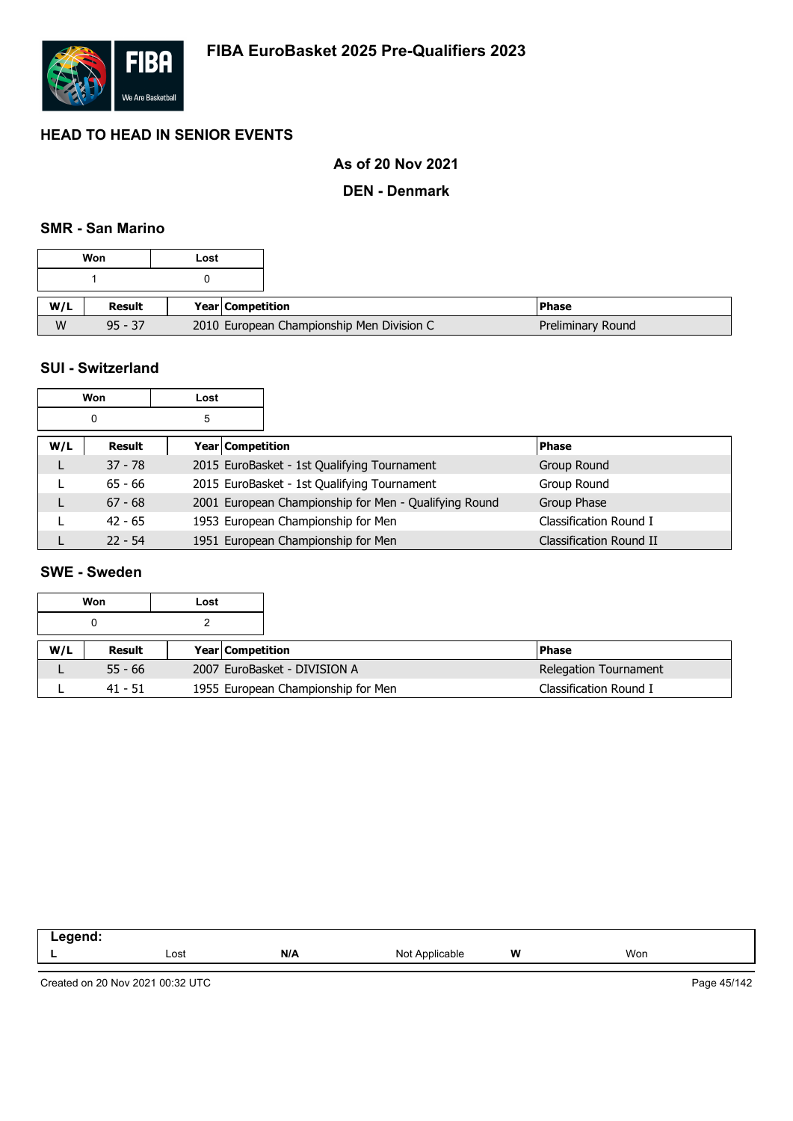

### **As of 20 Nov 2021**

### **DEN - Denmark**

### **SMR - San Marino**

| Won |           | Lost |                                           |
|-----|-----------|------|-------------------------------------------|
|     |           |      |                                           |
|     |           |      |                                           |
| W/L | Result    |      | <b>Year Competition</b>                   |
| W   | $95 - 37$ |      | 2010 European Championship Men Division C |

### **SUI - Switzerland**

| Won    |           | Lost |                                                       |                         |
|--------|-----------|------|-------------------------------------------------------|-------------------------|
| 5<br>0 |           |      |                                                       |                         |
| W/L    | Result    |      | Year Competition                                      | <b>Phase</b>            |
|        | $37 - 78$ |      | 2015 EuroBasket - 1st Qualifying Tournament           | Group Round             |
|        | $65 - 66$ |      | 2015 EuroBasket - 1st Qualifying Tournament           | Group Round             |
|        | $67 - 68$ |      | 2001 European Championship for Men - Qualifying Round | Group Phase             |
|        | $42 - 65$ |      | 1953 European Championship for Men                    | Classification Round I  |
|        | $22 - 54$ |      | 1951 European Championship for Men                    | Classification Round II |

### **SWE - Sweden**

|     | Won       | Lost |                         |                                    |  |                        |
|-----|-----------|------|-------------------------|------------------------------------|--|------------------------|
|     |           |      |                         |                                    |  |                        |
| W/L | Result    |      | <b>Year Competition</b> |                                    |  | <b>Phase</b>           |
|     | $55 - 66$ |      |                         | 2007 EuroBasket - DIVISION A       |  | Relegation Tournament  |
|     | $41 - 51$ |      |                         | 1955 European Championship for Men |  | Classification Round I |

| $\sim$ $\sim$ $\sim$ $\sim$ $\sim$<br>$-0.5$<br>____ |      |     |                     |   |     |
|------------------------------------------------------|------|-----|---------------------|---|-----|
|                                                      | Lost | N/A | Applicable<br>Not . | W | Won |
|                                                      |      |     |                     |   |     |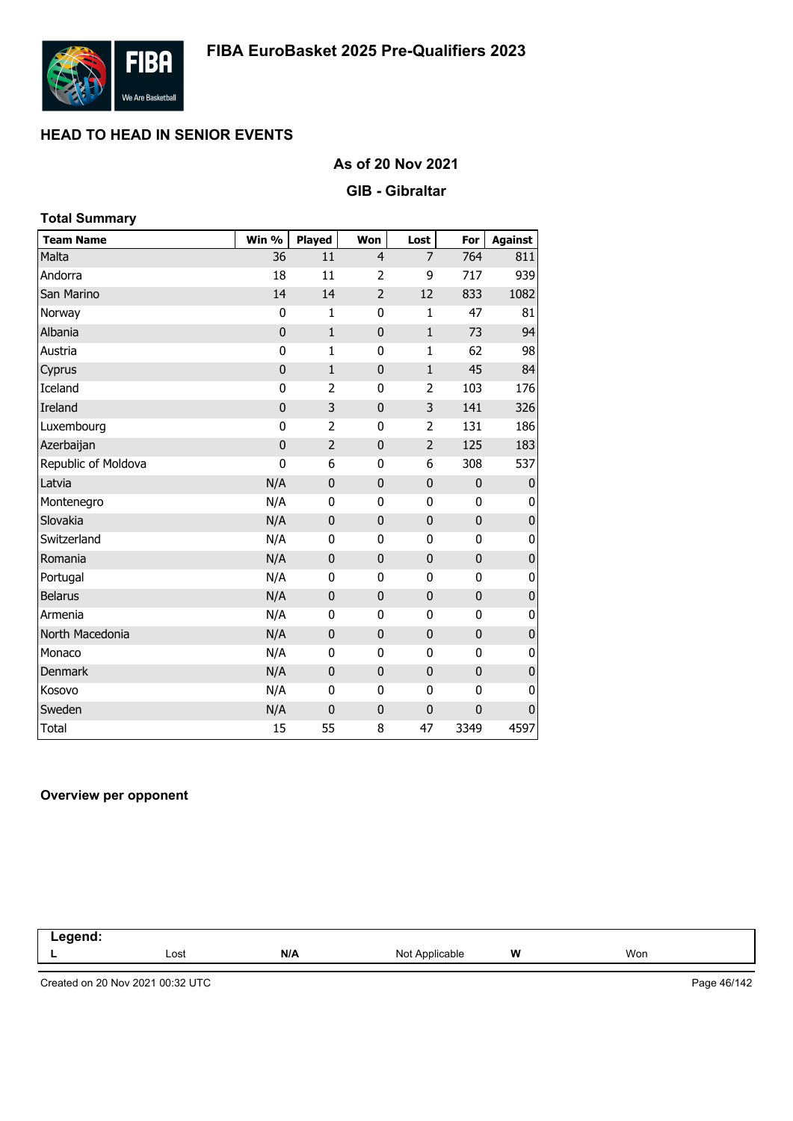

### **As of 20 Nov 2021**

#### **GIB - Gibraltar**

| <b>Total Summary</b> |             |                |                |                |             |                |
|----------------------|-------------|----------------|----------------|----------------|-------------|----------------|
| <b>Team Name</b>     | Win %       | Played         | Won            | Lost           | For         | <b>Against</b> |
| Malta                | 36          | 11             | 4              | $\overline{7}$ | 764         | 811            |
| Andorra              | 18          | 11             | 2              | 9              | 717         | 939            |
| San Marino           | 14          | 14             | 2              | 12             | 833         | 1082           |
| Norway               | 0           | 1              | 0              | $\mathbf{1}$   | 47          | 81             |
| Albania              | $\mathbf 0$ | $\mathbf{1}$   | $\mathbf 0$    | $\mathbf{1}$   | 73          | 94             |
| Austria              | 0           | $\mathbf{1}$   | 0              | $\mathbf 1$    | 62          | 98             |
| Cyprus               | $\mathbf 0$ | $\mathbf{1}$   | $\mathbf 0$    | $\mathbf 1$    | 45          | 84             |
| Iceland              | 0           | $\overline{2}$ | 0              | $\overline{2}$ | 103         | 176            |
| Ireland              | $\mathbf 0$ | 3              | $\mathbf 0$    | 3              | 141         | 326            |
| Luxembourg           | 0           | 2              | 0              | 2              | 131         | 186            |
| Azerbaijan           | 0           | $\overline{2}$ | $\overline{0}$ | $\overline{2}$ | 125         | 183            |
| Republic of Moldova  | 0           | 6              | 0              | 6              | 308         | 537            |
| Latvia               | N/A         | 0              | $\mathbf 0$    | $\mathbf 0$    | 0           | 0              |
| Montenegro           | N/A         | 0              | 0              | 0              | 0           | 0              |
| Slovakia             | N/A         | $\mathbf 0$    | 0              | $\mathbf{0}$   | $\mathbf 0$ | $\pmb{0}$      |
| Switzerland          | N/A         | 0              | 0              | 0              | 0           | 0              |
| Romania              | N/A         | 0              | $\mathbf 0$    | $\mathbf 0$    | 0           | $\pmb{0}$      |
| Portugal             | N/A         | 0              | 0              | 0              | 0           | 0              |
| <b>Belarus</b>       | N/A         | $\mathbf 0$    | $\mathbf 0$    | $\mathbf{0}$   | 0           | $\pmb{0}$      |
| Armenia              | N/A         | 0              | 0              | 0              | 0           | $\pmb{0}$      |
| North Macedonia      | N/A         | $\mathbf 0$    | $\mathbf 0$    | $\mathbf{0}$   | $\mathbf 0$ | $\pmb{0}$      |
| Monaco               | N/A         | 0              | 0              | 0              | 0           | 0              |
| Denmark              | N/A         | $\mathbf 0$    | $\mathbf 0$    | $\mathbf{0}$   | $\mathbf 0$ | $\pmb{0}$      |
| Kosovo               | N/A         | 0              | 0              | 0              | 0           | 0              |
| Sweden               | N/A         | 0              | $\mathbf 0$    | 0              | $\mathbf 0$ | 0              |
| <b>Total</b>         | 15          | 55             | 8              | 47             | 3349        | 4597           |

### **Overview per opponent**

| .<br>--<br>and the control of |      |     |                               |   |     |  |
|-------------------------------|------|-----|-------------------------------|---|-----|--|
|                               | Lost | N/A | Noi<br><b>Anr</b><br>plicable | W | Won |  |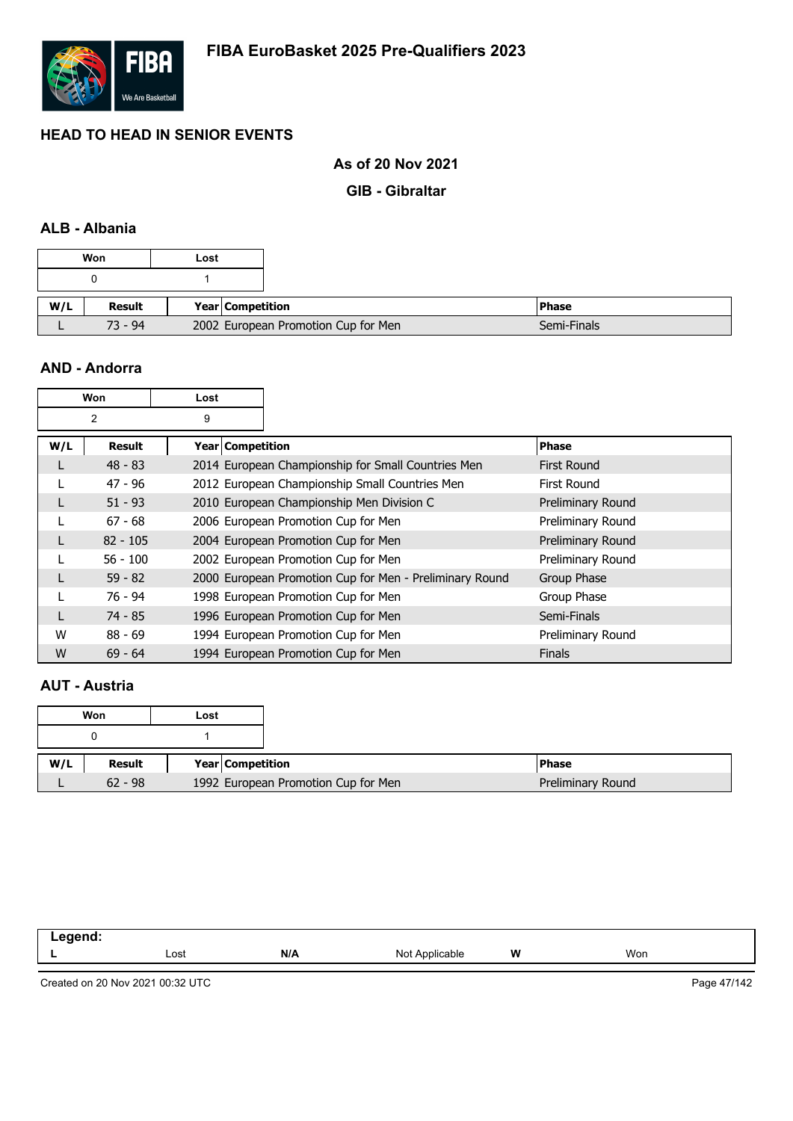

### **As of 20 Nov 2021**

**GIB - Gibraltar**

## **ALB - Albania**

| Won |           | Lost               |                                     |
|-----|-----------|--------------------|-------------------------------------|
|     |           |                    |                                     |
| W/L | Result    | Year   Competition |                                     |
|     | $73 - 94$ |                    | 2002 European Promotion Cup for Men |

### **AND - Andorra**

| Won    |            | Lost             |                                                         |                    |
|--------|------------|------------------|---------------------------------------------------------|--------------------|
| 2<br>9 |            |                  |                                                         |                    |
| W/L    | Result     | Year Competition |                                                         | <b>Phase</b>       |
| L      | $48 - 83$  |                  | 2014 European Championship for Small Countries Men      | <b>First Round</b> |
|        | $47 - 96$  |                  | 2012 European Championship Small Countries Men          | First Round        |
|        | $51 - 93$  |                  | 2010 European Championship Men Division C               | Preliminary Round  |
|        | $67 - 68$  |                  | 2006 European Promotion Cup for Men                     | Preliminary Round  |
|        | $82 - 105$ |                  | 2004 European Promotion Cup for Men                     | Preliminary Round  |
|        | $56 - 100$ |                  | 2002 European Promotion Cup for Men                     | Preliminary Round  |
|        | $59 - 82$  |                  | 2000 European Promotion Cup for Men - Preliminary Round | Group Phase        |
|        | 76 - 94    |                  | 1998 European Promotion Cup for Men                     | Group Phase        |
|        | $74 - 85$  |                  | 1996 European Promotion Cup for Men                     | Semi-Finals        |
| W      | $88 - 69$  |                  | 1994 European Promotion Cup for Men                     | Preliminary Round  |
| W      | $69 - 64$  |                  | 1994 European Promotion Cup for Men                     | <b>Finals</b>      |

### **AUT - Austria**

|     | Won       | Lost                                |
|-----|-----------|-------------------------------------|
|     |           |                                     |
| W/L | Result    | Year Competition                    |
|     | $62 - 98$ | 1992 European Promotion Cup for Men |

| - | Lost | N/A | NI∩t<br>anie<br>ישיו | W | Won |  |
|---|------|-----|----------------------|---|-----|--|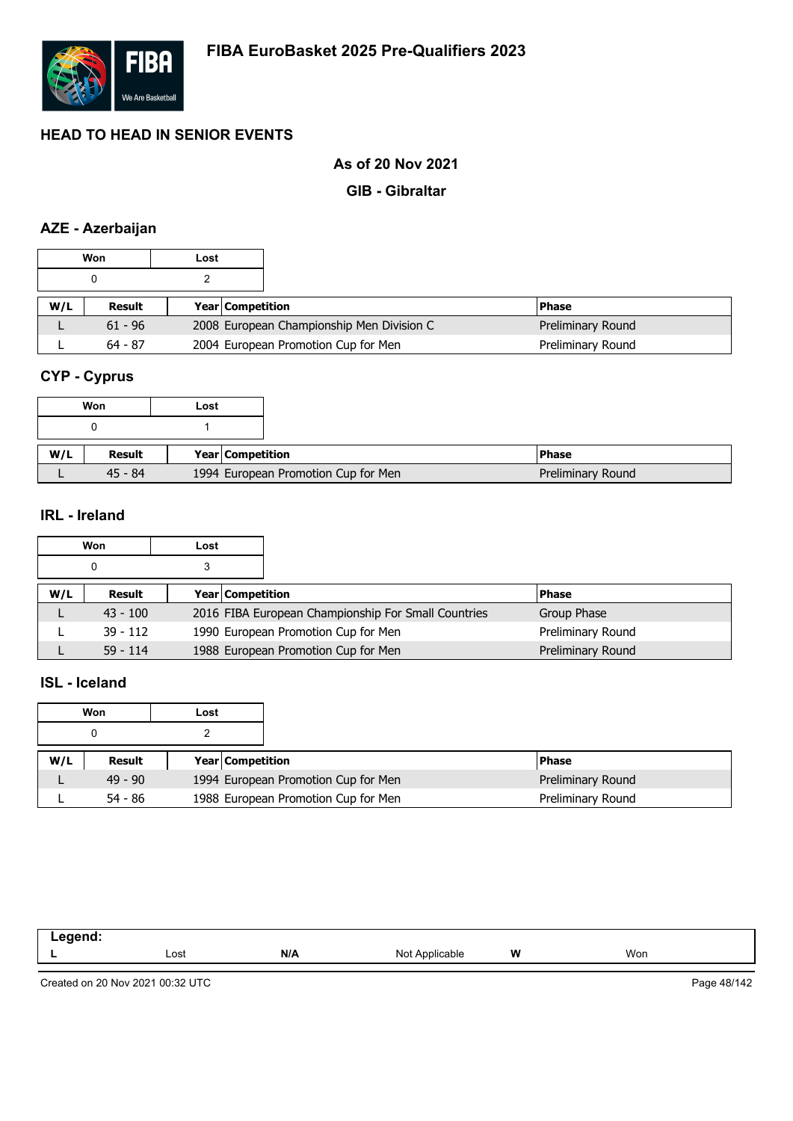

### **As of 20 Nov 2021**

### **GIB - Gibraltar**

# **AZE - Azerbaijan**

|     | Won       | Lost |                         |                                           |  |                   |
|-----|-----------|------|-------------------------|-------------------------------------------|--|-------------------|
|     |           |      |                         |                                           |  |                   |
| W/L | Result    |      | <b>Year Competition</b> |                                           |  | <b>Phase</b>      |
|     | $61 - 96$ |      |                         | 2008 European Championship Men Division C |  | Preliminary Round |
|     | $64 - 87$ |      |                         | 2004 European Promotion Cup for Men       |  | Preliminary Round |

# **CYP - Cyprus**

|     | Won       | Lost |                  |                                     |
|-----|-----------|------|------------------|-------------------------------------|
|     |           |      |                  |                                     |
| W/L | Result    |      | Year Competition |                                     |
|     | $45 - 84$ |      |                  | 1994 European Promotion Cup for Men |

### **IRL - Ireland**

|     | Won        | Lost |                         |                                                     |  |                   |
|-----|------------|------|-------------------------|-----------------------------------------------------|--|-------------------|
|     |            |      |                         |                                                     |  |                   |
| W/L | Result     |      | <b>Year Competition</b> |                                                     |  | <b>Phase</b>      |
|     | $43 - 100$ |      |                         | 2016 FIBA European Championship For Small Countries |  | Group Phase       |
|     | $39 - 112$ |      |                         | 1990 European Promotion Cup for Men                 |  | Preliminary Round |
|     | $59 - 114$ |      |                         | 1988 European Promotion Cup for Men                 |  | Preliminary Round |

## **ISL - Iceland**

|     | Won       | Lost |                         |                                     |                   |
|-----|-----------|------|-------------------------|-------------------------------------|-------------------|
|     |           |      |                         |                                     |                   |
| W/L | Result    |      | <b>Year Competition</b> |                                     | <b>Phase</b>      |
|     | $49 - 90$ |      |                         | 1994 European Promotion Cup for Men | Preliminary Round |
|     | $54 - 86$ |      |                         | 1988 European Promotion Cup for Men | Preliminary Round |

| ----- |      |     |                    |          |     |
|-------|------|-----|--------------------|----------|-----|
| --    | Lost | N/A | `nnlicable_<br>No. | W<br>. . | Won |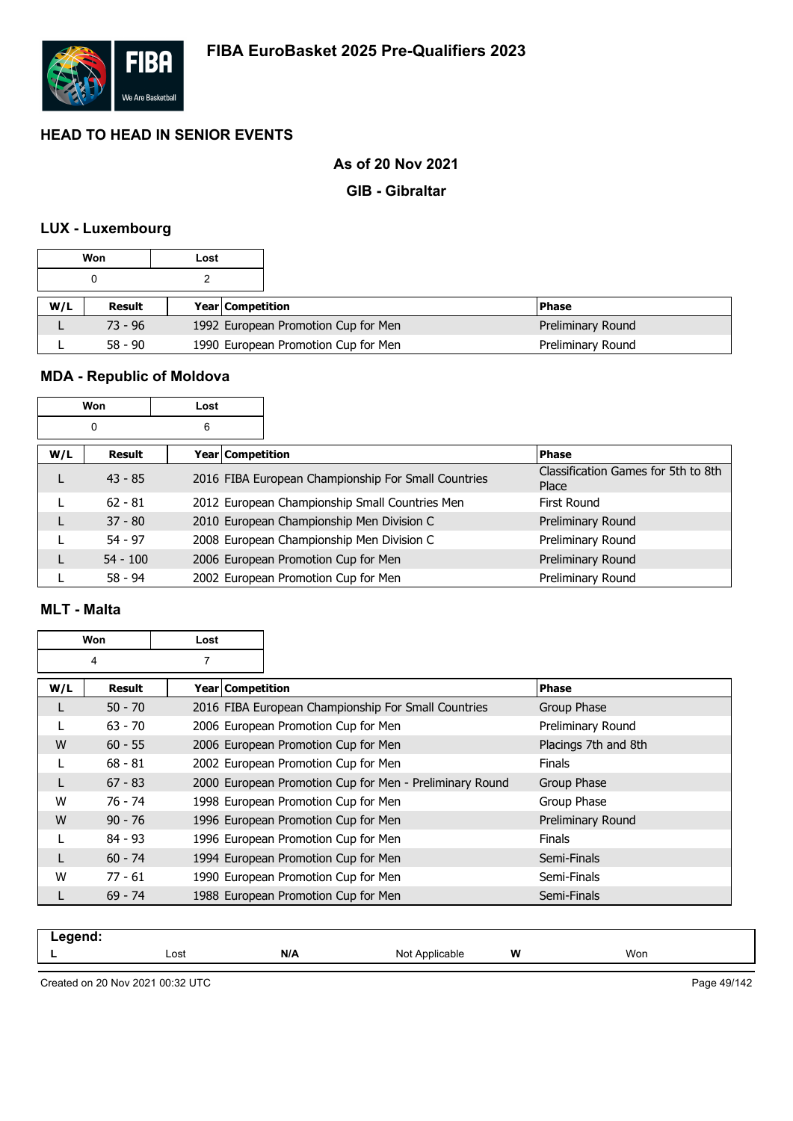

### **As of 20 Nov 2021**

### **GIB - Gibraltar**

### **LUX - Luxembourg**

|     | Won       | Lost |                         |                                     |                   |
|-----|-----------|------|-------------------------|-------------------------------------|-------------------|
|     |           |      |                         |                                     |                   |
| W/L | Result    |      | <b>Year Competition</b> |                                     | <b>Phase</b>      |
|     | $73 - 96$ |      |                         | 1992 European Promotion Cup for Men | Preliminary Round |
|     | $58 - 90$ |      |                         | 1990 European Promotion Cup for Men | Preliminary Round |

# **MDA - Republic of Moldova**

|     | Won        | Lost               |                                                     |                                              |
|-----|------------|--------------------|-----------------------------------------------------|----------------------------------------------|
|     | 0          | 6                  |                                                     |                                              |
| W/L | Result     | Year   Competition |                                                     | <b>Phase</b>                                 |
|     | $43 - 85$  |                    | 2016 FIBA European Championship For Small Countries | Classification Games for 5th to 8th<br>Place |
|     | $62 - 81$  |                    | 2012 European Championship Small Countries Men      | First Round                                  |
|     | $37 - 80$  |                    | 2010 European Championship Men Division C           | Preliminary Round                            |
|     | $54 - 97$  |                    | 2008 European Championship Men Division C           | Preliminary Round                            |
|     | $54 - 100$ |                    | 2006 European Promotion Cup for Men                 | Preliminary Round                            |
|     | $58 - 94$  |                    | 2002 European Promotion Cup for Men                 | Preliminary Round                            |

### **MLT - Malta**

|     | Won<br>Lost |                         |                                                         |                      |
|-----|-------------|-------------------------|---------------------------------------------------------|----------------------|
|     | 4           | $\overline{7}$          |                                                         |                      |
| W/L | Result      | <b>Year Competition</b> |                                                         | <b>Phase</b>         |
|     | $50 - 70$   |                         | 2016 FIBA European Championship For Small Countries     | Group Phase          |
|     | $63 - 70$   |                         | 2006 European Promotion Cup for Men                     | Preliminary Round    |
| W   | $60 - 55$   |                         | 2006 European Promotion Cup for Men                     | Placings 7th and 8th |
|     | $68 - 81$   |                         | 2002 European Promotion Cup for Men                     | <b>Finals</b>        |
|     | $67 - 83$   |                         | 2000 European Promotion Cup for Men - Preliminary Round | Group Phase          |
| W   | 76 - 74     |                         | 1998 European Promotion Cup for Men                     | Group Phase          |
| W   | $90 - 76$   |                         | 1996 European Promotion Cup for Men                     | Preliminary Round    |
|     | $84 - 93$   |                         | 1996 European Promotion Cup for Men                     | <b>Finals</b>        |
|     | $60 - 74$   |                         | 1994 European Promotion Cup for Men                     | Semi-Finals          |
| W   | $77 - 61$   |                         | 1990 European Promotion Cup for Men                     | Semi-Finals          |
|     | $69 - 74$   |                         | 1988 European Promotion Cup for Men                     | Semi-Finals          |

| -----<br>$-95$ |      |     |                   |   |          |
|----------------|------|-----|-------------------|---|----------|
| --             | ∟ost | N/A | Not<br>Applicable | W | Won<br>. |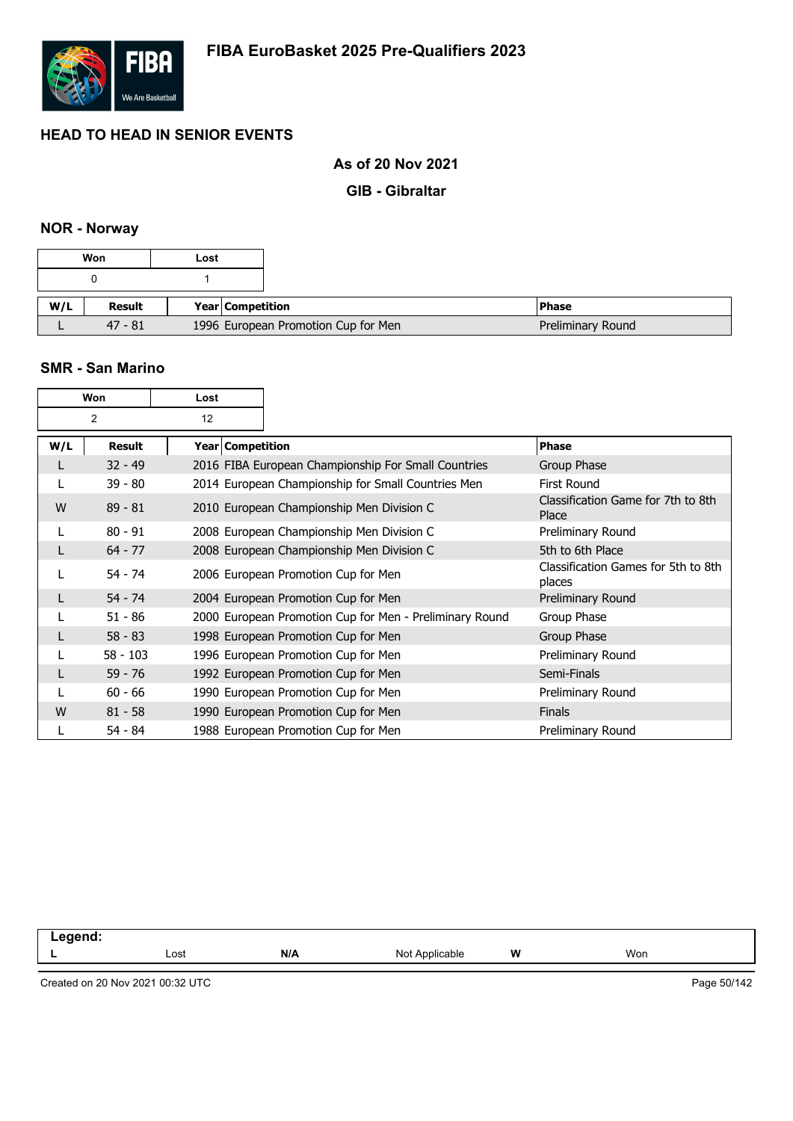

### **As of 20 Nov 2021**

**GIB - Gibraltar**

# **NOR - Norway**

#### **SMR - San Marino**

|     | Won            | Lost |                    |                                                         |                                               |
|-----|----------------|------|--------------------|---------------------------------------------------------|-----------------------------------------------|
|     | $\overline{2}$ | 12   |                    |                                                         |                                               |
| W/L | Result         |      | Year   Competition |                                                         | <b>Phase</b>                                  |
|     | $32 - 49$      |      |                    | 2016 FIBA European Championship For Small Countries     | Group Phase                                   |
|     | $39 - 80$      |      |                    | 2014 European Championship for Small Countries Men      | First Round                                   |
| W   | $89 - 81$      |      |                    | 2010 European Championship Men Division C               | Classification Game for 7th to 8th<br>Place   |
|     | $80 - 91$      |      |                    | 2008 European Championship Men Division C               | Preliminary Round                             |
|     | $64 - 77$      |      |                    | 2008 European Championship Men Division C               | 5th to 6th Place                              |
|     | $54 - 74$      |      |                    | 2006 European Promotion Cup for Men                     | Classification Games for 5th to 8th<br>places |
|     | $54 - 74$      |      |                    | 2004 European Promotion Cup for Men                     | Preliminary Round                             |
|     | $51 - 86$      |      |                    | 2000 European Promotion Cup for Men - Preliminary Round | Group Phase                                   |
|     | $58 - 83$      |      |                    | 1998 European Promotion Cup for Men                     | Group Phase                                   |
|     | $58 - 103$     |      |                    | 1996 European Promotion Cup for Men                     | Preliminary Round                             |
|     | $59 - 76$      |      |                    | 1992 European Promotion Cup for Men                     | Semi-Finals                                   |
|     | $60 - 66$      |      |                    | 1990 European Promotion Cup for Men                     | Preliminary Round                             |
| W   | $81 - 58$      |      |                    | 1990 European Promotion Cup for Men                     | <b>Finals</b>                                 |
|     | $54 - 84$      |      |                    | 1988 European Promotion Cup for Men                     | Preliminary Round                             |

| ------<br>_<br>. . |      |     |                               |        |     |
|--------------------|------|-----|-------------------------------|--------|-----|
|                    | Lost | N/A | $\cdots$<br>Not<br>`oplicable | W<br>. | Won |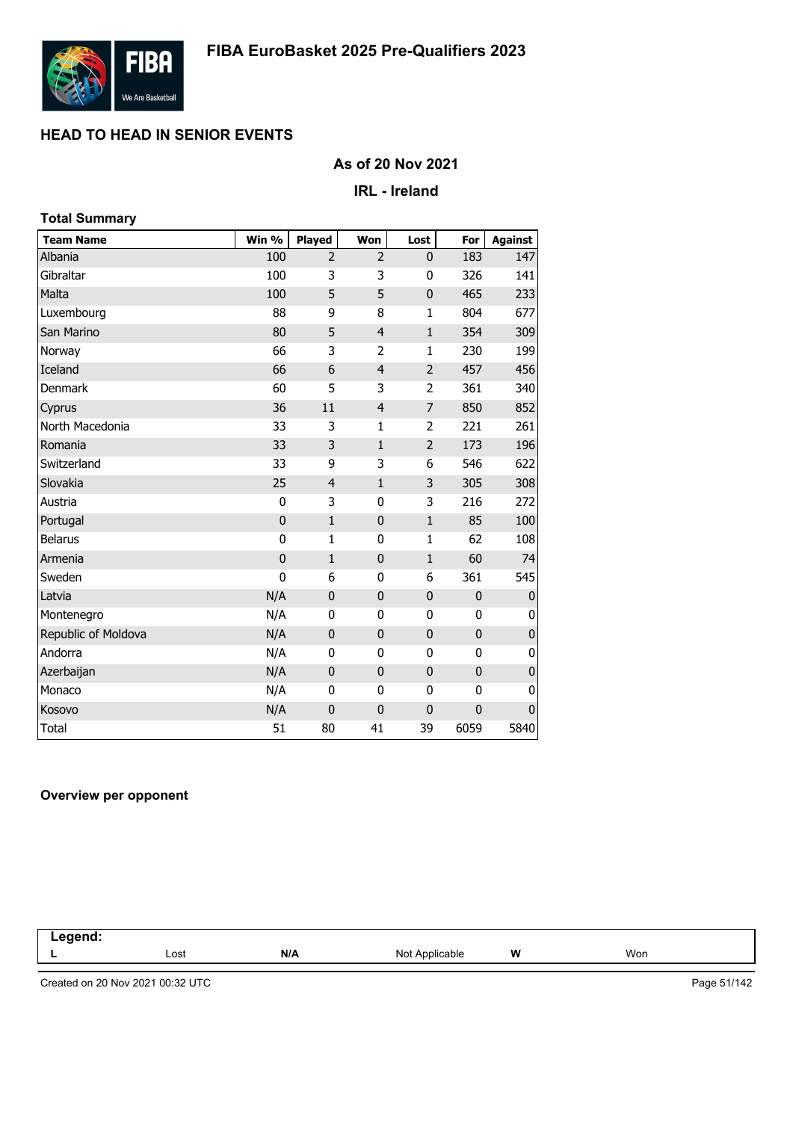

### **As of 20 Nov 2021**

### **IRL - Ireland**

| <b>Total Summary</b> |             |                |                |                |              |                |
|----------------------|-------------|----------------|----------------|----------------|--------------|----------------|
| <b>Team Name</b>     | Win %       | Played         | Won            | Lost           | For          | <b>Against</b> |
| Albania              | 100         | $\overline{2}$ | 2              | 0              | 183          | 147            |
| Gibraltar            | 100         | 3              | 3              | 0              | 326          | 141            |
| Malta                | 100         | 5              | 5              | $\mathbf 0$    | 465          | 233            |
| Luxembourg           | 88          | 9              | 8              | $\mathbf{1}$   | 804          | 677            |
| San Marino           | 80          | 5              | $\overline{4}$ | $\mathbf{1}$   | 354          | 309            |
| Norway               | 66          | 3              | $\overline{2}$ | $\mathbf{1}$   | 230          | 199            |
| Iceland              | 66          | 6              | $\overline{4}$ | $\overline{2}$ | 457          | 456            |
| Denmark              | 60          | 5              | 3              | 2              | 361          | 340            |
| Cyprus               | 36          | 11             | $\overline{4}$ | 7              | 850          | 852            |
| North Macedonia      | 33          | 3              | 1              | 2              | 221          | 261            |
| Romania              | 33          | 3              | $\mathbf{1}$   | $\overline{2}$ | 173          | 196            |
| Switzerland          | 33          | 9              | 3              | 6              | 546          | 622            |
| Slovakia             | 25          | $\overline{4}$ | $\mathbf{1}$   | 3              | 305          | 308            |
| Austria              | 0           | 3              | $\mathbf 0$    | 3              | 216          | 272            |
| Portugal             | $\mathbf 0$ | $\mathbf{1}$   | $\mathbf 0$    | $\mathbf{1}$   | 85           | 100            |
| <b>Belarus</b>       | 0           | 1              | $\mathbf 0$    | $\mathbf{1}$   | 62           | 108            |
| Armenia              | $\bf{0}$    | $\mathbf{1}$   | $\mathbf 0$    | $\mathbf{1}$   | 60           | 74             |
| Sweden               | $\mathbf 0$ | 6              | $\mathbf 0$    | 6              | 361          | 545            |
| Latvia               | N/A         | $\mathbf 0$    | $\bf 0$        | $\pmb{0}$      | $\mathbf 0$  | $\pmb{0}$      |
| Montenegro           | N/A         | $\mathbf{0}$   | 0              | 0              | 0            | 0              |
| Republic of Moldova  | N/A         | $\mathbf 0$    | $\bf{0}$       | $\mathbf 0$    | $\bf{0}$     | 0              |
| Andorra              | N/A         | 0              | 0              | 0              | $\mathbf{0}$ | 0              |
| Azerbaijan           | N/A         | $\mathbf{0}$   | $\mathbf 0$    | $\mathbf 0$    | $\mathbf{0}$ | $\pmb{0}$      |
| Monaco               | N/A         | 0              | 0              | $\bf{0}$       | 0            | 0              |
| Kosovo               | N/A         | $\mathbf 0$    | $\mathbf 0$    | $\mathbf 0$    | $\mathbf 0$  | $\mathbf{0}$   |
| <b>Total</b>         | 51          | 80             | 41             | 39             | 6059         | 5840           |

#### **Overview per opponent**

| .7001<br>$\sim$ $\sim$ $\sim$<br>-- |      |     |                              |       |     |  |
|-------------------------------------|------|-----|------------------------------|-------|-----|--|
|                                     | Lost | N/A | Not $\epsilon$<br>Applicable | W<br> | Won |  |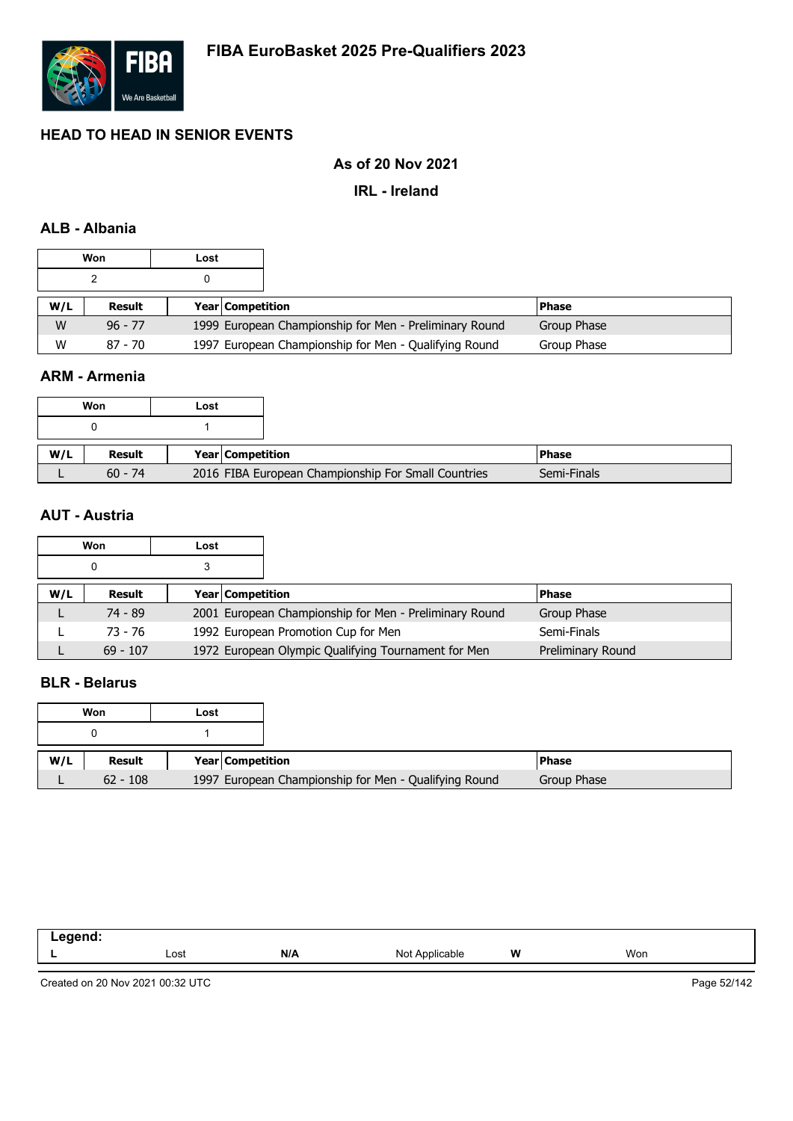

### **As of 20 Nov 2021**

### **IRL - Ireland**

### **ALB - Albania**

|     | Won       | Lost |                  |                                                        |              |
|-----|-----------|------|------------------|--------------------------------------------------------|--------------|
|     |           |      |                  |                                                        |              |
| W/L | Result    |      | Year Competition |                                                        | <b>Phase</b> |
| W   | $96 - 77$ |      |                  | 1999 European Championship for Men - Preliminary Round | Group Phase  |
| W   | $87 - 70$ |      |                  | 1997 European Championship for Men - Qualifying Round  | Group Phase  |

### **ARM - Armenia**

| Won | Lost                       |                                                     |
|-----|----------------------------|-----------------------------------------------------|
|     |                            |                                                     |
| W/L | Result<br>Year Competition |                                                     |
|     | $60 - 74$                  | 2016 FIBA European Championship For Small Countries |

### **AUT - Austria**

|     | Won        | Lost |                                                        |                   |
|-----|------------|------|--------------------------------------------------------|-------------------|
|     | 0          |      |                                                        |                   |
| W/L | Result     |      | Year Competition                                       | <b>Phase</b>      |
|     | 74 - 89    |      | 2001 European Championship for Men - Preliminary Round | Group Phase       |
|     | 73 - 76    |      | 1992 European Promotion Cup for Men                    | Semi-Finals       |
|     | $69 - 107$ |      | 1972 European Olympic Qualifying Tournament for Men    | Preliminary Round |

## **BLR - Belarus**

|     | Won        | Lost |                         |                                                       |  |
|-----|------------|------|-------------------------|-------------------------------------------------------|--|
|     |            |      |                         |                                                       |  |
| W/L | Result     |      | <b>Year Competition</b> |                                                       |  |
|     | $62 - 108$ |      |                         | 1997 European Championship for Men - Qualifying Round |  |

| $\sim$ $\sim$ |      |     |                        |   |     |
|---------------|------|-----|------------------------|---|-----|
| -             | Lost | N/A | nnlic.<br>Not<br>۱۵۱۴، | W | Won |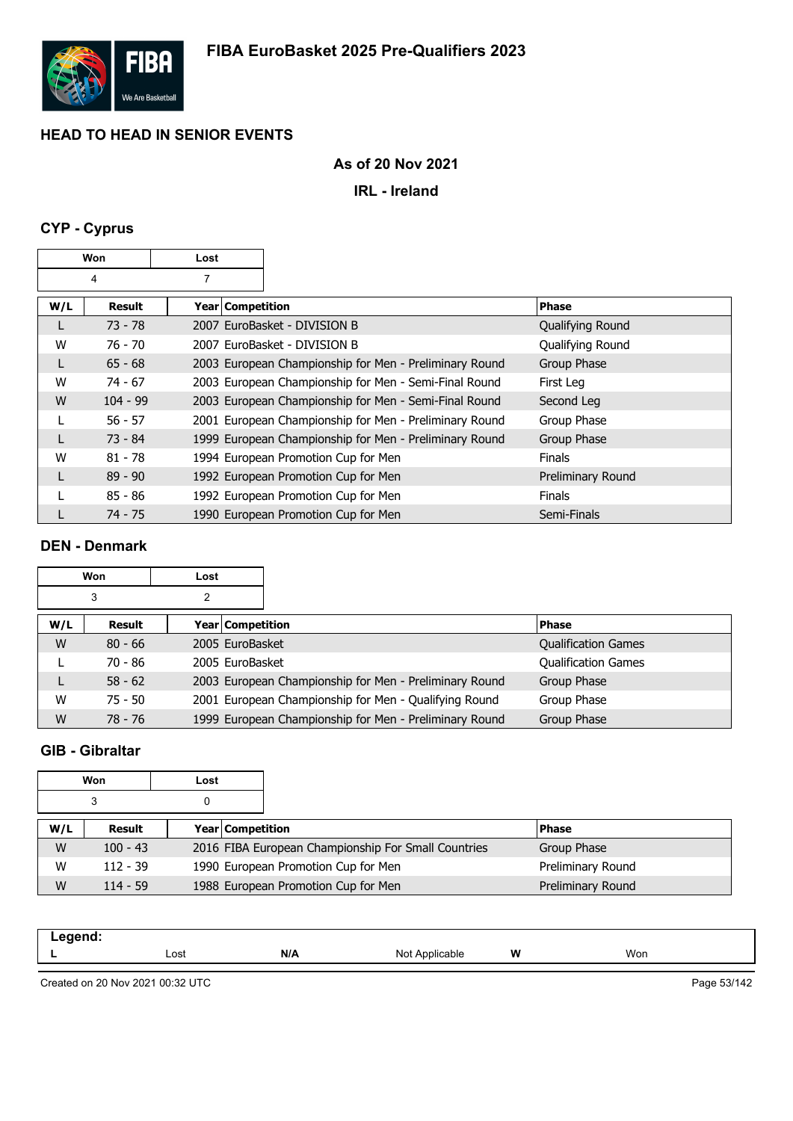

## **As of 20 Nov 2021**

**IRL - Ireland**

# **CYP - Cyprus**

| Won |            | Lost               |                                                        |                   |
|-----|------------|--------------------|--------------------------------------------------------|-------------------|
| 4   |            | 7                  |                                                        |                   |
| W/L | Result     | Year   Competition |                                                        | <b>Phase</b>      |
|     | $73 - 78$  |                    | 2007 EuroBasket - DIVISION B                           | Qualifying Round  |
| W   | 76 - 70    |                    | 2007 EuroBasket - DIVISION B                           | Qualifying Round  |
|     | $65 - 68$  |                    | 2003 European Championship for Men - Preliminary Round | Group Phase       |
| W   | $74 - 67$  |                    | 2003 European Championship for Men - Semi-Final Round  | First Leg         |
| W   | $104 - 99$ |                    | 2003 European Championship for Men - Semi-Final Round  | Second Leg        |
|     | $56 - 57$  |                    | 2001 European Championship for Men - Preliminary Round | Group Phase       |
|     | $73 - 84$  |                    | 1999 European Championship for Men - Preliminary Round | Group Phase       |
| W   | $81 - 78$  |                    | 1994 European Promotion Cup for Men                    | <b>Finals</b>     |
| L   | $89 - 90$  |                    | 1992 European Promotion Cup for Men                    | Preliminary Round |
|     | $85 - 86$  |                    | 1992 European Promotion Cup for Men                    | <b>Finals</b>     |
|     | 74 - 75    |                    | 1990 European Promotion Cup for Men                    | Semi-Finals       |

### **DEN - Denmark**

|     | <b>Won</b> |   |                  |                                                        |                            |
|-----|------------|---|------------------|--------------------------------------------------------|----------------------------|
|     | 3          | 2 |                  |                                                        |                            |
| W/L | Result     |   | Year Competition |                                                        | <b>Phase</b>               |
| W   | $80 - 66$  |   | 2005 EuroBasket  |                                                        | <b>Qualification Games</b> |
|     | 70 - 86    |   | 2005 EuroBasket  |                                                        | <b>Qualification Games</b> |
|     | $58 - 62$  |   |                  | 2003 European Championship for Men - Preliminary Round | Group Phase                |
| W   | $75 - 50$  |   |                  | 2001 European Championship for Men - Qualifying Round  | Group Phase                |
| W   | $78 - 76$  |   |                  | 1999 European Championship for Men - Preliminary Round | Group Phase                |

## **GIB - Gibraltar**

| Won |            | Lost |                                                     |                   |
|-----|------------|------|-----------------------------------------------------|-------------------|
|     | 3<br>0     |      |                                                     |                   |
| W/L | Result     |      | Year Competition                                    | <b>Phase</b>      |
| W   | $100 - 43$ |      | 2016 FIBA European Championship For Small Countries | Group Phase       |
| W   | $112 - 39$ |      | 1990 European Promotion Cup for Men                 | Preliminary Round |
| W   | $114 - 59$ |      | 1988 European Promotion Cup for Men                 | Preliminary Round |

| N/A<br>Lost<br>- | W<br>Won<br>Not<br><sup>*</sup> Applicable |  |
|------------------|--------------------------------------------|--|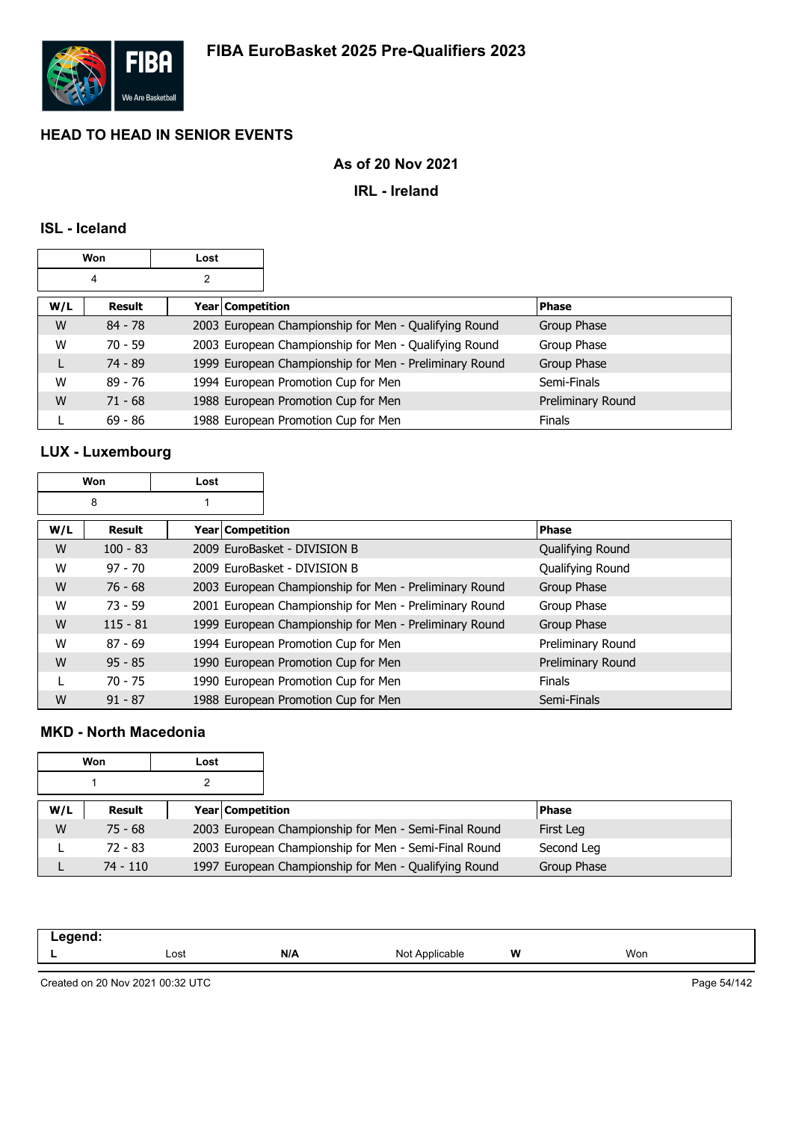

## **As of 20 Nov 2021**

### **IRL - Ireland**

### **ISL - Iceland**

| Won |           | Lost |                  |                                                        |                   |
|-----|-----------|------|------------------|--------------------------------------------------------|-------------------|
|     | 4         | 2    |                  |                                                        |                   |
| W/L | Result    |      | Year Competition |                                                        | <b>Phase</b>      |
| W   | $84 - 78$ |      |                  | 2003 European Championship for Men - Qualifying Round  | Group Phase       |
| W   | $70 - 59$ |      |                  | 2003 European Championship for Men - Qualifying Round  | Group Phase       |
| L   | $74 - 89$ |      |                  | 1999 European Championship for Men - Preliminary Round | Group Phase       |
| W   | $89 - 76$ |      |                  | 1994 European Promotion Cup for Men                    | Semi-Finals       |
| W   | $71 - 68$ |      |                  | 1988 European Promotion Cup for Men                    | Preliminary Round |
|     | $69 - 86$ |      |                  | 1988 European Promotion Cup for Men                    | <b>Finals</b>     |

# **LUX - Luxembourg**

| Won |            | Lost             |                                                        |                         |
|-----|------------|------------------|--------------------------------------------------------|-------------------------|
|     | 8          |                  |                                                        |                         |
| W/L | Result     | Year Competition |                                                        | <b>Phase</b>            |
| W   | $100 - 83$ |                  | 2009 EuroBasket - DIVISION B                           | Qualifying Round        |
| W   | $97 - 70$  |                  | 2009 EuroBasket - DIVISION B                           | <b>Oualifying Round</b> |
| W   | $76 - 68$  |                  | 2003 European Championship for Men - Preliminary Round | Group Phase             |
| W   | $73 - 59$  |                  | 2001 European Championship for Men - Preliminary Round | Group Phase             |
| W   | $115 - 81$ |                  | 1999 European Championship for Men - Preliminary Round | Group Phase             |
| W   | $87 - 69$  |                  | 1994 European Promotion Cup for Men                    | Preliminary Round       |
| W   | $95 - 85$  |                  | 1990 European Promotion Cup for Men                    | Preliminary Round       |
|     | $70 - 75$  |                  | 1990 European Promotion Cup for Men                    | <b>Finals</b>           |
| W   | $91 - 87$  |                  | 1988 European Promotion Cup for Men                    | Semi-Finals             |

## **MKD - North Macedonia**

|     | Won        | Lost |                         |                                                       |              |
|-----|------------|------|-------------------------|-------------------------------------------------------|--------------|
|     |            |      |                         |                                                       |              |
| W/L | Result     |      | <b>Year Competition</b> |                                                       | <b>Phase</b> |
| W   | $75 - 68$  |      |                         | 2003 European Championship for Men - Semi-Final Round | First Leg    |
|     | $72 - 83$  |      |                         | 2003 European Championship for Men - Semi-Final Round | Second Leg   |
|     | $74 - 110$ |      |                         | 1997 European Championship for Men - Qualifying Round | Group Phase  |

| ,,,,,,<br><br>. |      |     |                    |   |     |
|-----------------|------|-----|--------------------|---|-----|
|                 | Lost | N/A | Not.<br>Applicable | W | Won |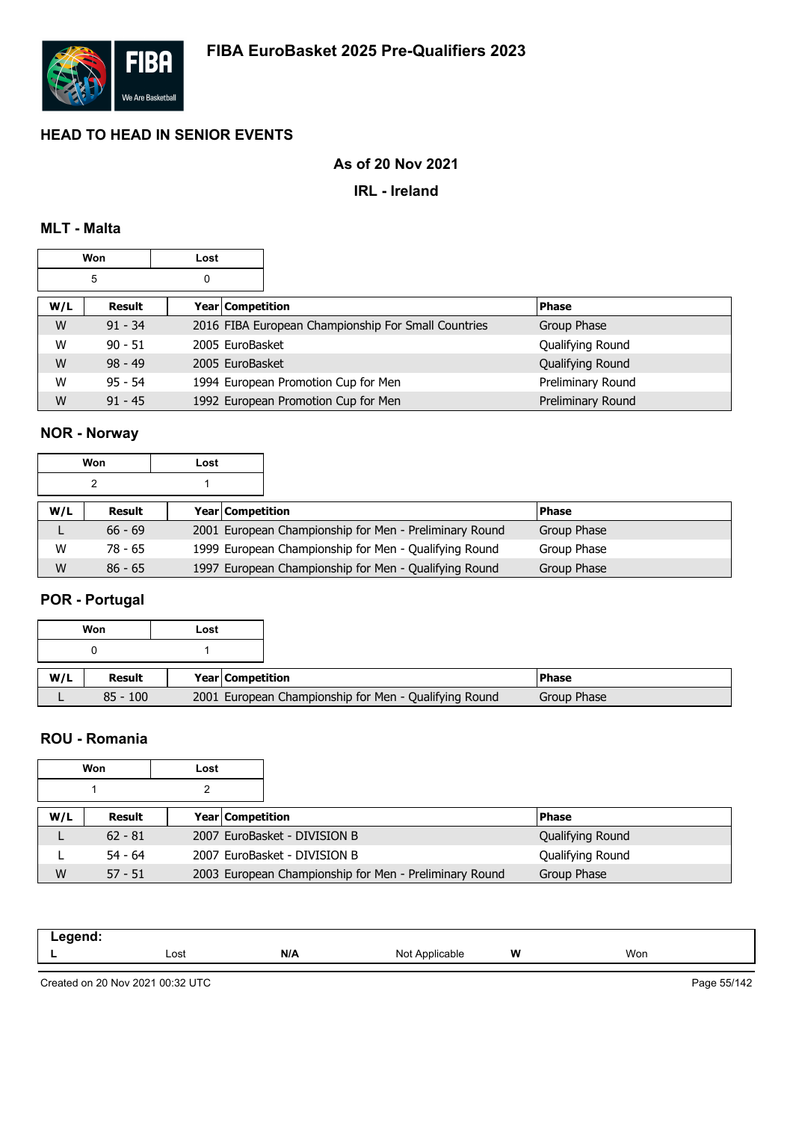

### **As of 20 Nov 2021**

### **IRL - Ireland**

### **MLT - Malta**

| Won    |           | Lost |                  |                                                     |                   |
|--------|-----------|------|------------------|-----------------------------------------------------|-------------------|
| 5<br>0 |           |      |                  |                                                     |                   |
| W/L    | Result    |      | Year Competition |                                                     | <b>Phase</b>      |
| W      | $91 - 34$ |      |                  | 2016 FIBA European Championship For Small Countries | Group Phase       |
| W      | $90 - 51$ |      | 2005 EuroBasket  |                                                     | Qualifying Round  |
| W      | $98 - 49$ |      | 2005 EuroBasket  |                                                     | Qualifying Round  |
| W      | $95 - 54$ |      |                  | 1994 European Promotion Cup for Men                 | Preliminary Round |
| W      | $91 - 45$ |      |                  | 1992 European Promotion Cup for Men                 | Preliminary Round |

# **NOR - Norway**

|     | Won       | Lost |                                                        |               |
|-----|-----------|------|--------------------------------------------------------|---------------|
|     |           |      |                                                        |               |
| W/L | Result    |      | <b>Year Competition</b>                                | <b>IPhase</b> |
|     | $66 - 69$ |      | 2001 European Championship for Men - Preliminary Round | Group Phase   |
| W   | 78 - 65   |      | 1999 European Championship for Men - Qualifying Round  | Group Phase   |
| W   | $86 - 65$ |      | 1997 European Championship for Men - Qualifying Round  | Group Phase   |

# **POR - Portugal**

|     | Won        | Lost |                         |                                                       |               |
|-----|------------|------|-------------------------|-------------------------------------------------------|---------------|
|     |            |      |                         |                                                       |               |
| W/L | Result     |      | <b>Year Competition</b> |                                                       | <b>IPhase</b> |
|     | $85 - 100$ |      |                         | 2001 European Championship for Men - Qualifying Round | Group Phase   |

### **ROU - Romania**

|     | Won       | Lost |                                                        |                  |
|-----|-----------|------|--------------------------------------------------------|------------------|
|     |           |      |                                                        |                  |
| W/L | Result    |      | Year Competition                                       | <b>Phase</b>     |
|     | $62 - 81$ |      | 2007 EuroBasket - DIVISION B                           | Qualifying Round |
|     | $54 - 64$ |      | 2007 EuroBasket - DIVISION B                           | Qualifying Round |
| W   | $57 - 51$ |      | 2003 European Championship for Men - Preliminary Round | Group Phase      |

| -----<br>$\sim$ $\sim$ |      |     |                      |   |     |  |
|------------------------|------|-----|----------------------|---|-----|--|
| -                      | Lost | N/A | N <sub>IO</sub><br>. | W | Won |  |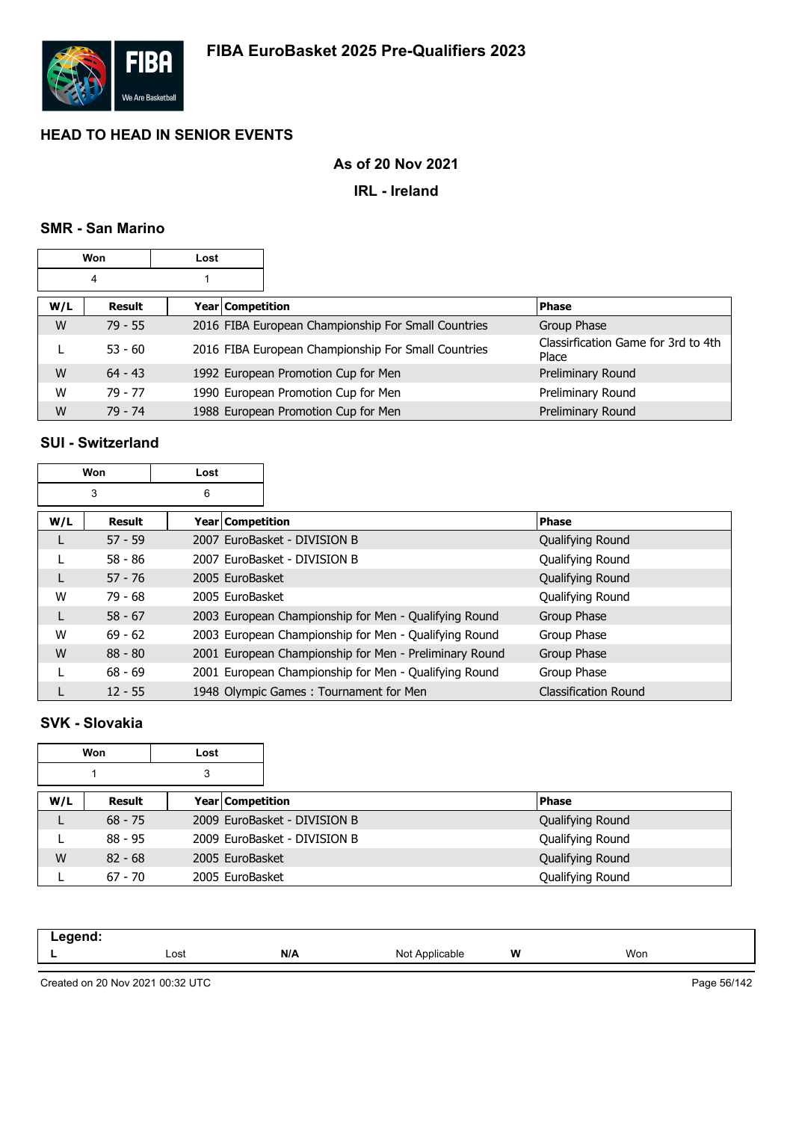

## **As of 20 Nov 2021**

### **IRL - Ireland**

### **SMR - San Marino**

| Won<br>Lost |           |                  |                                                     |                                              |
|-------------|-----------|------------------|-----------------------------------------------------|----------------------------------------------|
|             | 4         |                  |                                                     |                                              |
| W/L         | Result    | Year Competition |                                                     | <b>Phase</b>                                 |
| W           | $79 - 55$ |                  | 2016 FIBA European Championship For Small Countries | Group Phase                                  |
|             | $53 - 60$ |                  | 2016 FIBA European Championship For Small Countries | Classirfication Game for 3rd to 4th<br>Place |
| W           | $64 - 43$ |                  | 1992 European Promotion Cup for Men                 | Preliminary Round                            |
| W           | $79 - 77$ |                  | 1990 European Promotion Cup for Men                 | Preliminary Round                            |
| W           | $79 - 74$ |                  | 1988 European Promotion Cup for Men                 | Preliminary Round                            |

### **SUI - Switzerland**

|     | Won           | Lost               |                                                        |                             |
|-----|---------------|--------------------|--------------------------------------------------------|-----------------------------|
|     | 3             | 6                  |                                                        |                             |
| W/L | <b>Result</b> | Year   Competition |                                                        | <b>Phase</b>                |
|     | $57 - 59$     |                    | 2007 EuroBasket - DIVISION B                           | Qualifying Round            |
|     | $58 - 86$     |                    | 2007 EuroBasket - DIVISION B                           | Qualifying Round            |
|     | $57 - 76$     | 2005 EuroBasket    |                                                        | Qualifying Round            |
| W   | $79 - 68$     | 2005 EuroBasket    |                                                        | Qualifying Round            |
| L   | $58 - 67$     |                    | 2003 European Championship for Men - Qualifying Round  | Group Phase                 |
| W   | $69 - 62$     |                    | 2003 European Championship for Men - Qualifying Round  | Group Phase                 |
| W   | $88 - 80$     |                    | 2001 European Championship for Men - Preliminary Round | Group Phase                 |
|     | $68 - 69$     |                    | 2001 European Championship for Men - Qualifying Round  | Group Phase                 |
|     | $12 - 55$     |                    | 1948 Olympic Games: Tournament for Men                 | <b>Classification Round</b> |

### **SVK - Slovakia**

|     | Won       | Lost                    |                              |                  |
|-----|-----------|-------------------------|------------------------------|------------------|
|     |           | 3                       |                              |                  |
| W/L | Result    | <b>Year Competition</b> |                              | <b>Phase</b>     |
| ┗   | $68 - 75$ |                         | 2009 EuroBasket - DIVISION B | Qualifying Round |
|     | $88 - 95$ |                         | 2009 EuroBasket - DIVISION B | Qualifying Round |
| W   | $82 - 68$ | 2005 EuroBasket         |                              | Qualifying Round |
|     | $67 - 70$ | 2005 EuroBasket         |                              | Qualifying Round |

| ----<br>–- ១- |      |     |                                                                                                                |   |     |
|---------------|------|-----|----------------------------------------------------------------------------------------------------------------|---|-----|
|               | Lost | N/A | ۱۱^۱<br><b>Icable</b><br>vu<br>the contract of the contract of the contract of the contract of the contract of | W | Won |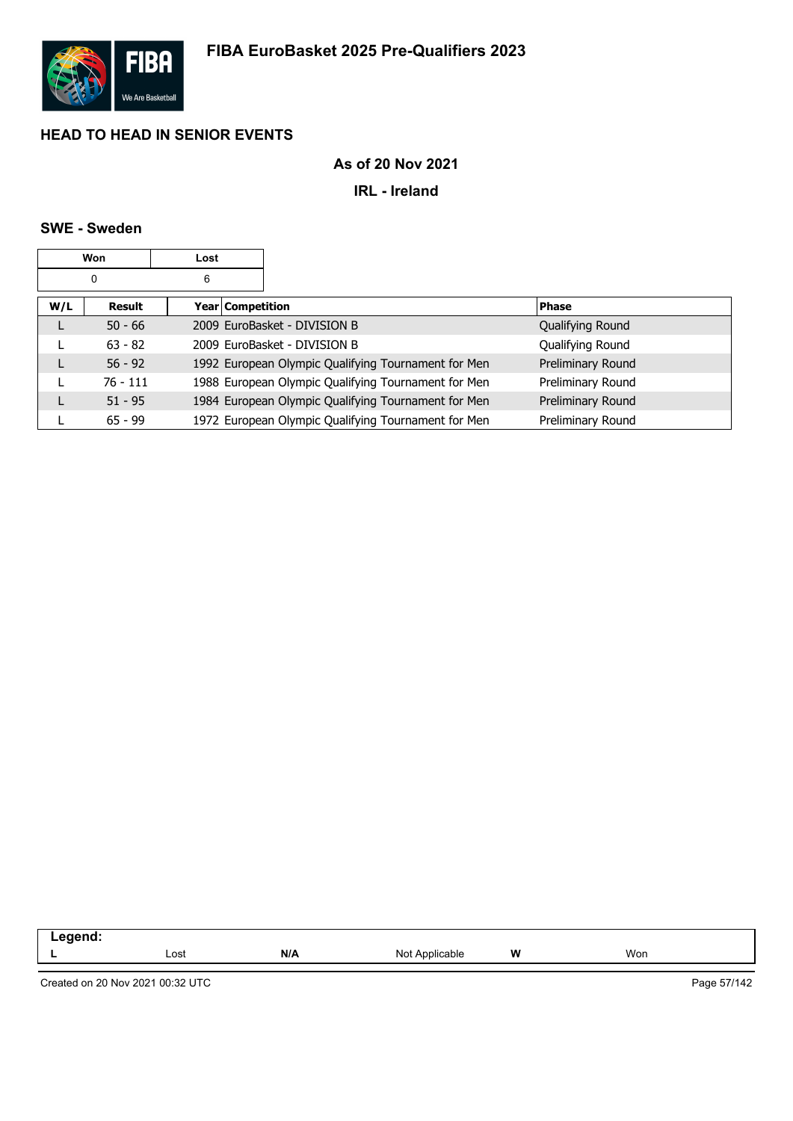

## **As of 20 Nov 2021**

**IRL - Ireland**

### **SWE - Sweden**

|     | Won        | Lost |                    |                                                     |                   |
|-----|------------|------|--------------------|-----------------------------------------------------|-------------------|
|     | 0          | 6    |                    |                                                     |                   |
| W/L | Result     |      | Year   Competition |                                                     | <b>Phase</b>      |
| L   | $50 - 66$  |      |                    | 2009 EuroBasket - DIVISION B                        | Qualifying Round  |
|     | $63 - 82$  |      |                    | 2009 EuroBasket - DIVISION B                        | Qualifying Round  |
|     | $56 - 92$  |      |                    | 1992 European Olympic Qualifying Tournament for Men | Preliminary Round |
|     | $76 - 111$ |      |                    | 1988 European Olympic Qualifying Tournament for Men | Preliminary Round |
|     | $51 - 95$  |      |                    | 1984 European Olympic Qualifying Tournament for Men | Preliminary Round |
|     | $65 - 99$  |      |                    | 1972 European Olympic Qualifying Tournament for Men | Preliminary Round |

| .<br>--<br>-- - |      |     |                           |   |     |
|-----------------|------|-----|---------------------------|---|-----|
|                 | Lost | N/A | NMt<br>Applicable<br>ט צו | W | Won |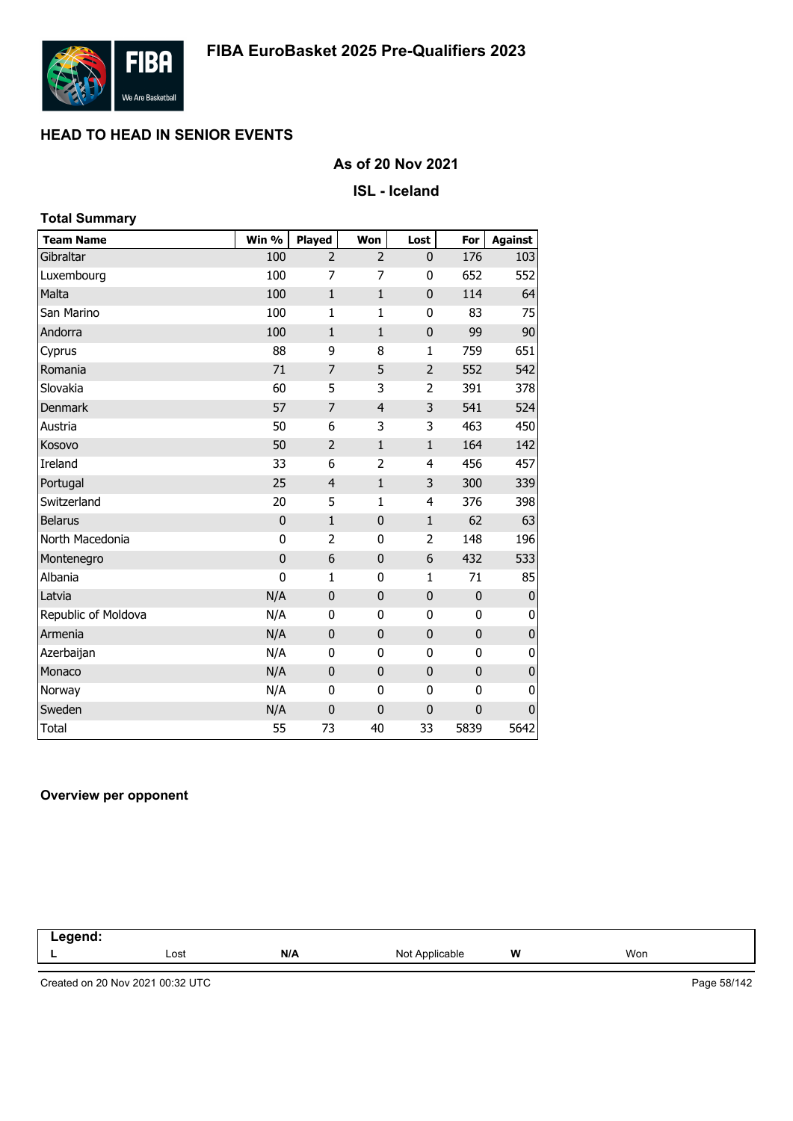

### **As of 20 Nov 2021**

#### **ISL - Iceland**

| <b>Total Summary</b> |             |                |                |                |              |                  |
|----------------------|-------------|----------------|----------------|----------------|--------------|------------------|
| <b>Team Name</b>     | Win %       | <b>Played</b>  | Won            | Lost           | For          | <b>Against</b>   |
| Gibraltar            | 100         | $\overline{2}$ | $\overline{2}$ | 0              | 176          | 103              |
| Luxembourg           | 100         | $\overline{7}$ | 7              | 0              | 652          | 552              |
| Malta                | 100         | $\mathbf{1}$   | $\mathbf{1}$   | $\mathbf 0$    | 114          | 64               |
| San Marino           | 100         | 1              | $\mathbf{1}$   | 0              | 83           | 75               |
| Andorra              | 100         | $\mathbf{1}$   | $\mathbf{1}$   | $\mathbf 0$    | 99           | 90               |
| Cyprus               | 88          | 9              | 8              | $\mathbf{1}$   | 759          | 651              |
| Romania              | 71          | $\overline{7}$ | 5              | $\overline{2}$ | 552          | 542              |
| Slovakia             | 60          | 5              | 3              | $\overline{2}$ | 391          | 378              |
| <b>Denmark</b>       | 57          | $\overline{7}$ | $\overline{4}$ | 3              | 541          | 524              |
| Austria              | 50          | 6              | 3              | 3              | 463          | 450              |
| Kosovo               | 50          | $\overline{2}$ | $\mathbf{1}$   | $\mathbf{1}$   | 164          | 142              |
| Ireland              | 33          | 6              | $\overline{2}$ | 4              | 456          | 457              |
| Portugal             | 25          | $\overline{4}$ | $\mathbf{1}$   | 3              | 300          | 339              |
| Switzerland          | 20          | 5              | 1              | 4              | 376          | 398              |
| <b>Belarus</b>       | $\mathbf 0$ | $\mathbf{1}$   | $\mathbf{0}$   | $\mathbf{1}$   | 62           | 63               |
| North Macedonia      | 0           | 2              | 0              | 2              | 148          | 196              |
| Montenegro           | $\mathbf 0$ | 6              | $\mathbf 0$    | 6              | 432          | 533              |
| Albania              | $\mathbf 0$ | $\mathbf{1}$   | 0              | $\mathbf{1}$   | 71           | 85               |
| Latvia               | N/A         | $\mathbf 0$    | 0              | $\mathbf 0$    | 0            | $\boldsymbol{0}$ |
| Republic of Moldova  | N/A         | 0              | 0              | 0              | 0            | 0                |
| Armenia              | N/A         | $\mathbf 0$    | $\mathbf{0}$   | $\mathbf 0$    | 0            | $\mathbf 0$      |
| Azerbaijan           | N/A         | $\mathbf{0}$   | 0              | 0              | 0            | 0                |
| Monaco               | N/A         | $\mathbf{0}$   | $\mathbf{0}$   | 0              | $\mathbf{0}$ | $\pmb{0}$        |
| Norway               | N/A         | $\mathbf{0}$   | 0              | 0              | 0            | 0                |
| Sweden               | N/A         | $\mathbf 0$    | 0              | $\mathbf 0$    | $\mathbf 0$  | $\mathbf{0}$     |
| <b>Total</b>         | 55          | 73             | 40             | 33             | 5839         | 5642             |

### **Overview per opponent**

| .<br>--<br>$\sim$ $\sim$<br>and the control of |      |     |                     |          |     |  |
|------------------------------------------------|------|-----|---------------------|----------|-----|--|
|                                                | Lost | N/A | Not A<br>Applicable | W<br>. . | Won |  |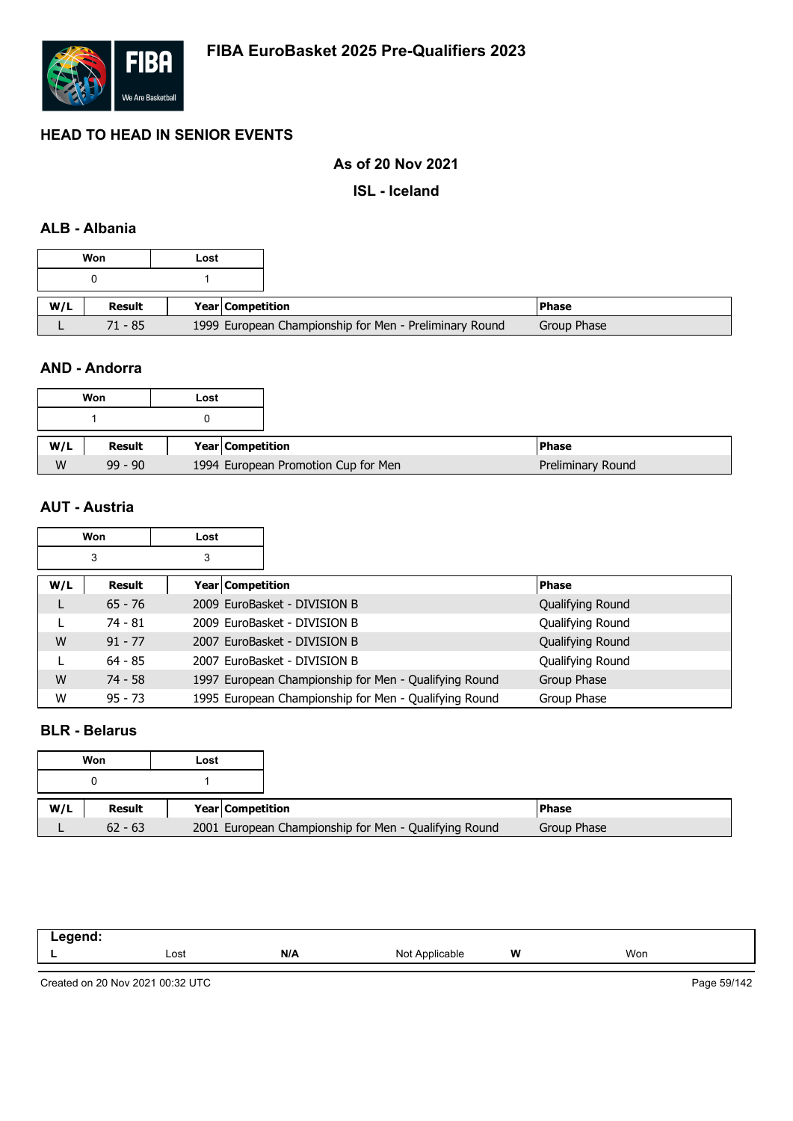

### **As of 20 Nov 2021**

**ISL - Iceland**

### **ALB - Albania**

|     | Won           | Lost |                  |                                                        |              |
|-----|---------------|------|------------------|--------------------------------------------------------|--------------|
|     |               |      |                  |                                                        |              |
| W/L | <b>Result</b> |      | Year Competition |                                                        | <b>Phase</b> |
|     | 71 - 85       |      |                  | 1999 European Championship for Men - Preliminary Round | Group Phase  |

### **AND - Andorra**

|     | Won       | Lost |                                     |                   |
|-----|-----------|------|-------------------------------------|-------------------|
|     |           |      |                                     |                   |
| W/L | Result    |      | Year Competition                    | <b>Phase</b>      |
| W   | $99 - 90$ |      | 1994 European Promotion Cup for Men | Preliminary Round |

### **AUT - Austria**

|     | <b>Won</b> | Lost |                    |                                                       |                  |
|-----|------------|------|--------------------|-------------------------------------------------------|------------------|
|     | 3          | 3    |                    |                                                       |                  |
| W/L | Result     |      | Year   Competition |                                                       | <b>Phase</b>     |
| L   | $65 - 76$  |      |                    | 2009 EuroBasket - DIVISION B                          | Qualifying Round |
|     | $74 - 81$  |      |                    | 2009 EuroBasket - DIVISION B                          | Qualifying Round |
| W   | $91 - 77$  |      |                    | 2007 EuroBasket - DIVISION B                          | Qualifying Round |
|     | $64 - 85$  |      |                    | 2007 EuroBasket - DIVISION B                          | Qualifying Round |
| W   | $74 - 58$  |      |                    | 1997 European Championship for Men - Qualifying Round | Group Phase      |
| W   | $95 - 73$  |      |                    | 1995 European Championship for Men - Qualifying Round | Group Phase      |

### **BLR - Belarus**

|     | Won       | Lost |                  |                                                       |               |
|-----|-----------|------|------------------|-------------------------------------------------------|---------------|
|     |           |      |                  |                                                       |               |
| W/L | Result    |      | Year Competition |                                                       | <b>IPhase</b> |
|     | $62 - 63$ |      |                  | 2001 European Championship for Men - Qualifying Round | Group Phase   |

| ------ |      |     |                    |   |     |  |
|--------|------|-----|--------------------|---|-----|--|
| -      | Lost | N/A | Not<br>١Ι<br>11011 | W | Won |  |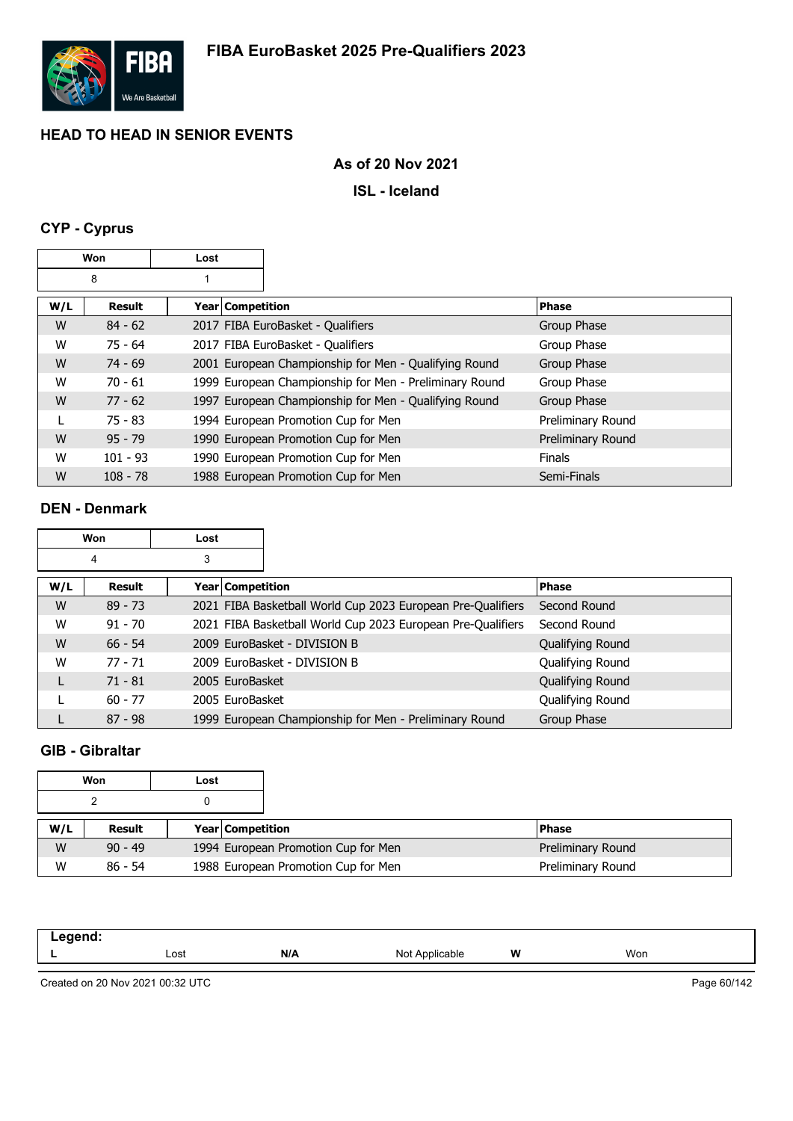

### **As of 20 Nov 2021**

**ISL - Iceland**

# **CYP - Cyprus**

|     | Won        | Lost               |                                                        |                   |
|-----|------------|--------------------|--------------------------------------------------------|-------------------|
|     | 8          |                    |                                                        |                   |
| W/L | Result     | Year   Competition |                                                        | <b>Phase</b>      |
| W   | $84 - 62$  |                    | 2017 FIBA EuroBasket - Qualifiers                      | Group Phase       |
| W   | $75 - 64$  |                    | 2017 FIBA EuroBasket - Qualifiers                      | Group Phase       |
| W   | $74 - 69$  |                    | 2001 European Championship for Men - Qualifying Round  | Group Phase       |
| W   | $70 - 61$  |                    | 1999 European Championship for Men - Preliminary Round | Group Phase       |
| W   | $77 - 62$  |                    | 1997 European Championship for Men - Qualifying Round  | Group Phase       |
|     | $75 - 83$  |                    | 1994 European Promotion Cup for Men                    | Preliminary Round |
| W   | $95 - 79$  |                    | 1990 European Promotion Cup for Men                    | Preliminary Round |
| W   | $101 - 93$ |                    | 1990 European Promotion Cup for Men                    | <b>Finals</b>     |
| W   | $108 - 78$ |                    | 1988 European Promotion Cup for Men                    | Semi-Finals       |

### **DEN - Denmark**

|     | Won       | Lost               |                                                             |                  |
|-----|-----------|--------------------|-------------------------------------------------------------|------------------|
|     | 4         | 3                  |                                                             |                  |
| W/L | Result    | Year   Competition |                                                             | <b>Phase</b>     |
| W   | $89 - 73$ |                    | 2021 FIBA Basketball World Cup 2023 European Pre-Qualifiers | Second Round     |
| W   | $91 - 70$ |                    | 2021 FIBA Basketball World Cup 2023 European Pre-Qualifiers | Second Round     |
| W   | $66 - 54$ |                    | 2009 EuroBasket - DIVISION B                                | Qualifying Round |
| W   | $77 - 71$ |                    | 2009 EuroBasket - DIVISION B                                | Qualifying Round |
|     | $71 - 81$ | 2005 EuroBasket    |                                                             | Qualifying Round |
|     | $60 - 77$ | 2005 EuroBasket    |                                                             | Qualifying Round |
|     | $87 - 98$ |                    | 1999 European Championship for Men - Preliminary Round      | Group Phase      |

# **GIB - Gibraltar**

|     | Won       | Lost |                  |                                     |                   |
|-----|-----------|------|------------------|-------------------------------------|-------------------|
|     |           |      |                  |                                     |                   |
| W/L | Result    |      | Year Competition |                                     | l Phase           |
| W   | $90 - 49$ |      |                  | 1994 European Promotion Cup for Men | Preliminary Round |
| W   | $86 - 54$ |      |                  | 1988 European Promotion Cup for Men | Preliminary Round |

| . |      |     |                  |   |     |  |
|---|------|-----|------------------|---|-----|--|
|   | Lost | N/A | Not A<br>licable | W | Won |  |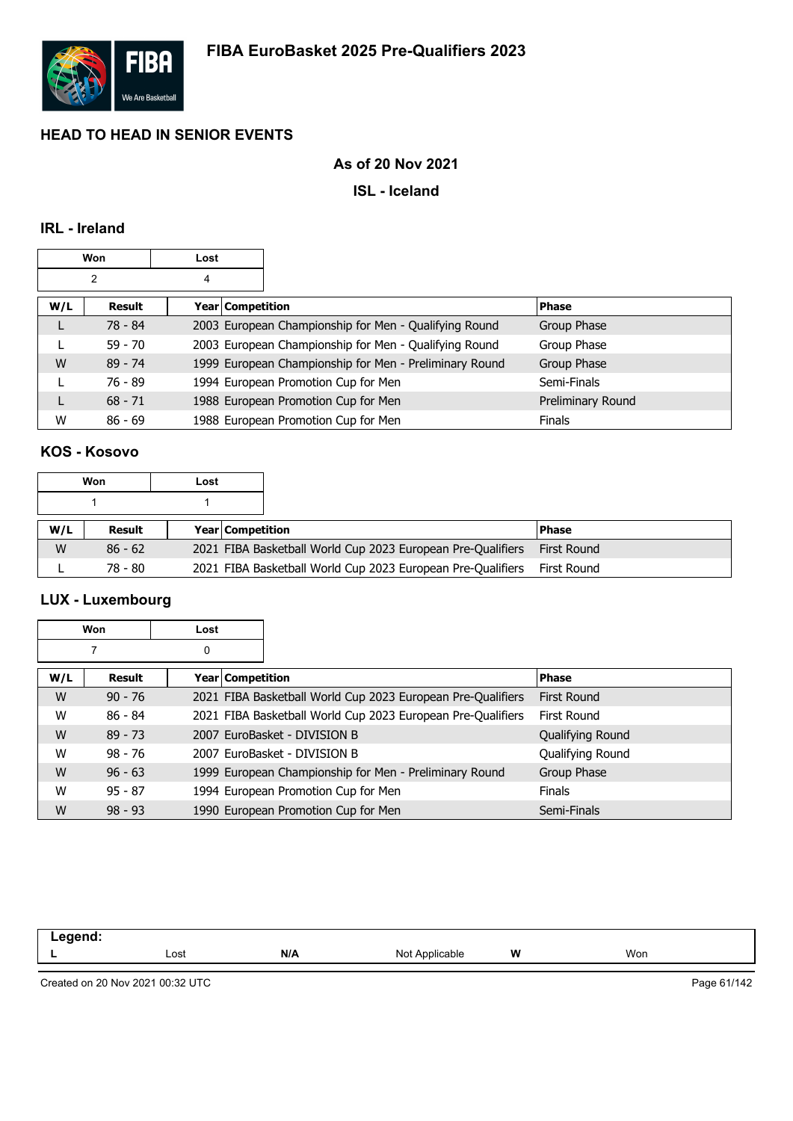

### **As of 20 Nov 2021**

### **ISL - Iceland**

### **IRL - Ireland**

|     | Won       | Lost |                    |                                                        |                   |
|-----|-----------|------|--------------------|--------------------------------------------------------|-------------------|
|     | 2         | 4    |                    |                                                        |                   |
| W/L | Result    |      | Year   Competition |                                                        | <b>Phase</b>      |
| L   | 78 - 84   |      |                    | 2003 European Championship for Men - Qualifying Round  | Group Phase       |
|     | $59 - 70$ |      |                    | 2003 European Championship for Men - Qualifying Round  | Group Phase       |
| W   | $89 - 74$ |      |                    | 1999 European Championship for Men - Preliminary Round | Group Phase       |
|     | $76 - 89$ |      |                    | 1994 European Promotion Cup for Men                    | Semi-Finals       |
| L   | $68 - 71$ |      |                    | 1988 European Promotion Cup for Men                    | Preliminary Round |
| W   | $86 - 69$ |      |                    | 1988 European Promotion Cup for Men                    | <b>Finals</b>     |

# **KOS - Kosovo**

|     | Won<br>Lost |  |                         |                                                             |              |
|-----|-------------|--|-------------------------|-------------------------------------------------------------|--------------|
|     |             |  |                         |                                                             |              |
| W/L | Result      |  | <b>Year Competition</b> |                                                             | <b>Phase</b> |
| W   | $86 - 62$   |  |                         | 2021 FIBA Basketball World Cup 2023 European Pre-Qualifiers | First Round  |
|     | 78 - 80     |  |                         | 2021 FIBA Basketball World Cup 2023 European Pre-Qualifiers | First Round  |

# **LUX - Luxembourg**

|     | Won           | Lost |                                                             |                    |
|-----|---------------|------|-------------------------------------------------------------|--------------------|
|     |               | 0    |                                                             |                    |
| W/L | <b>Result</b> |      | Year   Competition                                          | <b>Phase</b>       |
| W   | $90 - 76$     |      | 2021 FIBA Basketball World Cup 2023 European Pre-Qualifiers | <b>First Round</b> |
| W   | $86 - 84$     |      | 2021 FIBA Basketball World Cup 2023 European Pre-Qualifiers | <b>First Round</b> |
| W   | $89 - 73$     |      | 2007 EuroBasket - DIVISION B                                | Qualifying Round   |
| W   | $98 - 76$     |      | 2007 EuroBasket - DIVISION B                                | Qualifying Round   |
| W   | $96 - 63$     |      | 1999 European Championship for Men - Preliminary Round      | Group Phase        |
| W   | $95 - 87$     |      | 1994 European Promotion Cup for Men                         | <b>Finals</b>      |
| W   | $98 - 93$     |      | 1990 European Promotion Cup for Men                         | Semi-Finals        |

| Lost | N/A | nlle <sub>n</sub><br>N0 | W | Won |  |
|------|-----|-------------------------|---|-----|--|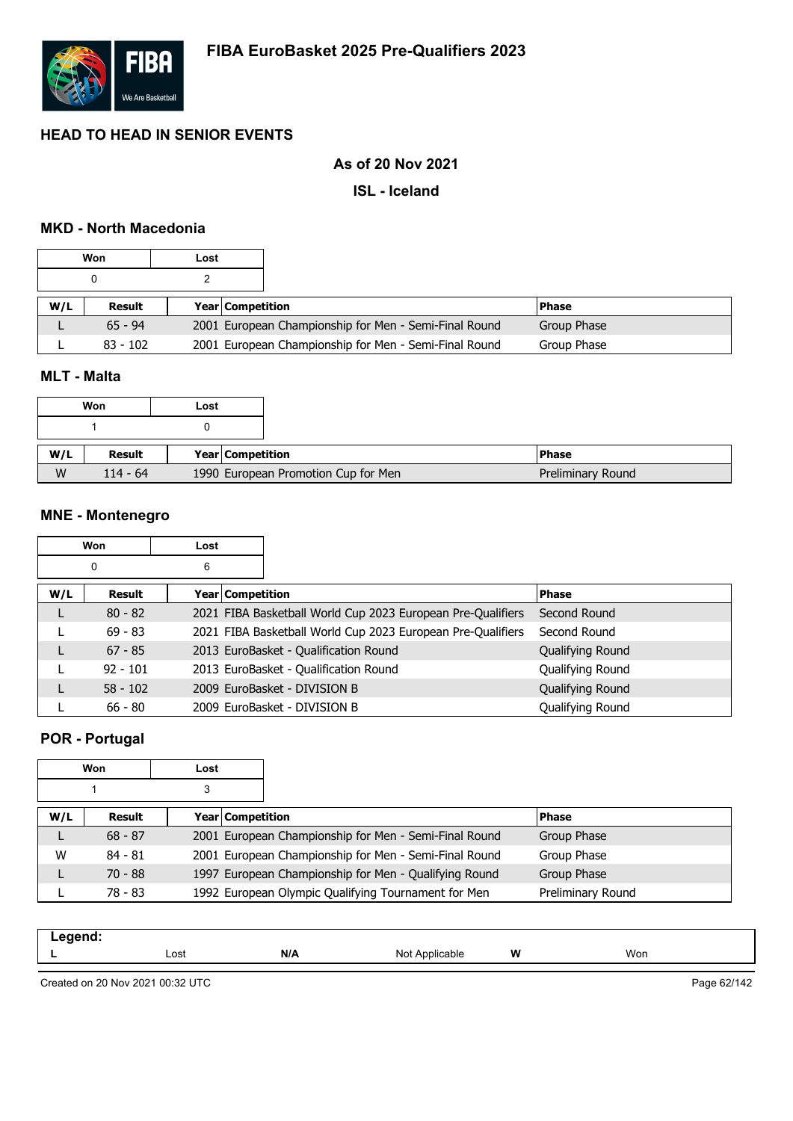

### **As of 20 Nov 2021**

**ISL - Iceland**

### **MKD - North Macedonia**

|     | Won        | Lost |                         |                                                       |             |
|-----|------------|------|-------------------------|-------------------------------------------------------|-------------|
|     |            |      |                         |                                                       |             |
| W/L | Result     |      | <b>Year Competition</b> |                                                       | l Phase     |
|     | $65 - 94$  |      |                         | 2001 European Championship for Men - Semi-Final Round | Group Phase |
|     | $83 - 102$ |      |                         | 2001 European Championship for Men - Semi-Final Round | Group Phase |

### **MLT - Malta**

|     | Won        | Lost |                                     |
|-----|------------|------|-------------------------------------|
|     |            |      |                                     |
|     |            |      |                                     |
| W/L | Result     |      | Year   Competition                  |
| W   | $114 - 64$ |      | 1990 European Promotion Cup for Men |

### **MNE - Montenegro**

|     | Won        | Lost |                         |                                                             |                  |
|-----|------------|------|-------------------------|-------------------------------------------------------------|------------------|
|     | 0          | 6    |                         |                                                             |                  |
| W/L | Result     |      | <b>Year Competition</b> |                                                             | <b>Phase</b>     |
|     | $80 - 82$  |      |                         | 2021 FIBA Basketball World Cup 2023 European Pre-Qualifiers | Second Round     |
|     | $69 - 83$  |      |                         | 2021 FIBA Basketball World Cup 2023 European Pre-Qualifiers | Second Round     |
|     | $67 - 85$  |      |                         | 2013 EuroBasket - Qualification Round                       | Qualifying Round |
|     | $92 - 101$ |      |                         | 2013 EuroBasket - Qualification Round                       | Qualifying Round |
|     | $58 - 102$ |      |                         | 2009 EuroBasket - DIVISION B                                | Qualifying Round |
|     | $66 - 80$  |      |                         | 2009 EuroBasket - DIVISION B                                | Qualifying Round |

# **POR - Portugal**

| Won<br>Lost |           |   |                  |                                                       |                   |  |
|-------------|-----------|---|------------------|-------------------------------------------------------|-------------------|--|
|             |           | 3 |                  |                                                       |                   |  |
| W/L         | Result    |   | Year Competition |                                                       | <b>Phase</b>      |  |
| ┗           | $68 - 87$ |   |                  | 2001 European Championship for Men - Semi-Final Round | Group Phase       |  |
| W           | $84 - 81$ |   |                  | 2001 European Championship for Men - Semi-Final Round | Group Phase       |  |
|             | $70 - 88$ |   |                  | 1997 European Championship for Men - Qualifying Round | Group Phase       |  |
|             | 78 - 83   |   |                  | 1992 European Olympic Qualifying Tournament for Men   | Preliminary Round |  |

| eand:<br>$- -$ . |      |     |                   |   |     |
|------------------|------|-----|-------------------|---|-----|
|                  | Lost | N/A | Not<br>Applicable | W | Won |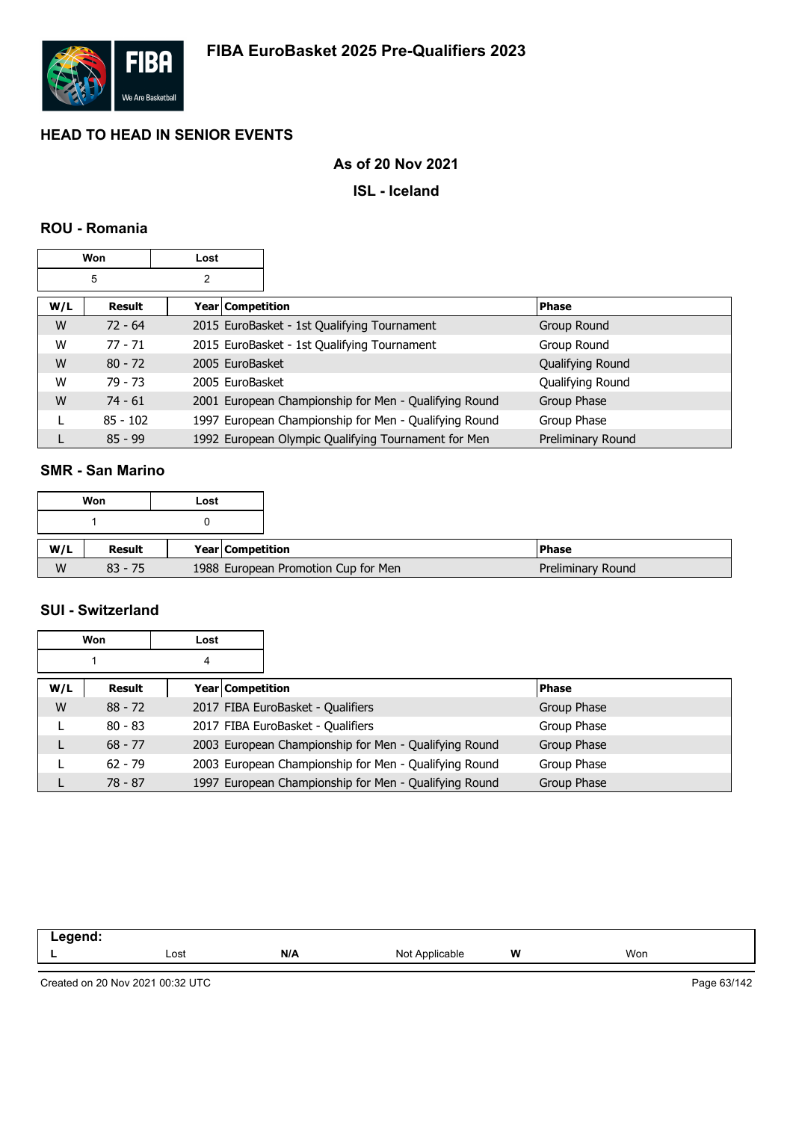

## **As of 20 Nov 2021**

### **ISL - Iceland**

### **ROU - Romania**

|     | Won        | Lost               |                                                       |                   |
|-----|------------|--------------------|-------------------------------------------------------|-------------------|
|     | 5          | 2                  |                                                       |                   |
| W/L | Result     | Year   Competition |                                                       | <b>Phase</b>      |
| W   | $72 - 64$  |                    | 2015 EuroBasket - 1st Qualifying Tournament           | Group Round       |
| W   | $77 - 71$  |                    | 2015 EuroBasket - 1st Qualifying Tournament           | Group Round       |
| W   | $80 - 72$  | 2005 EuroBasket    |                                                       | Qualifying Round  |
| W   | $79 - 73$  | 2005 EuroBasket    |                                                       | Qualifying Round  |
| W   | $74 - 61$  |                    | 2001 European Championship for Men - Qualifying Round | Group Phase       |
|     | $85 - 102$ |                    | 1997 European Championship for Men - Qualifying Round | Group Phase       |
|     | $85 - 99$  |                    | 1992 European Olympic Qualifying Tournament for Men   | Preliminary Round |

### **SMR - San Marino**

|     | Won       | Lost |                  |                                     |                   |
|-----|-----------|------|------------------|-------------------------------------|-------------------|
|     |           |      |                  |                                     |                   |
| W/L | Result    |      | Year Competition |                                     | <b>IPhase</b>     |
| W   | $83 - 75$ |      |                  | 1988 European Promotion Cup for Men | Preliminary Round |

# **SUI - Switzerland**

|     | Won       | Lost |                                                       |              |
|-----|-----------|------|-------------------------------------------------------|--------------|
|     |           | 4    |                                                       |              |
| W/L | Result    |      | Year Competition                                      | <b>Phase</b> |
| W   | $88 - 72$ |      | 2017 FIBA EuroBasket - Qualifiers                     | Group Phase  |
|     | $80 - 83$ |      | 2017 FIBA EuroBasket - Qualifiers                     | Group Phase  |
|     | $68 - 77$ |      | 2003 European Championship for Men - Qualifying Round | Group Phase  |
|     | $62 - 79$ |      | 2003 European Championship for Men - Qualifying Round | Group Phase  |
|     | $78 - 87$ |      | 1997 European Championship for Men - Qualifying Round | Group Phase  |

| $\sim$ 000 $\sim$ $\sim$ $\sim$<br>. |      |     |                     |   |     |
|--------------------------------------|------|-----|---------------------|---|-----|
|                                      | Lost | N/A | Not A<br>Applicable | W | Won |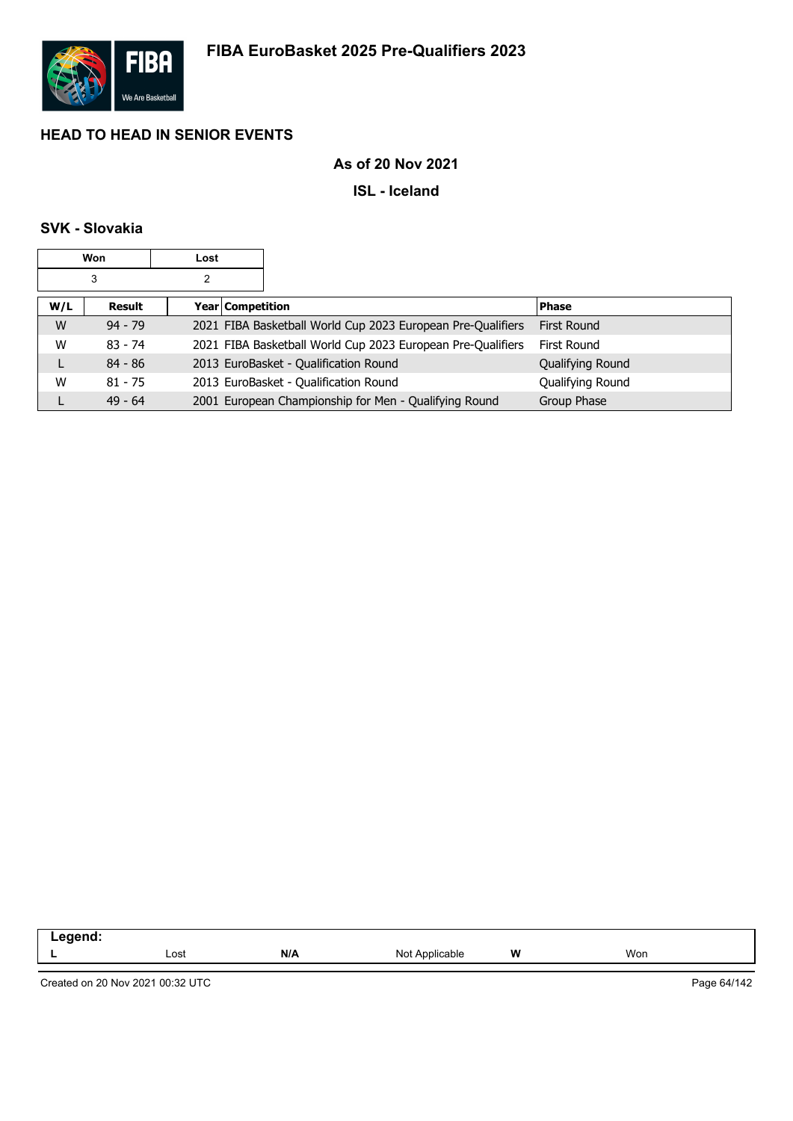

## **As of 20 Nov 2021**

**ISL - Iceland**

# **SVK - Slovakia**

|     | Won       | Lost |                  |                                                             |                  |
|-----|-----------|------|------------------|-------------------------------------------------------------|------------------|
|     | 3         | 2    |                  |                                                             |                  |
| W/L | Result    |      | Year Competition |                                                             | <b>Phase</b>     |
| W   | $94 - 79$ |      |                  | 2021 FIBA Basketball World Cup 2023 European Pre-Qualifiers | First Round      |
| W   | $83 - 74$ |      |                  | 2021 FIBA Basketball World Cup 2023 European Pre-Qualifiers | First Round      |
| L   | $84 - 86$ |      |                  | 2013 EuroBasket - Qualification Round                       | Qualifying Round |
| W   | $81 - 75$ |      |                  | 2013 EuroBasket - Qualification Round                       | Qualifying Round |
|     | $49 - 64$ |      |                  | 2001 European Championship for Men - Qualifying Round       | Group Phase      |

| $\sim$ . The second second second second second second second second second second second second second second second second second second second second second second second second second second second second second second<br>- - - - - - |      |     |                   |       |     |
|-----------------------------------------------------------------------------------------------------------------------------------------------------------------------------------------------------------------------------------------------|------|-----|-------------------|-------|-----|
|                                                                                                                                                                                                                                               | Lost | N/L | Applicable<br>Not | w<br> | Won |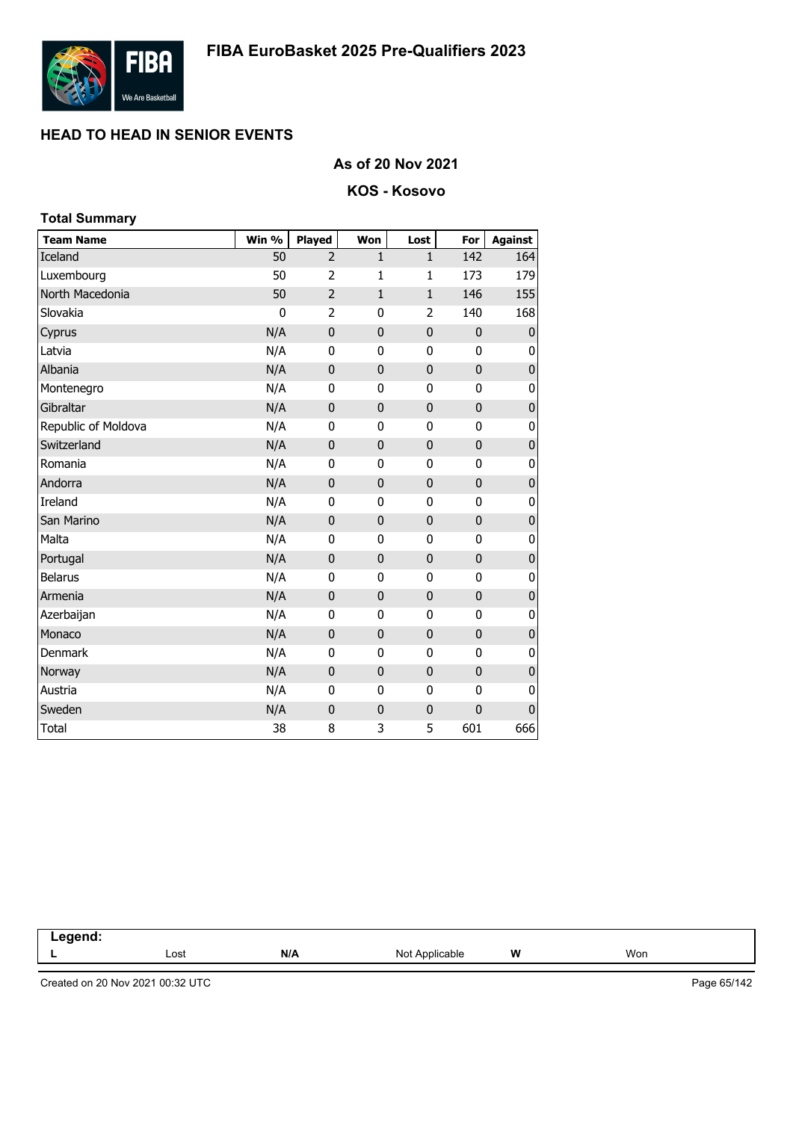

**Total Summary**

# **HEAD TO HEAD IN SENIOR EVENTS**

### **As of 20 Nov 2021**

### **KOS - Kosovo**

| Total Summary       |       |                |                |              |                |                |
|---------------------|-------|----------------|----------------|--------------|----------------|----------------|
| <b>Team Name</b>    | Win % | <b>Played</b>  | Won            | Lost         | For            | <b>Against</b> |
| Iceland             | 50    | $\overline{2}$ | $\mathbf{1}$   | $\mathbf{1}$ | 142            | 164            |
| Luxembourg          | 50    | $\overline{2}$ | $\mathbf{1}$   | 1            | 173            | 179            |
| North Macedonia     | 50    | $\overline{2}$ | $\mathbf{1}$   | $\mathbf 1$  | 146            | 155            |
| Slovakia            | 0     | $\overline{2}$ | 0              | 2            | 140            | 168            |
| Cyprus              | N/A   | 0              | $\mathbf 0$    | $\mathbf 0$  | $\pmb{0}$      | 0              |
| Latvia              | N/A   | 0              | $\mathbf{0}$   | 0            | 0              | 0              |
| Albania             | N/A   | 0              | $\mathbf 0$    | $\mathbf{0}$ | $\mathbf 0$    | $\pmb{0}$      |
| Montenegro          | N/A   | 0              | 0              | 0            | $\mathbf{0}$   | 0              |
| Gibraltar           | N/A   | 0              | $\mathbf 0$    | $\mathbf{0}$ | 0              | $\overline{0}$ |
| Republic of Moldova | N/A   | 0              | 0              | 0            | 0              | $\pmb{0}$      |
| Switzerland         | N/A   | 0              | $\mathbf 0$    | 0            | 0              | $\pmb{0}$      |
| Romania             | N/A   | 0              | 0              | 0            | 0              | 0              |
| Andorra             | N/A   | $\mathbf 0$    | $\mathbf 0$    | $\mathbf{0}$ | $\mathbf 0$    | $\pmb{0}$      |
| Ireland             | N/A   | 0              | $\mathbf 0$    | 0            | 0              | $\pmb{0}$      |
| San Marino          | N/A   | $\overline{0}$ | $\overline{0}$ | 0            | $\overline{0}$ | $\pmb{0}$      |
| Malta               | N/A   | 0              | 0              | 0            | 0              | 0              |
| Portugal            | N/A   | 0              | $\mathbf 0$    | 0            | $\mathbf 0$    | $\pmb{0}$      |
| <b>Belarus</b>      | N/A   | 0              | 0              | 0            | 0              | $\pmb{0}$      |
| Armenia             | N/A   | $\mathbf 0$    | $\mathbf 0$    | 0            | $\mathbf 0$    | $\pmb{0}$      |
| Azerbaijan          | N/A   | 0              | 0              | 0            | 0              | 0              |
| Monaco              | N/A   | $\mathbf 0$    | 0              | $\mathbf 0$  | $\pmb{0}$      | $\pmb{0}$      |
| Denmark             | N/A   | 0              | 0              | 0            | 0              | 0              |
| Norway              | N/A   | $\mathbf 0$    | $\mathbf 0$    | $\mathbf 0$  | 0              | $\pmb{0}$      |
| Austria             | N/A   | 0              | 0              | 0            | $\mathbf 0$    | 0              |
| Sweden              | N/A   | $\mathbf 0$    | 0              | $\mathbf 0$  | $\mathbf 0$    | $\pmb{0}$      |
| <b>Total</b>        | 38    | 8              | 3              | 5            | 601            | 666            |

**Legend: L** Lost **N/A** Not Applicable **W** Won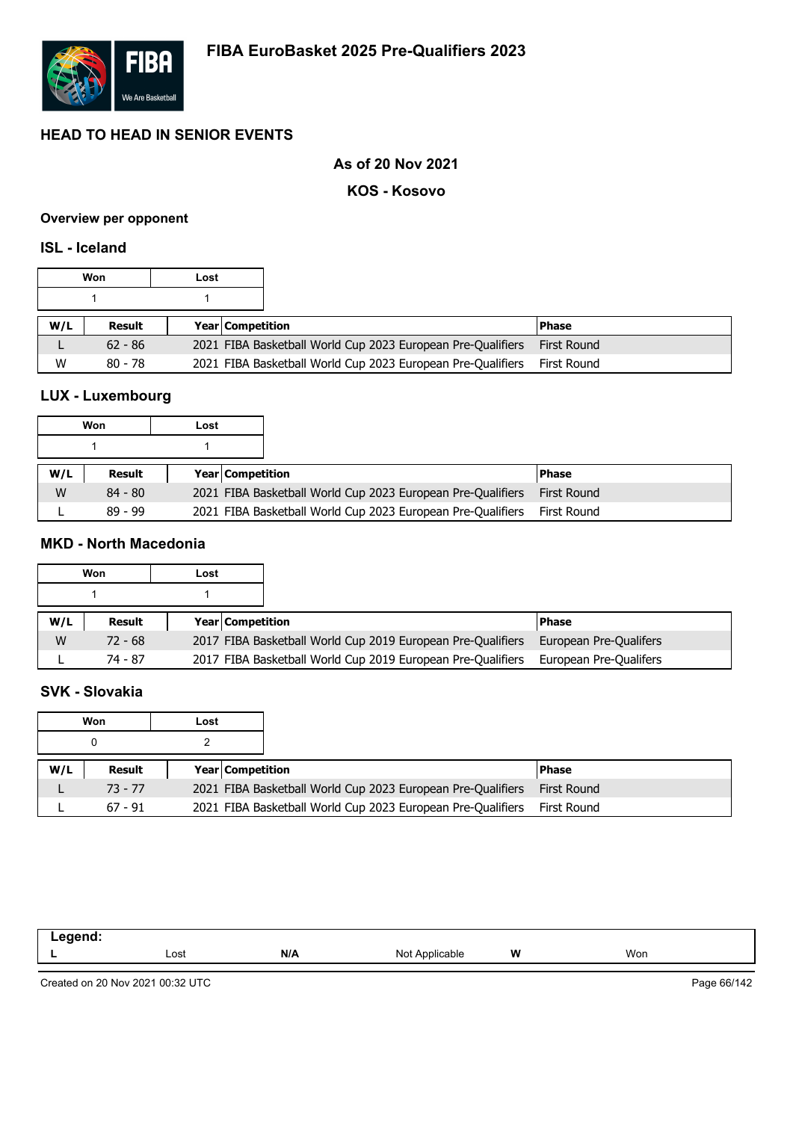

**KOS - Kosovo**

### **Overview per opponent**

### **ISL - Iceland**

|     | Won       | Lost |                         |                                                             |                    |
|-----|-----------|------|-------------------------|-------------------------------------------------------------|--------------------|
|     |           |      |                         |                                                             |                    |
| W/L | Result    |      | <b>Year Competition</b> |                                                             | l Phase            |
|     | $62 - 86$ |      |                         | 2021 FIBA Basketball World Cup 2023 European Pre-Qualifiers | <b>First Round</b> |
| W   | $80 - 78$ |      |                         | 2021 FIBA Basketball World Cup 2023 European Pre-Qualifiers | First Round        |

# **LUX - Luxembourg**

|     | Won       | Lost |                         |                                                             |                    |
|-----|-----------|------|-------------------------|-------------------------------------------------------------|--------------------|
|     |           |      |                         |                                                             |                    |
| W/L | Result    |      | <b>Year Competition</b> |                                                             | <b>Phase</b>       |
| W   | $84 - 80$ |      |                         | 2021 FIBA Basketball World Cup 2023 European Pre-Qualifiers | <b>First Round</b> |
|     | $89 - 99$ |      |                         | 2021 FIBA Basketball World Cup 2023 European Pre-Qualifiers | First Round        |

## **MKD - North Macedonia**

|     | Won       | Lost |                                                             |                        |
|-----|-----------|------|-------------------------------------------------------------|------------------------|
|     |           |      |                                                             |                        |
| W/L | Result    |      | <b>Year Competition</b>                                     | <b>Phase</b>           |
| W   | $72 - 68$ |      | 2017 FIBA Basketball World Cup 2019 European Pre-Qualifiers | European Pre-Qualifers |
|     | 74 - 87   |      | 2017 FIBA Basketball World Cup 2019 European Pre-Qualifiers | European Pre-Qualifers |

## **SVK - Slovakia**

|     | Won       | Lost |                         |                                                             |              |
|-----|-----------|------|-------------------------|-------------------------------------------------------------|--------------|
|     |           |      |                         |                                                             |              |
| W/L | Result    |      | <b>Year Competition</b> |                                                             | <b>Phase</b> |
|     | $73 - 77$ |      |                         | 2021 FIBA Basketball World Cup 2023 European Pre-Qualifiers | First Round  |
|     | $67 - 91$ |      |                         | 2021 FIBA Basketball World Cup 2023 European Pre-Qualifiers | First Round  |

| Lost | N/A | Not<br>`Applicable | W | Won |
|------|-----|--------------------|---|-----|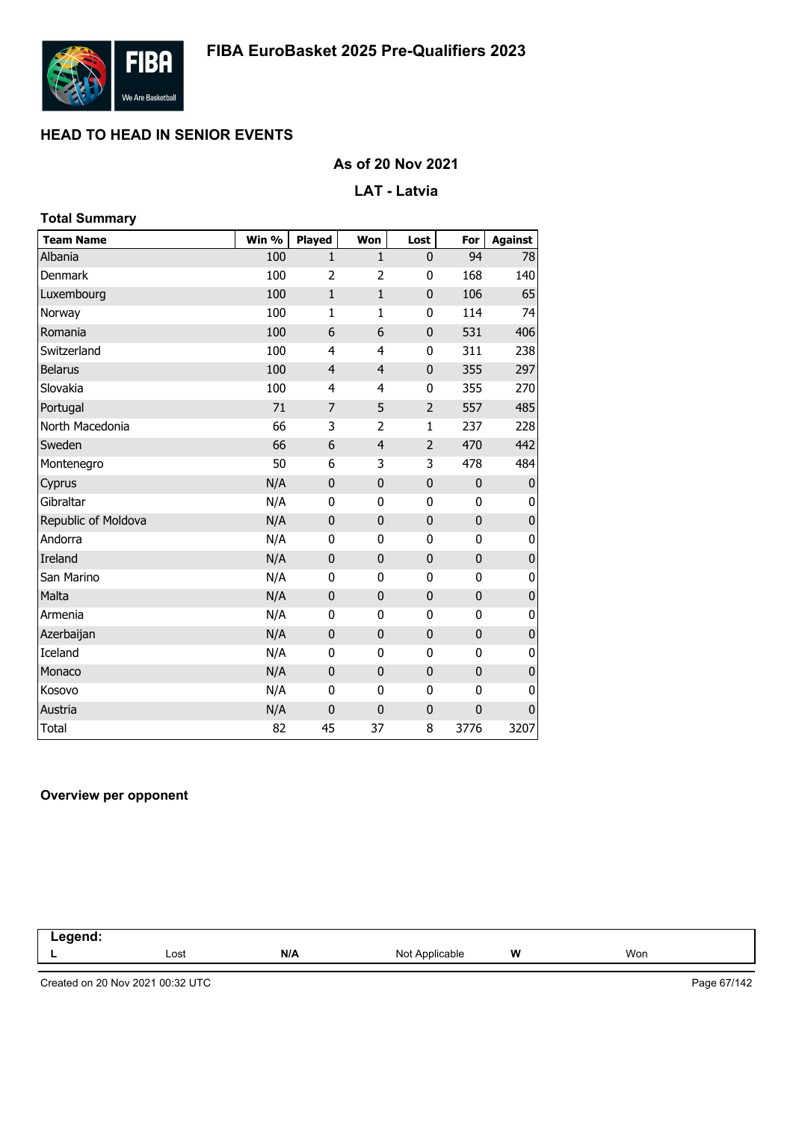

### **As of 20 Nov 2021**

### **LAT - Latvia**

| <b>Total Summary</b> |       |                |                |                |              |                |
|----------------------|-------|----------------|----------------|----------------|--------------|----------------|
| <b>Team Name</b>     | Win % | <b>Played</b>  | Won            | Lost           | For          | <b>Against</b> |
| Albania              | 100   | $\mathbf{1}$   | $\mathbf{1}$   | 0              | 94           | 78             |
| Denmark              | 100   | 2              | 2              | 0              | 168          | 140            |
| Luxembourg           | 100   | $\mathbf{1}$   | $\mathbf{1}$   | $\mathbf 0$    | 106          | 65             |
| Norway               | 100   | $\mathbf{1}$   | $\mathbf{1}$   | 0              | 114          | 74             |
| Romania              | 100   | 6              | 6              | $\mathbf 0$    | 531          | 406            |
| Switzerland          | 100   | 4              | $\overline{4}$ | 0              | 311          | 238            |
| <b>Belarus</b>       | 100   | $\overline{4}$ | $\overline{4}$ | $\mathbf 0$    | 355          | 297            |
| Slovakia             | 100   | 4              | 4              | 0              | 355          | 270            |
| Portugal             | 71    | 7              | 5              | $\overline{2}$ | 557          | 485            |
| North Macedonia      | 66    | 3              | $\overline{2}$ | $\mathbf{1}$   | 237          | 228            |
| Sweden               | 66    | 6              | $\overline{4}$ | $\overline{2}$ | 470          | 442            |
| Montenegro           | 50    | 6              | 3              | 3              | 478          | 484            |
| Cyprus               | N/A   | $\mathbf 0$    | $\bf 0$        | $\pmb{0}$      | $\mathbf 0$  | $\pmb{0}$      |
| Gibraltar            | N/A   | 0              | $\mathbf 0$    | $\bf{0}$       | 0            | 0              |
| Republic of Moldova  | N/A   | $\mathbf 0$    | $\mathbf 0$    | $\mathbf 0$    | $\mathbf 0$  | $\pmb{0}$      |
| Andorra              | N/A   | $\mathbf 0$    | $\mathbf 0$    | 0              | 0            | 0              |
| Ireland              | N/A   | $\mathbf{0}$   | $\mathbf 0$    | $\mathbf 0$    | $\mathbf 0$  | $\pmb{0}$      |
| San Marino           | N/A   | 0              | $\mathbf 0$    | $\mathbf 0$    | 0            | 0              |
| Malta                | N/A   | $\mathbf 0$    | $\bf 0$        | $\mathbf 0$    | $\mathbf 0$  | $\pmb{0}$      |
| Armenia              | N/A   | 0              | $\mathbf 0$    | 0              | 0            | 0              |
| Azerbaijan           | N/A   | $\mathbf 0$    | $\mathbf 0$    | $\mathbf 0$    | 0            | $\mathbf 0$    |
| Iceland              | N/A   | 0              | 0              | 0              | 0            | 0              |
| Monaco               | N/A   | $\mathbf 0$    | $\mathbf 0$    | $\mathbf 0$    | $\mathbf 0$  | $\pmb{0}$      |
| Kosovo               | N/A   | 0              | $\mathbf 0$    | 0              | 0            | 0              |
| Austria              | N/A   | $\mathbf 0$    | $\mathbf 0$    | $\mathbf 0$    | $\mathbf{0}$ | $\mathbf{0}$   |
| <b>Total</b>         | 82    | 45             | 37             | 8              | 3776         | 3207           |

### **Overview per opponent**

| $\sim$ $\sim$ $\sim$ $\sim$ $\sim$<br>-- |      |     |                   |   |     |  |
|------------------------------------------|------|-----|-------------------|---|-----|--|
|                                          | Lost | N/A | Not<br>Applicable | W | Won |  |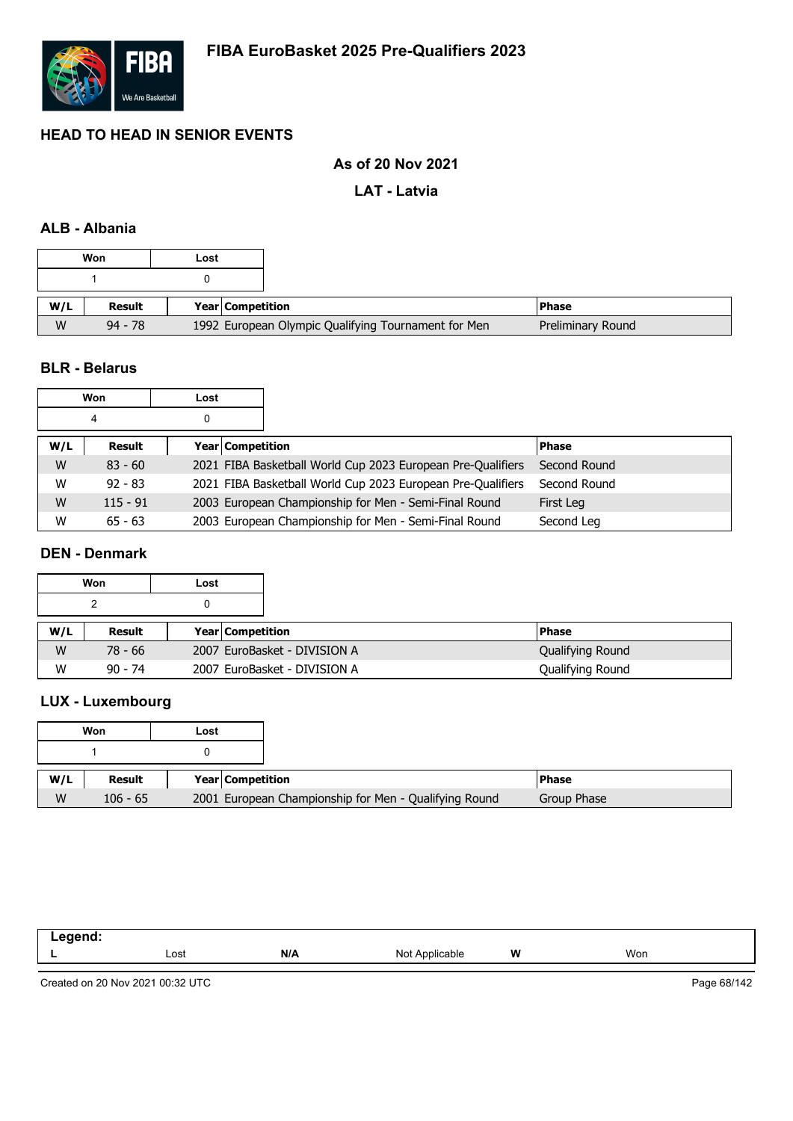

### **As of 20 Nov 2021**

**LAT - Latvia**

### **ALB - Albania**

|     | Won           | ∟ost                                                |
|-----|---------------|-----------------------------------------------------|
|     |               |                                                     |
| W/L | <b>Result</b> | Year Competition                                    |
| W   | $94 - 78$     | 1992 European Olympic Qualifying Tournament for Men |

#### **BLR - Belarus**

|     | Won        | Lost |                  |                                                             |              |
|-----|------------|------|------------------|-------------------------------------------------------------|--------------|
|     | 4          |      |                  |                                                             |              |
| W/L | Result     |      | Year Competition |                                                             | <b>Phase</b> |
| W   | $83 - 60$  |      |                  | 2021 FIBA Basketball World Cup 2023 European Pre-Qualifiers | Second Round |
| W   | $92 - 83$  |      |                  | 2021 FIBA Basketball World Cup 2023 European Pre-Qualifiers | Second Round |
| W   | $115 - 91$ |      |                  | 2003 European Championship for Men - Semi-Final Round       | First Leg    |
| W   | $65 - 63$  |      |                  | 2003 European Championship for Men - Semi-Final Round       | Second Leg   |

# **DEN - Denmark**

|     | Won       | Lost |                              |  |                  |
|-----|-----------|------|------------------------------|--|------------------|
|     |           | 0    |                              |  |                  |
| W/L | Result    |      | <b>Year Competition</b>      |  | <b>Phase</b>     |
| W   | 78 - 66   |      | 2007 EuroBasket - DIVISION A |  | Qualifying Round |
| W   | $90 - 74$ |      | 2007 EuroBasket - DIVISION A |  | Qualifying Round |

# **LUX - Luxembourg**

|     | Won        | Lost |                                                       |
|-----|------------|------|-------------------------------------------------------|
|     |            |      |                                                       |
| W/L | Result     |      | Year Competition                                      |
| W   | $106 - 65$ |      | 2001 European Championship for Men - Qualifying Round |

| end. |      |     |                   |   |     |
|------|------|-----|-------------------|---|-----|
|      | Lost | N/A | Not<br>Applicable | W | Won |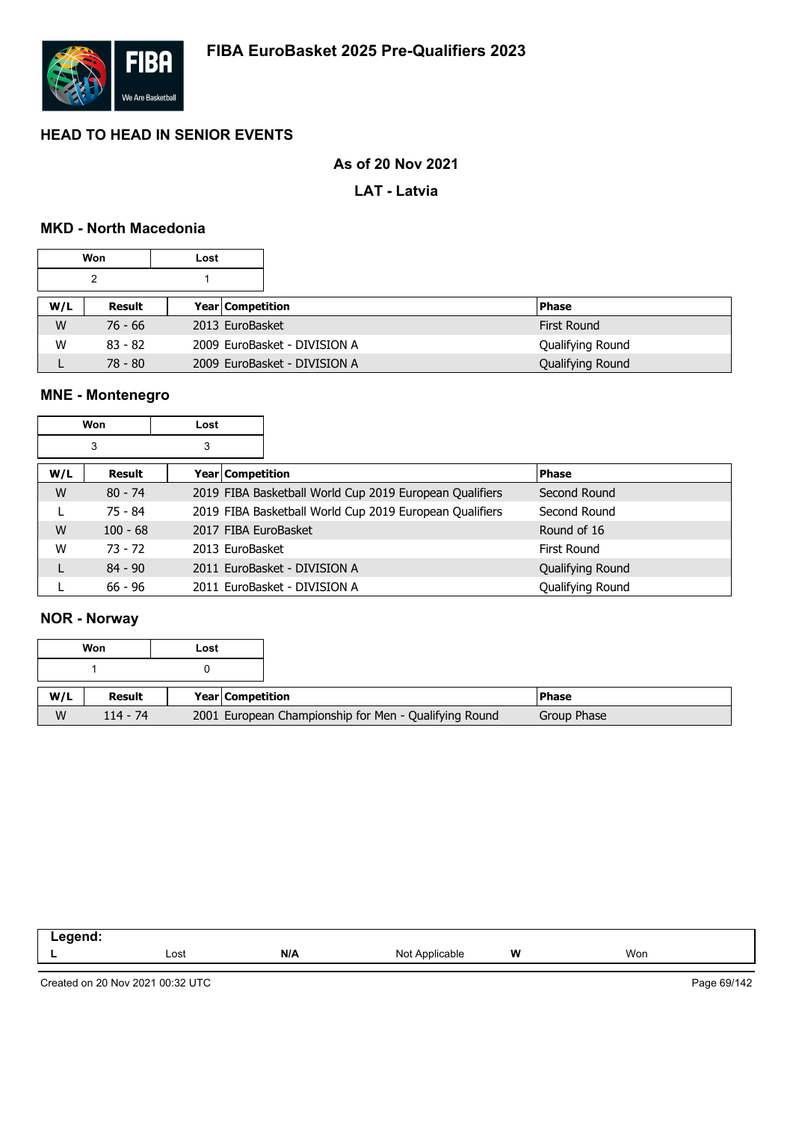

### **As of 20 Nov 2021**

**LAT - Latvia**

### **MKD - North Macedonia**

|     | Won       | Lost |                              |  |                    |
|-----|-----------|------|------------------------------|--|--------------------|
|     | 2         |      |                              |  |                    |
| W/L | Result    |      | <b>Year Competition</b>      |  | <b>Phase</b>       |
| W   | 76 - 66   |      | 2013 EuroBasket              |  | <b>First Round</b> |
| W   | $83 - 82$ |      | 2009 EuroBasket - DIVISION A |  | Qualifying Round   |
|     | $78 - 80$ |      | 2009 EuroBasket - DIVISION A |  | Qualifying Round   |

# **MNE - Montenegro**

|     | Won        | Lost                    |                                                         |                  |
|-----|------------|-------------------------|---------------------------------------------------------|------------------|
|     | 3          | 3                       |                                                         |                  |
| W/L | Result     | <b>Year Competition</b> |                                                         | <b>Phase</b>     |
| W   | $80 - 74$  |                         | 2019 FIBA Basketball World Cup 2019 European Qualifiers | Second Round     |
|     | 75 - 84    |                         | 2019 FIBA Basketball World Cup 2019 European Qualifiers | Second Round     |
| W   | $100 - 68$ | 2017 FIBA EuroBasket    |                                                         | Round of 16      |
| W   | $73 - 72$  | 2013 EuroBasket         |                                                         | First Round      |
|     | $84 - 90$  |                         | 2011 EuroBasket - DIVISION A                            | Qualifying Round |
|     | $66 - 96$  |                         | 2011 EuroBasket - DIVISION A                            | Qualifying Round |

#### **NOR - Norway**

| Won<br>Lost |            |                  |                                                       |               |
|-------------|------------|------------------|-------------------------------------------------------|---------------|
|             |            |                  |                                                       |               |
| W/L         | Result     | Year Competition |                                                       | <b>IPhase</b> |
| W           | $114 - 74$ |                  | 2001 European Championship for Men - Qualifying Round | Group Phase   |

| .<br>--<br>. |      |     |                   |   |     |
|--------------|------|-----|-------------------|---|-----|
| -            | Lost | N/A | Not<br>Applicable | W | Won |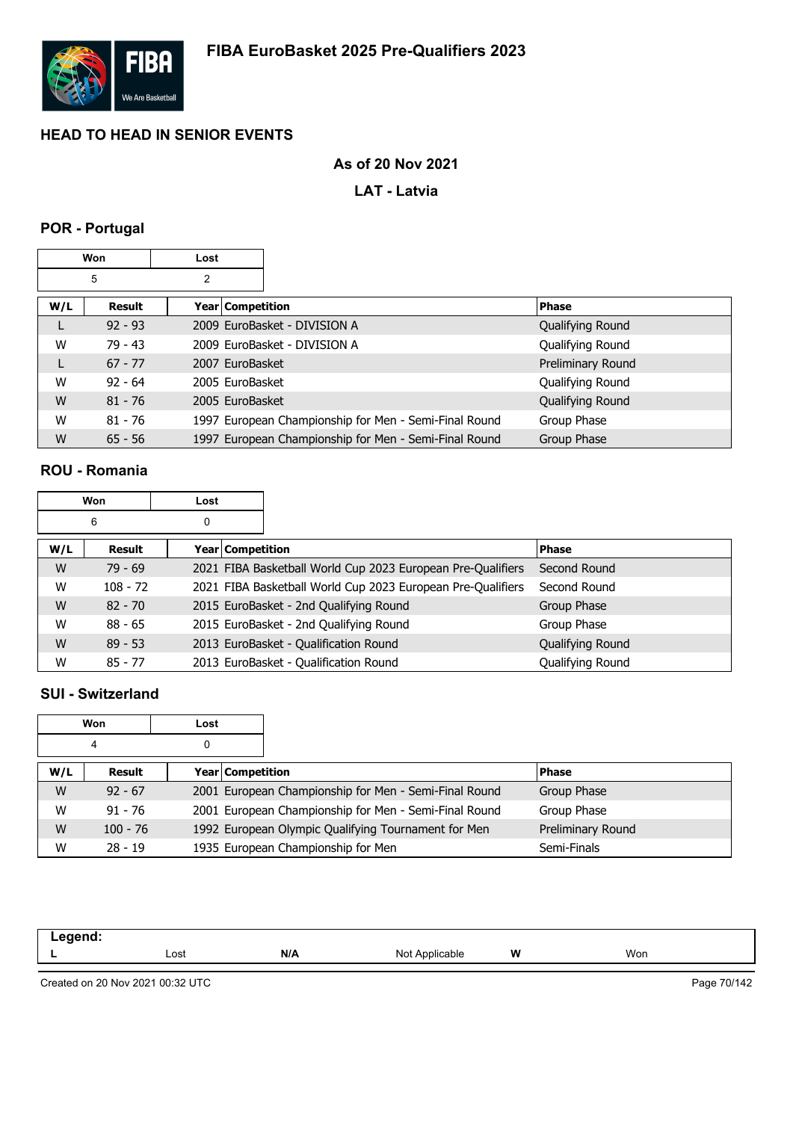

### **As of 20 Nov 2021**

**LAT - Latvia**

# **POR - Portugal**

| Won |               | Lost |                    |                                                       |                   |
|-----|---------------|------|--------------------|-------------------------------------------------------|-------------------|
|     | 5             | 2    |                    |                                                       |                   |
| W/L | <b>Result</b> |      | Year   Competition |                                                       | <b>Phase</b>      |
|     | $92 - 93$     |      |                    | 2009 EuroBasket - DIVISION A                          | Qualifying Round  |
| W   | $79 - 43$     |      |                    | 2009 EuroBasket - DIVISION A                          | Qualifying Round  |
| L   | $67 - 77$     |      | 2007 EuroBasket    |                                                       | Preliminary Round |
| W   | $92 - 64$     |      | 2005 EuroBasket    |                                                       | Qualifying Round  |
| W   | $81 - 76$     |      | 2005 EuroBasket    |                                                       | Qualifying Round  |
| W   | $81 - 76$     |      |                    | 1997 European Championship for Men - Semi-Final Round | Group Phase       |
| W   | $65 - 56$     |      |                    | 1997 European Championship for Men - Semi-Final Round | Group Phase       |

### **ROU - Romania**

| Won |            | Lost |                  |                                                             |                  |
|-----|------------|------|------------------|-------------------------------------------------------------|------------------|
|     | 6          | 0    |                  |                                                             |                  |
| W/L | Result     |      | Year Competition |                                                             | Phase            |
| W   | $79 - 69$  |      |                  | 2021 FIBA Basketball World Cup 2023 European Pre-Qualifiers | Second Round     |
| W   | $108 - 72$ |      |                  | 2021 FIBA Basketball World Cup 2023 European Pre-Qualifiers | Second Round     |
| W   | $82 - 70$  |      |                  | 2015 EuroBasket - 2nd Qualifying Round                      | Group Phase      |
| W   | $88 - 65$  |      |                  | 2015 EuroBasket - 2nd Qualifying Round                      | Group Phase      |
| W   | $89 - 53$  |      |                  | 2013 EuroBasket - Qualification Round                       | Qualifying Round |
| W   | $85 - 77$  |      |                  | 2013 EuroBasket - Qualification Round                       | Qualifying Round |

## **SUI - Switzerland**

|        | Won<br>Lost |                  |                                                       |                   |
|--------|-------------|------------------|-------------------------------------------------------|-------------------|
| 4<br>0 |             |                  |                                                       |                   |
| W/L    | Result      | Year Competition |                                                       | <b>Phase</b>      |
| W      | $92 - 67$   |                  | 2001 European Championship for Men - Semi-Final Round | Group Phase       |
| W      | $91 - 76$   |                  | 2001 European Championship for Men - Semi-Final Round | Group Phase       |
| W      | $100 - 76$  |                  | 1992 European Olympic Qualifying Tournament for Men   | Preliminary Round |
| W      | $28 - 19$   |                  | 1935 European Championship for Men                    | Semi-Finals       |

| - | Lost | N/A | $\sim$<br>anie<br>$\sim$<br>the contract of the contract of the contract of the contract of the contract of | W | Won |
|---|------|-----|-------------------------------------------------------------------------------------------------------------|---|-----|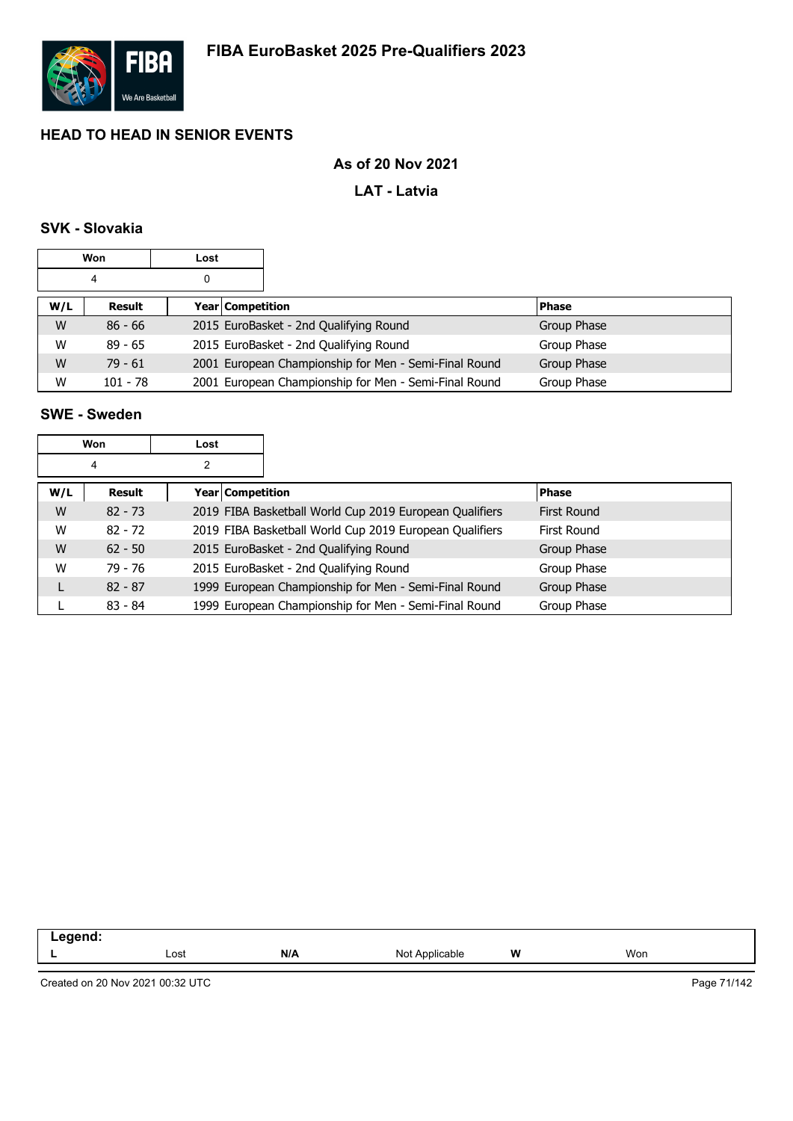

### **As of 20 Nov 2021**

### **LAT - Latvia**

## **SVK - Slovakia**

|     | Won        | Lost |                  |                                                       |              |
|-----|------------|------|------------------|-------------------------------------------------------|--------------|
| 4   |            | 0    |                  |                                                       |              |
| W/L | Result     |      | Year Competition |                                                       | <b>Phase</b> |
| W   | $86 - 66$  |      |                  | 2015 EuroBasket - 2nd Qualifying Round                | Group Phase  |
| W   | $89 - 65$  |      |                  | 2015 EuroBasket - 2nd Qualifying Round                | Group Phase  |
| W   | $79 - 61$  |      |                  | 2001 European Championship for Men - Semi-Final Round | Group Phase  |
| W   | $101 - 78$ |      |                  | 2001 European Championship for Men - Semi-Final Round | Group Phase  |

### **SWE - Sweden**

| Won |           | Lost |                         |                                                         |                    |
|-----|-----------|------|-------------------------|---------------------------------------------------------|--------------------|
|     | 4         | 2    |                         |                                                         |                    |
| W/L | Result    |      | <b>Year Competition</b> |                                                         | <b>Phase</b>       |
| W   | $82 - 73$ |      |                         | 2019 FIBA Basketball World Cup 2019 European Qualifiers | <b>First Round</b> |
| W   | $82 - 72$ |      |                         | 2019 FIBA Basketball World Cup 2019 European Qualifiers | First Round        |
| W   | $62 - 50$ |      |                         | 2015 EuroBasket - 2nd Qualifying Round                  | Group Phase        |
| W   | 79 - 76   |      |                         | 2015 EuroBasket - 2nd Qualifying Round                  | Group Phase        |
|     | $82 - 87$ |      |                         | 1999 European Championship for Men - Semi-Final Round   | Group Phase        |
|     | $83 - 84$ |      |                         | 1999 European Championship for Men - Semi-Final Round   | Group Phase        |

| and an advertised the contract of<br>- - |      |     |                                  |          |     |  |
|------------------------------------------|------|-----|----------------------------------|----------|-----|--|
|                                          | Lost | N/A | Applicable<br><b>NIC</b><br>ט צו | W<br>. . | Won |  |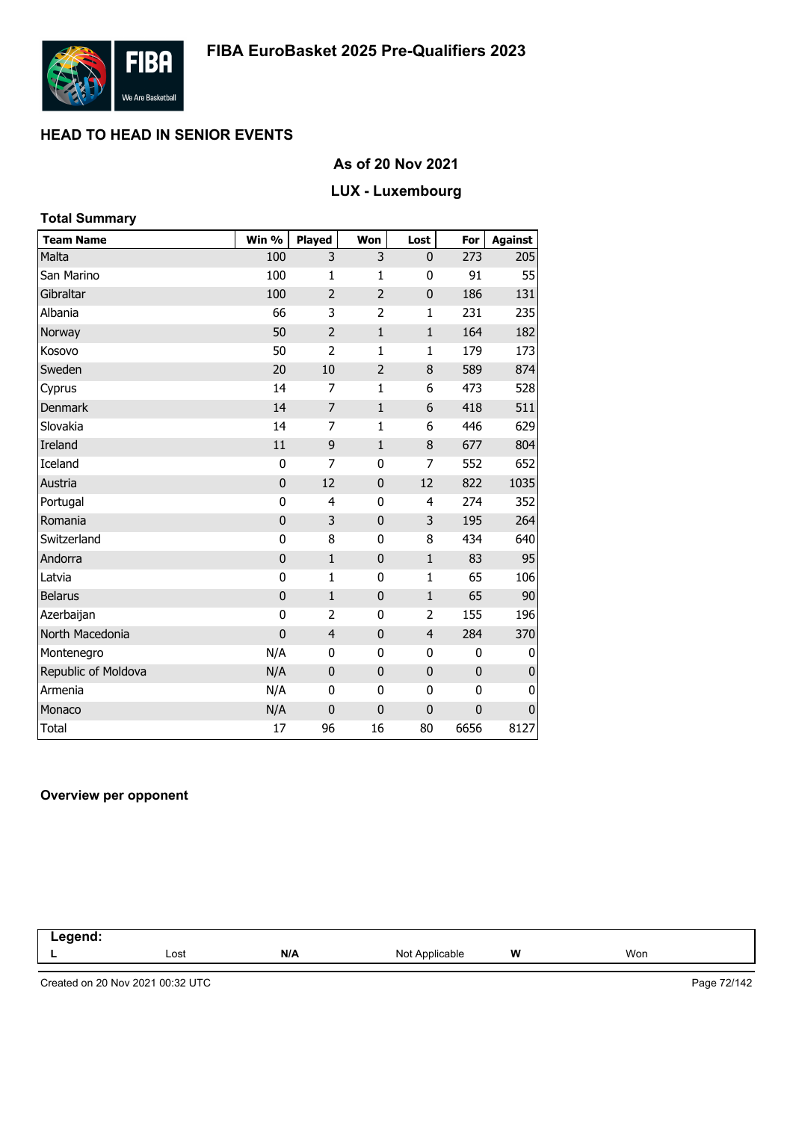

### **As of 20 Nov 2021**

# **LUX - Luxembourg**

| <b>Total Summary</b> |                |                |                |                |             |                |
|----------------------|----------------|----------------|----------------|----------------|-------------|----------------|
| <b>Team Name</b>     | Win %          | Played         | Won            | Lost           | For         | <b>Against</b> |
| Malta                | 100            | 3              | 3              | 0              | 273         | 205            |
| San Marino           | 100            | $\mathbf{1}$   | 1              | 0              | 91          | 55             |
| Gibraltar            | 100            | $\overline{2}$ | $\overline{2}$ | 0              | 186         | 131            |
| Albania              | 66             | 3              | $\overline{2}$ | $\mathbf{1}$   | 231         | 235            |
| Norway               | 50             | $\overline{2}$ | $\mathbf{1}$   | $\mathbf{1}$   | 164         | 182            |
| Kosovo               | 50             | $\overline{2}$ | $\mathbf{1}$   | $\mathbf{1}$   | 179         | 173            |
| Sweden               | 20             | 10             | $\overline{2}$ | 8              | 589         | 874            |
| Cyprus               | 14             | 7              | 1              | 6              | 473         | 528            |
| <b>Denmark</b>       | 14             | 7              | $\mathbf{1}$   | 6              | 418         | 511            |
| Slovakia             | 14             | 7              | $\mathbf{1}$   | 6              | 446         | 629            |
| Ireland              | 11             | 9              | $\mathbf{1}$   | 8              | 677         | 804            |
| Iceland              | $\mathbf{0}$   | 7              | 0              | 7              | 552         | 652            |
| Austria              | $\mathbf{0}$   | 12             | $\pmb{0}$      | 12             | 822         | 1035           |
| Portugal             | 0              | 4              | $\mathbf{0}$   | 4              | 274         | 352            |
| Romania              | $\mathbf{0}$   | 3              | $\pmb{0}$      | 3              | 195         | 264            |
| Switzerland          | 0              | 8              | $\mathbf{0}$   | 8              | 434         | 640            |
| Andorra              | 0              | $\mathbf{1}$   | $\bf{0}$       | $\mathbf{1}$   | 83          | 95             |
| Latvia               | 0              | $\mathbf{1}$   | 0              | $\mathbf{1}$   | 65          | 106            |
| <b>Belarus</b>       | $\mathbf{0}$   | $\mathbf{1}$   | $\pmb{0}$      | $\mathbf{1}$   | 65          | 90             |
| Azerbaijan           | 0              | $\overline{2}$ | 0              | 2              | 155         | 196            |
| North Macedonia      | $\overline{0}$ | $\overline{4}$ | $\bf{0}$       | $\overline{4}$ | 284         | 370            |
| Montenegro           | N/A            | 0              | 0              | 0              | 0           | 0              |
| Republic of Moldova  | N/A            | $\mathbf 0$    | $\bf{0}$       | $\pmb{0}$      | $\mathbf 0$ | $\bf{0}$       |
| Armenia              | N/A            | 0              | 0              | 0              | 0           | 0              |
| Monaco               | N/A            | $\overline{0}$ | $\mathbf 0$    | $\mathbf 0$    | $\mathbf 0$ | $\mathbf 0$    |
| <b>Total</b>         | 17             | 96             | 16             | 80             | 6656        | 8127           |

### **Overview per opponent**

| $\sim$ |      |              |                   |          |     |  |
|--------|------|--------------|-------------------|----------|-----|--|
|        | Lost | N/A<br>_____ | Not<br>Applicable | W<br>. . | Won |  |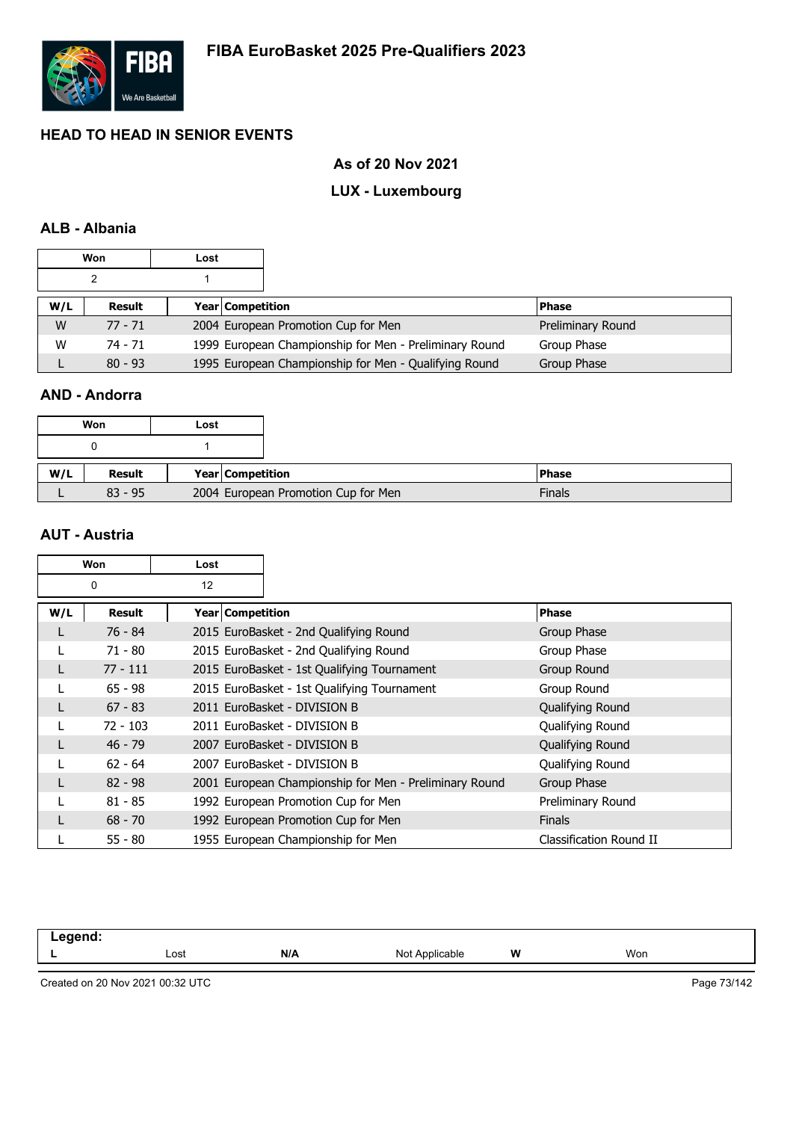

## **As of 20 Nov 2021**

# **LUX - Luxembourg**

## **ALB - Albania**

|     | Won       | Lost |                         |                                                        |                   |
|-----|-----------|------|-------------------------|--------------------------------------------------------|-------------------|
|     |           |      |                         |                                                        |                   |
| W/L | Result    |      | <b>Year Competition</b> |                                                        | <b>Phase</b>      |
| W   | $77 - 71$ |      |                         | 2004 European Promotion Cup for Men                    | Preliminary Round |
| W   | 74 - 71   |      |                         | 1999 European Championship for Men - Preliminary Round | Group Phase       |
|     | $80 - 93$ |      |                         | 1995 European Championship for Men - Qualifying Round  | Group Phase       |

## **AND - Andorra**

|     | Won       | Lost |                                     |
|-----|-----------|------|-------------------------------------|
|     |           |      |                                     |
| W/L | Result    |      | Year Competition                    |
|     | $83 - 95$ |      | 2004 European Promotion Cup for Men |

#### **AUT - Austria**

|     | Won           | Lost               |                                                        |                         |
|-----|---------------|--------------------|--------------------------------------------------------|-------------------------|
|     | 0             | 12                 |                                                        |                         |
| W/L | <b>Result</b> | Year   Competition |                                                        | <b>Phase</b>            |
|     | 76 - 84       |                    | 2015 EuroBasket - 2nd Qualifying Round                 | Group Phase             |
|     | $71 - 80$     |                    | 2015 EuroBasket - 2nd Qualifying Round                 | Group Phase             |
|     | $77 - 111$    |                    | 2015 EuroBasket - 1st Qualifying Tournament            | Group Round             |
|     | $65 - 98$     |                    | 2015 EuroBasket - 1st Qualifying Tournament            | Group Round             |
|     | $67 - 83$     |                    | 2011 EuroBasket - DIVISION B                           | Qualifying Round        |
|     | $72 - 103$    |                    | 2011 EuroBasket - DIVISION B                           | Qualifying Round        |
|     | $46 - 79$     |                    | 2007 EuroBasket - DIVISION B                           | Qualifying Round        |
|     | $62 - 64$     |                    | 2007 EuroBasket - DIVISION B                           | Qualifying Round        |
|     | $82 - 98$     |                    | 2001 European Championship for Men - Preliminary Round | Group Phase             |
|     | $81 - 85$     |                    | 1992 European Promotion Cup for Men                    | Preliminary Round       |
|     | $68 - 70$     |                    | 1992 European Promotion Cup for Men                    | <b>Finals</b>           |
|     | $55 - 80$     |                    | 1955 European Championship for Men                     | Classification Round II |

| .eaend<br>$- -$ . |      |     |                |          |     |
|-------------------|------|-----|----------------|----------|-----|
|                   | Lost | N/A | Not Applicable | W<br>. . | Won |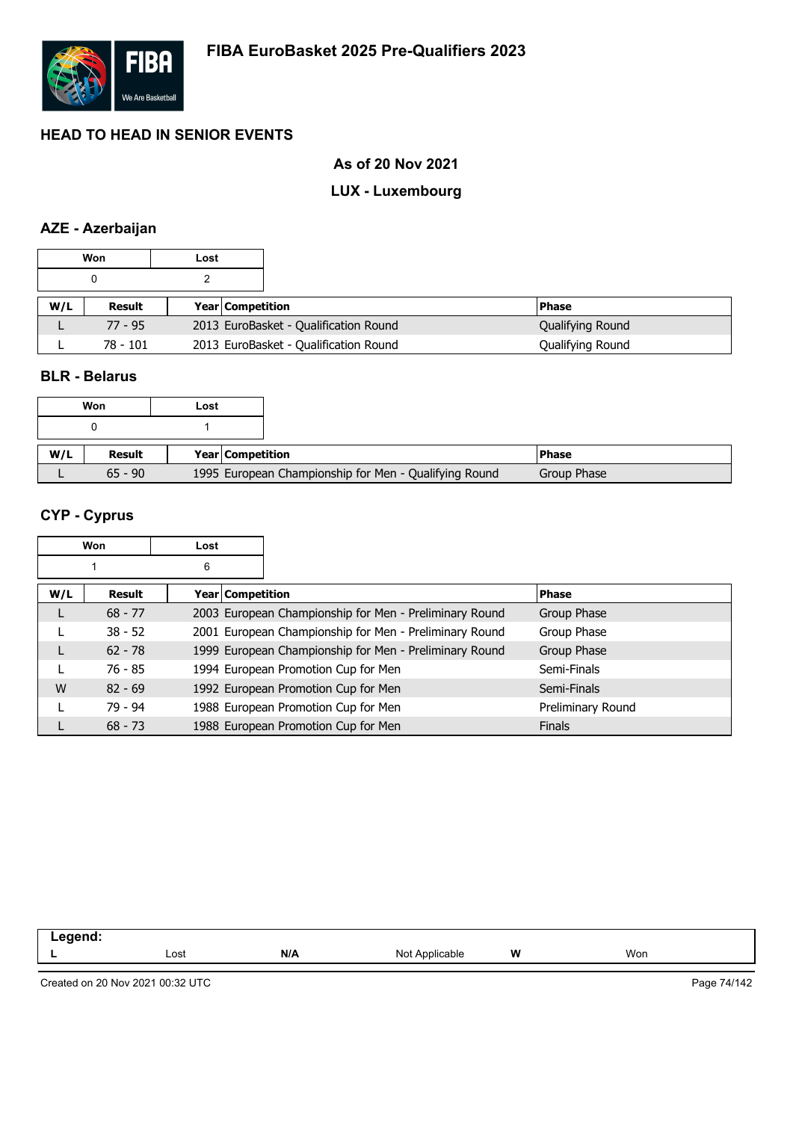

## **As of 20 Nov 2021**

# **LUX - Luxembourg**

# **AZE - Azerbaijan**

|     | Won        | Lost |                         |                                       |                  |
|-----|------------|------|-------------------------|---------------------------------------|------------------|
|     |            |      |                         |                                       |                  |
| W/L | Result     |      | <b>Year Competition</b> |                                       | <b>Phase</b>     |
|     | $77 - 95$  |      |                         | 2013 EuroBasket - Qualification Round | Qualifying Round |
|     | $78 - 101$ |      |                         | 2013 EuroBasket - Qualification Round | Qualifying Round |

## **BLR - Belarus**

|     | Won           | Lost |                                                       |
|-----|---------------|------|-------------------------------------------------------|
|     |               |      |                                                       |
|     |               |      |                                                       |
| W/L | <b>Result</b> |      | Year Competition                                      |
|     | $65 - 90$     |      | 1995 European Championship for Men - Qualifying Round |

# **CYP - Cyprus**

|     | Won           | Lost |                  |                                                        |                   |
|-----|---------------|------|------------------|--------------------------------------------------------|-------------------|
|     |               | 6    |                  |                                                        |                   |
| W/L | <b>Result</b> |      | Year Competition |                                                        | <b>Phase</b>      |
|     | $68 - 77$     |      |                  | 2003 European Championship for Men - Preliminary Round | Group Phase       |
|     | $38 - 52$     |      |                  | 2001 European Championship for Men - Preliminary Round | Group Phase       |
|     | $62 - 78$     |      |                  | 1999 European Championship for Men - Preliminary Round | Group Phase       |
|     | $76 - 85$     |      |                  | 1994 European Promotion Cup for Men                    | Semi-Finals       |
| W   | $82 - 69$     |      |                  | 1992 European Promotion Cup for Men                    | Semi-Finals       |
|     | $79 - 94$     |      |                  | 1988 European Promotion Cup for Men                    | Preliminary Round |
|     | $68 - 73$     |      |                  | 1988 European Promotion Cup for Men                    | <b>Finals</b>     |

| -- 3 |      |     |                    |   |     |  |
|------|------|-----|--------------------|---|-----|--|
|      | Lost | N/A | ៱៲៹<br>able<br>חור | W | Won |  |
|      |      |     |                    |   |     |  |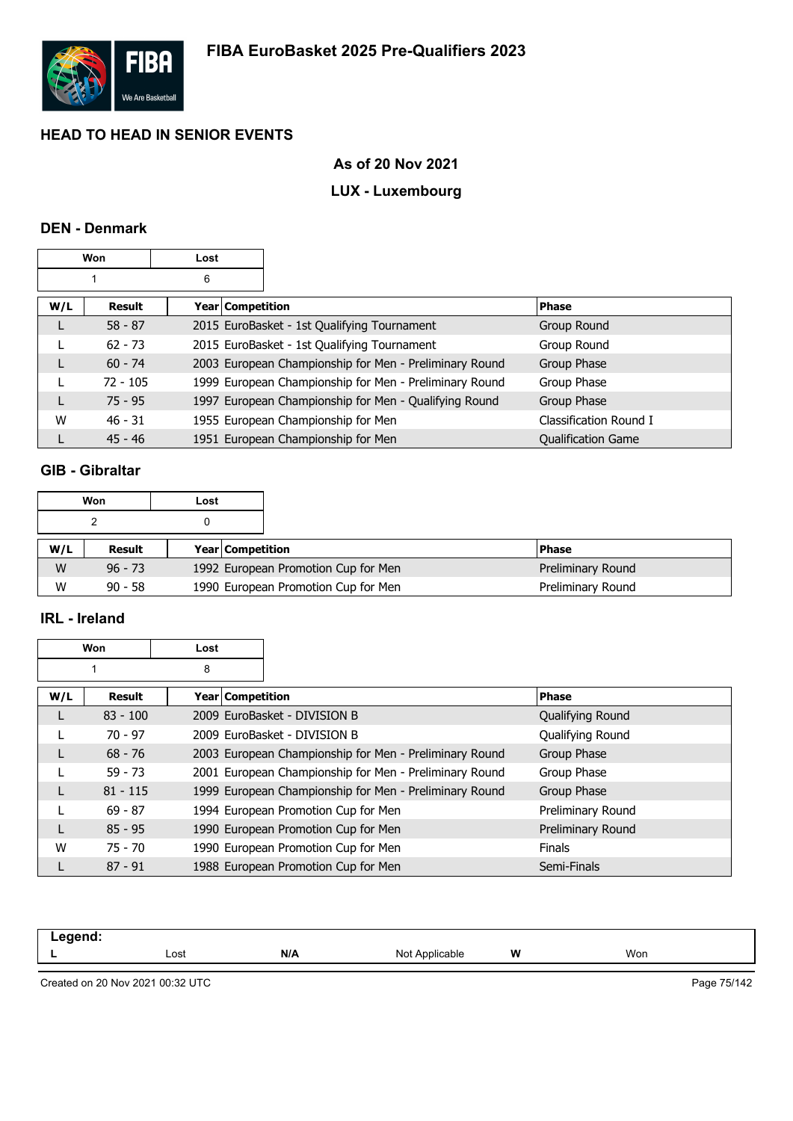

## **As of 20 Nov 2021**

# **LUX - Luxembourg**

## **DEN - Denmark**

|     | Won        | Lost |                  |                                                        |                           |
|-----|------------|------|------------------|--------------------------------------------------------|---------------------------|
|     |            | 6    |                  |                                                        |                           |
| W/L | Result     |      | Year Competition |                                                        | <b>Phase</b>              |
|     | $58 - 87$  |      |                  | 2015 EuroBasket - 1st Qualifying Tournament            | Group Round               |
|     | $62 - 73$  |      |                  | 2015 EuroBasket - 1st Qualifying Tournament            | Group Round               |
| L   | $60 - 74$  |      |                  | 2003 European Championship for Men - Preliminary Round | Group Phase               |
|     | $72 - 105$ |      |                  | 1999 European Championship for Men - Preliminary Round | Group Phase               |
| L   | $75 - 95$  |      |                  | 1997 European Championship for Men - Qualifying Round  | Group Phase               |
| W   | $46 - 31$  |      |                  | 1955 European Championship for Men                     | Classification Round I    |
|     | $45 - 46$  |      |                  | 1951 European Championship for Men                     | <b>Qualification Game</b> |

## **GIB - Gibraltar**

|     | Won       | Lost |                         |                                     |                   |
|-----|-----------|------|-------------------------|-------------------------------------|-------------------|
|     |           |      |                         |                                     |                   |
| W/L | Result    |      | <b>Year Competition</b> |                                     | l Phase           |
| W   | $96 - 73$ |      |                         | 1992 European Promotion Cup for Men | Preliminary Round |
| W   | $90 - 58$ |      |                         | 1990 European Promotion Cup for Men | Preliminary Round |

#### **IRL - Ireland**

**Won Lost**

|     |            | 8                |                                                        |                   |
|-----|------------|------------------|--------------------------------------------------------|-------------------|
| W/L | Result     | Year Competition |                                                        | <b>Phase</b>      |
| L   | $83 - 100$ |                  | 2009 EuroBasket - DIVISION B                           | Qualifying Round  |
|     | $70 - 97$  |                  | 2009 EuroBasket - DIVISION B                           | Qualifying Round  |
|     | $68 - 76$  |                  | 2003 European Championship for Men - Preliminary Round | Group Phase       |
|     | $59 - 73$  |                  | 2001 European Championship for Men - Preliminary Round | Group Phase       |
|     | $81 - 115$ |                  | 1999 European Championship for Men - Preliminary Round | Group Phase       |
|     | $69 - 87$  |                  | 1994 European Promotion Cup for Men                    | Preliminary Round |
|     | $85 - 95$  |                  | 1990 European Promotion Cup for Men                    | Preliminary Round |
| W   | $75 - 70$  |                  | 1990 European Promotion Cup for Men                    | <b>Finals</b>     |
|     | $87 - 91$  |                  | 1988 European Promotion Cup for Men                    | Semi-Finals       |

| - | Lost | N/A | Not A<br>de∩": | W | Won |  |
|---|------|-----|----------------|---|-----|--|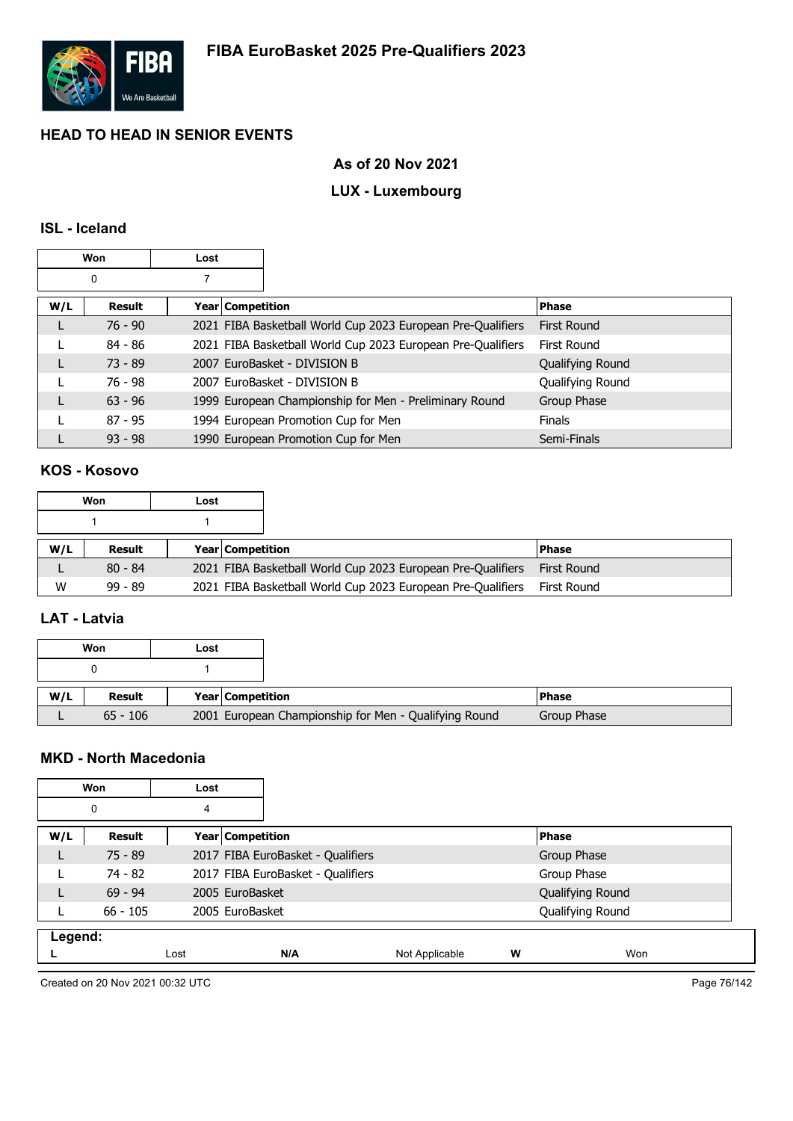

## **As of 20 Nov 2021**

# **LUX - Luxembourg**

## **ISL - Iceland**

| Won |           | Lost |                    |                                                             |                    |
|-----|-----------|------|--------------------|-------------------------------------------------------------|--------------------|
|     | 0         |      |                    |                                                             |                    |
| W/L | Result    |      | Year   Competition |                                                             | Phase              |
|     | $76 - 90$ |      |                    | 2021 FIBA Basketball World Cup 2023 European Pre-Qualifiers | <b>First Round</b> |
|     | $84 - 86$ |      |                    | 2021 FIBA Basketball World Cup 2023 European Pre-Qualifiers | First Round        |
|     | $73 - 89$ |      |                    | 2007 EuroBasket - DIVISION B                                | Qualifying Round   |
|     | $76 - 98$ |      |                    | 2007 EuroBasket - DIVISION B                                | Qualifying Round   |
|     | $63 - 96$ |      |                    | 1999 European Championship for Men - Preliminary Round      | Group Phase        |
|     | $87 - 95$ |      |                    | 1994 European Promotion Cup for Men                         | <b>Finals</b>      |
|     | $93 - 98$ |      |                    | 1990 European Promotion Cup for Men                         | Semi-Finals        |

#### **KOS - Kosovo**

|     | Won       | Lost |                         |                                                             |              |
|-----|-----------|------|-------------------------|-------------------------------------------------------------|--------------|
|     |           |      |                         |                                                             |              |
| W/L | Result    |      | <b>Year Competition</b> |                                                             | <b>Phase</b> |
|     | $80 - 84$ |      |                         | 2021 FIBA Basketball World Cup 2023 European Pre-Qualifiers | First Round  |
| W   | $99 - 89$ |      |                         | 2021 FIBA Basketball World Cup 2023 European Pre-Qualifiers | First Round  |

#### **LAT - Latvia**

| Won |            | Lost |                                                       |               |
|-----|------------|------|-------------------------------------------------------|---------------|
|     |            |      |                                                       |               |
| W/L | Result     |      | Year Competition                                      | <b>IPhase</b> |
|     | $65 - 106$ |      | 2001 European Championship for Men - Qualifying Round | Group Phase   |

#### **MKD - North Macedonia**

| Won     |            | Lost |                                   |                |   |                  |
|---------|------------|------|-----------------------------------|----------------|---|------------------|
|         | 0          | 4    |                                   |                |   |                  |
| W/L     | Result     |      | Year Competition                  |                |   | Phase            |
|         | $75 - 89$  |      | 2017 FIBA EuroBasket - Qualifiers |                |   | Group Phase      |
|         | 74 - 82    |      | 2017 FIBA EuroBasket - Qualifiers |                |   | Group Phase      |
|         | $69 - 94$  |      | 2005 EuroBasket                   |                |   | Qualifying Round |
|         | $66 - 105$ |      | 2005 EuroBasket                   |                |   | Qualifying Round |
| Legend: |            |      |                                   |                |   |                  |
|         |            | Lost | N/A                               | Not Applicable | W | Won              |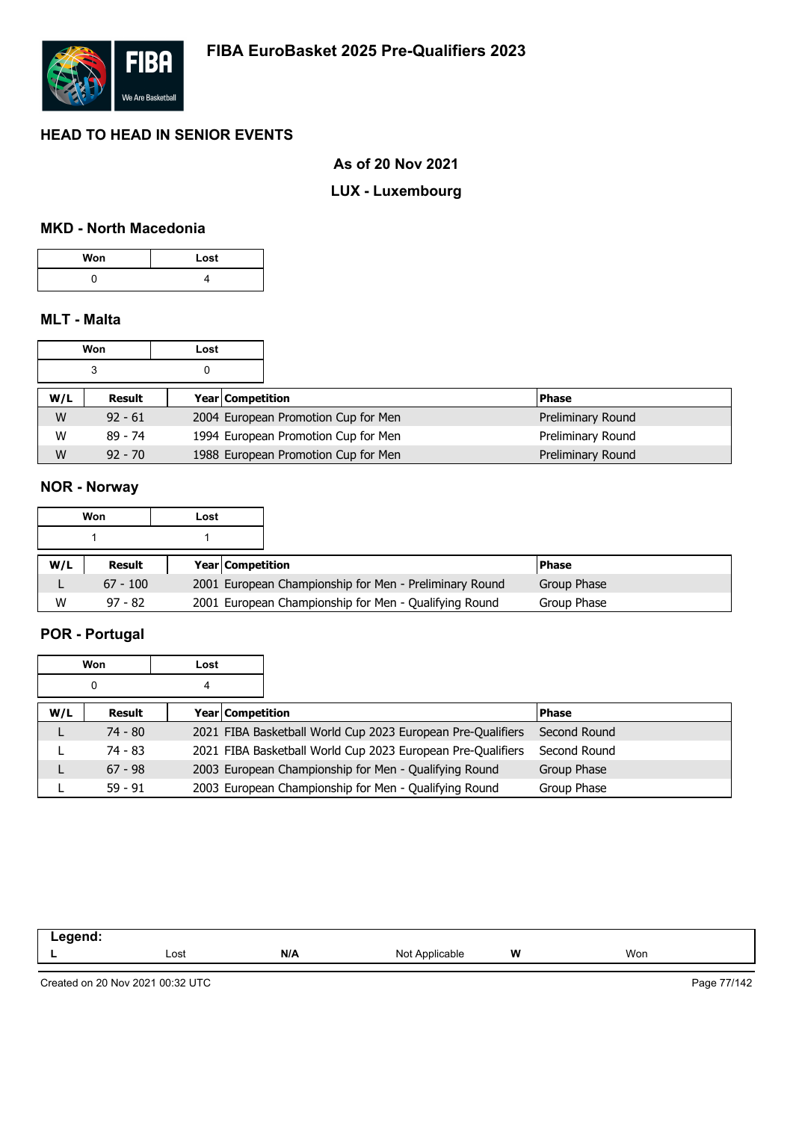

#### **As of 20 Nov 2021**

# **LUX - Luxembourg**

### **MKD - North Macedonia**

| Won | Lost |
|-----|------|
|     |      |

## **MLT - Malta**

|     | Won       | Lost |                  |                                     |                   |
|-----|-----------|------|------------------|-------------------------------------|-------------------|
|     | 3         |      |                  |                                     |                   |
| W/L | Result    |      | Year Competition |                                     | <b>Phase</b>      |
| W   | $92 - 61$ |      |                  | 2004 European Promotion Cup for Men | Preliminary Round |
| W   | $89 - 74$ |      |                  | 1994 European Promotion Cup for Men | Preliminary Round |
| W   | $92 - 70$ |      |                  | 1988 European Promotion Cup for Men | Preliminary Round |

#### **NOR - Norway**

|     | Won           | Lost                    |                                                        |              |
|-----|---------------|-------------------------|--------------------------------------------------------|--------------|
|     |               |                         |                                                        |              |
| W/L | <b>Result</b> | <b>Year Competition</b> |                                                        | <b>Phase</b> |
|     | $67 - 100$    |                         | 2001 European Championship for Men - Preliminary Round | Group Phase  |
| W   | $97 - 82$     |                         | 2001 European Championship for Men - Qualifying Round  | Group Phase  |

# **POR - Portugal**

|     | Won       | Lost             |                                                             |              |
|-----|-----------|------------------|-------------------------------------------------------------|--------------|
|     | 0         | 4                |                                                             |              |
| W/L | Result    | Year Competition |                                                             | <b>Phase</b> |
|     | $74 - 80$ |                  | 2021 FIBA Basketball World Cup 2023 European Pre-Qualifiers | Second Round |
|     | 74 - 83   |                  | 2021 FIBA Basketball World Cup 2023 European Pre-Qualifiers | Second Round |
|     | $67 - 98$ |                  | 2003 European Championship for Men - Qualifying Round       | Group Phase  |
|     | $59 - 91$ |                  | 2003 European Championship for Men - Qualifying Round       | Group Phase  |

| ∟eaend <sup>.</sup><br>--<br>$\sim$<br>__ |      |     |                |   |     |
|-------------------------------------------|------|-----|----------------|---|-----|
|                                           | Lost | N/A | Not Applicable | W | Won |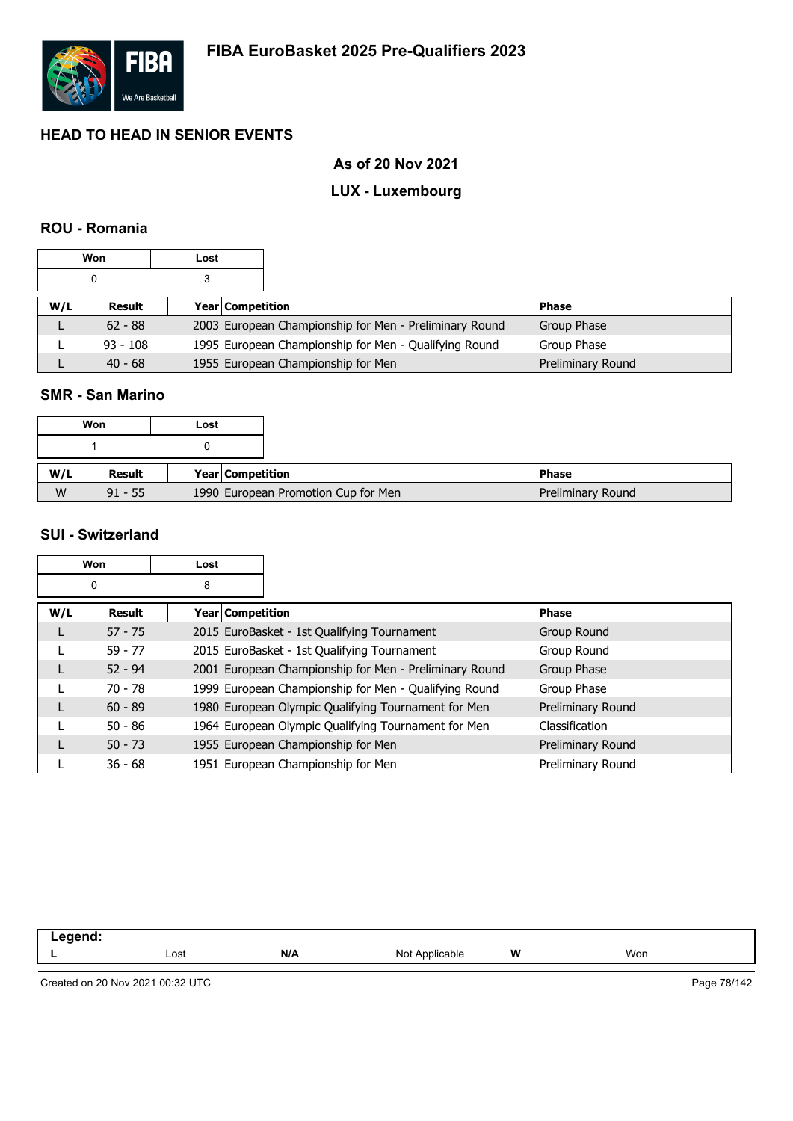

## **As of 20 Nov 2021**

# **LUX - Luxembourg**

### **ROU - Romania**

|     | Won        | Lost |                  |                                                        |                   |
|-----|------------|------|------------------|--------------------------------------------------------|-------------------|
|     |            |      |                  |                                                        |                   |
| W/L | Result     |      | Year Competition |                                                        | <b>Phase</b>      |
|     | $62 - 88$  |      |                  | 2003 European Championship for Men - Preliminary Round | Group Phase       |
|     | $93 - 108$ |      |                  | 1995 European Championship for Men - Qualifying Round  | Group Phase       |
|     | $40 - 68$  |      |                  | 1955 European Championship for Men                     | Preliminary Round |

## **SMR - San Marino**

| Won |           | Lost |                  |                                     |                   |
|-----|-----------|------|------------------|-------------------------------------|-------------------|
|     |           |      |                  |                                     |                   |
| W/L | Result    |      | Year Competition |                                     | <b>IPhase</b>     |
| W   | $91 - 55$ |      |                  | 1990 European Promotion Cup for Men | Preliminary Round |

#### **SUI - Switzerland**

|     | Won           | Lost               |                                                        |                   |
|-----|---------------|--------------------|--------------------------------------------------------|-------------------|
|     | 0             | 8                  |                                                        |                   |
| W/L | <b>Result</b> | Year   Competition |                                                        | <b>Phase</b>      |
| L   | $57 - 75$     |                    | 2015 EuroBasket - 1st Qualifying Tournament            | Group Round       |
|     | $59 - 77$     |                    | 2015 EuroBasket - 1st Qualifying Tournament            | Group Round       |
| L   | $52 - 94$     |                    | 2001 European Championship for Men - Preliminary Round | Group Phase       |
|     | $70 - 78$     |                    | 1999 European Championship for Men - Qualifying Round  | Group Phase       |
| L   | $60 - 89$     |                    | 1980 European Olympic Qualifying Tournament for Men    | Preliminary Round |
|     | $50 - 86$     |                    | 1964 European Olympic Qualifying Tournament for Men    | Classification    |
| L   | $50 - 73$     |                    | 1955 European Championship for Men                     | Preliminary Round |
|     | $36 - 68$     |                    | 1951 European Championship for Men                     | Preliminary Round |

| $   -$ |      |     |                         |   |     |
|--------|------|-----|-------------------------|---|-----|
| --     | Lost | N/A | ™cable<br>Annlı.<br>Not | W | Won |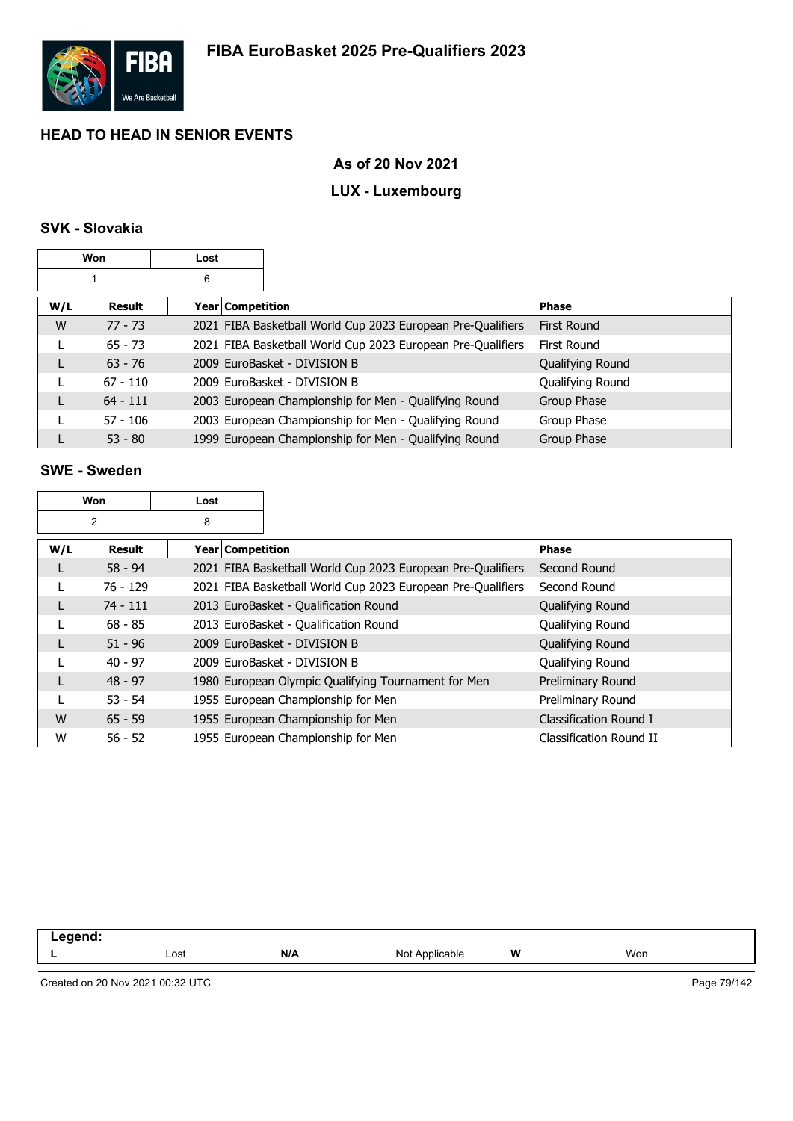

## **As of 20 Nov 2021**

# **LUX - Luxembourg**

## **SVK - Slovakia**

|     | Won           | Lost |                  |                                                             |                    |
|-----|---------------|------|------------------|-------------------------------------------------------------|--------------------|
|     |               | 6    |                  |                                                             |                    |
| W/L | <b>Result</b> |      | Year Competition |                                                             | <b>Phase</b>       |
| W   | $77 - 73$     |      |                  | 2021 FIBA Basketball World Cup 2023 European Pre-Qualifiers | <b>First Round</b> |
|     | $65 - 73$     |      |                  | 2021 FIBA Basketball World Cup 2023 European Pre-Qualifiers | First Round        |
|     | $63 - 76$     |      |                  | 2009 EuroBasket - DIVISION B                                | Qualifying Round   |
|     | $67 - 110$    |      |                  | 2009 EuroBasket - DIVISION B                                | Qualifying Round   |
|     | $64 - 111$    |      |                  | 2003 European Championship for Men - Qualifying Round       | Group Phase        |
|     | $57 - 106$    |      |                  | 2003 European Championship for Men - Qualifying Round       | Group Phase        |
|     | $53 - 80$     |      |                  | 1999 European Championship for Men - Qualifying Round       | Group Phase        |

## **SWE - Sweden**

|     | Won        | Lost               |                                                             |                         |
|-----|------------|--------------------|-------------------------------------------------------------|-------------------------|
|     | 2          | 8                  |                                                             |                         |
| W/L | Result     | Year   Competition |                                                             | <b>Phase</b>            |
| L   | $58 - 94$  |                    | 2021 FIBA Basketball World Cup 2023 European Pre-Qualifiers | Second Round            |
|     | $76 - 129$ |                    | 2021 FIBA Basketball World Cup 2023 European Pre-Qualifiers | Second Round            |
| L   | $74 - 111$ |                    | 2013 EuroBasket - Qualification Round                       | Qualifying Round        |
|     | $68 - 85$  |                    | 2013 EuroBasket - Qualification Round                       | Qualifying Round        |
| L   | $51 - 96$  |                    | 2009 EuroBasket - DIVISION B                                | Qualifying Round        |
|     | $40 - 97$  |                    | 2009 EuroBasket - DIVISION B                                | Qualifying Round        |
| L   | $48 - 97$  |                    | 1980 European Olympic Qualifying Tournament for Men         | Preliminary Round       |
|     | $53 - 54$  |                    | 1955 European Championship for Men                          | Preliminary Round       |
| W   | $65 - 59$  |                    | 1955 European Championship for Men                          | Classification Round I  |
| W   | $56 - 52$  |                    | 1955 European Championship for Men                          | Classification Round II |

| المنتقب بمنتقص<br>-- |      |     |                     |   |     |
|----------------------|------|-----|---------------------|---|-----|
|                      | Lost | N/A | Not A<br>Applicable | W | Won |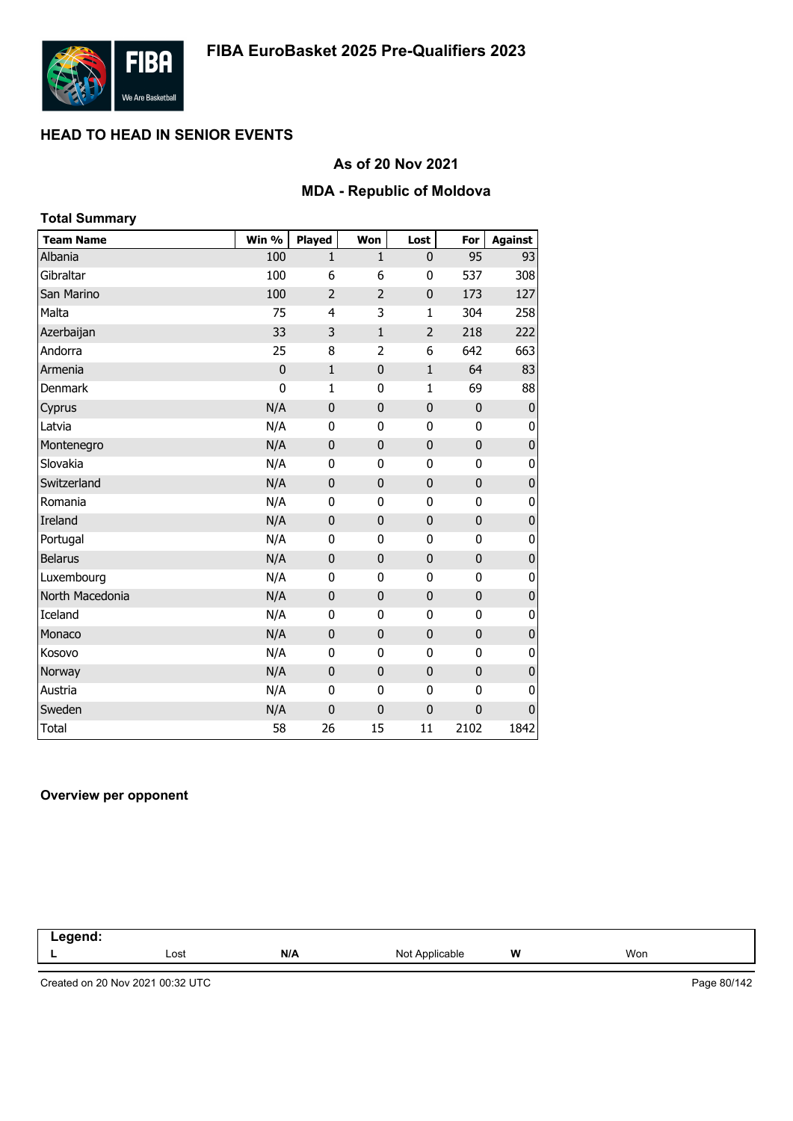

## **As of 20 Nov 2021**

#### **MDA - Republic of Moldova**

| <b>Total Summary</b> |             |                |                |                |              |                |
|----------------------|-------------|----------------|----------------|----------------|--------------|----------------|
| <b>Team Name</b>     | Win %       | <b>Played</b>  | Won            | Lost           | For          | <b>Against</b> |
| Albania              | 100         | $\mathbf{1}$   | $\mathbf{1}$   | $\mathbf{0}$   | 95           | 93             |
| Gibraltar            | 100         | 6              | 6              | 0              | 537          | 308            |
| San Marino           | 100         | $\overline{2}$ | $\overline{2}$ | $\mathbf 0$    | 173          | 127            |
| Malta                | 75          | 4              | 3              | $\mathbf{1}$   | 304          | 258            |
| Azerbaijan           | 33          | 3              | $\mathbf{1}$   | $\overline{2}$ | 218          | 222            |
| Andorra              | 25          | 8              | $\overline{2}$ | 6              | 642          | 663            |
| Armenia              | $\mathbf 0$ | $\mathbf{1}$   | $\mathbf 0$    | $\mathbf 1$    | 64           | 83             |
| <b>Denmark</b>       | $\mathbf 0$ | $\mathbf{1}$   | 0              | $\mathbf{1}$   | 69           | 88             |
| Cyprus               | N/A         | $\mathbf 0$    | $\mathbf 0$    | $\mathbf 0$    | $\pmb{0}$    | $\pmb{0}$      |
| Latvia               | N/A         | $\mathbf 0$    | 0              | 0              | $\mathbf{0}$ | 0              |
| Montenegro           | N/A         | $\mathbf 0$    | $\mathbf{0}$   | $\mathbf 0$    | $\mathbf 0$  | $\pmb{0}$      |
| Slovakia             | N/A         | $\mathbf 0$    | $\mathbf 0$    | 0              | $\mathbf 0$  | $\pmb{0}$      |
| Switzerland          | N/A         | $\mathbf 0$    | $\mathbf 0$    | $\mathbf 0$    | $\mathbf 0$  | $\pmb{0}$      |
| Romania              | N/A         | 0              | 0              | 0              | $\mathbf{0}$ | 0              |
| Ireland              | N/A         | $\mathbf 0$    | $\mathbf 0$    | $\mathbf 0$    | $\mathbf 0$  | $\pmb{0}$      |
| Portugal             | N/A         | $\mathbf 0$    | $\mathbf{0}$   | 0              | $\mathbf{0}$ | 0              |
| <b>Belarus</b>       | N/A         | $\mathbf 0$    | $\mathbf{0}$   | $\pmb{0}$      | $\mathbf 0$  | $\pmb{0}$      |
| Luxembourg           | N/A         | $\mathbf 0$    | $\mathbf 0$    | 0              | 0            | 0              |
| North Macedonia      | N/A         | $\mathbf 0$    | $\mathbf 0$    | $\mathbf 0$    | $\mathbf 0$  | $\pmb{0}$      |
| Iceland              | N/A         | 0              | $\mathbf 0$    | 0              | $\mathbf 0$  | 0              |
| Monaco               | N/A         | $\mathbf 0$    | $\mathbf{0}$   | 0              | $\mathbf 0$  | $\pmb{0}$      |
| Kosovo               | N/A         | 0              | 0              | 0              | $\mathbf{0}$ | 0              |
| Norway               | N/A         | $\mathbf 0$    | $\mathbf 0$    | $\mathbf 0$    | $\mathbf 0$  | $\pmb{0}$      |
| Austria              | N/A         | 0              | 0              | 0              | $\mathbf{0}$ | 0              |
| Sweden               | N/A         | $\mathbf 0$    | $\mathbf 0$    | $\mathbf 0$    | $\mathbf 0$  | $\pmb{0}$      |
| <b>Total</b>         | 58          | 26             | 15             | 11             | 2102         | 1842           |

#### **Overview per opponent**

| -----<br>.<br>$\sim$ $\sim$ |      |     |                     |   |     |  |
|-----------------------------|------|-----|---------------------|---|-----|--|
|                             | Lost | N/A | Not A<br>Applicable | W | Won |  |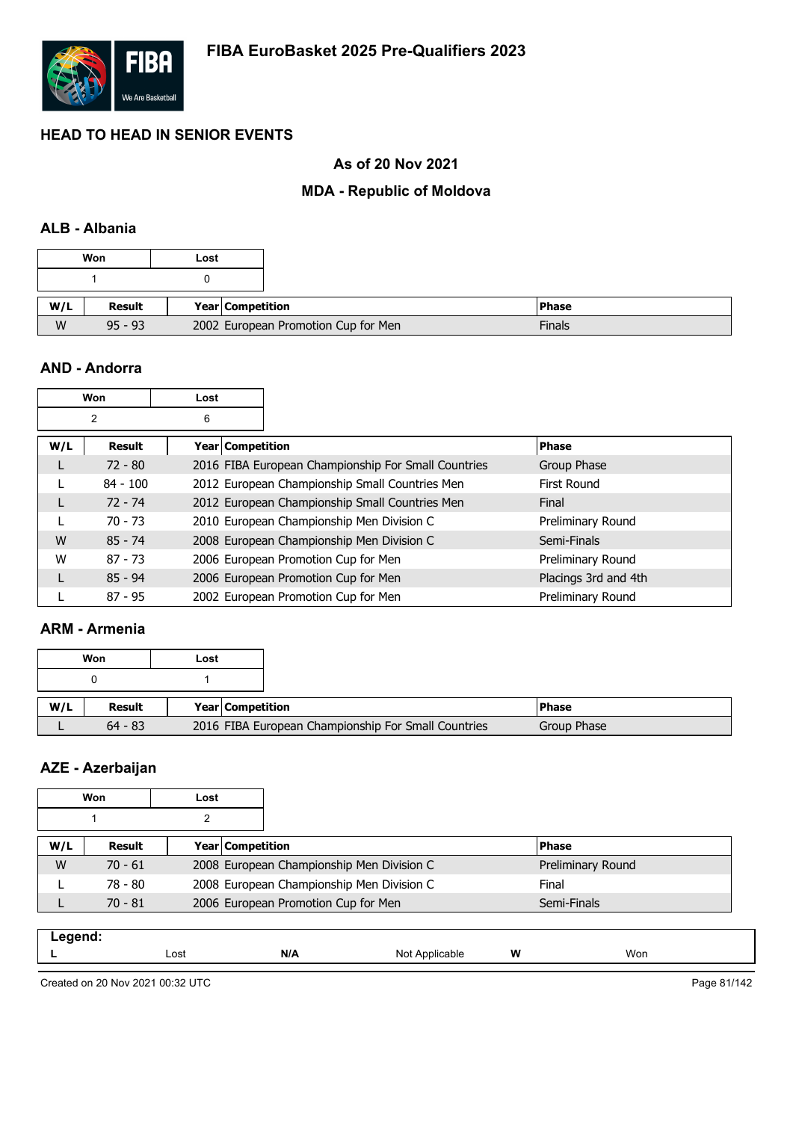

## **As of 20 Nov 2021**

## **MDA - Republic of Moldova**

## **ALB - Albania**

|     | Won       | Lost |                  |                                     |              |
|-----|-----------|------|------------------|-------------------------------------|--------------|
|     |           |      |                  |                                     |              |
| W/L | Result    |      | Year Competition |                                     | <b>Phase</b> |
| W   | $95 - 93$ |      |                  | 2002 European Promotion Cup for Men |              |

#### **AND - Andorra**

|     | Won            | Lost                    |                                                     |                      |
|-----|----------------|-------------------------|-----------------------------------------------------|----------------------|
|     | $\overline{2}$ | 6                       |                                                     |                      |
| W/L | <b>Result</b>  | <b>Year Competition</b> |                                                     | <b>Phase</b>         |
| L   | $72 - 80$      |                         | 2016 FIBA European Championship For Small Countries | Group Phase          |
|     | $84 - 100$     |                         | 2012 European Championship Small Countries Men      | <b>First Round</b>   |
| L   | $72 - 74$      |                         | 2012 European Championship Small Countries Men      | Final                |
|     | $70 - 73$      |                         | 2010 European Championship Men Division C           | Preliminary Round    |
| W   | $85 - 74$      |                         | 2008 European Championship Men Division C           | Semi-Finals          |
| W   | $87 - 73$      |                         | 2006 European Promotion Cup for Men                 | Preliminary Round    |
| L   | $85 - 94$      |                         | 2006 European Promotion Cup for Men                 | Placings 3rd and 4th |
|     | $87 - 95$      |                         | 2002 European Promotion Cup for Men                 | Preliminary Round    |

#### **ARM - Armenia**

|     | Won       | Lost |                                                     |               |
|-----|-----------|------|-----------------------------------------------------|---------------|
|     |           |      |                                                     |               |
| W/L | Result    |      | Year Competition                                    | <b>IPhase</b> |
|     | $64 - 83$ |      | 2016 FIBA European Championship For Small Countries | Group Phase   |

# **AZE - Azerbaijan**

|     | Won       | Lost |                                                    |                   |  |  |
|-----|-----------|------|----------------------------------------------------|-------------------|--|--|
|     |           |      |                                                    |                   |  |  |
| W/L | Result    |      | Year Competition                                   | <b>Phase</b>      |  |  |
| W   | $70 - 61$ |      | 2008 European Championship Men Division C          | Preliminary Round |  |  |
|     | 78 - 80   |      | 2008 European Championship Men Division C<br>Final |                   |  |  |
|     | $70 - 81$ |      | 2006 European Promotion Cup for Men                | Semi-Finals       |  |  |

| N/A<br>W<br>Won<br>Lost<br>N∩t<br>ካle<br>11011<br>_ |  |  |  |
|-----------------------------------------------------|--|--|--|
|                                                     |  |  |  |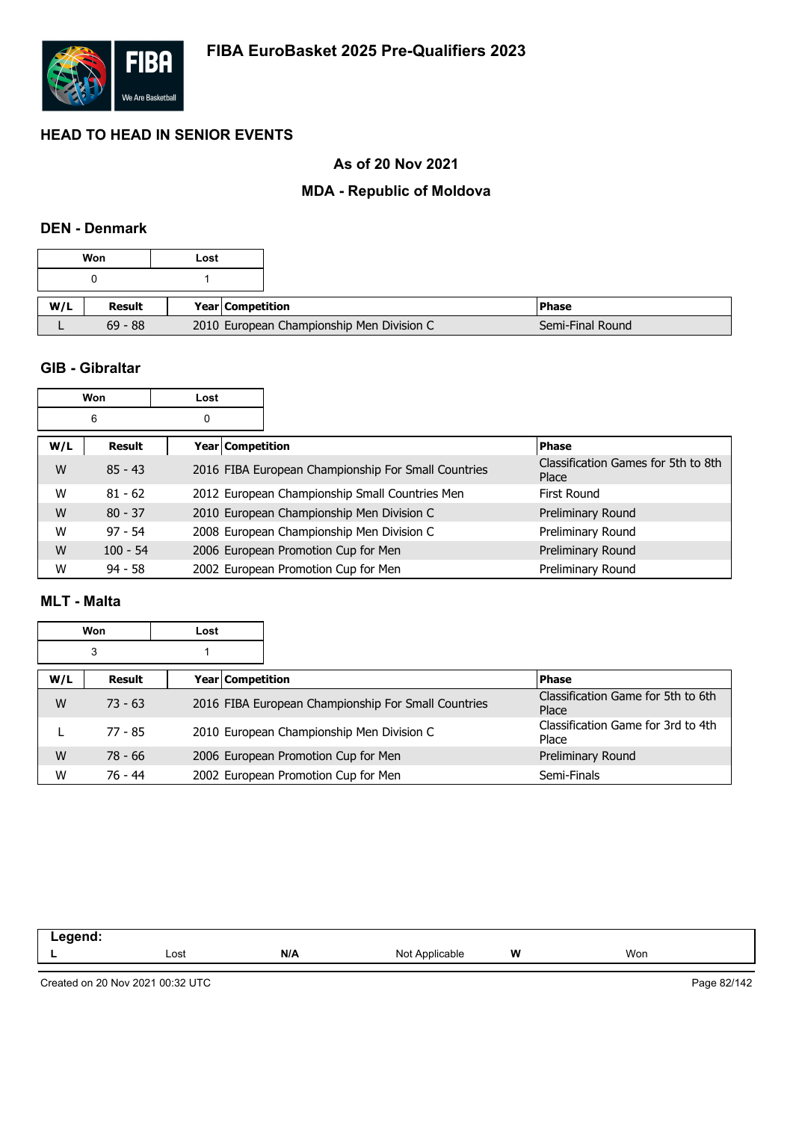

## **As of 20 Nov 2021**

#### **MDA - Republic of Moldova**

#### **DEN - Denmark**

|     | Won           | Lost |                         |                                           |                  |
|-----|---------------|------|-------------------------|-------------------------------------------|------------------|
|     |               |      |                         |                                           |                  |
| W/L | <b>Result</b> |      | <b>Year Competition</b> |                                           | l Phase          |
|     | $69 - 88$     |      |                         | 2010 European Championship Men Division C | Semi-Final Round |

#### **GIB - Gibraltar**

|     | Won        | Lost             |                                                     |                                              |
|-----|------------|------------------|-----------------------------------------------------|----------------------------------------------|
|     | 6          | 0                |                                                     |                                              |
| W/L | Result     | Year Competition |                                                     | <b>Phase</b>                                 |
| W   | $85 - 43$  |                  | 2016 FIBA European Championship For Small Countries | Classification Games for 5th to 8th<br>Place |
| W   | $81 - 62$  |                  | 2012 European Championship Small Countries Men      | First Round                                  |
| W   | $80 - 37$  |                  | 2010 European Championship Men Division C           | Preliminary Round                            |
| W   | $97 - 54$  |                  | 2008 European Championship Men Division C           | Preliminary Round                            |
| W   | $100 - 54$ |                  | 2006 European Promotion Cup for Men                 | Preliminary Round                            |
| W   | $94 - 58$  |                  | 2002 European Promotion Cup for Men                 | Preliminary Round                            |

#### **MLT - Malta**

| Won<br>Lost |           |  |                  |                                                     |                                             |
|-------------|-----------|--|------------------|-----------------------------------------------------|---------------------------------------------|
|             | 3         |  |                  |                                                     |                                             |
| W/L         | Result    |  | Year Competition |                                                     | <b>Phase</b>                                |
| W           | $73 - 63$ |  |                  | 2016 FIBA European Championship For Small Countries | Classification Game for 5th to 6th<br>Place |
|             | 77 - 85   |  |                  | 2010 European Championship Men Division C           | Classification Game for 3rd to 4th<br>Place |
| W           | 78 - 66   |  |                  | 2006 European Promotion Cup for Men                 | Preliminary Round                           |
| W           | 76 - 44   |  |                  | 2002 European Promotion Cup for Men                 | Semi-Finals                                 |

| .<br>-- 9 - - |      |     |                   |   |     |
|---------------|------|-----|-------------------|---|-----|
|               | Lost | N/A | Not<br>Applicable | W | Won |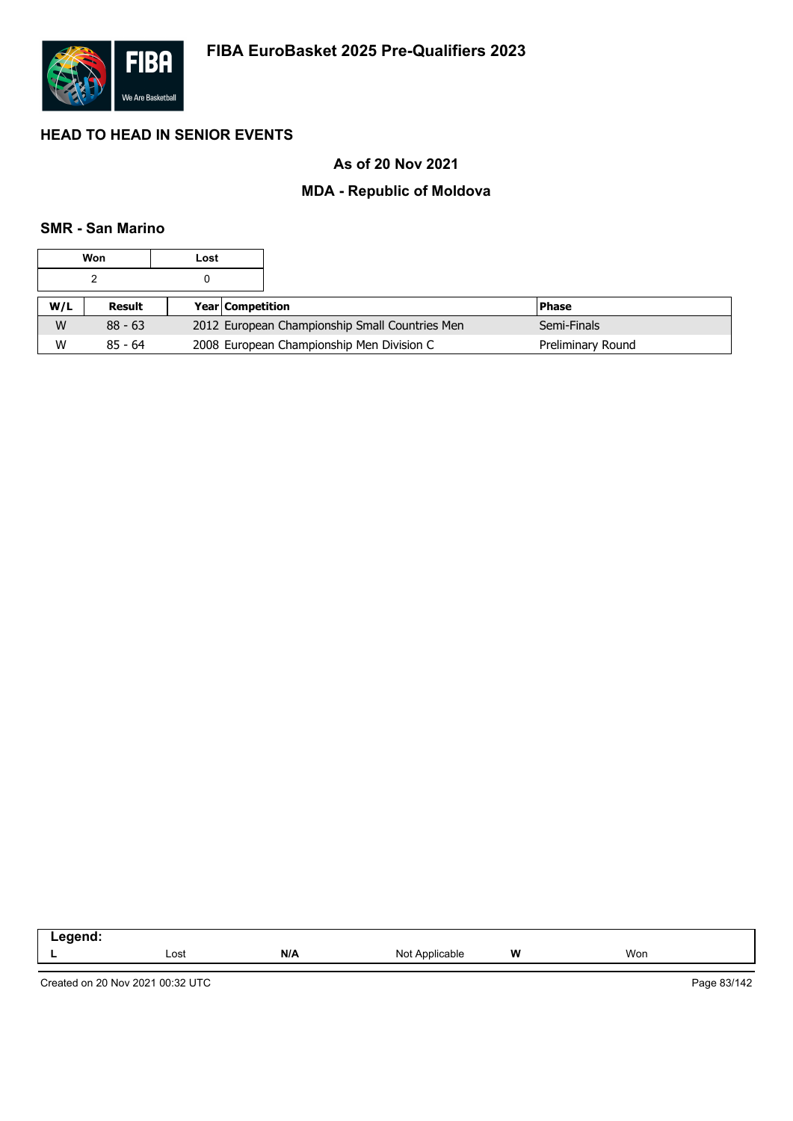

## **As of 20 Nov 2021**

### **MDA - Republic of Moldova**

### **SMR - San Marino**

|     | Won           | Lost |                                                |                   |
|-----|---------------|------|------------------------------------------------|-------------------|
|     |               |      |                                                |                   |
| W/L | <b>Result</b> |      | <b>Year Competition</b>                        | l Phase           |
| W   | $88 - 63$     |      | 2012 European Championship Small Countries Men | Semi-Finals       |
| W   | $85 - 64$     |      | 2008 European Championship Men Division C      | Preliminary Round |

| امیم میں<br>--<br>-- -<br>$\sim$ |      |     |                   |   |     |
|----------------------------------|------|-----|-------------------|---|-----|
|                                  | Lost | N/A | Not<br>Applicable | W | Won |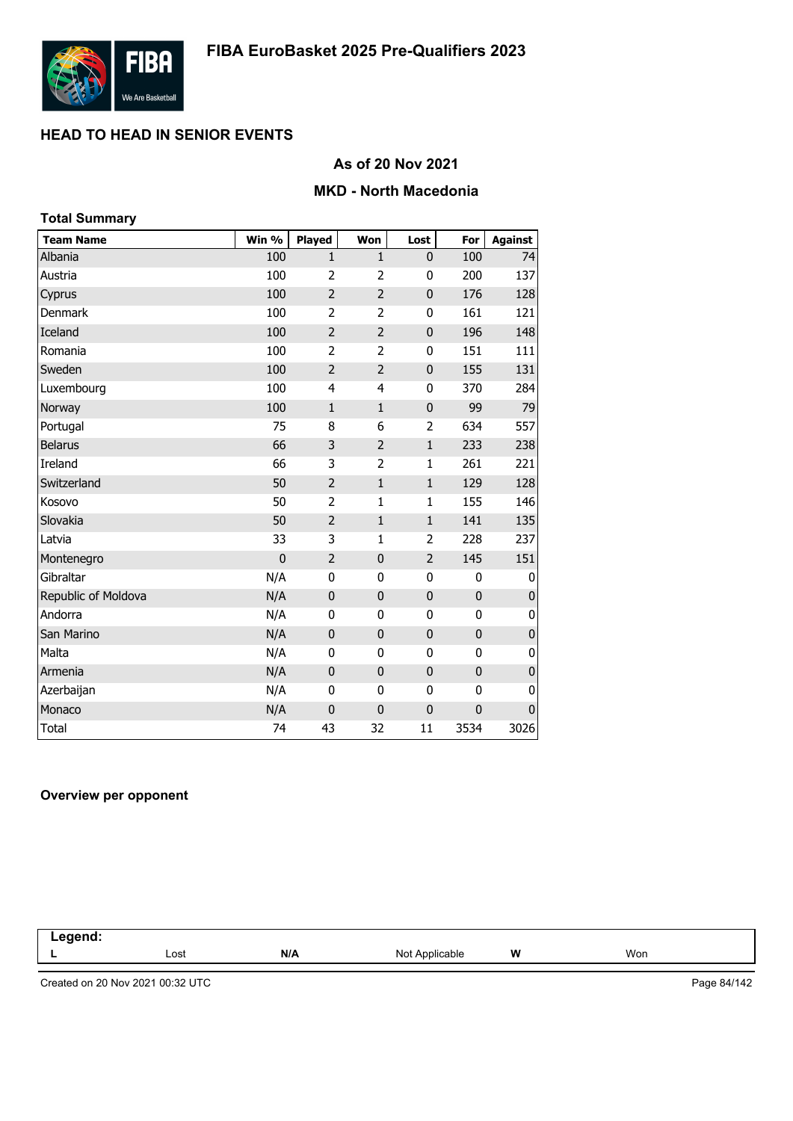

## **As of 20 Nov 2021**

#### **MKD - North Macedonia**

| <b>Total Summary</b> |                |                |                |                |             |                |
|----------------------|----------------|----------------|----------------|----------------|-------------|----------------|
| <b>Team Name</b>     | Win %          | <b>Played</b>  | Won            | Lost           | For         | <b>Against</b> |
| Albania              | 100            | 1              | 1              | 0              | 100         | 74             |
| Austria              | 100            | $\overline{2}$ | $\overline{2}$ | 0              | 200         | 137            |
| Cyprus               | 100            | $\overline{2}$ | $\overline{2}$ | 0              | 176         | 128            |
| Denmark              | 100            | 2              | 2              | 0              | 161         | 121            |
| Iceland              | 100            | $\overline{2}$ | $\overline{2}$ | 0              | 196         | 148            |
| Romania              | 100            | $\overline{2}$ | $\overline{2}$ | $\bf{0}$       | 151         | 111            |
| Sweden               | 100            | $\overline{2}$ | $\overline{2}$ | $\mathbf 0$    | 155         | 131            |
| Luxembourg           | 100            | 4              | 4              | 0              | 370         | 284            |
| Norway               | 100            | $\mathbf{1}$   | $1\,$          | $\mathbf{0}$   | 99          | 79             |
| Portugal             | 75             | 8              | 6              | 2              | 634         | 557            |
| <b>Belarus</b>       | 66             | 3              | $\overline{2}$ | $\mathbf{1}$   | 233         | 238            |
| Ireland              | 66             | 3              | 2              | $\mathbf{1}$   | 261         | 221            |
| Switzerland          | 50             | $\overline{2}$ | $1\,$          | $\mathbf 1$    | 129         | 128            |
| Kosovo               | 50             | $\overline{2}$ | 1              | $\mathbf{1}$   | 155         | 146            |
| Slovakia             | 50             | $\overline{2}$ | $1\,$          | $\mathbf 1$    | 141         | 135            |
| Latvia               | 33             | 3              | $\mathbf{1}$   | 2              | 228         | 237            |
| Montenegro           | $\overline{0}$ | $\overline{2}$ | $\overline{0}$ | $\overline{2}$ | 145         | 151            |
| Gibraltar            | N/A            | 0              | $\mathbf 0$    | 0              | 0           | 0              |
| Republic of Moldova  | N/A            | $\mathbf 0$    | $\mathbf 0$    | $\mathbf 0$    | $\mathbf 0$ | $\pmb{0}$      |
| Andorra              | N/A            | 0              | 0              | 0              | 0           | 0              |
| San Marino           | N/A            | $\mathbf 0$    | $\mathbf 0$    | $\mathbf{0}$   | $\mathbf 0$ | $\pmb{0}$      |
| Malta                | N/A            | 0              | 0              | 0              | 0           | $\pmb{0}$      |
| Armenia              | N/A            | $\mathbf 0$    | $\mathbf 0$    | 0              | $\mathbf 0$ | $\pmb{0}$      |
| Azerbaijan           | N/A            | 0              | 0              | $\mathbf 0$    | 0           | 0              |
| Monaco               | N/A            | 0              | $\mathbf 0$    | $\mathbf{0}$   | 0           | $\pmb{0}$      |
| <b>Total</b>         | 74             | 43             | 32             | 11             | 3534        | 3026           |

#### **Overview per opponent**

| ------<br><br>-- |      |     |                           |   |     |  |
|------------------|------|-----|---------------------------|---|-----|--|
|                  | Lost | N/A | Not<br>Annlicable<br>apie | W | Won |  |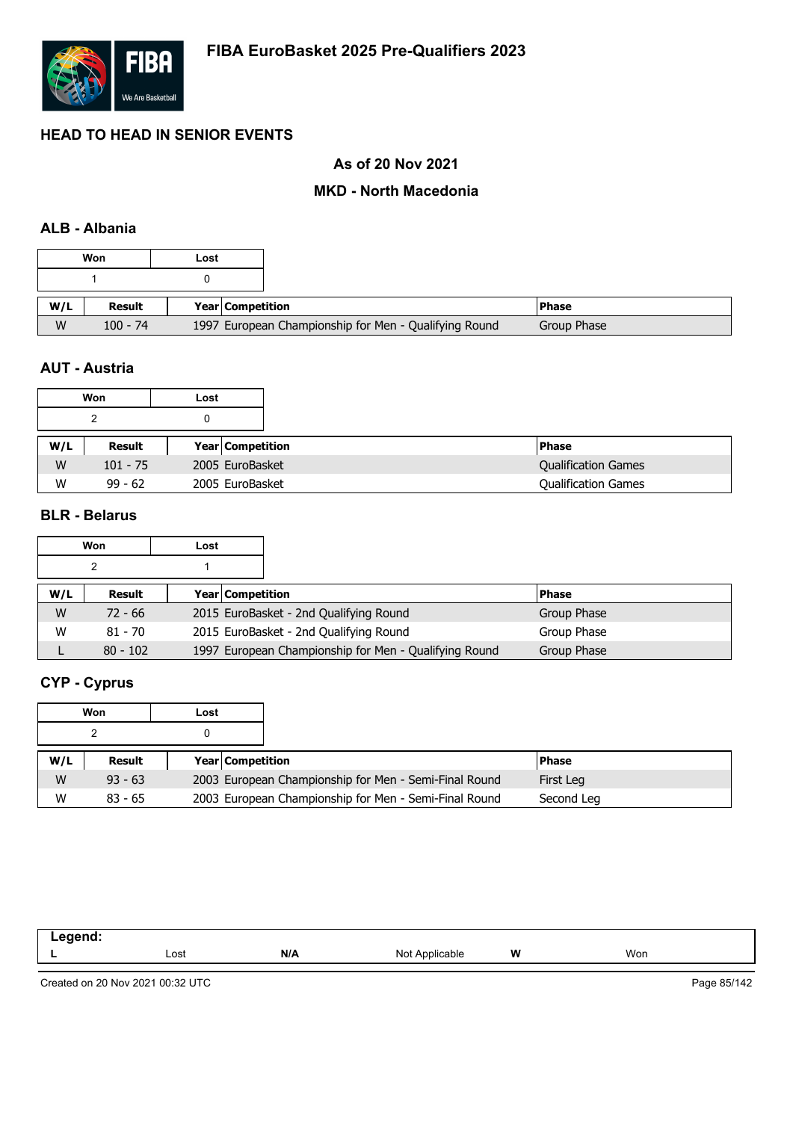

## **As of 20 Nov 2021**

#### **MKD - North Macedonia**

### **ALB - Albania**

|     | Won        | Lost |                                                       |              |
|-----|------------|------|-------------------------------------------------------|--------------|
|     |            |      |                                                       |              |
| W/L | Result     |      | Year Competition                                      | <b>Phase</b> |
| W   | $100 - 74$ |      | 1997 European Championship for Men - Qualifying Round | Group Phase  |

## **AUT - Austria**

|     | Won        | Lost |                         |                            |
|-----|------------|------|-------------------------|----------------------------|
|     |            |      |                         |                            |
| W/L | Result     |      | <b>Year Competition</b> | <b>Phase</b>               |
| W   | $101 - 75$ |      | 2005 EuroBasket         | <b>Qualification Games</b> |
| W   | $99 - 62$  |      | 2005 EuroBasket         | <b>Qualification Games</b> |

#### **BLR - Belarus**

|     | Won        | Lost |                  |                                                       |              |
|-----|------------|------|------------------|-------------------------------------------------------|--------------|
|     |            |      |                  |                                                       |              |
| W/L | Result     |      | Year Competition |                                                       | <b>Phase</b> |
| W   | $72 - 66$  |      |                  | 2015 EuroBasket - 2nd Qualifying Round                | Group Phase  |
| W   | $81 - 70$  |      |                  | 2015 EuroBasket - 2nd Qualifying Round                | Group Phase  |
|     | $80 - 102$ |      |                  | 1997 European Championship for Men - Qualifying Round | Group Phase  |

# **CYP - Cyprus**

|     | Won       | Lost |                         |                                                       |              |  |
|-----|-----------|------|-------------------------|-------------------------------------------------------|--------------|--|
|     |           |      |                         |                                                       |              |  |
| W/L | Result    |      | <b>Year Competition</b> |                                                       | <b>Phase</b> |  |
| W   | $93 - 63$ |      |                         | 2003 European Championship for Men - Semi-Final Round | First Leg    |  |
| W   | $83 - 65$ |      |                         | 2003 European Championship for Men - Semi-Final Round | Second Leg   |  |

| ----- |      |     |                |   |     |
|-------|------|-----|----------------|---|-----|
| --    | Lost | N/A | licable<br>Not | W | Won |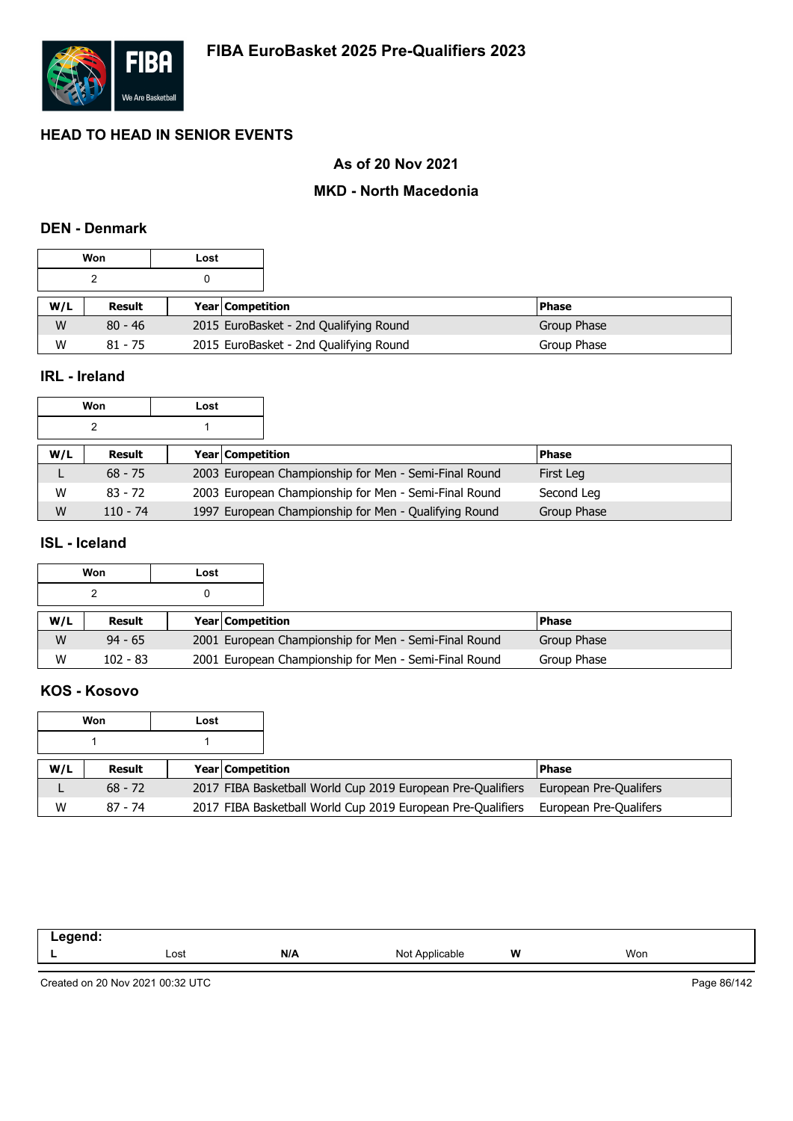

## **As of 20 Nov 2021**

#### **MKD - North Macedonia**

#### **DEN - Denmark**

| Won |           | Lost |                         |                                        |              |
|-----|-----------|------|-------------------------|----------------------------------------|--------------|
|     |           |      |                         |                                        |              |
| W/L | Result    |      | <b>Year Competition</b> |                                        | <b>Phase</b> |
| W   | $80 - 46$ |      |                         | 2015 EuroBasket - 2nd Qualifying Round | Group Phase  |
| W   | $81 - 75$ |      |                         | 2015 EuroBasket - 2nd Qualifying Round | Group Phase  |

#### **IRL - Ireland**

| Won |            | Lost |                         |                                                       |              |
|-----|------------|------|-------------------------|-------------------------------------------------------|--------------|
| ົ   |            |      |                         |                                                       |              |
| W/L | Result     |      | <b>Year Competition</b> |                                                       | <b>Phase</b> |
|     | $68 - 75$  |      |                         | 2003 European Championship for Men - Semi-Final Round | First Leg    |
| W   | $83 - 72$  |      |                         | 2003 European Championship for Men - Semi-Final Round | Second Leg   |
| W   | $110 - 74$ |      |                         | 1997 European Championship for Men - Qualifying Round | Group Phase  |

#### **ISL - Iceland**

|     | Won        | Lost |                         |                                                       |              |  |
|-----|------------|------|-------------------------|-------------------------------------------------------|--------------|--|
|     |            |      |                         |                                                       |              |  |
| W/L | Result     |      | <b>Year Competition</b> |                                                       | <b>Phase</b> |  |
| W   | $94 - 65$  |      |                         | 2001 European Championship for Men - Semi-Final Round | Group Phase  |  |
| W   | $102 - 83$ |      |                         | 2001 European Championship for Men - Semi-Final Round | Group Phase  |  |

#### **KOS - Kosovo**

|     | Won       | Lost |                         |                                                             |                        |
|-----|-----------|------|-------------------------|-------------------------------------------------------------|------------------------|
|     |           |      |                         |                                                             |                        |
| W/L | Result    |      | <b>Year Competition</b> |                                                             | l Phase                |
|     | $68 - 72$ |      |                         | 2017 FIBA Basketball World Cup 2019 European Pre-Qualifiers | European Pre-Qualifers |
| W   | 87 - 74   |      |                         | 2017 FIBA Basketball World Cup 2019 European Pre-Qualifiers | European Pre-Qualifers |

| . |      |     |                |   |     |
|---|------|-----|----------------|---|-----|
|   | Lost | N/A | Not Applicable | W | Won |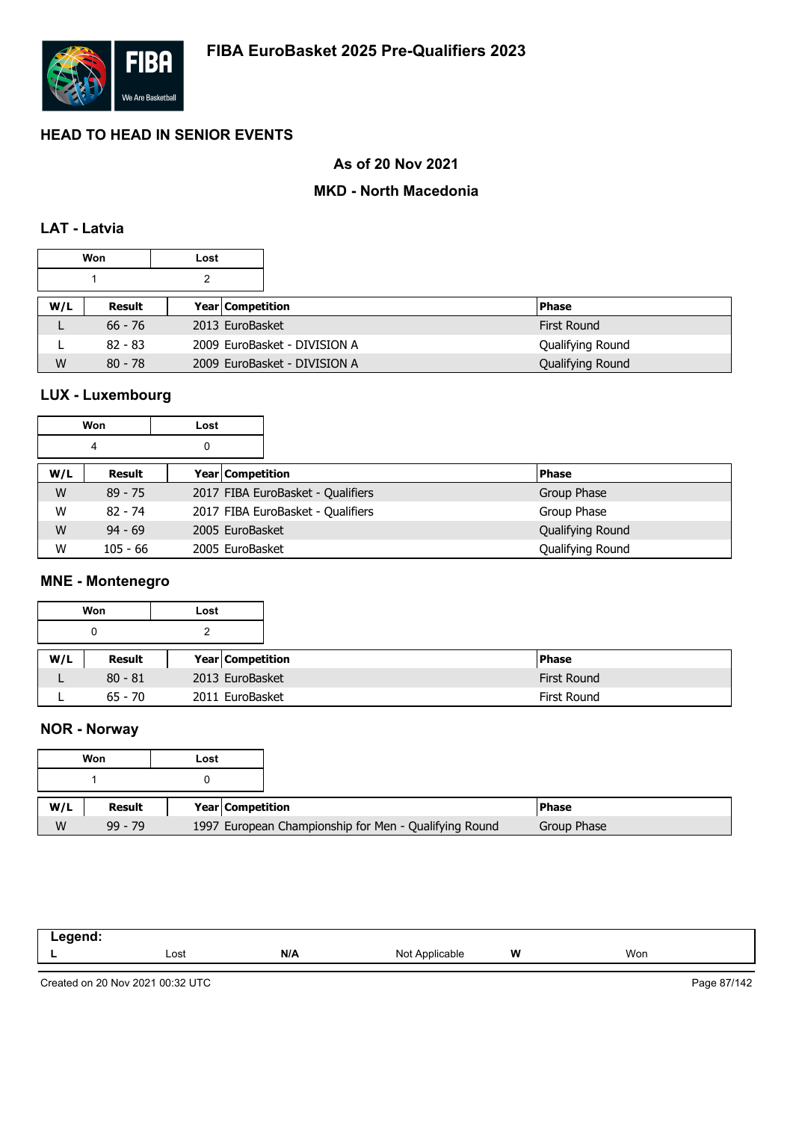

## **As of 20 Nov 2021**

## **MKD - North Macedonia**

## **LAT - Latvia**

| Won<br>Lost |           |  |                  |                              |                  |
|-------------|-----------|--|------------------|------------------------------|------------------|
|             |           |  |                  |                              |                  |
| W/L         | Result    |  | Year Competition |                              | <b>Phase</b>     |
|             | $66 - 76$ |  | 2013 EuroBasket  |                              | First Round      |
|             | $82 - 83$ |  |                  | 2009 EuroBasket - DIVISION A | Qualifying Round |
| W           | $80 - 78$ |  |                  | 2009 EuroBasket - DIVISION A | Qualifying Round |

# **LUX - Luxembourg**

| Won    |            | Lost            |                                   |                  |
|--------|------------|-----------------|-----------------------------------|------------------|
| 0<br>4 |            |                 |                                   |                  |
| W/L    | Result     |                 | Year Competition                  | <b>Phase</b>     |
| W      | $89 - 75$  |                 | 2017 FIBA EuroBasket - Qualifiers | Group Phase      |
| W      | $82 - 74$  |                 | 2017 FIBA EuroBasket - Qualifiers | Group Phase      |
| W      | $94 - 69$  | 2005 EuroBasket |                                   | Qualifying Round |
| W      | $105 - 66$ | 2005 EuroBasket |                                   | Qualifying Round |

#### **MNE - Montenegro**

|     | Won       | Lost |                         |
|-----|-----------|------|-------------------------|
|     | 0         | 2    |                         |
| W/L | Result    |      | <b>Year Competition</b> |
|     | $80 - 81$ |      | 2013 EuroBasket         |
|     | $65 - 70$ |      | 2011 EuroBasket         |

# **NOR - Norway**

|     | Won       | Lost |                  |                                                       |  |
|-----|-----------|------|------------------|-------------------------------------------------------|--|
|     |           |      |                  |                                                       |  |
| W/L | Result    |      | Year Competition |                                                       |  |
| W   | $99 - 79$ |      |                  | 1997 European Championship for Men - Qualifying Round |  |

| .<br>- - - |      |     |                            |   |     |
|------------|------|-----|----------------------------|---|-----|
| --         | Lost | N/A | NM.<br>`Applicable<br>IVU. | W | Won |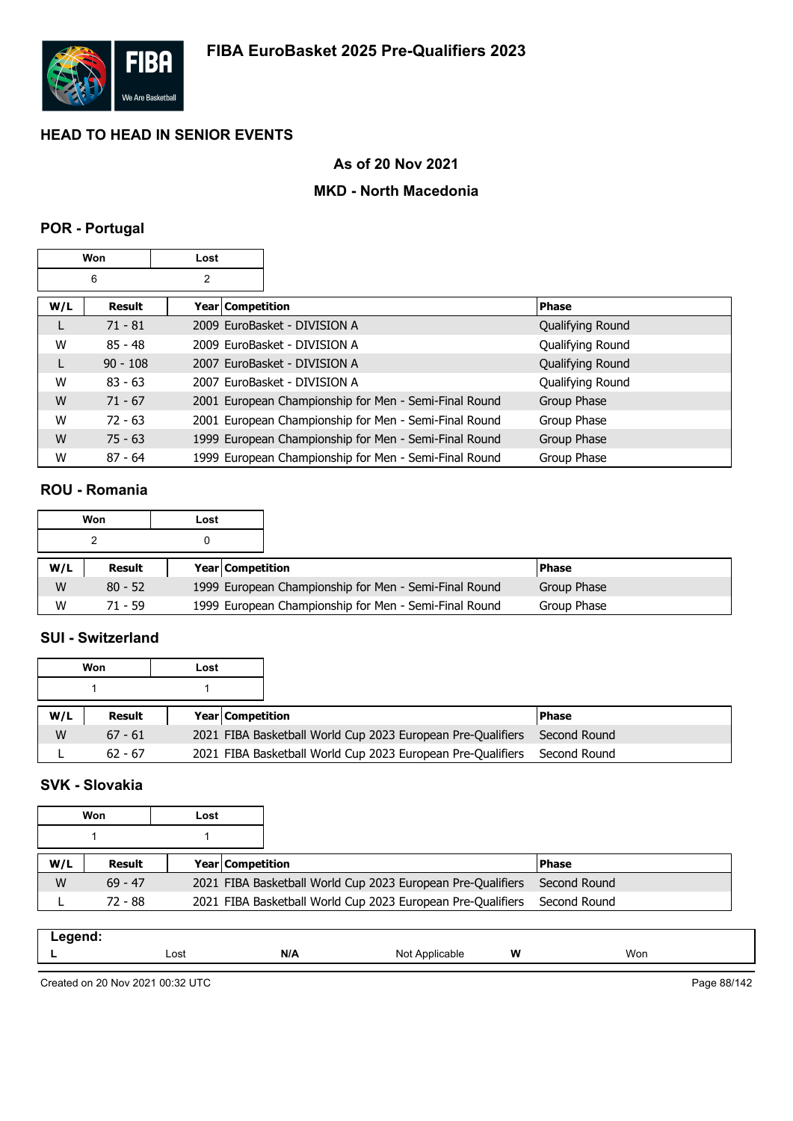

## **As of 20 Nov 2021**

#### **MKD - North Macedonia**

#### **POR - Portugal**

|     | Won        | Lost               |                                                       |                  |
|-----|------------|--------------------|-------------------------------------------------------|------------------|
|     | 6          | 2                  |                                                       |                  |
| W/L | Result     | Year   Competition |                                                       | <b>Phase</b>     |
| L   | $71 - 81$  |                    | 2009 EuroBasket - DIVISION A                          | Qualifying Round |
| W   | $85 - 48$  |                    | 2009 EuroBasket - DIVISION A                          | Qualifying Round |
| L   | $90 - 108$ |                    | 2007 EuroBasket - DIVISION A                          | Qualifying Round |
| W   | $83 - 63$  |                    | 2007 EuroBasket - DIVISION A                          | Qualifying Round |
| W   | $71 - 67$  |                    | 2001 European Championship for Men - Semi-Final Round | Group Phase      |
| W   | $72 - 63$  |                    | 2001 European Championship for Men - Semi-Final Round | Group Phase      |
| W   | $75 - 63$  |                    | 1999 European Championship for Men - Semi-Final Round | Group Phase      |
| W   | $87 - 64$  |                    | 1999 European Championship for Men - Semi-Final Round | Group Phase      |

#### **ROU - Romania**

|     | Won       | Lost                    |                                                       |               |
|-----|-----------|-------------------------|-------------------------------------------------------|---------------|
|     |           |                         |                                                       |               |
| W/L | Result    | <b>Year Competition</b> |                                                       | <b>IPhase</b> |
| W   | $80 - 52$ |                         | 1999 European Championship for Men - Semi-Final Round | Group Phase   |
| W   | 71 - 59   |                         | 1999 European Championship for Men - Semi-Final Round | Group Phase   |

## **SUI - Switzerland**

|     | Won           | Lost |                         |                                                             |              |
|-----|---------------|------|-------------------------|-------------------------------------------------------------|--------------|
|     |               |      |                         |                                                             |              |
| W/L | <b>Result</b> |      | <b>Year Competition</b> |                                                             | <b>Phase</b> |
| W   | $67 - 61$     |      |                         | 2021 FIBA Basketball World Cup 2023 European Pre-Qualifiers | Second Round |
|     | $62 - 67$     |      |                         | 2021 FIBA Basketball World Cup 2023 European Pre-Qualifiers | Second Round |

# **SVK - Slovakia**

|     | Won       | Lost |                         |                                                             |              |
|-----|-----------|------|-------------------------|-------------------------------------------------------------|--------------|
|     |           |      |                         |                                                             |              |
| W/L | Result    |      | <b>Year Competition</b> |                                                             | <b>Phase</b> |
| W   | $69 - 47$ |      |                         | 2021 FIBA Basketball World Cup 2023 European Pre-Qualifiers | Second Round |
|     | 72 - 88   |      |                         | 2021 FIBA Basketball World Cup 2023 European Pre-Qualifiers | Second Round |

| .<br>-- - |      |                 |              |   |     |
|-----------|------|-----------------|--------------|---|-----|
| -         | Lost | M<br><u>IVA</u> | Not<br>cable | W | Won |

Created on 20 Nov 2021 00:32 UTC

Page 88/142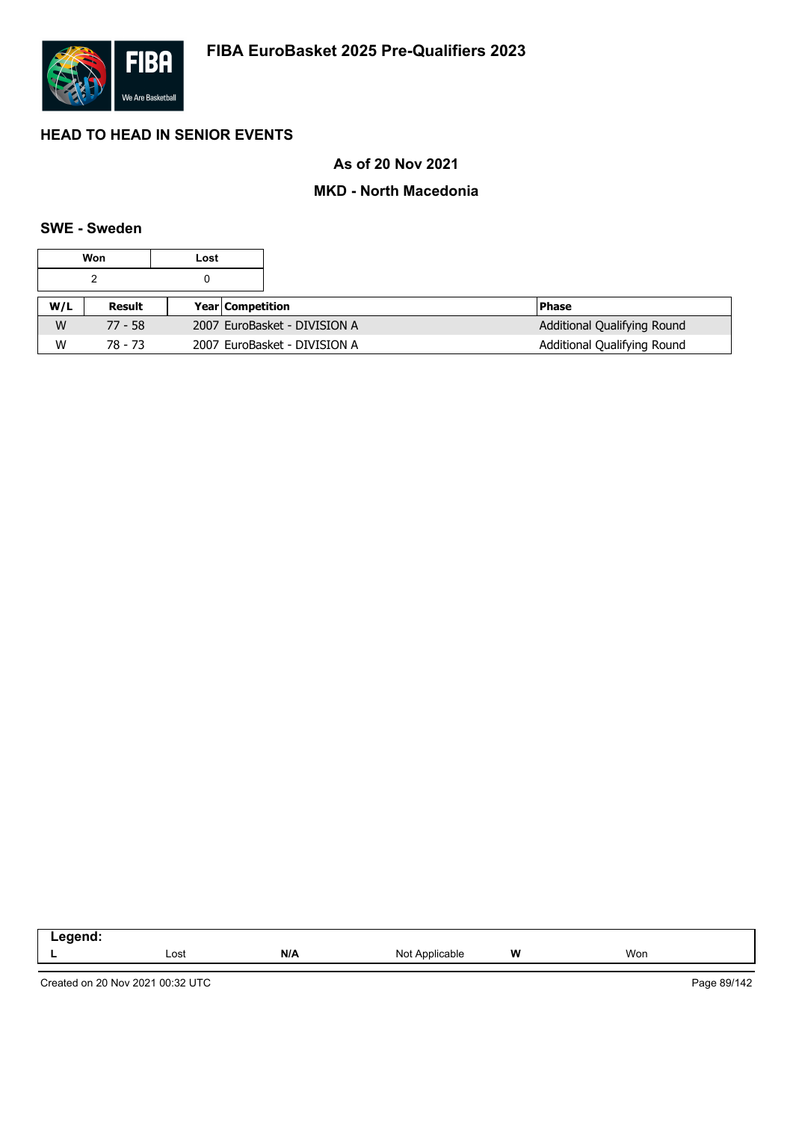

## **As of 20 Nov 2021**

### **MKD - North Macedonia**

#### **SWE - Sweden**

|     | Won       | Lost |                              |                             |
|-----|-----------|------|------------------------------|-----------------------------|
|     |           | 0    |                              |                             |
| W/L | Result    |      | <b>Year Competition</b>      | <b>Phase</b>                |
| W   | $77 - 58$ |      | 2007 EuroBasket - DIVISION A | Additional Qualifying Round |
| W   | 78 - 73   |      | 2007 EuroBasket - DIVISION A | Additional Qualifying Round |

| .<br>-- |      |     |                                                                      |   |     |
|---------|------|-----|----------------------------------------------------------------------|---|-----|
|         | ∟ost | N/A | Not<br>Applicable<br>the contract of the contract of the contract of | W | Won |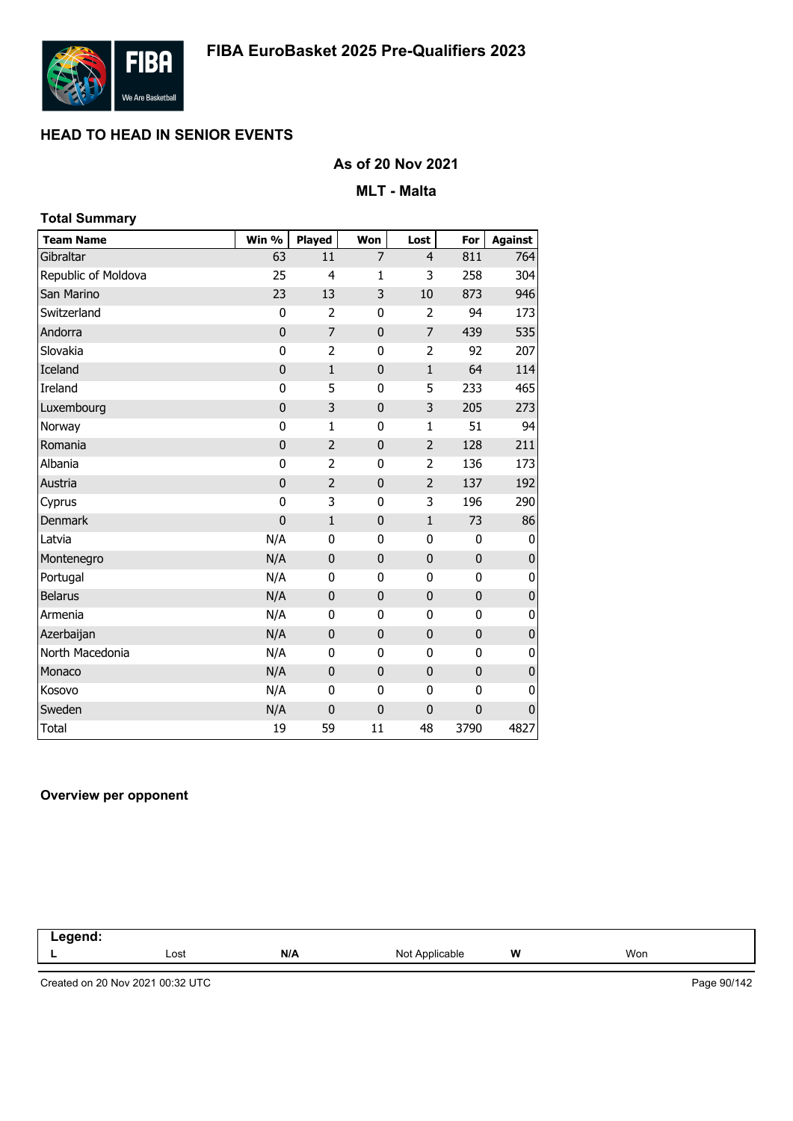

## **As of 20 Nov 2021**

#### **MLT - Malta**

| <b>Total Summary</b> |             |                |                |                |              |                |
|----------------------|-------------|----------------|----------------|----------------|--------------|----------------|
| <b>Team Name</b>     | Win %       | <b>Played</b>  | Won            | Lost           | For          | <b>Against</b> |
| Gibraltar            | 63          | 11             | $\overline{7}$ | $\overline{4}$ | 811          | 764            |
| Republic of Moldova  | 25          | 4              | 1              | 3              | 258          | 304            |
| San Marino           | 23          | 13             | 3              | 10             | 873          | 946            |
| Switzerland          | $\bf{0}$    | $\overline{2}$ | 0              | $\overline{2}$ | 94           | 173            |
| Andorra              | $\mathbf 0$ | $\overline{7}$ | $\mathbf 0$    | $\overline{7}$ | 439          | 535            |
| Slovakia             | $\bf{0}$    | $\overline{2}$ | 0              | $\overline{2}$ | 92           | 207            |
| Iceland              | $\mathbf 0$ | $\mathbf{1}$   | $\mathbf{0}$   | $\mathbf 1$    | 64           | 114            |
| Ireland              | $\bf{0}$    | 5              | 0              | 5              | 233          | 465            |
| Luxembourg           | $\mathbf 0$ | 3              | $\mathbf{0}$   | 3              | 205          | 273            |
| Norway               | 0           | $\mathbf{1}$   | 0              | 1              | 51           | 94             |
| Romania              | $\mathbf 0$ | $\overline{2}$ | $\mathbf{0}$   | $\overline{2}$ | 128          | 211            |
| Albania              | 0           | $\overline{2}$ | 0              | $\overline{2}$ | 136          | 173            |
| Austria              | $\mathbf 0$ | $\overline{2}$ | $\mathbf{0}$   | $\overline{2}$ | 137          | 192            |
| Cyprus               | $\mathbf 0$ | 3              | 0              | 3              | 196          | 290            |
| <b>Denmark</b>       | $\mathbf 0$ | $\mathbf{1}$   | $\mathbf{0}$   | $\mathbf 1$    | 73           | 86             |
| Latvia               | N/A         | 0              | 0              | 0              | 0            | 0              |
| Montenegro           | N/A         | $\mathbf 0$    | $\mathbf{0}$   | $\pmb{0}$      | $\mathbf 0$  | $\pmb{0}$      |
| Portugal             | N/A         | $\mathbf{0}$   | 0              | 0              | 0            | 0              |
| <b>Belarus</b>       | N/A         | $\mathbf 0$    | $\mathbf{0}$   | $\pmb{0}$      | $\mathbf 0$  | $\bf{0}$       |
| Armenia              | N/A         | 0              | 0              | $\pmb{0}$      | 0            | 0              |
| Azerbaijan           | N/A         | $\mathbf 0$    | $\mathbf{0}$   | $\bf{0}$       | $\pmb{0}$    | $\mathbf 0$    |
| North Macedonia      | N/A         | 0              | 0              | 0              | 0            | 0              |
| Monaco               | N/A         | $\mathbf 0$    | $\mathbf{0}$   | $\pmb{0}$      | $\mathbf 0$  | $\pmb{0}$      |
| Kosovo               | N/A         | 0              | 0              | 0              | 0            | 0              |
| Sweden               | N/A         | $\mathbf 0$    | $\bf{0}$       | $\mathbf 0$    | $\mathbf{0}$ | $\mathbf{0}$   |
| Total                | 19          | 59             | 11             | 48             | 3790         | 4827           |

#### **Overview per opponent**

| .7001<br>$\sim$ $\sim$ $\sim$<br>-- |      |     |                              |       |     |  |
|-------------------------------------|------|-----|------------------------------|-------|-----|--|
|                                     | Lost | N/A | Not $\epsilon$<br>Applicable | W<br> | Won |  |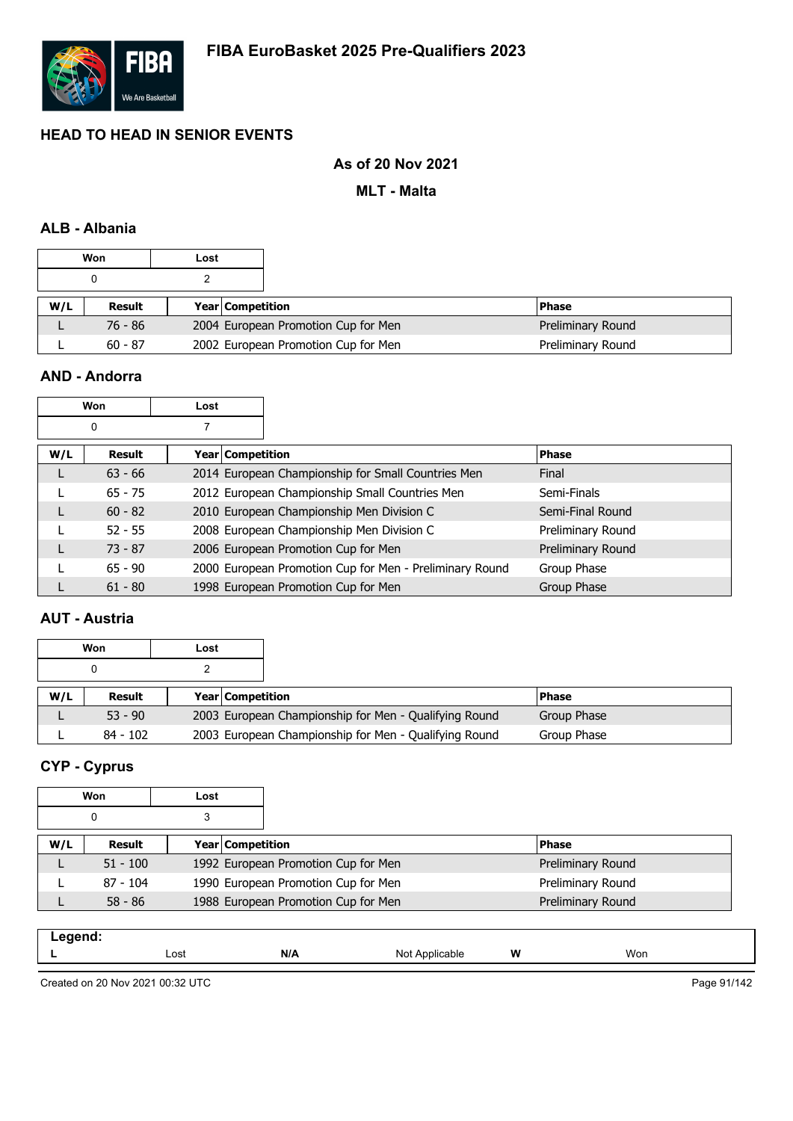

## **As of 20 Nov 2021**

**MLT - Malta**

## **ALB - Albania**

|     | Won       | Lost |                  |                                     |                   |
|-----|-----------|------|------------------|-------------------------------------|-------------------|
|     |           |      |                  |                                     |                   |
| W/L | Result    |      | Year Competition |                                     | l Phase           |
|     | $76 - 86$ |      |                  | 2004 European Promotion Cup for Men | Preliminary Round |
|     | $60 - 87$ |      |                  | 2002 European Promotion Cup for Men | Preliminary Round |

## **AND - Andorra**

|     | Won           | Lost               |                                                         |                   |
|-----|---------------|--------------------|---------------------------------------------------------|-------------------|
|     | 0             |                    |                                                         |                   |
| W/L | <b>Result</b> | Year   Competition |                                                         | <b>Phase</b>      |
|     | $63 - 66$     |                    | 2014 European Championship for Small Countries Men      | Final             |
|     | $65 - 75$     |                    | 2012 European Championship Small Countries Men          | Semi-Finals       |
|     | $60 - 82$     |                    | 2010 European Championship Men Division C               | Semi-Final Round  |
|     | $52 - 55$     |                    | 2008 European Championship Men Division C               | Preliminary Round |
|     | $73 - 87$     |                    | 2006 European Promotion Cup for Men                     | Preliminary Round |
|     | $65 - 90$     |                    | 2000 European Promotion Cup for Men - Preliminary Round | Group Phase       |
|     | $61 - 80$     |                    | 1998 European Promotion Cup for Men                     | Group Phase       |

#### **AUT - Austria**

|     | Won        | Lost |                                                       |              |
|-----|------------|------|-------------------------------------------------------|--------------|
|     |            |      |                                                       |              |
| W/L | Result     |      | <b>Year Competition</b>                               | <b>Phase</b> |
|     | $53 - 90$  |      | 2003 European Championship for Men - Qualifying Round | Group Phase  |
|     | $84 - 102$ |      | 2003 European Championship for Men - Qualifying Round | Group Phase  |

# **CYP - Cyprus**

|     | Won        | Lost |                                     |                   |
|-----|------------|------|-------------------------------------|-------------------|
|     | 0          | 3    |                                     |                   |
| W/L | Result     |      | <b>Year Competition</b>             | <b>Phase</b>      |
|     | $51 - 100$ |      | 1992 European Promotion Cup for Men | Preliminary Round |
|     | $87 - 104$ |      | 1990 European Promotion Cup for Men | Preliminary Round |
|     | $58 - 86$  |      | 1988 European Promotion Cup for Men | Preliminary Round |

| .<br>--<br>. |      |     |                                          |   |     |  |
|--------------|------|-----|------------------------------------------|---|-----|--|
|              | Lost | N/A | Not<br>$\mathbf{A}$ r<br>oplica.<br>able | W | Won |  |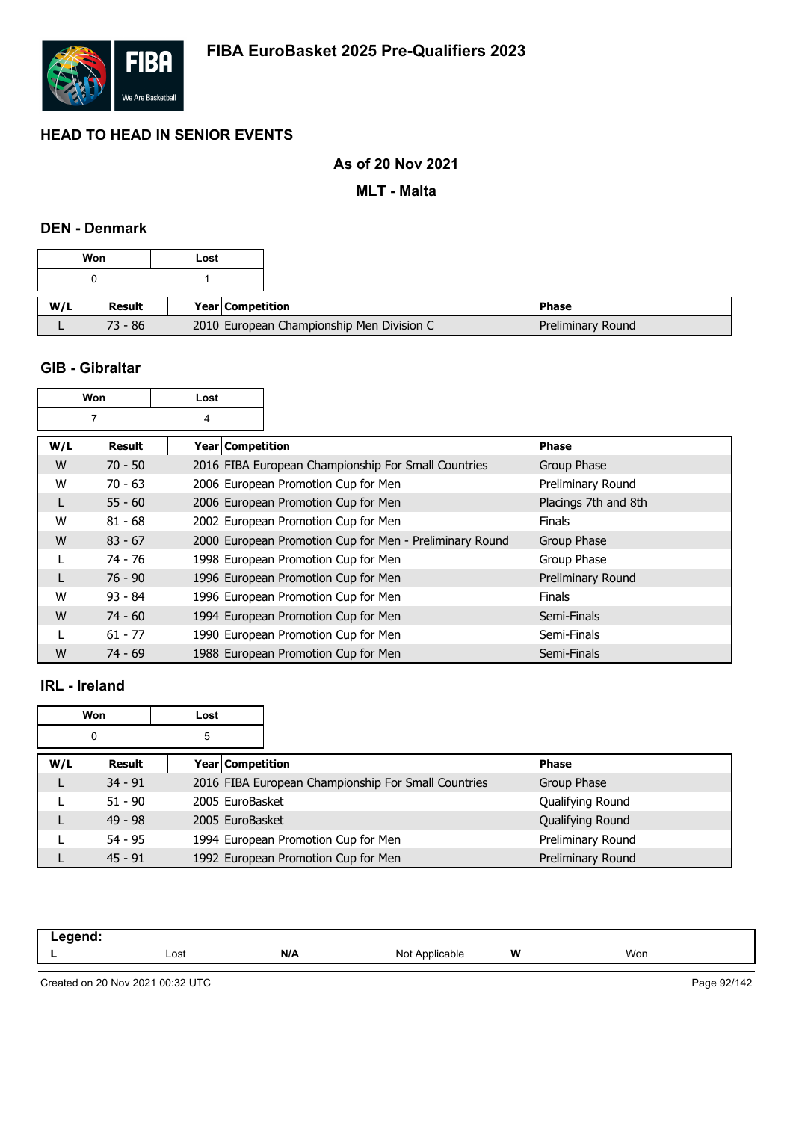

## **As of 20 Nov 2021**

**MLT - Malta**

## **DEN - Denmark**

|     | Won       | Lost |                                           |                   |
|-----|-----------|------|-------------------------------------------|-------------------|
|     |           |      |                                           |                   |
| W/L | Result    |      | Year Competition                          | l Phase           |
|     | $73 - 86$ |      | 2010 European Championship Men Division C | Preliminary Round |

#### **GIB - Gibraltar**

|     | Won<br>Lost |                    |                                                         |                      |
|-----|-------------|--------------------|---------------------------------------------------------|----------------------|
|     | 7           | 4                  |                                                         |                      |
| W/L | Result      | Year   Competition |                                                         | <b>Phase</b>         |
| W   | $70 - 50$   |                    | 2016 FIBA European Championship For Small Countries     | Group Phase          |
| W   | $70 - 63$   |                    | 2006 European Promotion Cup for Men                     | Preliminary Round    |
|     | $55 - 60$   |                    | 2006 European Promotion Cup for Men                     | Placings 7th and 8th |
| W   | $81 - 68$   |                    | 2002 European Promotion Cup for Men                     | <b>Finals</b>        |
| W   | $83 - 67$   |                    | 2000 European Promotion Cup for Men - Preliminary Round | Group Phase          |
|     | 74 - 76     |                    | 1998 European Promotion Cup for Men                     | Group Phase          |
| L   | $76 - 90$   |                    | 1996 European Promotion Cup for Men                     | Preliminary Round    |
| W   | $93 - 84$   |                    | 1996 European Promotion Cup for Men                     | <b>Finals</b>        |
| W   | $74 - 60$   |                    | 1994 European Promotion Cup for Men                     | Semi-Finals          |
|     | $61 - 77$   |                    | 1990 European Promotion Cup for Men                     | Semi-Finals          |
| W   | $74 - 69$   |                    | 1988 European Promotion Cup for Men                     | Semi-Finals          |

#### **IRL - Ireland**

|     | Won       | Lost                    |                                                     |                   |
|-----|-----------|-------------------------|-----------------------------------------------------|-------------------|
|     | 0         | 5                       |                                                     |                   |
| W/L | Result    | <b>Year Competition</b> |                                                     | <b>Phase</b>      |
|     | $34 - 91$ |                         | 2016 FIBA European Championship For Small Countries | Group Phase       |
|     | $51 - 90$ | 2005 EuroBasket         |                                                     | Qualifying Round  |
|     | $49 - 98$ | 2005 EuroBasket         |                                                     | Qualifying Round  |
|     | $54 - 95$ |                         | 1994 European Promotion Cup for Men                 | Preliminary Round |
|     | $45 - 91$ |                         | 1992 European Promotion Cup for Men                 | Preliminary Round |

| ------ |      |     |                  |   |     |  |
|--------|------|-----|------------------|---|-----|--|
| -      | Lost | N/A | Nol<br>oplicable | W | Won |  |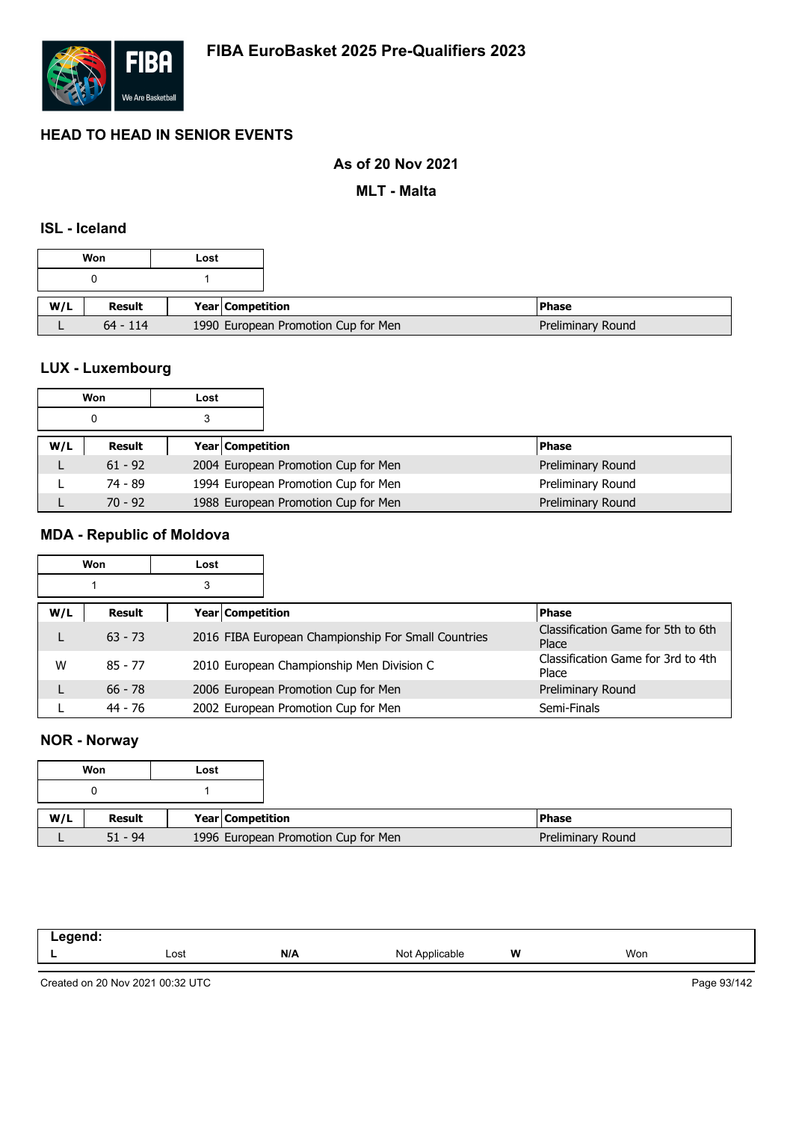

## **As of 20 Nov 2021**

**MLT - Malta**

## **ISL - Iceland**

|     |               | Won | Lost                                |
|-----|---------------|-----|-------------------------------------|
|     |               |     |                                     |
| W/L | <b>Result</b> |     | <b>Year Competition</b>             |
|     | $64 - 114$    |     | 1990 European Promotion Cup for Men |

# **LUX - Luxembourg**

|     | Won       | Lost |                                     |                   |
|-----|-----------|------|-------------------------------------|-------------------|
|     | 0         |      |                                     |                   |
| W/L | Result    |      | Year Competition                    | <b>Phase</b>      |
| ட   | $61 - 92$ |      | 2004 European Promotion Cup for Men | Preliminary Round |
|     | 74 - 89   |      | 1994 European Promotion Cup for Men | Preliminary Round |
|     | $70 - 92$ |      | 1988 European Promotion Cup for Men | Preliminary Round |

# **MDA - Republic of Moldova**

|     | Won       | Lost |                         |                                                     |                                             |
|-----|-----------|------|-------------------------|-----------------------------------------------------|---------------------------------------------|
|     |           | 3    |                         |                                                     |                                             |
| W/L | Result    |      | <b>Year Competition</b> |                                                     | <b>Phase</b>                                |
|     | $63 - 73$ |      |                         | 2016 FIBA European Championship For Small Countries | Classification Game for 5th to 6th<br>Place |
| W   | $85 - 77$ |      |                         | 2010 European Championship Men Division C           | Classification Game for 3rd to 4th<br>Place |
|     | $66 - 78$ |      |                         | 2006 European Promotion Cup for Men                 | Preliminary Round                           |
|     | 44 - 76   |      |                         | 2002 European Promotion Cup for Men                 | Semi-Finals                                 |

## **NOR - Norway**

|     | Won       | Lost |                                     |
|-----|-----------|------|-------------------------------------|
|     |           |      |                                     |
| W/L | Result    |      | Year   Competition                  |
|     | $51 - 94$ |      | 1996 European Promotion Cup for Men |

| ------<br>____<br>- - - |      |     |                            |   |     |
|-------------------------|------|-----|----------------------------|---|-----|
| --                      | Lost | N/A | Not .<br><b>Applicable</b> | W | Won |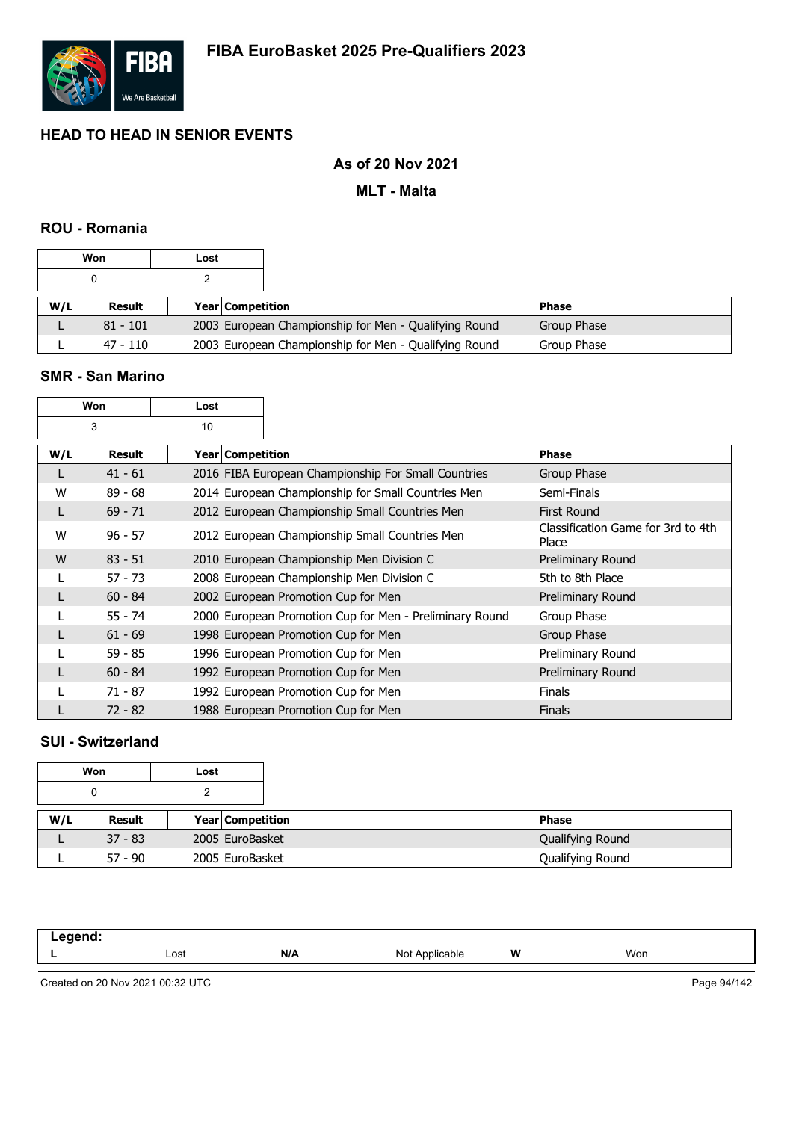

## **As of 20 Nov 2021**

#### **MLT - Malta**

### **ROU - Romania**

| Won<br>Lost |            |                         |                                                       |              |
|-------------|------------|-------------------------|-------------------------------------------------------|--------------|
|             |            |                         |                                                       |              |
| W/L         | Result     | <b>Year Competition</b> |                                                       | <b>Phase</b> |
|             | $81 - 101$ |                         | 2003 European Championship for Men - Qualifying Round | Group Phase  |
|             | 47 - 110   |                         | 2003 European Championship for Men - Qualifying Round | Group Phase  |

#### **SMR - San Marino**

 $\Gamma$ 

|     | Won           | Lost               |                                                         |                                             |
|-----|---------------|--------------------|---------------------------------------------------------|---------------------------------------------|
|     | 3             | 10                 |                                                         |                                             |
| W/L | <b>Result</b> | Year   Competition |                                                         | <b>Phase</b>                                |
| L   | $41 - 61$     |                    | 2016 FIBA European Championship For Small Countries     | Group Phase                                 |
| W   | $89 - 68$     |                    | 2014 European Championship for Small Countries Men      | Semi-Finals                                 |
| L   | $69 - 71$     |                    | 2012 European Championship Small Countries Men          | <b>First Round</b>                          |
| W   | $96 - 57$     |                    | 2012 European Championship Small Countries Men          | Classification Game for 3rd to 4th<br>Place |
| W   | $83 - 51$     |                    | 2010 European Championship Men Division C               | Preliminary Round                           |
|     | $57 - 73$     |                    | 2008 European Championship Men Division C               | 5th to 8th Place                            |
| L   | $60 - 84$     |                    | 2002 European Promotion Cup for Men                     | Preliminary Round                           |
|     | $55 - 74$     |                    | 2000 European Promotion Cup for Men - Preliminary Round | Group Phase                                 |
|     | $61 - 69$     |                    | 1998 European Promotion Cup for Men                     | Group Phase                                 |
|     | $59 - 85$     |                    | 1996 European Promotion Cup for Men                     | Preliminary Round                           |
| L   | $60 - 84$     |                    | 1992 European Promotion Cup for Men                     | Preliminary Round                           |
|     | $71 - 87$     |                    | 1992 European Promotion Cup for Men                     | <b>Finals</b>                               |
|     | $72 - 82$     |                    | 1988 European Promotion Cup for Men                     | <b>Finals</b>                               |

## **SUI - Switzerland**

|     | Won       | Lost |                         |  |                  |
|-----|-----------|------|-------------------------|--|------------------|
|     |           |      |                         |  |                  |
| W/L | Result    |      | <b>Year Competition</b> |  | <b>Phase</b>     |
|     | $37 - 83$ |      | 2005 EuroBasket         |  | Qualifying Round |
|     | $57 - 90$ |      | 2005 EuroBasket         |  | Qualifying Round |

| .<br>______ |      |     |                   |   |     |
|-------------|------|-----|-------------------|---|-----|
|             | Lost | N/A | Not<br>Applicable | W | Won |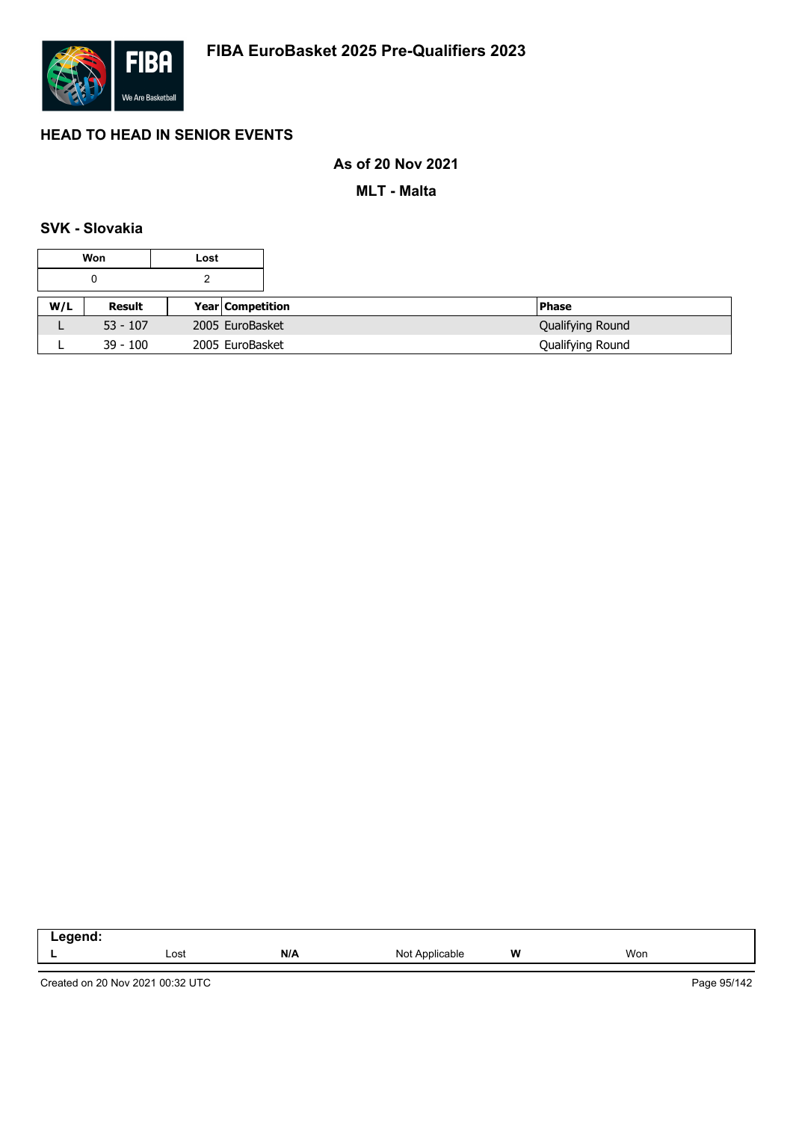

## **As of 20 Nov 2021**

**MLT - Malta**

## **SVK - Slovakia**

|     | Won        | Lost |                  |                  |
|-----|------------|------|------------------|------------------|
|     |            |      |                  |                  |
| W/L | Result     |      | Year Competition | <b>Phase</b>     |
| ட   | $53 - 107$ |      | 2005 EuroBasket  | Qualifying Round |
|     | $39 - 100$ |      | 2005 EuroBasket  | Qualifying Round |

| -----<br>--<br>.<br>__ |      |     |                |   |     |  |
|------------------------|------|-----|----------------|---|-----|--|
|                        | Lost | N/A | Not<br>licable | W | Won |  |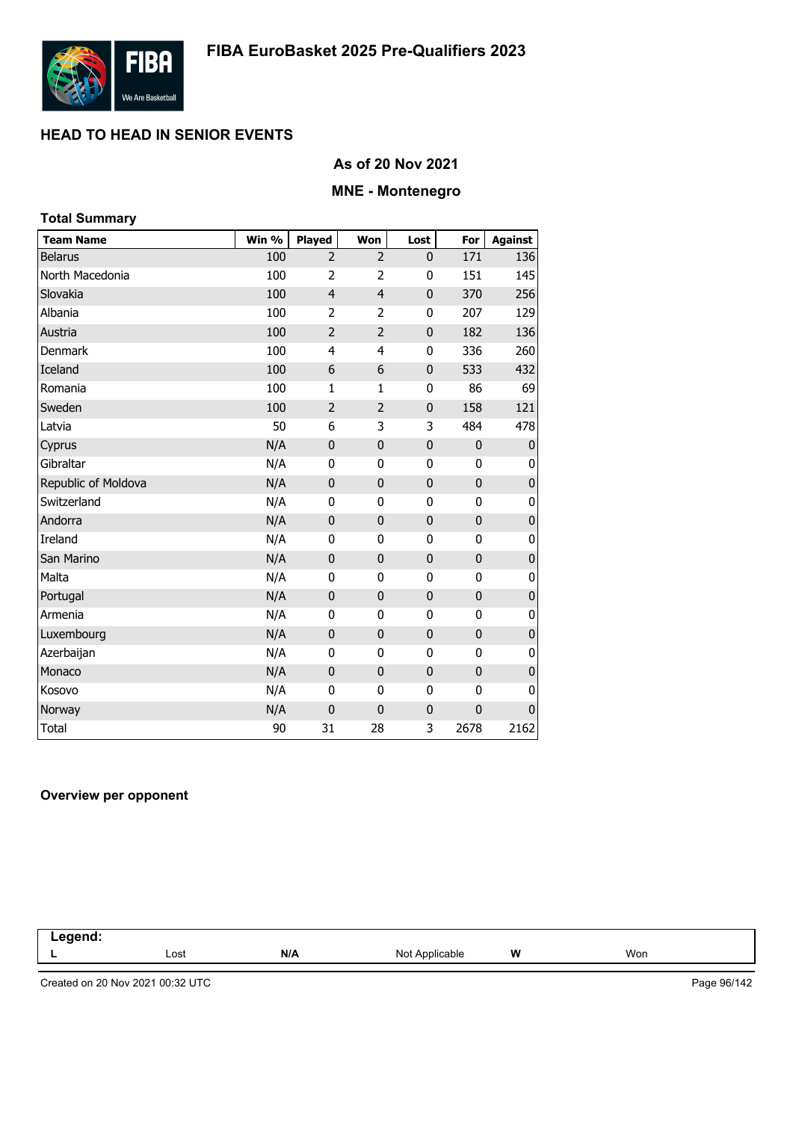

### **As of 20 Nov 2021**

# **MNE - Montenegro**

| <b>Total Summary</b> |       |                |                |              |              |                |
|----------------------|-------|----------------|----------------|--------------|--------------|----------------|
| <b>Team Name</b>     | Win % | <b>Played</b>  | Won            | Lost         | For          | <b>Against</b> |
| <b>Belarus</b>       | 100   | $\overline{2}$ | 2              | 0            | 171          | 136            |
| North Macedonia      | 100   | $\overline{2}$ | $\overline{2}$ | 0            | 151          | 145            |
| Slovakia             | 100   | $\overline{4}$ | $\overline{4}$ | 0            | 370          | 256            |
| Albania              | 100   | 2              | 2              | 0            | 207          | 129            |
| Austria              | 100   | $\overline{2}$ | $\overline{2}$ | 0            | 182          | 136            |
| Denmark              | 100   | 4              | 4              | $\bf{0}$     | 336          | 260            |
| Iceland              | 100   | 6              | 6              | $\mathbf 0$  | 533          | 432            |
| Romania              | 100   | $\mathbf{1}$   | 1              | 0            | 86           | 69             |
| Sweden               | 100   | $\overline{2}$ | $\overline{2}$ | $\mathbf{0}$ | 158          | 121            |
| Latvia               | 50    | 6              | 3              | 3            | 484          | 478            |
| Cyprus               | N/A   | $\mathbf 0$    | $\mathbf 0$    | $\mathbf 0$  | $\mathbf 0$  | $\pmb{0}$      |
| Gibraltar            | N/A   | 0              | 0              | 0            | 0            | 0              |
| Republic of Moldova  | N/A   | 0              | $\mathbf 0$    | $\mathbf 0$  | 0            | $\pmb{0}$      |
| Switzerland          | N/A   | 0              | 0              | 0            | 0            | 0              |
| Andorra              | N/A   | $\mathbf 0$    | $\mathbf 0$    | $\mathbf{0}$ | $\mathbf 0$  | $\pmb{0}$      |
| Ireland              | N/A   | 0              | 0              | 0            | 0            | $\pmb{0}$      |
| San Marino           | N/A   | $\mathbf 0$    | $\overline{0}$ | 0            | $\mathbf{0}$ | $\pmb{0}$      |
| Malta                | N/A   | 0              | $\mathbf 0$    | 0            | 0            | $\pmb{0}$      |
| Portugal             | N/A   | 0              | $\mathbf 0$    | $\mathbf 0$  | 0            | $\pmb{0}$      |
| Armenia              | N/A   | 0              | 0              | 0            | 0            | 0              |
| Luxembourg           | N/A   | $\mathbf 0$    | $\mathbf 0$    | $\mathbf{0}$ | $\mathbf 0$  | $\pmb{0}$      |
| Azerbaijan           | N/A   | 0              | 0              | 0            | 0            | $\pmb{0}$      |
| Monaco               | N/A   | $\mathbf 0$    | $\mathbf 0$    | 0            | $\mathbf 0$  | $\pmb{0}$      |
| Kosovo               | N/A   | 0              | 0              | 0            | 0            | 0              |
| Norway               | N/A   | 0              | 0              | 0            | $\mathbf 0$  | $\pmb{0}$      |
| Total                | 90    | 31             | 28             | 3            | 2678         | 2162           |

#### **Overview per opponent**

| $     -$<br>чіс<br>בזו<br><br>. |      |     |                |   |     |  |
|---------------------------------|------|-----|----------------|---|-----|--|
|                                 | Lost | N/A | Not Applicable | W | Won |  |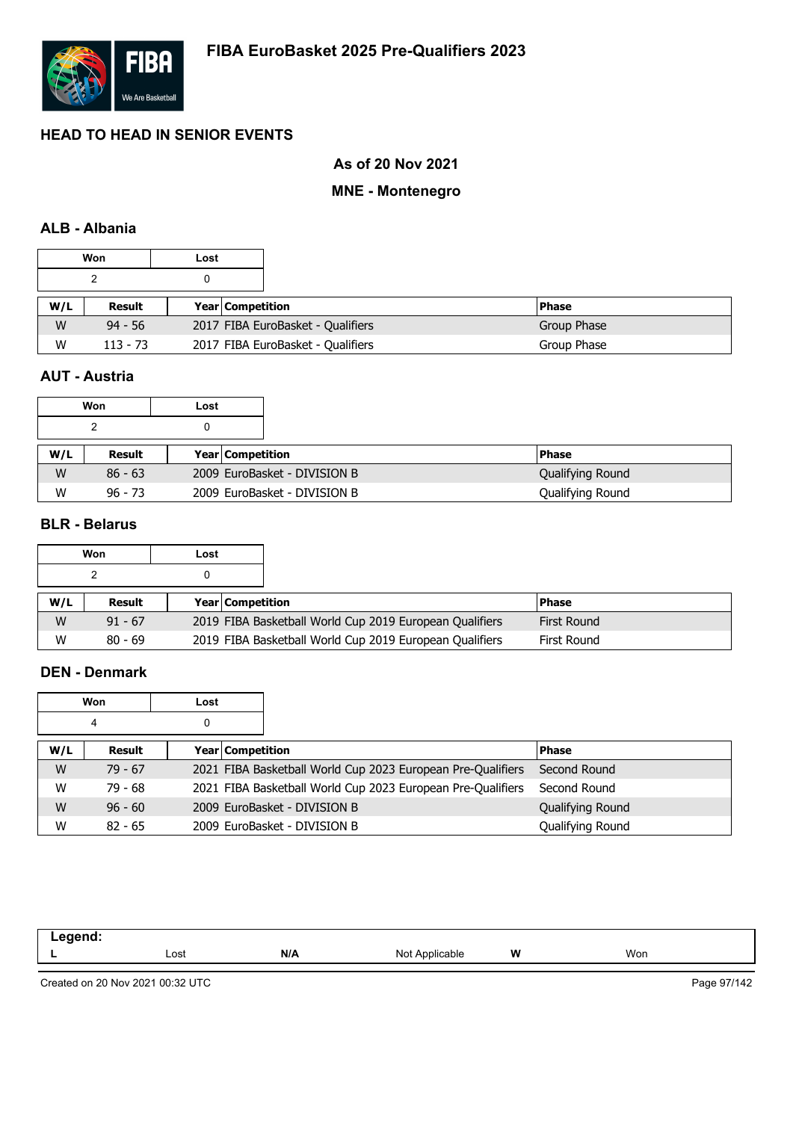

## **As of 20 Nov 2021**

#### **MNE - Montenegro**

## **ALB - Albania**

|     | Won        | Lost |                                   |                                   |  |              |
|-----|------------|------|-----------------------------------|-----------------------------------|--|--------------|
|     |            | 0    |                                   |                                   |  |              |
| W/L | Result     |      | <b>Year Competition</b>           |                                   |  | <b>Phase</b> |
| W   | $94 - 56$  |      | 2017 FIBA EuroBasket - Qualifiers |                                   |  | Group Phase  |
| W   | $113 - 73$ |      |                                   | 2017 FIBA EuroBasket - Qualifiers |  | Group Phase  |

# **AUT - Austria**

|     | Won       | Lost |                              |                  |
|-----|-----------|------|------------------------------|------------------|
|     |           |      |                              |                  |
| W/L | Result    |      | <b>Year Competition</b>      | <b>Phase</b>     |
| W   | $86 - 63$ |      | 2009 EuroBasket - DIVISION B | Qualifying Round |
| W   | $96 - 73$ |      | 2009 EuroBasket - DIVISION B | Qualifying Round |

#### **BLR - Belarus**

|     | Won       | Lost |                         |                                                         |                    |
|-----|-----------|------|-------------------------|---------------------------------------------------------|--------------------|
|     |           |      |                         |                                                         |                    |
| W/L | Result    |      | <b>Year Competition</b> |                                                         | <b>Phase</b>       |
| W   | $91 - 67$ |      |                         | 2019 FIBA Basketball World Cup 2019 European Qualifiers | <b>First Round</b> |
| W   | $80 - 69$ |      |                         | 2019 FIBA Basketball World Cup 2019 European Qualifiers | First Round        |

#### **DEN - Denmark**

|     | Won       | Lost |                         |                                                             |                  |
|-----|-----------|------|-------------------------|-------------------------------------------------------------|------------------|
|     | 4         | 0    |                         |                                                             |                  |
| W/L | Result    |      | <b>Year Competition</b> |                                                             | <b>Phase</b>     |
| W   | $79 - 67$ |      |                         | 2021 FIBA Basketball World Cup 2023 European Pre-Qualifiers | Second Round     |
| W   | $79 - 68$ |      |                         | 2021 FIBA Basketball World Cup 2023 European Pre-Qualifiers | Second Round     |
| W   | $96 - 60$ |      |                         | 2009 EuroBasket - DIVISION B                                | Qualifying Round |
| W   | $82 - 65$ |      |                         | 2009 EuroBasket - DIVISION B                                | Qualifying Round |

| Lost | N/A | Not<br>≌able | W | Won |
|------|-----|--------------|---|-----|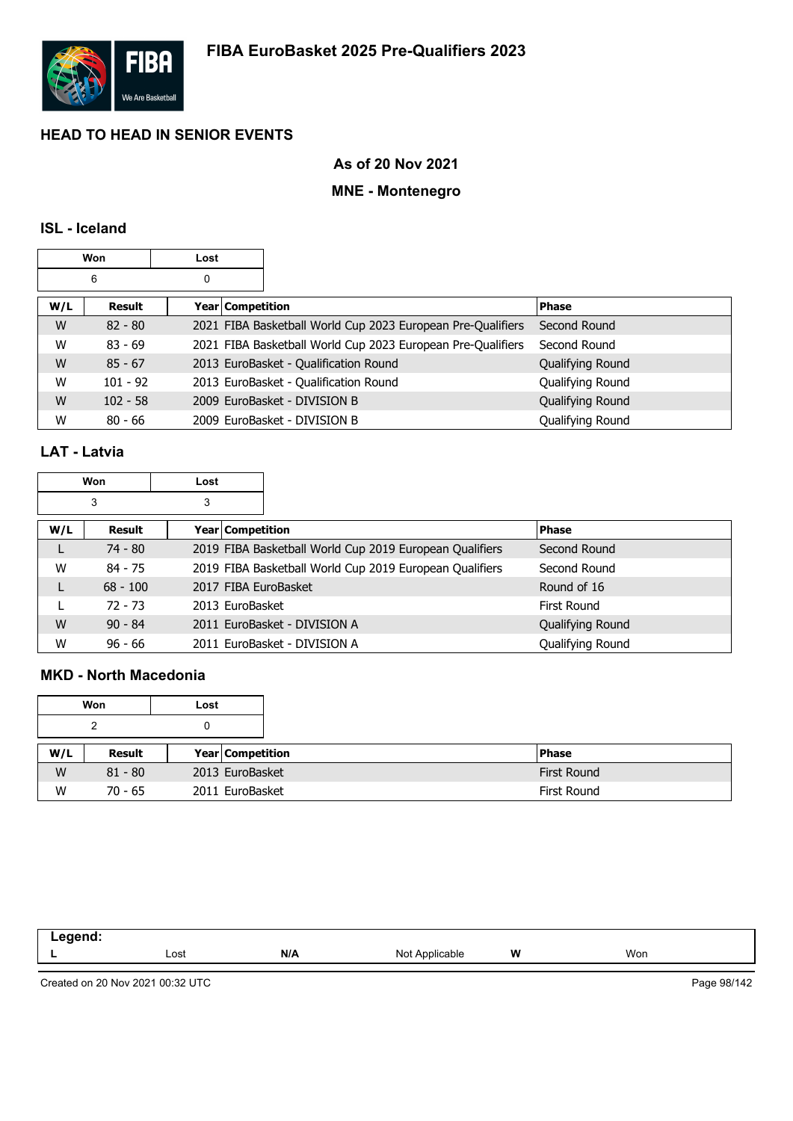

### **As of 20 Nov 2021**

# **MNE - Montenegro**

#### **ISL - Iceland**

|     | Won        | Lost |                    |                                                             |                  |
|-----|------------|------|--------------------|-------------------------------------------------------------|------------------|
|     | 6          | 0    |                    |                                                             |                  |
| W/L | Result     |      | Year   Competition |                                                             | <b>Phase</b>     |
| W   | $82 - 80$  |      |                    | 2021 FIBA Basketball World Cup 2023 European Pre-Qualifiers | Second Round     |
| W   | $83 - 69$  |      |                    | 2021 FIBA Basketball World Cup 2023 European Pre-Qualifiers | Second Round     |
| W   | $85 - 67$  |      |                    | 2013 EuroBasket - Qualification Round                       | Qualifying Round |
| W   | $101 - 92$ |      |                    | 2013 EuroBasket - Qualification Round                       | Qualifying Round |
| W   | $102 - 58$ |      |                    | 2009 EuroBasket - DIVISION B                                | Qualifying Round |
| W   | $80 - 66$  |      |                    | 2009 EuroBasket - DIVISION B                                | Qualifying Round |

## **LAT - Latvia**

| Won |            | Lost |                                                         |                  |
|-----|------------|------|---------------------------------------------------------|------------------|
|     | 3          | 3    |                                                         |                  |
| W/L | Result     |      | <b>Year Competition</b>                                 | <b>Phase</b>     |
|     | $74 - 80$  |      | 2019 FIBA Basketball World Cup 2019 European Qualifiers | Second Round     |
| W   | $84 - 75$  |      | 2019 FIBA Basketball World Cup 2019 European Qualifiers | Second Round     |
| L   | $68 - 100$ |      | 2017 FIBA EuroBasket                                    | Round of 16      |
|     | $72 - 73$  |      | 2013 EuroBasket                                         | First Round      |
| W   | $90 - 84$  |      | 2011 EuroBasket - DIVISION A                            | Qualifying Round |
| W   | $96 - 66$  |      | 2011 EuroBasket - DIVISION A                            | Qualifying Round |

## **MKD - North Macedonia**

|     | Won       | Lost |                         |                    |
|-----|-----------|------|-------------------------|--------------------|
|     | າ         |      |                         |                    |
| W/L | Result    |      | <b>Year Competition</b> | <b>Phase</b>       |
| W   | $81 - 80$ |      | 2013 EuroBasket         | First Round        |
| W   | $70 - 65$ |      | 2011 EuroBasket         | <b>First Round</b> |

| . |      |     |                     |   |     |
|---|------|-----|---------------------|---|-----|
|   | Lost | N/A | Not<br>: Applicable | W | Won |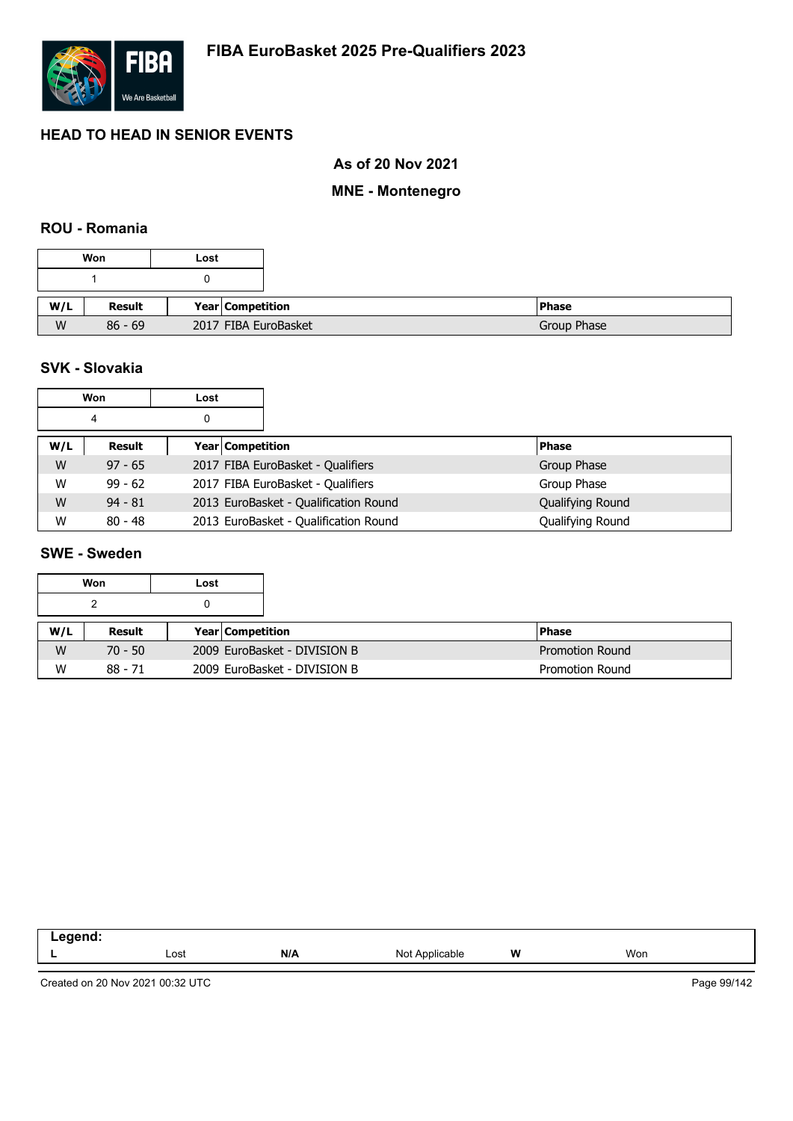

## **As of 20 Nov 2021**

# **MNE - Montenegro**

#### **ROU - Romania**

|     | Won       | Lost                    |
|-----|-----------|-------------------------|
|     |           | υ                       |
| W/L | Result    | <b>Year Competition</b> |
| W   | $86 - 69$ | 2017 FIBA EuroBasket    |

## **SVK - Slovakia**

|     | Won       | Lost             |                                       |                  |
|-----|-----------|------------------|---------------------------------------|------------------|
|     | 4         |                  |                                       |                  |
| W/L | Result    | Year Competition |                                       | <b>Phase</b>     |
| W   | $97 - 65$ |                  | 2017 FIBA EuroBasket - Qualifiers     | Group Phase      |
| W   | $99 - 62$ |                  | 2017 FIBA EuroBasket - Qualifiers     | Group Phase      |
| W   | $94 - 81$ |                  | 2013 EuroBasket - Qualification Round | Qualifying Round |
| W   | $80 - 48$ |                  | 2013 EuroBasket - Qualification Round | Qualifying Round |

# **SWE - Sweden**

|     | Won       | Lost |                         |                                                        |
|-----|-----------|------|-------------------------|--------------------------------------------------------|
|     |           |      |                         |                                                        |
| W/L | Result    |      | <b>Year Competition</b> | <b>Phase</b>                                           |
| W   | $70 - 50$ |      |                         | 2009 EuroBasket - DIVISION B<br><b>Promotion Round</b> |
| W   | $88 - 71$ |      |                         | 2009 EuroBasket - DIVISION B<br><b>Promotion Round</b> |

| Lost | N/A | nie | W<br>. . | Won |
|------|-----|-----|----------|-----|
|      |     |     |          |     |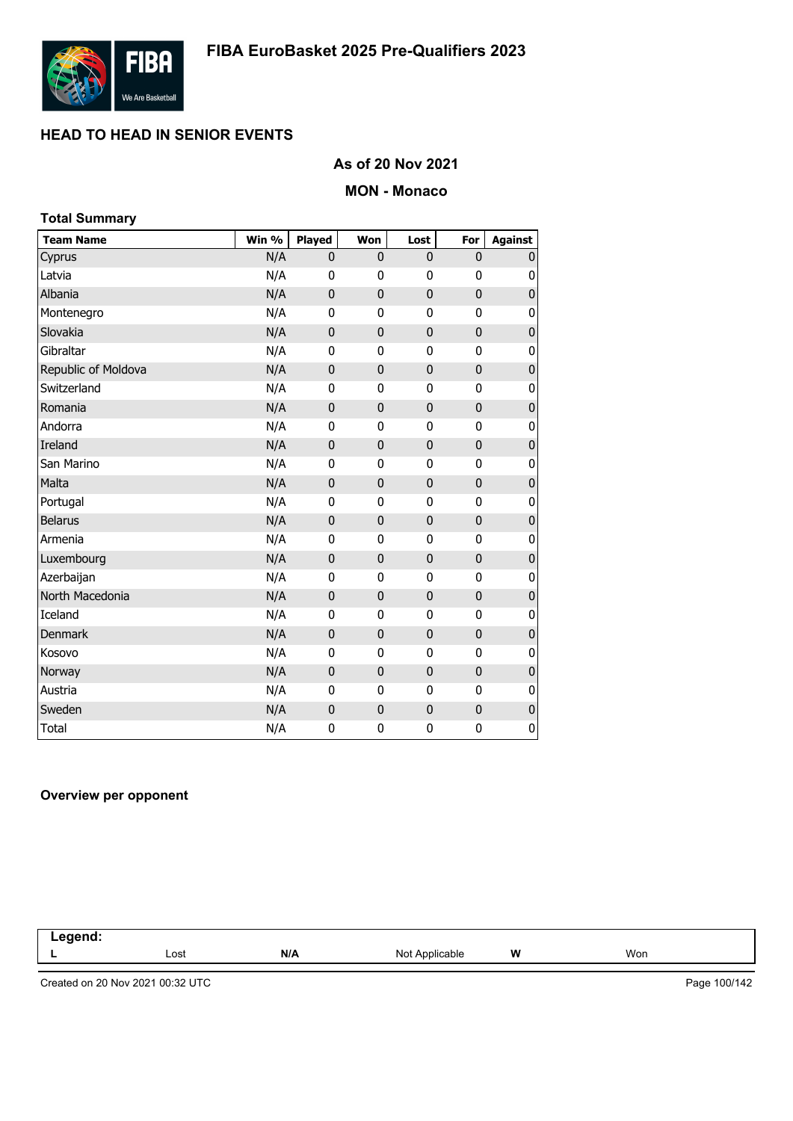

## **As of 20 Nov 2021**

#### **MON - Monaco**

## **Team Name Win % Played Won Lost For Against** Cyprus N/A 0 0 0 0 0 Latvia N/A 0 0 0 0 0 Albania N/A 0 0 0 0 0 Montenegro M/A 0 0 0 0 0 Slovakia N/A 0 0 0 0 0 Gibraltar N/A 0 0 0 0 0 Republic of Moldova **N/A** 0 0 0 0 0 0 0 Switzerland **N/A** 0 0 0 0 0 Romania N/A 0 0 0 0 0 Andorra N/A 0 0 0 0 0 Ireland N/A 0 0 0 0 0 San Marino N/A 0 0 0 0 0 Malta N/A 0 0 0 0 0 Portugal N/A 0 0 0 0 0 Belarus N/A 0 0 0 0 0 Armenia N/A 0 0 0 0 0 Luxembourg **N/A** 0 0 0 0 0 Azerbaijan N/A 0 0 0 0 0 North Macedonia **N/A** 0 0 0 0 0 0 Iceland N/A 0 0 0 0 0 Denmark N/A 0 0 0 0 0 Kosovo N/A 0 0 0 0 0 Norway N/A 0 0 0 0 0 Austria N/A 0 0 0 0 0 Sweden N/A 0 0 0 0 0 Total N/A 0 0 0 0 **Total Summary**

#### **Overview per opponent**

| egend: |      |     |                |   |     |  |
|--------|------|-----|----------------|---|-----|--|
|        | Lost | N/A | Not Applicable | W | Won |  |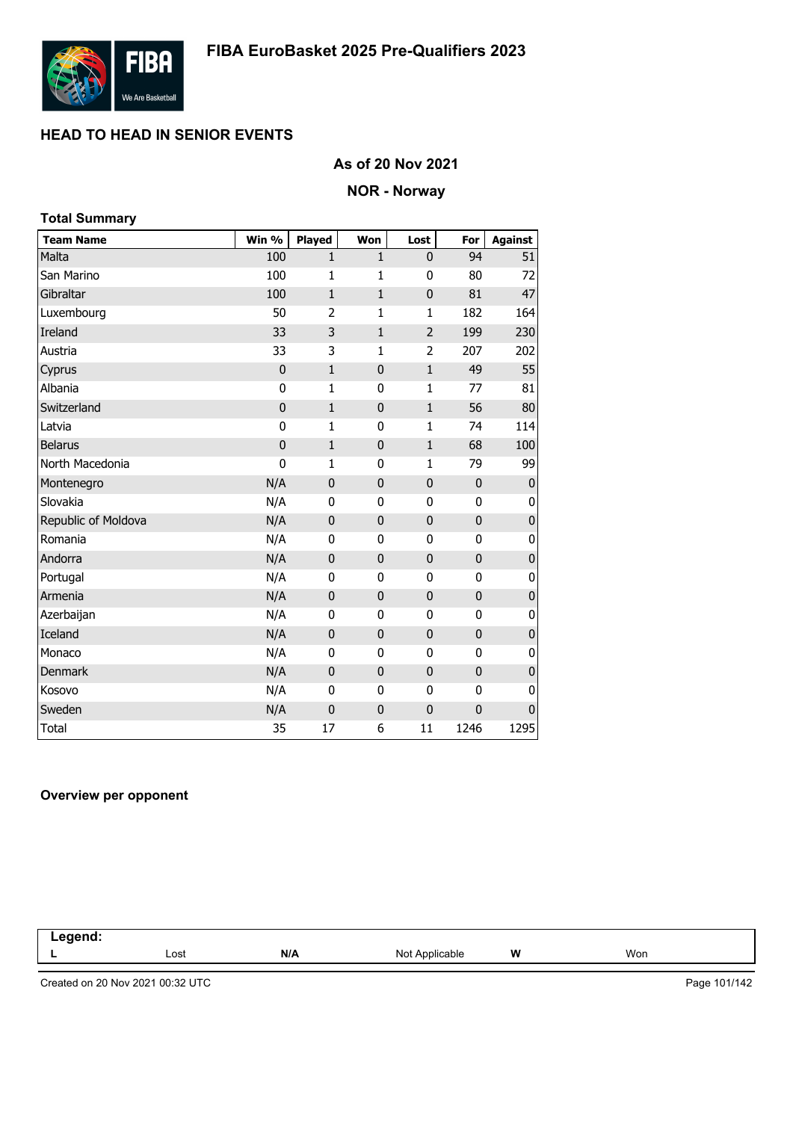

## **As of 20 Nov 2021**

#### **NOR - Norway**

| <b>Total Summary</b> |             |                |              |              |             |                  |
|----------------------|-------------|----------------|--------------|--------------|-------------|------------------|
| <b>Team Name</b>     | Win %       | Played         | Won          | Lost         | For         | <b>Against</b>   |
| Malta                | 100         | 1              | $\mathbf{1}$ | 0            | 94          | 51               |
| San Marino           | 100         | 1              | 1            | 0            | 80          | 72               |
| Gibraltar            | 100         | $\mathbf{1}$   | $\mathbf{1}$ | $\mathbf 0$  | 81          | 47               |
| Luxembourg           | 50          | $\overline{2}$ | 1            | 1            | 182         | 164              |
| Ireland              | 33          | 3              | $\mathbf{1}$ | 2            | 199         | 230              |
| Austria              | 33          | 3              | $\mathbf{1}$ | 2            | 207         | 202              |
| Cyprus               | $\mathbf 0$ | $\mathbf{1}$   | $\mathbf 0$  | $\mathbf 1$  | 49          | 55               |
| Albania              | $\bf{0}$    | 1              | 0            | $\mathbf 1$  | 77          | 81               |
| Switzerland          | $\mathbf 0$ | $\mathbf{1}$   | $\mathbf 0$  | $\mathbf{1}$ | 56          | 80               |
| Latvia               | 0           | $\mathbf{1}$   | 0            | $\mathbf 1$  | 74          | 114              |
| <b>Belarus</b>       | $\mathbf 0$ | 1              | $\mathbf 0$  | $\mathbf{1}$ | 68          | 100              |
| North Macedonia      | 0           | $\mathbf{1}$   | 0            | 1            | 79          | 99               |
| Montenegro           | N/A         | $\mathbf 0$    | $\mathbf 0$  | $\mathbf 0$  | 0           | $\mathbf 0$      |
| Slovakia             | N/A         | 0              | 0            | $\bf{0}$     | 0           | 0                |
| Republic of Moldova  | N/A         | $\mathbf 0$    | $\mathbf 0$  | $\mathbf 0$  | $\mathbf 0$ | $\boldsymbol{0}$ |
| Romania              | N/A         | $\mathbf{0}$   | 0            | 0            | 0           | 0                |
| Andorra              | N/A         | $\mathbf 0$    | $\mathbf 0$  | 0            | 0           | $\pmb{0}$        |
| Portugal             | N/A         | 0              | 0            | 0            | 0           | 0                |
| Armenia              | N/A         | $\mathbf 0$    | $\mathbf 0$  | $\mathbf{0}$ | $\mathbf 0$ | $\pmb{0}$        |
| Azerbaijan           | N/A         | 0              | 0            | 0            | 0           | 0                |
| Iceland              | N/A         | $\mathbf 0$    | $\mathbf 0$  | $\mathbf 0$  | $\mathbf 0$ | $\mathbf 0$      |
| Monaco               | N/A         | $\mathbf{0}$   | 0            | 0            | 0           | 0                |
| Denmark              | N/A         | $\mathbf 0$    | $\mathbf 0$  | 0            | 0           | 0                |
| Kosovo               | N/A         | 0              | 0            | 0            | 0           | 0                |
| Sweden               | N/A         | $\mathbf 0$    | $\mathbf 0$  | $\mathbf{0}$ | 0           | 0                |
| <b>Total</b>         | 35          | 17             | 6            | 11           | 1246        | 1295             |

#### **Overview per opponent**

| .<br>$\sim$<br>$\sim$ $\sim$<br>and the control of |      |     |                          |   |     |  |
|----------------------------------------------------|------|-----|--------------------------|---|-----|--|
|                                                    | Lost | N/A | Not A<br>Anr<br>plicable | W | Won |  |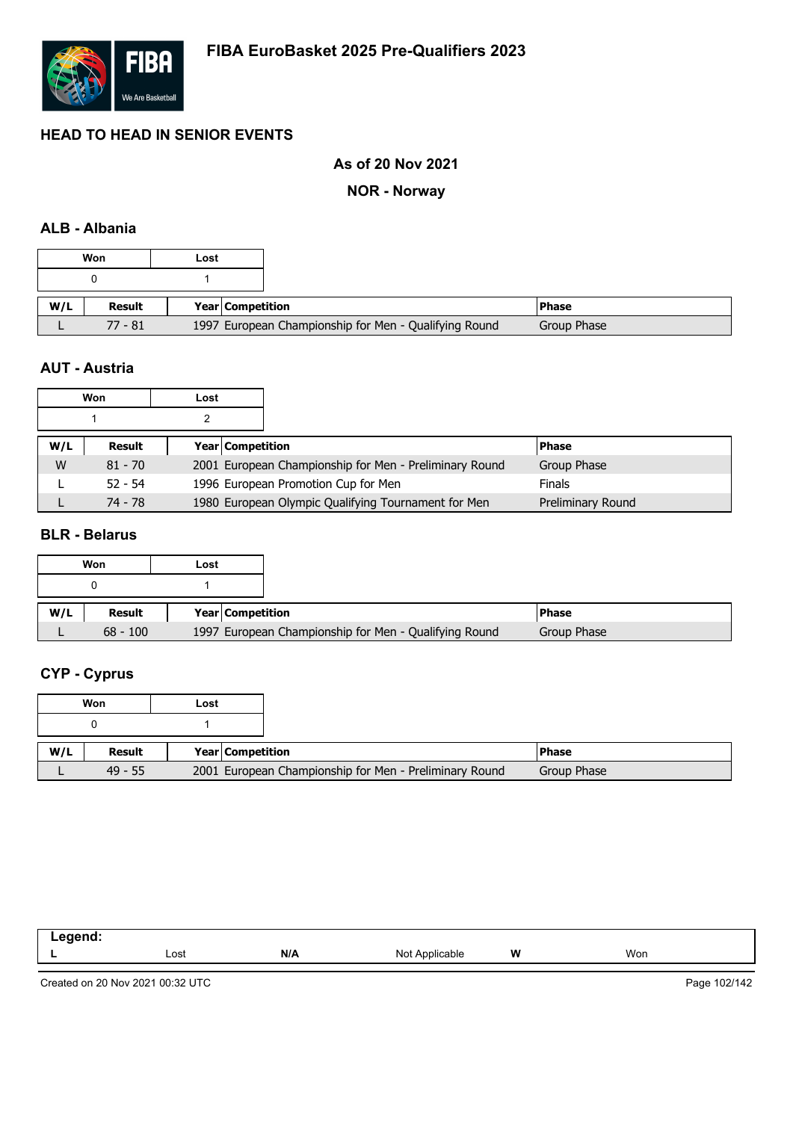

## **As of 20 Nov 2021**

**NOR - Norway**

# **ALB - Albania**

|     | Won           | Lost |                  |                                                       |             |
|-----|---------------|------|------------------|-------------------------------------------------------|-------------|
|     |               |      |                  |                                                       |             |
| W/L | <b>Result</b> |      | Year Competition |                                                       | l Phase     |
|     | 77 - 81       |      |                  | 1997 European Championship for Men - Qualifying Round | Group Phase |

#### **AUT - Austria**

|     | Won       | Lost |                                                        |                   |
|-----|-----------|------|--------------------------------------------------------|-------------------|
|     |           |      |                                                        |                   |
| W/L | Result    |      | <b>Year Competition</b>                                | <b>Phase</b>      |
| W   | $81 - 70$ |      | 2001 European Championship for Men - Preliminary Round | Group Phase       |
|     | $52 - 54$ |      | 1996 European Promotion Cup for Men                    | <b>Finals</b>     |
|     | 74 - 78   |      | 1980 European Olympic Qualifying Tournament for Men    | Preliminary Round |

#### **BLR - Belarus**

|     | Won        | Lost |                  |                                                       |             |
|-----|------------|------|------------------|-------------------------------------------------------|-------------|
|     | 0          |      |                  |                                                       |             |
| W/L | Result     |      | Year Competition |                                                       | l Phase     |
|     | $68 - 100$ |      |                  | 1997 European Championship for Men - Qualifying Round | Group Phase |

# **CYP - Cyprus**

| Won           | Lost |                                                        |
|---------------|------|--------------------------------------------------------|
|               |      |                                                        |
| <b>Result</b> |      | Year Competition                                       |
| $49 - 55$     |      | 2001 European Championship for Men - Preliminary Round |

| . |      |     |                |   |     |
|---|------|-----|----------------|---|-----|
|   | Lost | N/A | Not Applicable | W | Won |

Created on 20 Nov 2021 00:32 UTC

Page 102/142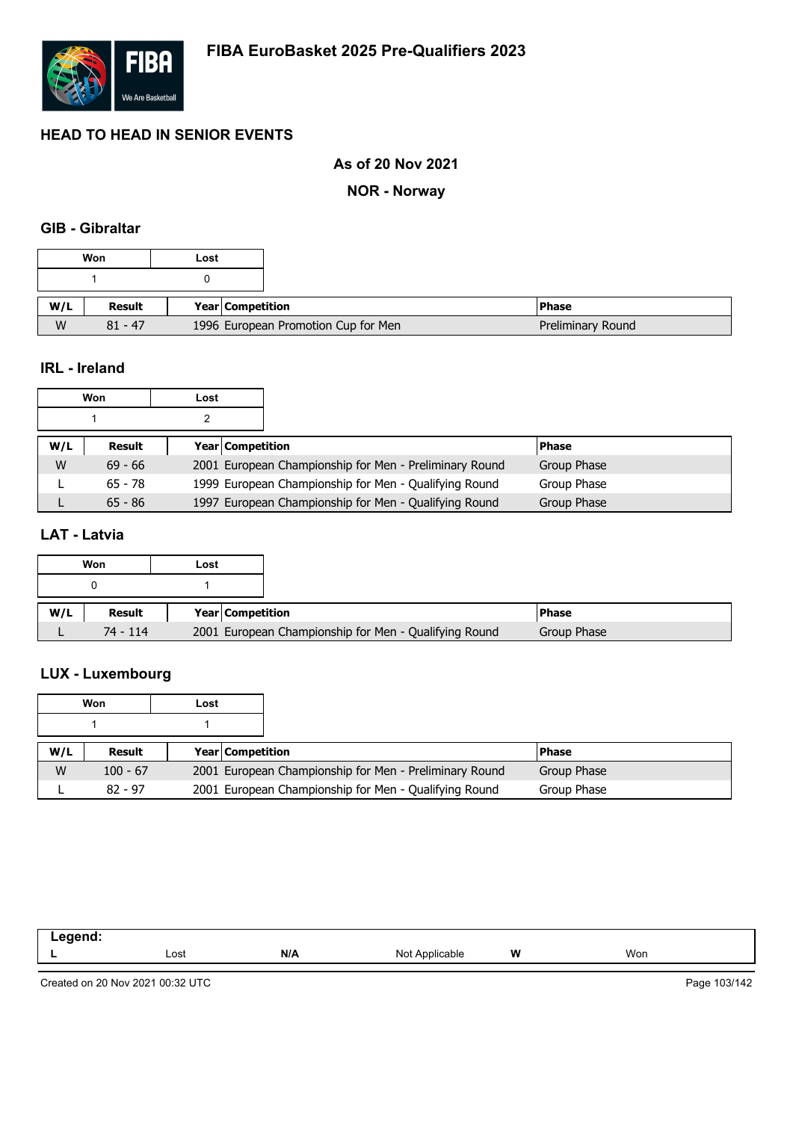

## **As of 20 Nov 2021**

**NOR - Norway**

# **GIB - Gibraltar**

## **IRL - Ireland**

| Won |           | Lost |                         |                                                        |              |
|-----|-----------|------|-------------------------|--------------------------------------------------------|--------------|
|     |           |      |                         |                                                        |              |
| W/L | Result    |      | <b>Year Competition</b> |                                                        | <b>Phase</b> |
| W   | $69 - 66$ |      |                         | 2001 European Championship for Men - Preliminary Round | Group Phase  |
|     | $65 - 78$ |      |                         | 1999 European Championship for Men - Qualifying Round  | Group Phase  |
|     | $65 - 86$ |      |                         | 1997 European Championship for Men - Qualifying Round  | Group Phase  |

## **LAT - Latvia**

|     | Won      | Lost |                  |                                                       |             |
|-----|----------|------|------------------|-------------------------------------------------------|-------------|
|     | 0        |      |                  |                                                       |             |
| W/L | Result   |      | Year Competition |                                                       | l Phase     |
|     | 74 - 114 |      |                  | 2001 European Championship for Men - Qualifying Round | Group Phase |

# **LUX - Luxembourg**

| Won |            | Lost |                         |                                                        |              |
|-----|------------|------|-------------------------|--------------------------------------------------------|--------------|
|     |            |      |                         |                                                        |              |
| W/L | Result     |      | <b>Year Competition</b> |                                                        | <b>Phase</b> |
| W   | $100 - 67$ |      |                         | 2001 European Championship for Men - Preliminary Round | Group Phase  |
|     | $82 - 97$  |      |                         | 2001 European Championship for Men - Qualifying Round  | Group Phase  |

| - | Lost | N/A | <b>Not</b><br>able. | W<br>. . | Won |
|---|------|-----|---------------------|----------|-----|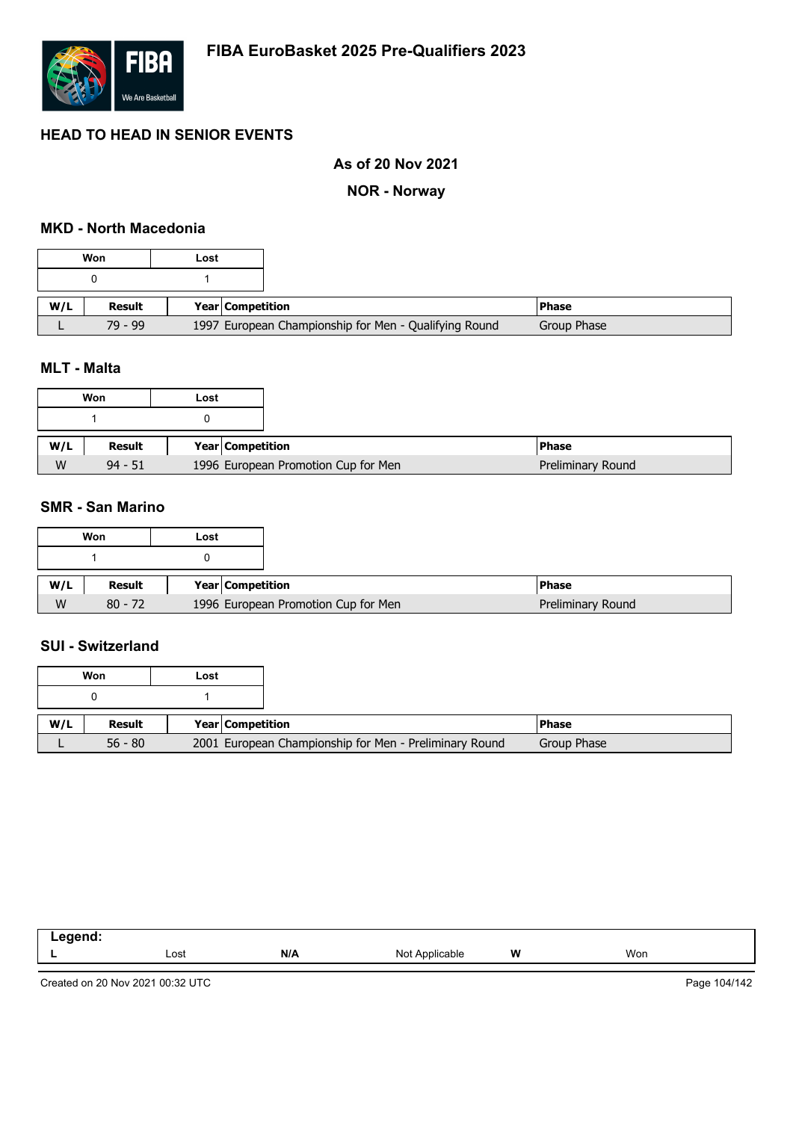

## **As of 20 Nov 2021**

#### **NOR - Norway**

### **MKD - North Macedonia**

|     | Won           | Lost                    |                                                       |             |
|-----|---------------|-------------------------|-------------------------------------------------------|-------------|
|     |               |                         |                                                       |             |
| W/L | <b>Result</b> | <b>Year Competition</b> |                                                       | l Phase     |
|     | $79 - 99$     |                         | 1997 European Championship for Men - Qualifying Round | Group Phase |

#### **MLT - Malta**

|     | Won       | Lost |                                     |
|-----|-----------|------|-------------------------------------|
|     |           |      |                                     |
|     |           |      |                                     |
| W/L | Result    |      | Year Competition                    |
| W   | $94 - 51$ |      | 1996 European Promotion Cup for Men |

#### **SMR - San Marino**

|     | Won       | Lost             |                                     |                   |
|-----|-----------|------------------|-------------------------------------|-------------------|
|     |           |                  |                                     |                   |
| W/L | Result    | Year Competition |                                     | <b>IPhase</b>     |
| W   | $80 - 72$ |                  | 1996 European Promotion Cup for Men | Preliminary Round |

#### **SUI - Switzerland**

|     | Won       | Lost |                  |                                                        |              |
|-----|-----------|------|------------------|--------------------------------------------------------|--------------|
|     |           |      |                  |                                                        |              |
| W/L | Result    |      | Year Competition |                                                        | <b>Phase</b> |
|     | $56 - 80$ |      |                  | 2001 European Championship for Men - Preliminary Round | Group Phase  |

| المنتقب بمنتقص<br>_ |      |     |                    |       |     |
|---------------------|------|-----|--------------------|-------|-----|
|                     | ∟ost | N/A | Not<br>`Applicable | W<br> | Won |

Created on 20 Nov 2021 00:32 UTC

Page 104/142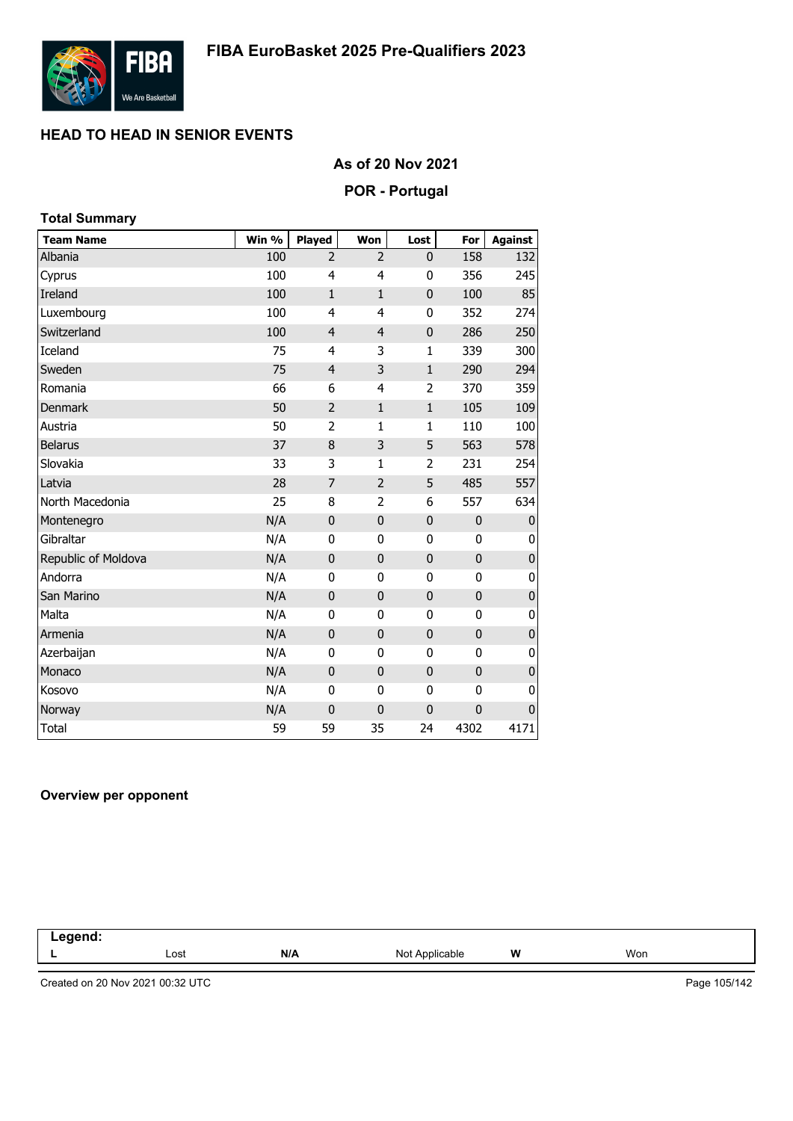

## **As of 20 Nov 2021**

#### **POR - Portugal**

| <b>Total Summary</b> |       |                |                |                |              |                |
|----------------------|-------|----------------|----------------|----------------|--------------|----------------|
| <b>Team Name</b>     | Win % | Played         | Won            | Lost           | For          | <b>Against</b> |
| Albania              | 100   | $\overline{2}$ | $\overline{2}$ | $\mathbf{0}$   | 158          | 132            |
| Cyprus               | 100   | 4              | 4              | 0              | 356          | 245            |
| Ireland              | 100   | $\mathbf{1}$   | $\mathbf{1}$   | $\mathbf 0$    | 100          | 85             |
| Luxembourg           | 100   | 4              | 4              | 0              | 352          | 274            |
| Switzerland          | 100   | $\overline{4}$ | $\overline{4}$ | $\bf{0}$       | 286          | 250            |
| Iceland              | 75    | $\overline{4}$ | 3              | $\mathbf 1$    | 339          | 300            |
| Sweden               | 75    | $\overline{4}$ | 3              | $\mathbf 1$    | 290          | 294            |
| Romania              | 66    | 6              | 4              | $\overline{2}$ | 370          | 359            |
| <b>Denmark</b>       | 50    | $\overline{2}$ | $\mathbf 1$    | $\mathbf 1$    | 105          | 109            |
| Austria              | 50    | $\overline{2}$ | $\mathbf{1}$   | $\mathbf{1}$   | 110          | 100            |
| <b>Belarus</b>       | 37    | 8              | 3              | 5              | 563          | 578            |
| Slovakia             | 33    | 3              | $\mathbf 1$    | $\overline{2}$ | 231          | 254            |
| Latvia               | 28    | 7              | $\overline{2}$ | 5              | 485          | 557            |
| North Macedonia      | 25    | 8              | $\overline{2}$ | 6              | 557          | 634            |
| Montenegro           | N/A   | $\mathbf 0$    | $\mathbf 0$    | $\pmb{0}$      | $\pmb{0}$    | $\pmb{0}$      |
| Gibraltar            | N/A   | 0              | $\mathbf 0$    | $\bf{0}$       | 0            | 0              |
| Republic of Moldova  | N/A   | $\mathbf 0$    | $\mathbf 0$    | $\mathbf 0$    | $\mathbf 0$  | $\pmb{0}$      |
| Andorra              | N/A   | 0              | 0              | 0              | 0            | 0              |
| San Marino           | N/A   | $\mathbf 0$    | $\mathbf 0$    | $\mathbf 0$    | $\mathbf 0$  | $\pmb{0}$      |
| Malta                | N/A   | 0              | 0              | 0              | $\mathbf{0}$ | 0              |
| Armenia              | N/A   | $\mathbf 0$    | $\mathbf 0$    | 0              | $\mathbf 0$  | $\pmb{0}$      |
| Azerbaijan           | N/A   | 0              | 0              | 0              | 0            | 0              |
| Monaco               | N/A   | $\mathbf 0$    | $\mathbf 0$    | $\mathbf 0$    | $\mathbf 0$  | $\pmb{0}$      |
| Kosovo               | N/A   | 0              | $\mathbf 0$    | $\bf{0}$       | 0            | 0              |
| Norway               | N/A   | $\mathbf 0$    | $\mathbf 0$    | $\mathbf 0$    | $\mathbf 0$  | $\mathbf 0$    |
| <b>Total</b>         | 59    | 59             | 35             | 24             | 4302         | 4171           |

#### **Overview per opponent**

| egend: |      |     |                |   |     |  |
|--------|------|-----|----------------|---|-----|--|
|        | Lost | N/A | Not Applicable | W | Won |  |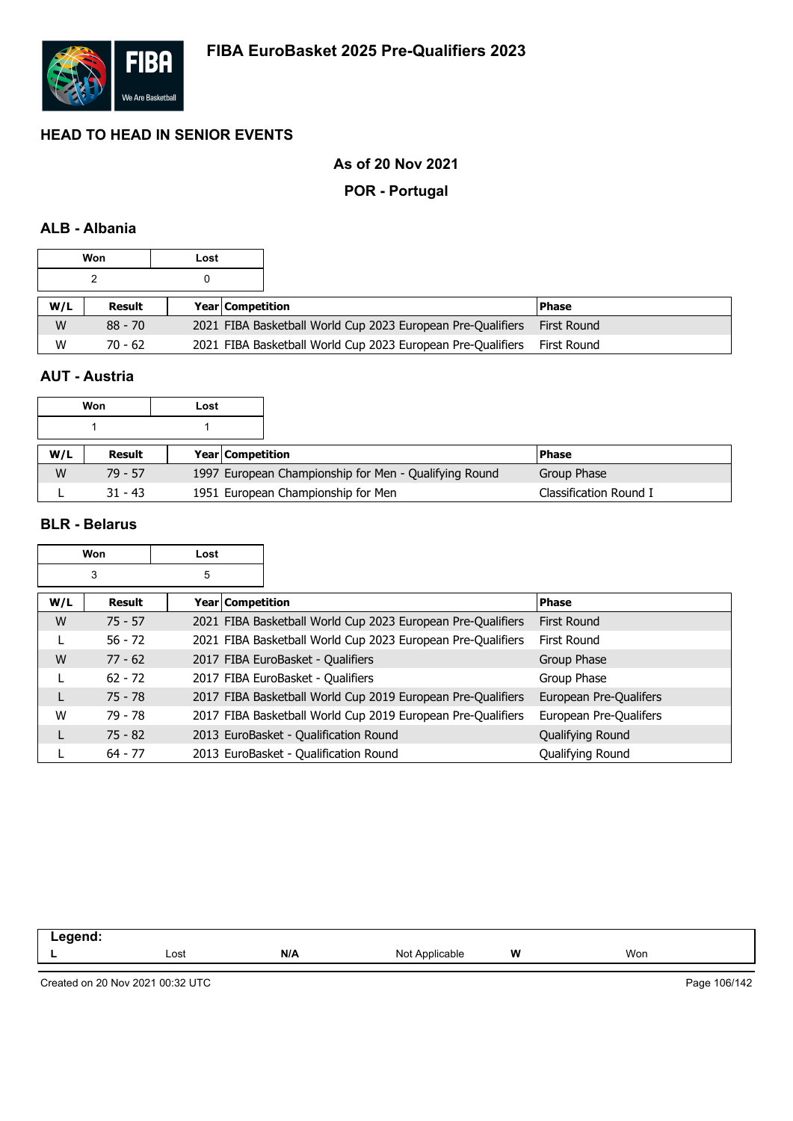

## **As of 20 Nov 2021**

#### **POR - Portugal**

## **ALB - Albania**

|     | Won       | Lost |                         |                                                             |             |
|-----|-----------|------|-------------------------|-------------------------------------------------------------|-------------|
|     |           |      |                         |                                                             |             |
| W/L | Result    |      | <b>Year Competition</b> |                                                             | l Phase     |
|     |           |      |                         |                                                             |             |
| W   | $88 - 70$ |      |                         | 2021 FIBA Basketball World Cup 2023 European Pre-Qualifiers | First Round |

# **AUT - Austria**

|     | Won       | Lost                    |                                                       |                        |
|-----|-----------|-------------------------|-------------------------------------------------------|------------------------|
|     |           |                         |                                                       |                        |
| W/L | Result    | <b>Year Competition</b> |                                                       | l Phase                |
| W   | $79 - 57$ |                         | 1997 European Championship for Men - Qualifying Round | Group Phase            |
|     | $31 - 43$ |                         | 1951 European Championship for Men                    | Classification Round I |

 $\overline{\mathbf{1}}$ 

#### **BLR - Belarus**

 $\Gamma$ 

|     | Won       | Lost             |                                                             |                        |
|-----|-----------|------------------|-------------------------------------------------------------|------------------------|
|     | 3         | 5                |                                                             |                        |
| W/L | Result    | Year Competition |                                                             | <b>Phase</b>           |
| W   | $75 - 57$ |                  | 2021 FIBA Basketball World Cup 2023 European Pre-Qualifiers | First Round            |
|     | $56 - 72$ |                  | 2021 FIBA Basketball World Cup 2023 European Pre-Qualifiers | First Round            |
| W   | $77 - 62$ |                  | 2017 FIBA EuroBasket - Qualifiers                           | Group Phase            |
| L   | $62 - 72$ |                  | 2017 FIBA EuroBasket - Qualifiers                           | Group Phase            |
| L   | $75 - 78$ |                  | 2017 FIBA Basketball World Cup 2019 European Pre-Qualifiers | European Pre-Qualifers |
| W   | 79 - 78   |                  | 2017 FIBA Basketball World Cup 2019 European Pre-Qualifiers | European Pre-Qualifers |
| L   | $75 - 82$ |                  | 2013 EuroBasket - Qualification Round                       | Qualifying Round       |
|     | $64 - 77$ |                  | 2013 EuroBasket - Qualification Round                       | Qualifying Round       |

| --   |          |                        |          |
|------|----------|------------------------|----------|
| Lost | .<br>N/A | W<br>Nr<br>anie<br>,,, | .<br>Won |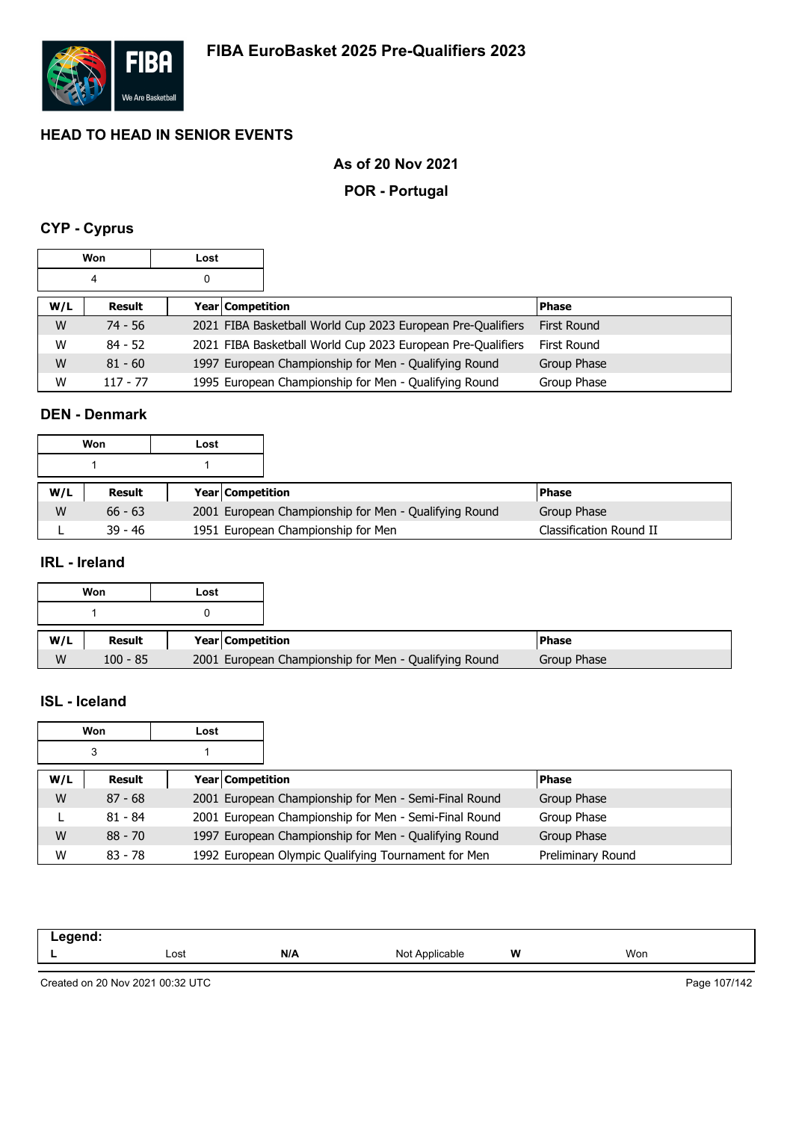

## **As of 20 Nov 2021**

#### **POR - Portugal**

# **CYP - Cyprus**

|     | Won        | Lost |                  |                                                             |                    |
|-----|------------|------|------------------|-------------------------------------------------------------|--------------------|
|     | 4          | 0    |                  |                                                             |                    |
| W/L | Result     |      | Year Competition |                                                             | <b>Phase</b>       |
| W   | 74 - 56    |      |                  | 2021 FIBA Basketball World Cup 2023 European Pre-Qualifiers | <b>First Round</b> |
| W   | $84 - 52$  |      |                  | 2021 FIBA Basketball World Cup 2023 European Pre-Qualifiers | First Round        |
| W   | $81 - 60$  |      |                  | 1997 European Championship for Men - Qualifying Round       | Group Phase        |
| W   | $117 - 77$ |      |                  | 1995 European Championship for Men - Qualifying Round       | Group Phase        |

#### **DEN - Denmark**

|     | Won       | Lost |                         |                                                       |                         |
|-----|-----------|------|-------------------------|-------------------------------------------------------|-------------------------|
|     |           |      |                         |                                                       |                         |
| W/L | Result    |      | <b>Year Competition</b> |                                                       | <b>Phase</b>            |
| W   | $66 - 63$ |      |                         | 2001 European Championship for Men - Qualifying Round | Group Phase             |
|     | $39 - 46$ |      |                         | 1951 European Championship for Men                    | Classification Round II |

### **IRL - Ireland**

|     | Won    | Lost |                         |  |
|-----|--------|------|-------------------------|--|
|     |        |      |                         |  |
| W/L | Result |      | <b>Year Competition</b> |  |
|     |        |      |                         |  |

## **ISL - Iceland**

|     | Won       | Lost                    |                                                       |                   |
|-----|-----------|-------------------------|-------------------------------------------------------|-------------------|
|     | 3         |                         |                                                       |                   |
| W/L | Result    | <b>Year Competition</b> |                                                       | <b>Phase</b>      |
| W   | $87 - 68$ |                         | 2001 European Championship for Men - Semi-Final Round | Group Phase       |
|     | $81 - 84$ |                         | 2001 European Championship for Men - Semi-Final Round | Group Phase       |
| W   | $88 - 70$ |                         | 1997 European Championship for Men - Qualifying Round | Group Phase       |
| W   | $83 - 78$ |                         | 1992 European Olympic Qualifying Tournament for Men   | Preliminary Round |

| eaend<br>-- 3 |      |     |                |   |     |
|---------------|------|-----|----------------|---|-----|
|               | Lost | N/A | Not Applicable | W | Won |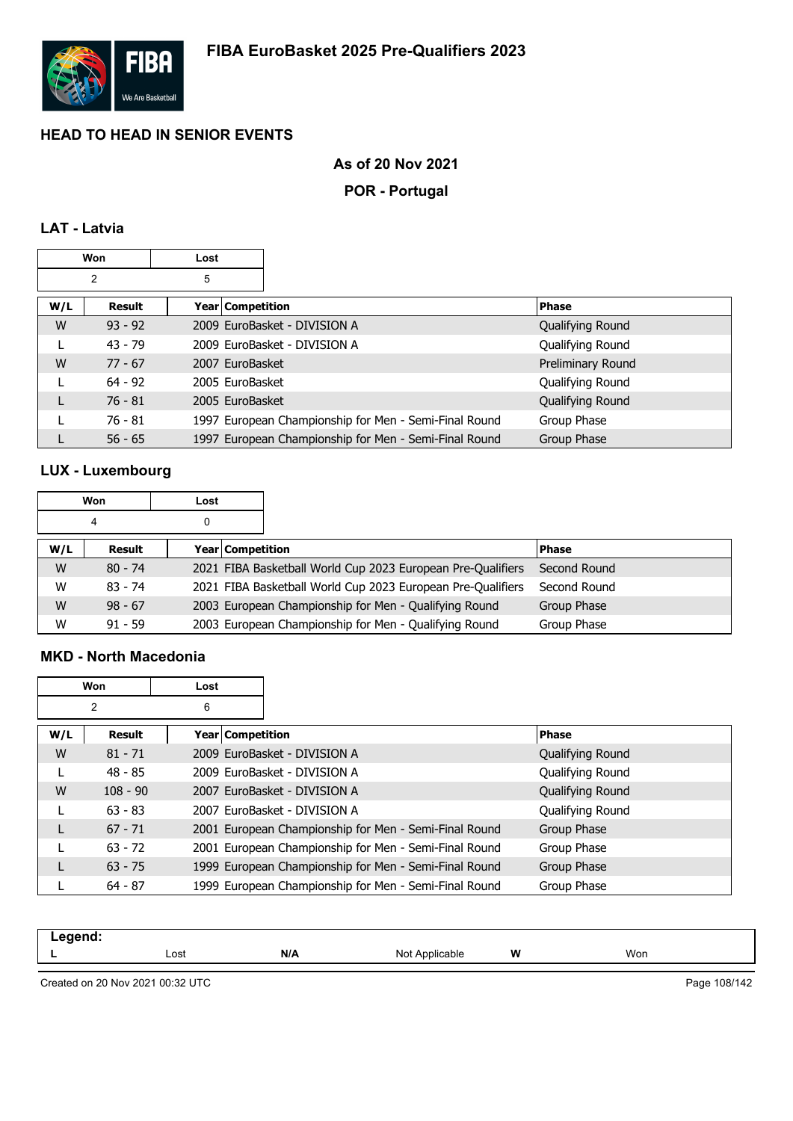

### **As of 20 Nov 2021**

#### **POR - Portugal**

## **LAT - Latvia**

|     | Won            | Lost               |                                                       |                   |
|-----|----------------|--------------------|-------------------------------------------------------|-------------------|
|     | $\overline{2}$ | 5                  |                                                       |                   |
| W/L | Result         | Year   Competition |                                                       | <b>Phase</b>      |
| W   | $93 - 92$      |                    | 2009 EuroBasket - DIVISION A                          | Qualifying Round  |
|     | $43 - 79$      |                    | 2009 EuroBasket - DIVISION A                          | Qualifying Round  |
| W   | $77 - 67$      | 2007 EuroBasket    |                                                       | Preliminary Round |
|     | $64 - 92$      | 2005 EuroBasket    |                                                       | Qualifying Round  |
|     | $76 - 81$      | 2005 EuroBasket    |                                                       | Qualifying Round  |
|     | $76 - 81$      |                    | 1997 European Championship for Men - Semi-Final Round | Group Phase       |
|     | $56 - 65$      |                    | 1997 European Championship for Men - Semi-Final Round | Group Phase       |

# **LUX - Luxembourg**

| Won |           | Lost |                  |                                                             |              |
|-----|-----------|------|------------------|-------------------------------------------------------------|--------------|
| 4   |           | 0    |                  |                                                             |              |
| W/L | Result    |      | Year Competition |                                                             | <b>Phase</b> |
| W   | $80 - 74$ |      |                  | 2021 FIBA Basketball World Cup 2023 European Pre-Qualifiers | Second Round |
| W   | $83 - 74$ |      |                  | 2021 FIBA Basketball World Cup 2023 European Pre-Qualifiers | Second Round |
| W   | $98 - 67$ |      |                  | 2003 European Championship for Men - Qualifying Round       | Group Phase  |
| W   | $91 - 59$ |      |                  | 2003 European Championship for Men - Qualifying Round       | Group Phase  |

#### **MKD - North Macedonia**

| <b>Won</b> |                | Lost |                                                       |                  |
|------------|----------------|------|-------------------------------------------------------|------------------|
|            | $\overline{2}$ | 6    |                                                       |                  |
| W/L        | Result         |      | Year   Competition                                    | <b>Phase</b>     |
| W          | $81 - 71$      |      | 2009 EuroBasket - DIVISION A                          | Qualifying Round |
|            | $48 - 85$      |      | 2009 EuroBasket - DIVISION A                          | Qualifying Round |
| W          | $108 - 90$     |      | 2007 EuroBasket - DIVISION A                          | Qualifying Round |
|            | $63 - 83$      |      | 2007 EuroBasket - DIVISION A                          | Qualifying Round |
| L          | $67 - 71$      |      | 2001 European Championship for Men - Semi-Final Round | Group Phase      |
|            | $63 - 72$      |      | 2001 European Championship for Men - Semi-Final Round | Group Phase      |
| L          | $63 - 75$      |      | 1999 European Championship for Men - Semi-Final Round | Group Phase      |
|            | $64 - 87$      |      | 1999 European Championship for Men - Semi-Final Round | Group Phase      |

| -----<br>$\sim$ $\sim$ |      |     |                      |   |     |  |
|------------------------|------|-----|----------------------|---|-----|--|
| -                      | Lost | N/A | N <sub>IO</sub><br>. | W | Won |  |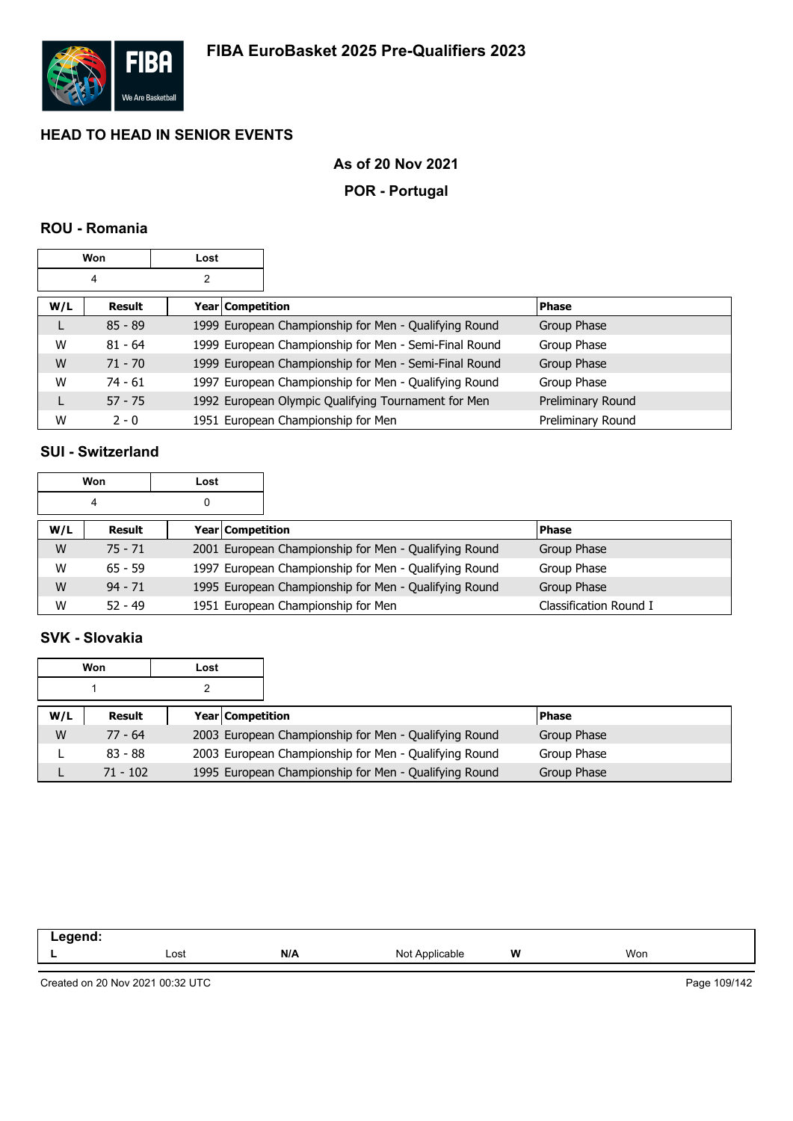

### **As of 20 Nov 2021**

### **POR - Portugal**

### **ROU - Romania**

|     | Won       | Lost |                  |                                                       |                   |
|-----|-----------|------|------------------|-------------------------------------------------------|-------------------|
|     | 4         | 2    |                  |                                                       |                   |
| W/L | Result    |      | Year Competition |                                                       | <b>Phase</b>      |
|     | $85 - 89$ |      |                  | 1999 European Championship for Men - Qualifying Round | Group Phase       |
| W   | $81 - 64$ |      |                  | 1999 European Championship for Men - Semi-Final Round | Group Phase       |
| W   | $71 - 70$ |      |                  | 1999 European Championship for Men - Semi-Final Round | Group Phase       |
| W   | $74 - 61$ |      |                  | 1997 European Championship for Men - Qualifying Round | Group Phase       |
|     | $57 - 75$ |      |                  | 1992 European Olympic Qualifying Tournament for Men   | Preliminary Round |
| W   | $2 - 0$   |      |                  | 1951 European Championship for Men                    | Preliminary Round |

### **SUI - Switzerland**

| Won<br>Lost |           |                         |                                                       |                        |
|-------------|-----------|-------------------------|-------------------------------------------------------|------------------------|
|             | 4         | 0                       |                                                       |                        |
| W/L         | Result    | <b>Year Competition</b> |                                                       | <b>Phase</b>           |
| W           | $75 - 71$ |                         | 2001 European Championship for Men - Qualifying Round | Group Phase            |
| W           | $65 - 59$ |                         | 1997 European Championship for Men - Qualifying Round | Group Phase            |
| W           | $94 - 71$ |                         | 1995 European Championship for Men - Qualifying Round | Group Phase            |
| W           | $52 - 49$ |                         | 1951 European Championship for Men                    | Classification Round I |

### **SVK - Slovakia**

|     | Won        | Lost |                                                       |              |
|-----|------------|------|-------------------------------------------------------|--------------|
|     |            |      |                                                       |              |
| W/L | Result     |      | <b>Year Competition</b>                               | <b>Phase</b> |
| W   | $77 - 64$  |      | 2003 European Championship for Men - Qualifying Round | Group Phase  |
|     | $83 - 88$  |      | 2003 European Championship for Men - Qualifying Round | Group Phase  |
|     | $71 - 102$ |      | 1995 European Championship for Men - Qualifying Round | Group Phase  |

| eaend.<br>- 9<br>--<br>__<br>____ |      |     |                           |   |     |
|-----------------------------------|------|-----|---------------------------|---|-----|
| _                                 | Lost | N/A | $\cdot$<br>Not Applicable | W | Won |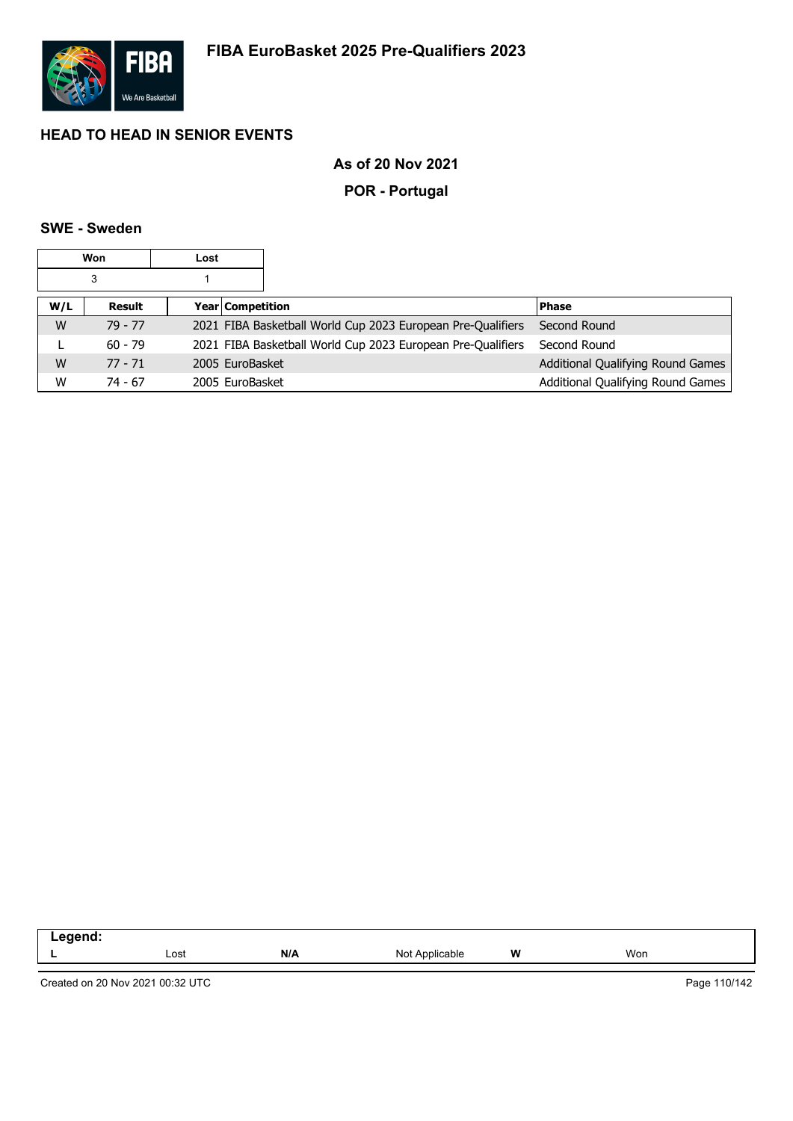

### **As of 20 Nov 2021**

### **POR - Portugal**

### **SWE - Sweden**

|     | Won       | Lost                    |                                                             |                                   |
|-----|-----------|-------------------------|-------------------------------------------------------------|-----------------------------------|
|     | 3         |                         |                                                             |                                   |
| W/L | Result    | <b>Year Competition</b> |                                                             | <b>Phase</b>                      |
| W   | 79 - 77   |                         | 2021 FIBA Basketball World Cup 2023 European Pre-Qualifiers | Second Round                      |
|     | $60 - 79$ |                         | 2021 FIBA Basketball World Cup 2023 European Pre-Qualifiers | Second Round                      |
| W   | $77 - 71$ | 2005 EuroBasket         |                                                             | Additional Qualifying Round Games |
| W   | 74 - 67   | 2005 EuroBasket         |                                                             | Additional Qualifying Round Games |

| .<br>-- |      |     |                                                                      |   |     |  |
|---------|------|-----|----------------------------------------------------------------------|---|-----|--|
|         | Lost | N/A | Not<br>Applicable<br>the contract of the contract of the contract of | W | Won |  |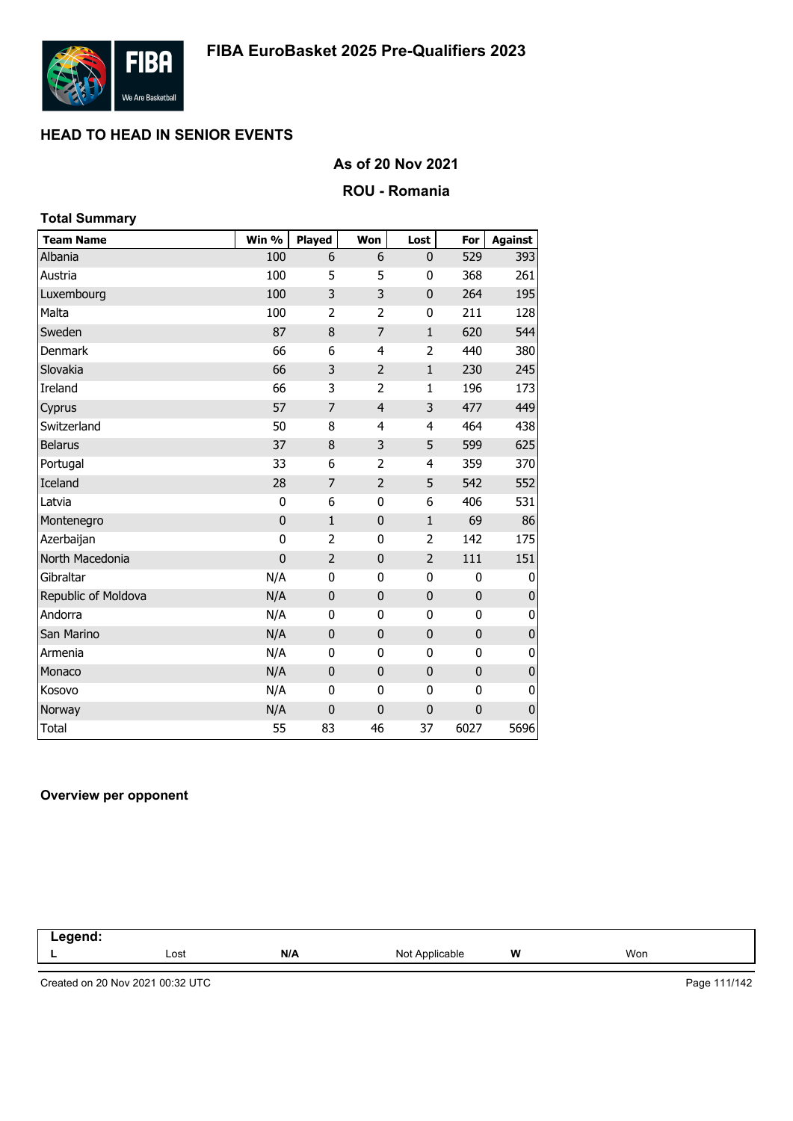

### **As of 20 Nov 2021**

### **ROU - Romania**

| <b>Total Summary</b> |                |                |                |                |              |                |
|----------------------|----------------|----------------|----------------|----------------|--------------|----------------|
| <b>Team Name</b>     | Win %          | Played         | Won            | Lost           | For          | <b>Against</b> |
| Albania              | 100            | 6              | 6              | 0              | 529          | 393            |
| Austria              | 100            | 5              | 5              | 0              | 368          | 261            |
| Luxembourg           | 100            | 3              | 3              | $\mathbf 0$    | 264          | 195            |
| Malta                | 100            | $\overline{2}$ | $\overline{2}$ | 0              | 211          | 128            |
| Sweden               | 87             | 8              | $\overline{7}$ | $\mathbf{1}$   | 620          | 544            |
| <b>Denmark</b>       | 66             | 6              | 4              | 2              | 440          | 380            |
| Slovakia             | 66             | 3              | $\overline{2}$ | $\mathbf 1$    | 230          | 245            |
| Ireland              | 66             | 3              | $\overline{2}$ | $\mathbf{1}$   | 196          | 173            |
| Cyprus               | 57             | 7              | $\overline{4}$ | 3              | 477          | 449            |
| Switzerland          | 50             | 8              | 4              | $\overline{4}$ | 464          | 438            |
| <b>Belarus</b>       | 37             | 8              | 3              | 5              | 599          | 625            |
| Portugal             | 33             | 6              | $\overline{2}$ | $\overline{4}$ | 359          | 370            |
| Iceland              | 28             | 7              | $\overline{2}$ | 5              | 542          | 552            |
| Latvia               | 0              | 6              | 0              | 6              | 406          | 531            |
| Montenegro           | $\mathbf 0$    | $\mathbf{1}$   | $\mathbf{0}$   | $\mathbf{1}$   | 69           | 86             |
| Azerbaijan           | 0              | $\overline{2}$ | $\mathbf{0}$   | $\overline{2}$ | 142          | 175            |
| North Macedonia      | $\overline{0}$ | $\overline{2}$ | $\overline{0}$ | $\overline{2}$ | 111          | 151            |
| Gibraltar            | N/A            | 0              | $\mathbf 0$    | 0              | 0            | 0              |
| Republic of Moldova  | N/A            | $\mathbf{0}$   | $\mathbf 0$    | $\pmb{0}$      | $\pmb{0}$    | $\pmb{0}$      |
| Andorra              | N/A            | 0              | 0              | 0              | 0            | 0              |
| San Marino           | N/A            | 0              | $\mathbf 0$    | $\mathbf 0$    | $\mathbf 0$  | $\mathbf 0$    |
| Armenia              | N/A            | 0              | 0              | 0              | $\mathbf{0}$ | 0              |
| Monaco               | N/A            | $\mathbf{0}$   | $\mathbf{0}$   | 0              | $\mathbf{0}$ | $\pmb{0}$      |
| Kosovo               | N/A            | 0              | 0              | 0              | 0            | $\mathbf 0$    |
| Norway               | N/A            | $\mathbf 0$    | $\mathbf 0$    | $\mathbf 0$    | $\mathbf 0$  | $\pmb{0}$      |
| <b>Total</b>         | 55             | 83             | 46             | 37             | 6027         | 5696           |

#### **Overview per opponent**

| .<br>$\sim$<br>$\sim$ $\sim$<br>and the control of |      |     |                          |   |     |  |
|----------------------------------------------------|------|-----|--------------------------|---|-----|--|
|                                                    | Lost | N/A | Not A<br>Anr<br>plicable | W | Won |  |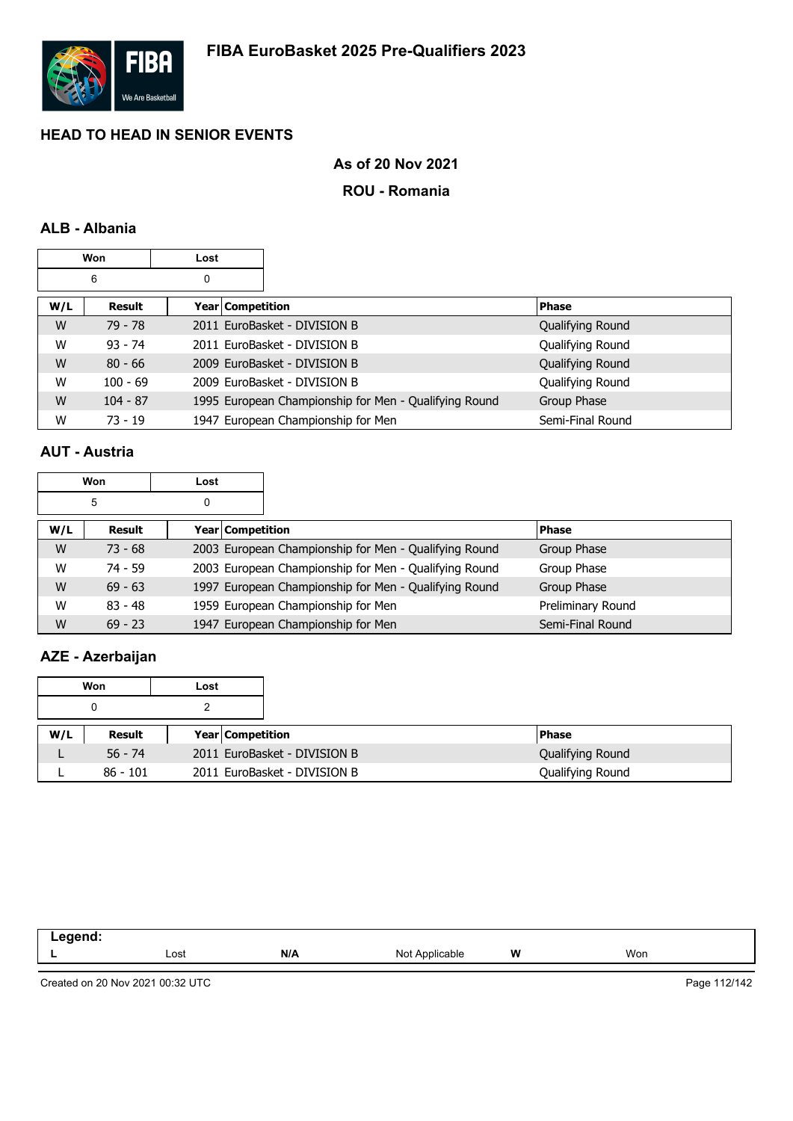

### **As of 20 Nov 2021**

#### **ROU - Romania**

### **ALB - Albania**

|     | Won        | Lost |                    |                                                       |              |                  |
|-----|------------|------|--------------------|-------------------------------------------------------|--------------|------------------|
|     | 6          | 0    |                    |                                                       |              |                  |
| W/L | Result     |      | Year   Competition |                                                       | <b>Phase</b> |                  |
| W   | 79 - 78    |      |                    | 2011 EuroBasket - DIVISION B                          |              | Qualifying Round |
| W   | $93 - 74$  |      |                    | 2011 EuroBasket - DIVISION B                          |              | Qualifying Round |
| W   | $80 - 66$  |      |                    | 2009 EuroBasket - DIVISION B                          |              | Qualifying Round |
| W   | $100 - 69$ |      |                    | 2009 EuroBasket - DIVISION B                          |              | Qualifying Round |
| W   | $104 - 87$ |      |                    | 1995 European Championship for Men - Qualifying Round | Group Phase  |                  |
| W   | $73 - 19$  |      |                    | 1947 European Championship for Men                    |              | Semi-Final Round |

### **AUT - Austria**

|     | Won       | Lost |                  |                                                       |                   |
|-----|-----------|------|------------------|-------------------------------------------------------|-------------------|
|     | 5         | 0    |                  |                                                       |                   |
| W/L | Result    |      | Year Competition |                                                       | <b>Phase</b>      |
| W   | $73 - 68$ |      |                  | 2003 European Championship for Men - Qualifying Round | Group Phase       |
| W   | 74 - 59   |      |                  | 2003 European Championship for Men - Qualifying Round | Group Phase       |
| W   | $69 - 63$ |      |                  | 1997 European Championship for Men - Qualifying Round | Group Phase       |
| W   | $83 - 48$ |      |                  | 1959 European Championship for Men                    | Preliminary Round |
| W   | $69 - 23$ |      |                  | 1947 European Championship for Men                    | Semi-Final Round  |

### **AZE - Azerbaijan**

|     | Won        | Lost |                         |                              |                  |
|-----|------------|------|-------------------------|------------------------------|------------------|
|     |            |      |                         |                              |                  |
| W/L | Result     |      | <b>Year Competition</b> |                              | <b>Phase</b>     |
|     | $56 - 74$  |      |                         | 2011 EuroBasket - DIVISION B | Qualifying Round |
|     | $86 - 101$ |      |                         | 2011 EuroBasket - DIVISION B | Qualifying Round |

| . . | Lost | N/A | <b>Not</b><br>≘anie. | W | Won |
|-----|------|-----|----------------------|---|-----|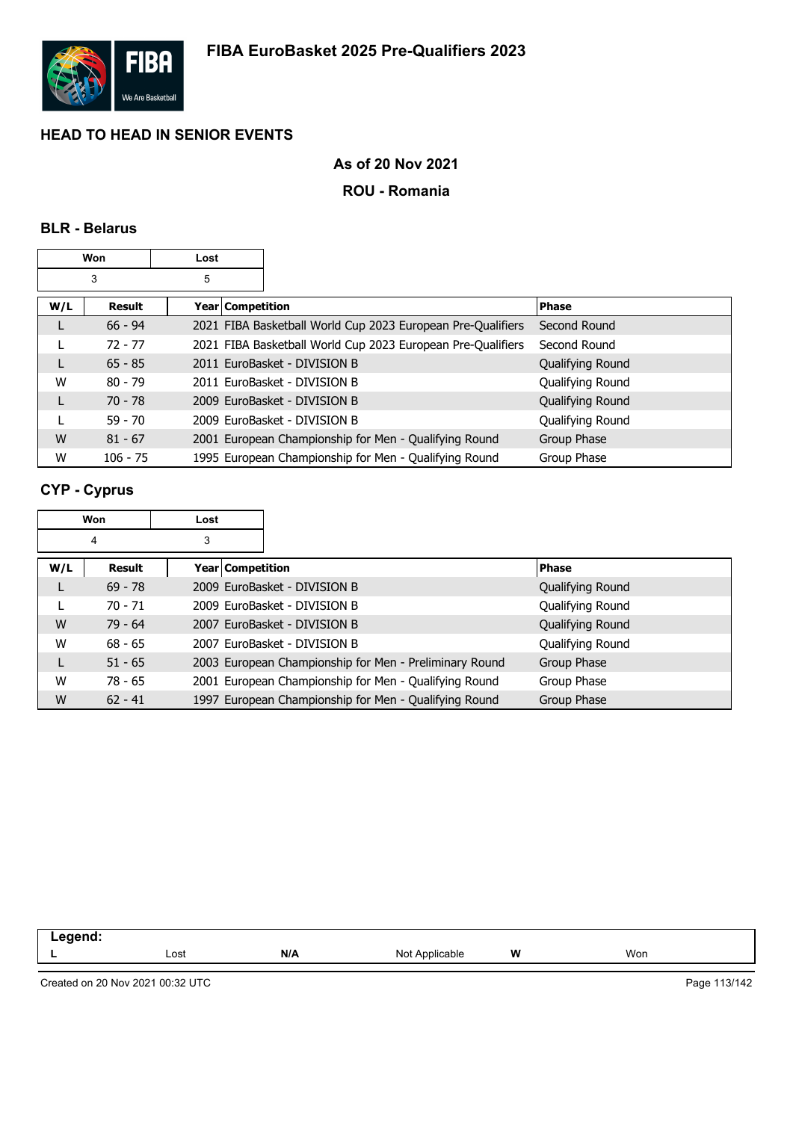

### **As of 20 Nov 2021**

### **ROU - Romania**

### **BLR - Belarus**

|     | Won           | Lost                    |                                                             |                  |
|-----|---------------|-------------------------|-------------------------------------------------------------|------------------|
|     | 3             | 5                       |                                                             |                  |
| W/L | <b>Result</b> | <b>Year Competition</b> |                                                             | <b>Phase</b>     |
|     | $66 - 94$     |                         | 2021 FIBA Basketball World Cup 2023 European Pre-Qualifiers | Second Round     |
|     | $72 - 77$     |                         | 2021 FIBA Basketball World Cup 2023 European Pre-Qualifiers | Second Round     |
|     | $65 - 85$     |                         | 2011 EuroBasket - DIVISION B                                | Qualifying Round |
| W   | $80 - 79$     |                         | 2011 EuroBasket - DIVISION B                                | Qualifying Round |
|     | 70 - 78       |                         | 2009 EuroBasket - DIVISION B                                | Qualifying Round |
|     | $59 - 70$     |                         | 2009 EuroBasket - DIVISION B                                | Qualifying Round |
| W   | $81 - 67$     |                         | 2001 European Championship for Men - Qualifying Round       | Group Phase      |
| W   | $106 - 75$    |                         | 1995 European Championship for Men - Qualifying Round       | Group Phase      |

### **CYP - Cyprus**

|     | Won       | Lost |                  |                                                        |                  |
|-----|-----------|------|------------------|--------------------------------------------------------|------------------|
|     | 4         | 3    |                  |                                                        |                  |
| W/L | Result    |      | Year Competition |                                                        | <b>Phase</b>     |
| L   | $69 - 78$ |      |                  | 2009 EuroBasket - DIVISION B                           | Qualifying Round |
|     | $70 - 71$ |      |                  | 2009 EuroBasket - DIVISION B                           | Qualifying Round |
| W   | $79 - 64$ |      |                  | 2007 EuroBasket - DIVISION B                           | Qualifying Round |
| W   | $68 - 65$ |      |                  | 2007 EuroBasket - DIVISION B                           | Qualifying Round |
| L   | $51 - 65$ |      |                  | 2003 European Championship for Men - Preliminary Round | Group Phase      |
| W   | $78 - 65$ |      |                  | 2001 European Championship for Men - Qualifying Round  | Group Phase      |
| W   | $62 - 41$ |      |                  | 1997 European Championship for Men - Qualifying Round  | Group Phase      |

| - - - - - - -<br>nenu.<br>m.<br>. |      |     |                         |       |      |  |
|-----------------------------------|------|-----|-------------------------|-------|------|--|
|                                   | Lost | N/A | `Applicable_<br>NM<br>w | w<br> | Wor. |  |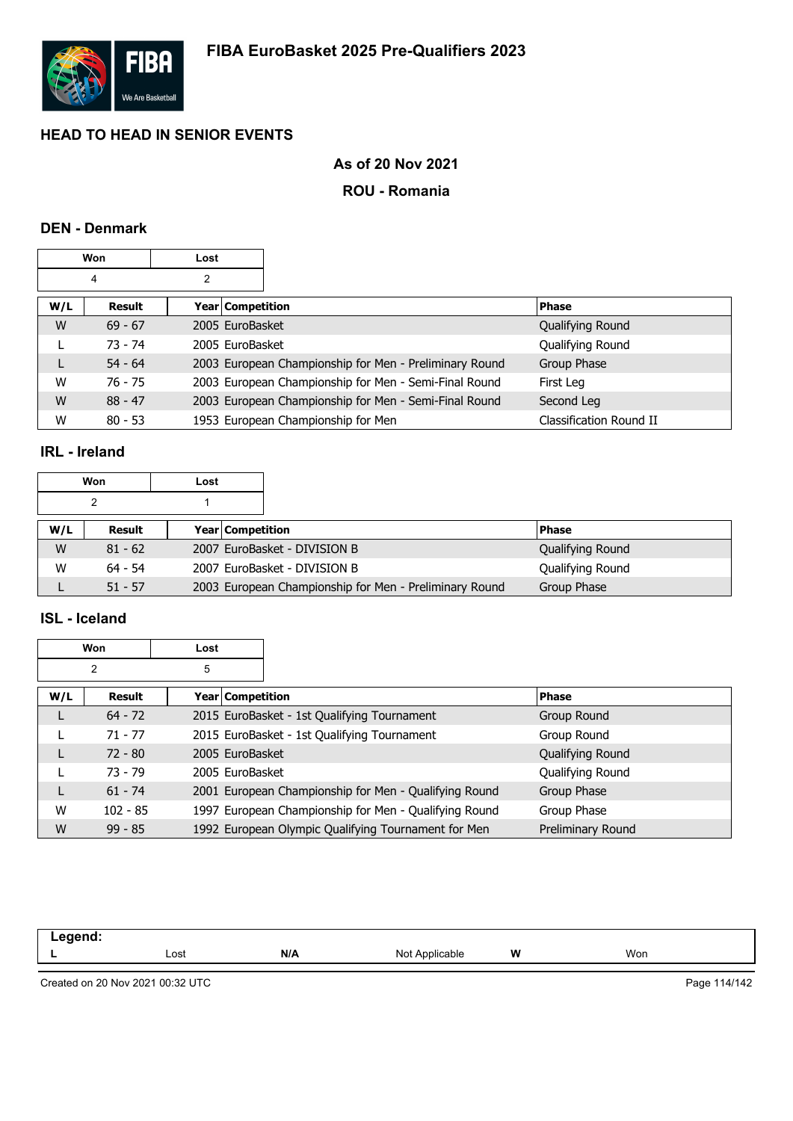

### **As of 20 Nov 2021**

### **ROU - Romania**

### **DEN - Denmark**

|     | Won       | Lost |                  |                                                        |                         |  |
|-----|-----------|------|------------------|--------------------------------------------------------|-------------------------|--|
|     | 4         | 2    |                  |                                                        |                         |  |
| W/L | Result    |      | Year Competition |                                                        | <b>Phase</b>            |  |
| W   | $69 - 67$ |      | 2005 EuroBasket  |                                                        | Qualifying Round        |  |
|     | $73 - 74$ |      | 2005 EuroBasket  |                                                        | Qualifying Round        |  |
|     | $54 - 64$ |      |                  | 2003 European Championship for Men - Preliminary Round | Group Phase             |  |
| W   | 76 - 75   |      |                  | 2003 European Championship for Men - Semi-Final Round  | First Leg               |  |
| W   | $88 - 47$ |      |                  | 2003 European Championship for Men - Semi-Final Round  | Second Leg              |  |
| W   | $80 - 53$ |      |                  | 1953 European Championship for Men                     | Classification Round II |  |

### **IRL - Ireland**

|     | Won       | Lost |                                                        |                  |
|-----|-----------|------|--------------------------------------------------------|------------------|
|     |           |      |                                                        |                  |
| W/L | Result    |      | <b>Year Competition</b>                                | <b>Phase</b>     |
| W   | $81 - 62$ |      | 2007 EuroBasket - DIVISION B                           | Qualifying Round |
| W   | $64 - 54$ |      | 2007 EuroBasket - DIVISION B                           | Qualifying Round |
|     | $51 - 57$ |      | 2003 European Championship for Men - Preliminary Round | Group Phase      |

#### **ISL - Iceland**

|     | Won        | Lost             |                                                       |                   |
|-----|------------|------------------|-------------------------------------------------------|-------------------|
|     | 2          | 5                |                                                       |                   |
| W/L | Result     | Year Competition |                                                       | <b>Phase</b>      |
|     | $64 - 72$  |                  | 2015 EuroBasket - 1st Qualifying Tournament           | Group Round       |
|     | $71 - 77$  |                  | 2015 EuroBasket - 1st Qualifying Tournament           | Group Round       |
|     | $72 - 80$  | 2005 EuroBasket  |                                                       | Qualifying Round  |
|     | $73 - 79$  | 2005 EuroBasket  |                                                       | Qualifying Round  |
|     | $61 - 74$  |                  | 2001 European Championship for Men - Qualifying Round | Group Phase       |
| W   | $102 - 85$ |                  | 1997 European Championship for Men - Qualifying Round | Group Phase       |
| W   | $99 - 85$  |                  | 1992 European Olympic Qualifying Tournament for Men   | Preliminary Round |

| امیم میں<br>—— ອູ— |      |     |                   |   |     |
|--------------------|------|-----|-------------------|---|-----|
| -                  | Lost | N/A | Not<br><b>Anr</b> | W | Won |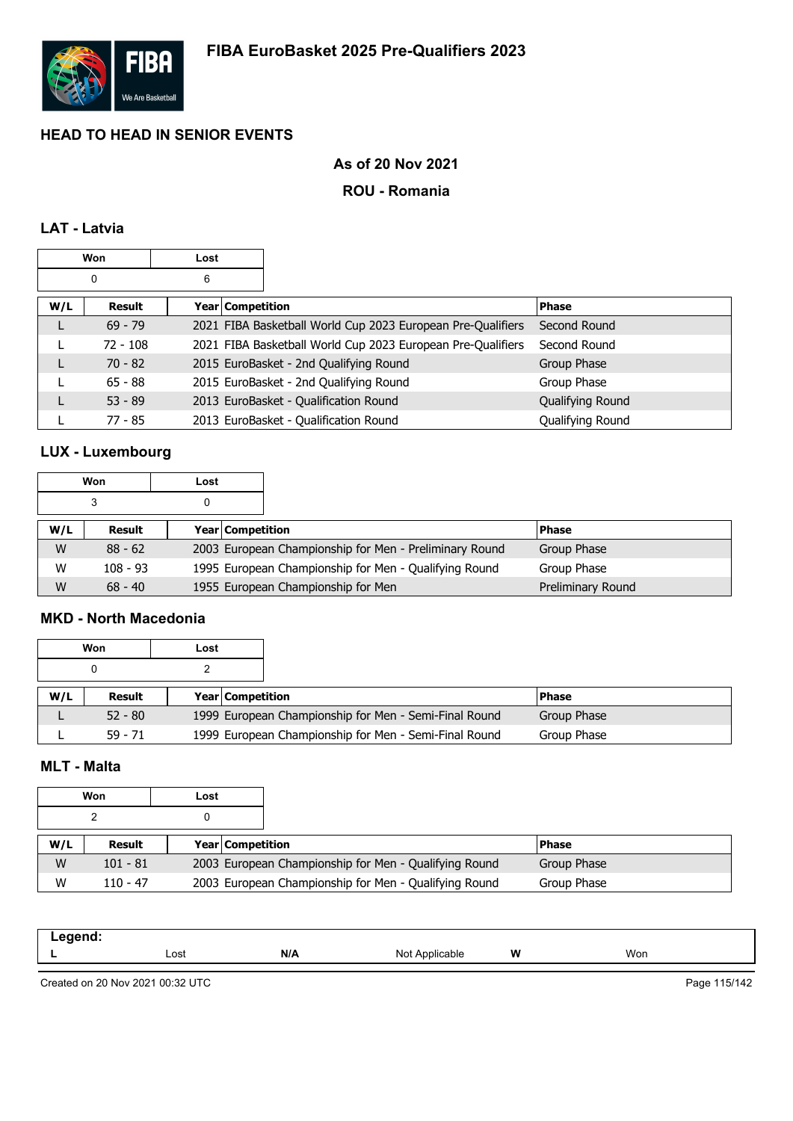

### **As of 20 Nov 2021**

### **ROU - Romania**

### **LAT - Latvia**

|     | Won        | Lost |                    |                                                             |                  |
|-----|------------|------|--------------------|-------------------------------------------------------------|------------------|
|     | 0          | 6    |                    |                                                             |                  |
| W/L | Result     |      | Year   Competition |                                                             | <b>Phase</b>     |
|     | $69 - 79$  |      |                    | 2021 FIBA Basketball World Cup 2023 European Pre-Qualifiers | Second Round     |
|     | $72 - 108$ |      |                    | 2021 FIBA Basketball World Cup 2023 European Pre-Qualifiers | Second Round     |
|     | $70 - 82$  |      |                    | 2015 EuroBasket - 2nd Qualifying Round                      | Group Phase      |
|     | $65 - 88$  |      |                    | 2015 EuroBasket - 2nd Qualifying Round                      | Group Phase      |
|     | $53 - 89$  |      |                    | 2013 EuroBasket - Qualification Round                       | Qualifying Round |
|     | 77 - 85    |      |                    | 2013 EuroBasket - Qualification Round                       | Qualifying Round |

### **LUX - Luxembourg**

|     | Won        | Lost |                                                        |                   |
|-----|------------|------|--------------------------------------------------------|-------------------|
|     | 3          | 0    |                                                        |                   |
| W/L | Result     |      | Year   Competition                                     | <b>Phase</b>      |
| W   | $88 - 62$  |      | 2003 European Championship for Men - Preliminary Round | Group Phase       |
| W   | $108 - 93$ |      | 1995 European Championship for Men - Qualifying Round  | Group Phase       |
| W   | $68 - 40$  |      | 1955 European Championship for Men                     | Preliminary Round |

#### **MKD - North Macedonia**

 $\overline{\phantom{a}}$ 

|     | Won       | Lost |                         |                                                       |             |  |
|-----|-----------|------|-------------------------|-------------------------------------------------------|-------------|--|
|     |           |      |                         |                                                       |             |  |
| W/L | Result    |      | <b>Year Competition</b> |                                                       | l Phase     |  |
|     | $52 - 80$ |      |                         | 1999 European Championship for Men - Semi-Final Round | Group Phase |  |
|     | $59 - 71$ |      |                         | 1999 European Championship for Men - Semi-Final Round | Group Phase |  |

#### **MLT - Malta**

|     | Won        | Lost |                  |                                                       |              |  |
|-----|------------|------|------------------|-------------------------------------------------------|--------------|--|
|     |            |      |                  |                                                       |              |  |
| W/L | Result     |      | Year Competition |                                                       | <b>Phase</b> |  |
| W   | $101 - 81$ |      |                  | 2003 European Championship for Men - Qualifying Round | Group Phase  |  |
| W   | $110 - 47$ |      |                  | 2003 European Championship for Men - Qualifying Round | Group Phase  |  |

| .eaend:<br>-- 9 |      |     |                                                                                                                |   |     |
|-----------------|------|-----|----------------------------------------------------------------------------------------------------------------|---|-----|
|                 | Lost | N/A | Not Applicable<br>11017<br>and the contract of the contract of the contract of the contract of the contract of | W | Won |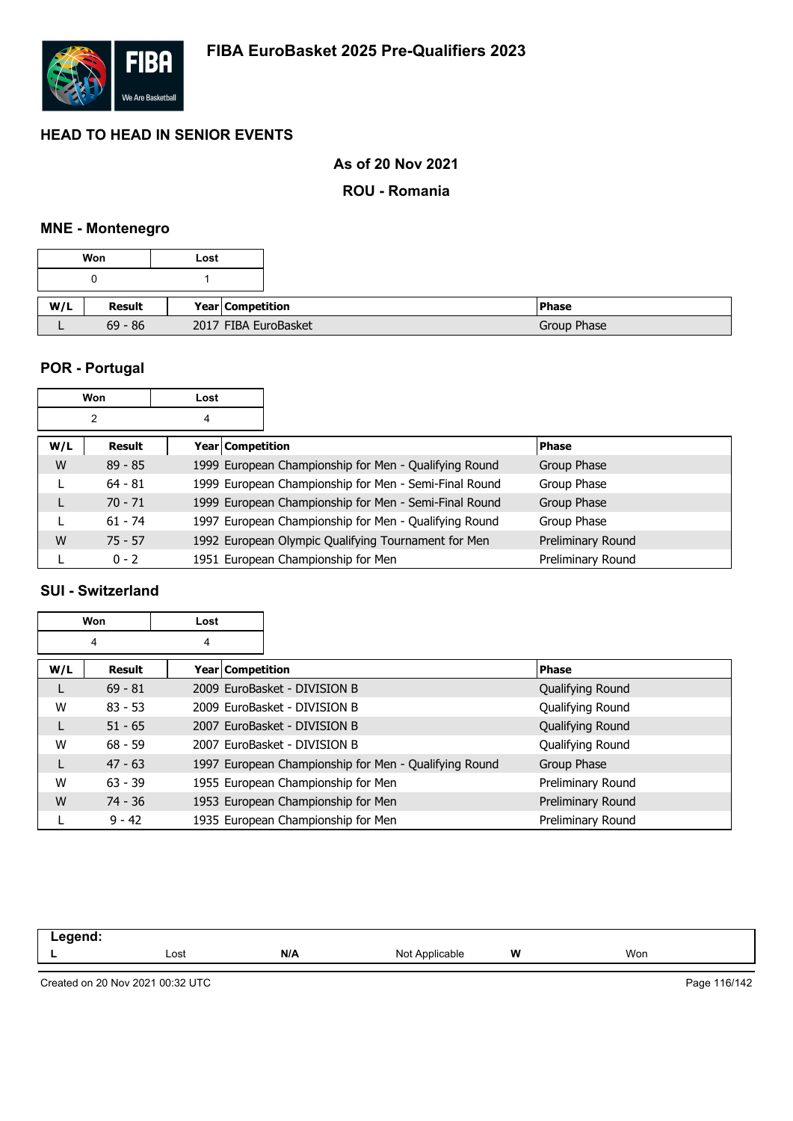

### **As of 20 Nov 2021**

**ROU - Romania**

### **MNE - Montenegro**

|     | Won       | Lost |                      |
|-----|-----------|------|----------------------|
|     |           |      |                      |
| W/L | Result    |      | Year Competition     |
|     | $69 - 86$ |      | 2017 FIBA EuroBasket |

### **POR - Portugal**

|     | Won       | Lost |                  |                                                       |                   |
|-----|-----------|------|------------------|-------------------------------------------------------|-------------------|
|     | 2         | 4    |                  |                                                       |                   |
| W/L | Result    |      | Year Competition |                                                       | <b>Phase</b>      |
| W   | $89 - 85$ |      |                  | 1999 European Championship for Men - Qualifying Round | Group Phase       |
|     | $64 - 81$ |      |                  | 1999 European Championship for Men - Semi-Final Round | Group Phase       |
| L   | $70 - 71$ |      |                  | 1999 European Championship for Men - Semi-Final Round | Group Phase       |
|     | $61 - 74$ |      |                  | 1997 European Championship for Men - Qualifying Round | Group Phase       |
| W   | $75 - 57$ |      |                  | 1992 European Olympic Qualifying Tournament for Men   | Preliminary Round |
|     | $0 - 2$   |      |                  | 1951 European Championship for Men                    | Preliminary Round |

### **SUI - Switzerland**

|     | Won       | Lost               |                                                       |                   |
|-----|-----------|--------------------|-------------------------------------------------------|-------------------|
|     | 4         | 4                  |                                                       |                   |
| W/L | Result    | Year   Competition |                                                       | <b>Phase</b>      |
|     | $69 - 81$ |                    | 2009 EuroBasket - DIVISION B                          | Qualifying Round  |
| W   | $83 - 53$ |                    | 2009 EuroBasket - DIVISION B                          | Qualifying Round  |
|     | $51 - 65$ |                    | 2007 EuroBasket - DIVISION B                          | Qualifying Round  |
| W   | $68 - 59$ |                    | 2007 EuroBasket - DIVISION B                          | Qualifying Round  |
|     | $47 - 63$ |                    | 1997 European Championship for Men - Qualifying Round | Group Phase       |
| W   | $63 - 39$ |                    | 1955 European Championship for Men                    | Preliminary Round |
| W   | $74 - 36$ |                    | 1953 European Championship for Men                    | Preliminary Round |
|     | $9 - 42$  |                    | 1935 European Championship for Men                    | Preliminary Round |

| . . | Lost | N/A | <b>Not</b><br>: Applicable | W<br>. . | Won |
|-----|------|-----|----------------------------|----------|-----|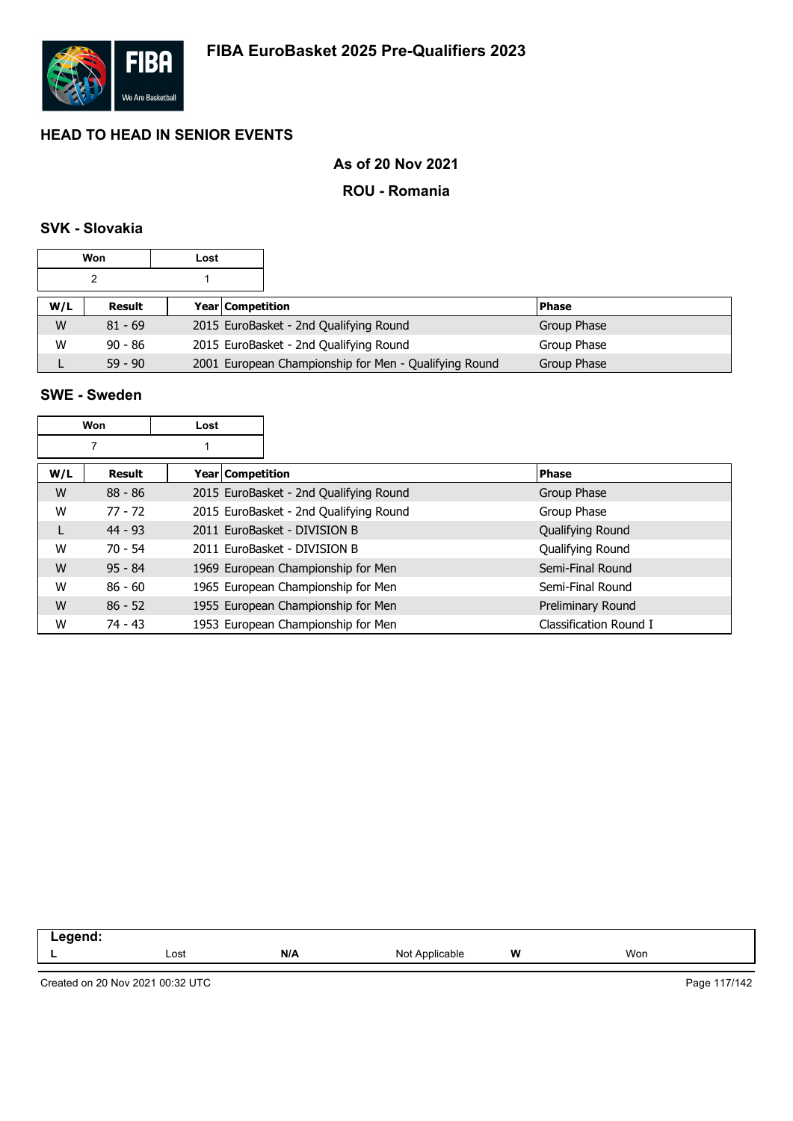

### **As of 20 Nov 2021**

#### **ROU - Romania**

### **SVK - Slovakia**

|     | Won       | Lost |                                                       |              |
|-----|-----------|------|-------------------------------------------------------|--------------|
|     |           |      |                                                       |              |
| W/L | Result    |      | Year Competition                                      | <b>Phase</b> |
| W   | $81 - 69$ |      | 2015 EuroBasket - 2nd Qualifying Round                | Group Phase  |
| W   | $90 - 86$ |      | 2015 EuroBasket - 2nd Qualifying Round                | Group Phase  |
|     | $59 - 90$ |      | 2001 European Championship for Men - Qualifying Round | Group Phase  |

### **SWE - Sweden**

|     | Won       | Lost               |                                        |                        |
|-----|-----------|--------------------|----------------------------------------|------------------------|
|     | 7         |                    |                                        |                        |
| W/L | Result    | Year   Competition |                                        | <b>Phase</b>           |
| W   | $88 - 86$ |                    | 2015 EuroBasket - 2nd Qualifying Round | Group Phase            |
| W   | $77 - 72$ |                    | 2015 EuroBasket - 2nd Qualifying Round | Group Phase            |
| L   | $44 - 93$ |                    | 2011 EuroBasket - DIVISION B           | Qualifying Round       |
| W   | $70 - 54$ |                    | 2011 EuroBasket - DIVISION B           | Qualifying Round       |
| W   | $95 - 84$ |                    | 1969 European Championship for Men     | Semi-Final Round       |
| W   | $86 - 60$ |                    | 1965 European Championship for Men     | Semi-Final Round       |
| W   | $86 - 52$ |                    | 1955 European Championship for Men     | Preliminary Round      |
| W   | $74 - 43$ |                    | 1953 European Championship for Men     | Classification Round I |

| - | Lost | N/A | No<br>able | W | Won |
|---|------|-----|------------|---|-----|
|   |      |     |            |   |     |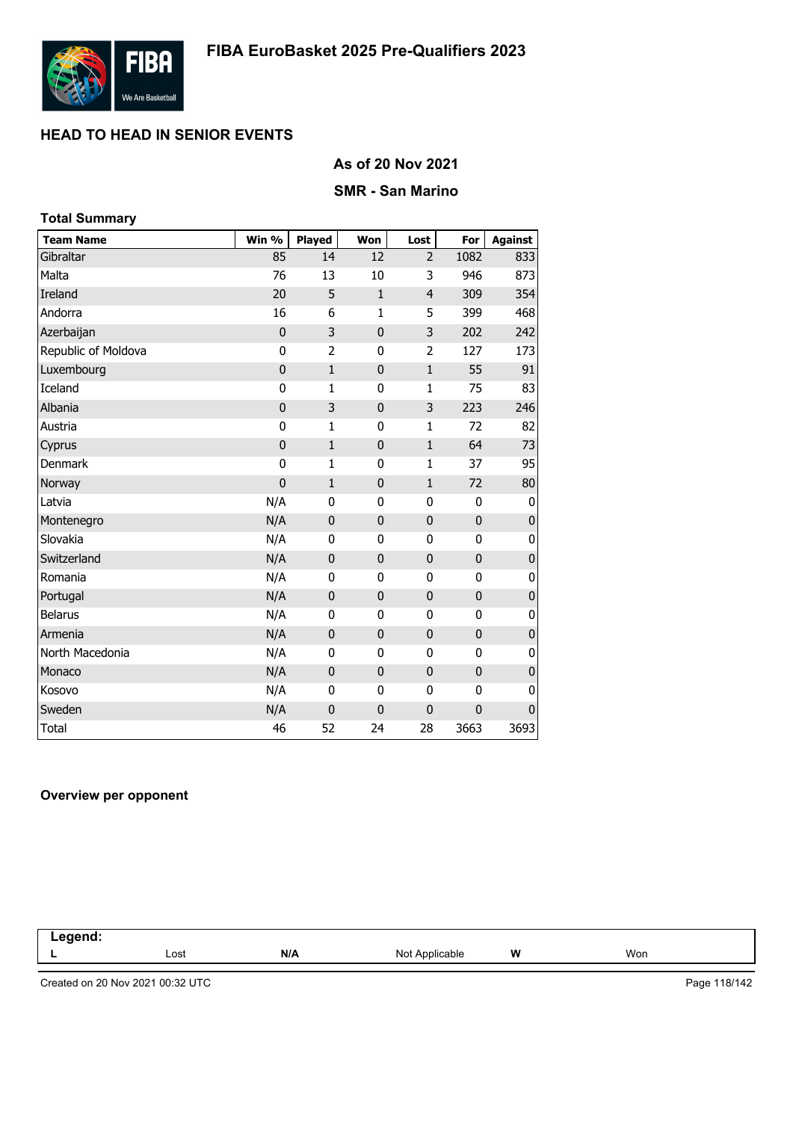

### **As of 20 Nov 2021**

### **SMR - San Marino**

| <b>Total Summary</b> |                |                |              |                |              |                |
|----------------------|----------------|----------------|--------------|----------------|--------------|----------------|
| <b>Team Name</b>     | Win %          | <b>Played</b>  | Won          | Lost           | For          | <b>Against</b> |
| Gibraltar            | 85             | 14             | 12           | $\overline{2}$ | 1082         | 833            |
| Malta                | 76             | 13             | 10           | 3              | 946          | 873            |
| <b>Ireland</b>       | 20             | 5              | $\mathbf{1}$ | $\overline{4}$ | 309          | 354            |
| Andorra              | 16             | 6              | $\mathbf{1}$ | 5              | 399          | 468            |
| Azerbaijan           | $\mathbf 0$    | 3              | $\mathbf{0}$ | 3              | 202          | 242            |
| Republic of Moldova  | 0              | $\overline{2}$ | 0            | 2              | 127          | 173            |
| Luxembourg           | $\mathbf 0$    | $\mathbf{1}$   | $\bf{0}$     | $\mathbf 1$    | 55           | 91             |
| Iceland              | 0              | 1              | $\mathbf{0}$ | $\mathbf{1}$   | 75           | 83             |
| Albania              | $\mathbf 0$    | 3              | $\bf{0}$     | 3              | 223          | 246            |
| Austria              | $\mathbf 0$    | $\mathbf{1}$   | $\mathbf{0}$ | $\mathbf{1}$   | 72           | 82             |
| Cyprus               | $\mathbf 0$    | $\mathbf{1}$   | $\mathbf{0}$ | $\mathbf{1}$   | 64           | 73             |
| <b>Denmark</b>       | 0              | $\mathbf{1}$   | 0            | $\mathbf{1}$   | 37           | 95             |
| Norway               | $\overline{0}$ | $\mathbf{1}$   | $\bf{0}$     | $\mathbf{1}$   | 72           | 80             |
| Latvia               | N/A            | 0              | 0            | 0              | 0            | 0              |
| Montenegro           | N/A            | $\mathbf 0$    | $\bf{0}$     | 0              | $\mathbf 0$  | $\pmb{0}$      |
| Slovakia             | N/A            | $\mathbf 0$    | $\mathbf{0}$ | 0              | 0            | 0              |
| Switzerland          | N/A            | $\mathbf{0}$   | $\mathbf{0}$ | 0              | $\mathbf{0}$ | $\pmb{0}$      |
| Romania              | N/A            | $\mathbf 0$    | 0            | 0              | $\mathbf 0$  | 0              |
| Portugal             | N/A            | $\mathbf 0$    | $\bf{0}$     | $\mathbf 0$    | $\mathbf 0$  | $\pmb{0}$      |
| <b>Belarus</b>       | N/A            | 0              | 0            | 0              | 0            | 0              |
| Armenia              | N/A            | $\mathbf 0$    | $\bf{0}$     | $\mathbf 0$    | $\mathbf 0$  | $\mathbf 0$    |
| North Macedonia      | N/A            | 0              | 0            | 0              | 0            | 0              |
| Monaco               | N/A            | $\mathbf{0}$   | $\mathbf{0}$ | 0              | $\mathbf{0}$ | $\pmb{0}$      |
| Kosovo               | N/A            | 0              | 0            | 0              | 0            | 0              |
| Sweden               | N/A            | $\mathbf 0$    | $\bf{0}$     | 0              | 0            | $\mathbf 0$    |
| <b>Total</b>         | 46             | 52             | 24           | 28             | 3663         | 3693           |

#### **Overview per opponent**

| .<br>чи<br>יי<br>-----<br>. |      |     |                     |   |     |  |
|-----------------------------|------|-----|---------------------|---|-----|--|
|                             | Lost | N/A | Not<br>Applicable > | W | Won |  |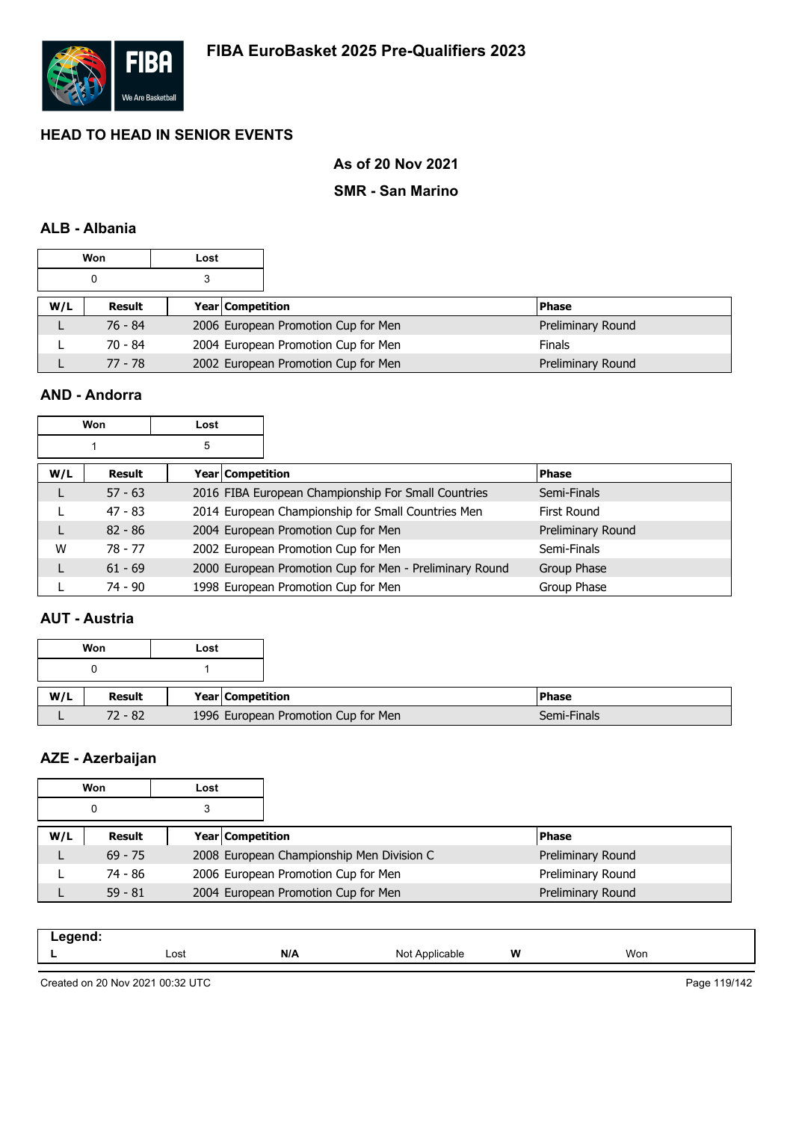

### **As of 20 Nov 2021**

### **SMR - San Marino**

### **ALB - Albania**

|     | Won       | Lost |                                     |                   |
|-----|-----------|------|-------------------------------------|-------------------|
|     | 0         |      |                                     |                   |
| W/L | Result    |      | <b>Year Competition</b>             | <b>Phase</b>      |
|     | $76 - 84$ |      | 2006 European Promotion Cup for Men | Preliminary Round |
|     | $70 - 84$ |      | 2004 European Promotion Cup for Men | <b>Finals</b>     |
|     | 77 - 78   |      | 2002 European Promotion Cup for Men | Preliminary Round |

### **AND - Andorra**

|     | Won       | Lost |                  |                                                         |                   |
|-----|-----------|------|------------------|---------------------------------------------------------|-------------------|
|     |           | 5    |                  |                                                         |                   |
| W/L | Result    |      | Year Competition |                                                         | <b>Phase</b>      |
|     | $57 - 63$ |      |                  | 2016 FIBA European Championship For Small Countries     | Semi-Finals       |
|     | $47 - 83$ |      |                  | 2014 European Championship for Small Countries Men      | First Round       |
| L   | $82 - 86$ |      |                  | 2004 European Promotion Cup for Men                     | Preliminary Round |
| W   | $78 - 77$ |      |                  | 2002 European Promotion Cup for Men                     | Semi-Finals       |
| L   | $61 - 69$ |      |                  | 2000 European Promotion Cup for Men - Preliminary Round | Group Phase       |
|     | 74 - 90   |      |                  | 1998 European Promotion Cup for Men                     | Group Phase       |

### **AUT - Austria**

|     | Won       | Lost |                                     |
|-----|-----------|------|-------------------------------------|
|     |           |      |                                     |
|     |           |      |                                     |
| W/L | Result    |      | Year Competition                    |
|     | $72 - 82$ |      | 1996 European Promotion Cup for Men |

### **AZE - Azerbaijan**

|     | Won       | Lost |                  |                                           |  |                   |
|-----|-----------|------|------------------|-------------------------------------------|--|-------------------|
|     |           |      |                  |                                           |  |                   |
| W/L | Result    |      | Year Competition |                                           |  | <b>Phase</b>      |
|     | $69 - 75$ |      |                  | 2008 European Championship Men Division C |  | Preliminary Round |
|     | 74 - 86   |      |                  | 2006 European Promotion Cup for Men       |  | Preliminary Round |
|     | $59 - 81$ |      |                  | 2004 European Promotion Cup for Men       |  | Preliminary Round |

| Lost | N/A | Not<br>* Applicable | W | Won |  |
|------|-----|---------------------|---|-----|--|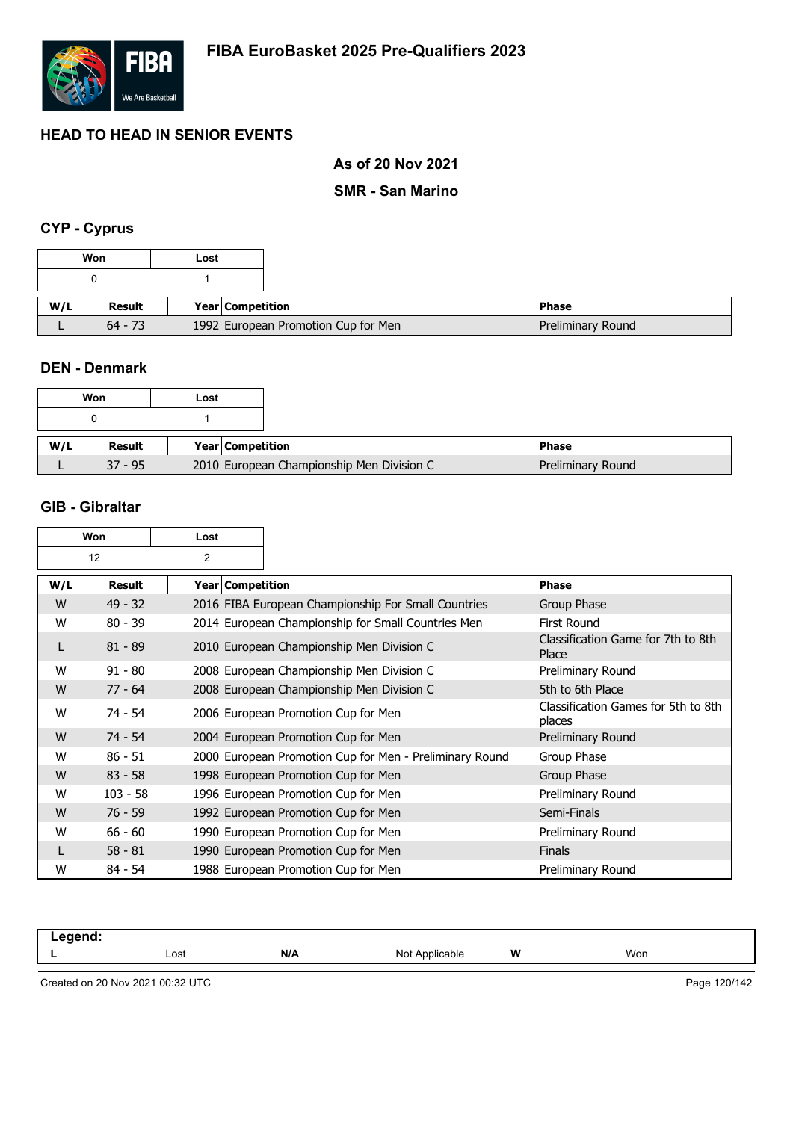

### **As of 20 Nov 2021**

### **SMR - San Marino**

### **CYP - Cyprus**

|     | Won       | Lost                                |
|-----|-----------|-------------------------------------|
|     |           |                                     |
| W/L | Result    | Year   Competition                  |
|     | $64 - 73$ | 1992 European Promotion Cup for Men |

#### **DEN - Denmark**

|     | Won       | Lost |                                           |
|-----|-----------|------|-------------------------------------------|
|     |           |      |                                           |
| W/L | Result    |      | Year Competition                          |
|     | $37 - 95$ |      | 2010 European Championship Men Division C |

### **GIB - Gibraltar**

| Won |            | Lost               |                                                         |                                               |
|-----|------------|--------------------|---------------------------------------------------------|-----------------------------------------------|
|     | 12         | 2                  |                                                         |                                               |
| W/L | Result     | Year   Competition |                                                         | <b>Phase</b>                                  |
| W   | $49 - 32$  |                    | 2016 FIBA European Championship For Small Countries     | Group Phase                                   |
| W   | $80 - 39$  |                    | 2014 European Championship for Small Countries Men      | <b>First Round</b>                            |
| L   | $81 - 89$  |                    | 2010 European Championship Men Division C               | Classification Game for 7th to 8th<br>Place   |
| W   | $91 - 80$  |                    | 2008 European Championship Men Division C               | Preliminary Round                             |
| W   | $77 - 64$  |                    | 2008 European Championship Men Division C               | 5th to 6th Place                              |
| W   | 74 - 54    |                    | 2006 European Promotion Cup for Men                     | Classification Games for 5th to 8th<br>places |
| W   | $74 - 54$  |                    | 2004 European Promotion Cup for Men                     | Preliminary Round                             |
| W   | $86 - 51$  |                    | 2000 European Promotion Cup for Men - Preliminary Round | Group Phase                                   |
| W   | $83 - 58$  |                    | 1998 European Promotion Cup for Men                     | Group Phase                                   |
| W   | $103 - 58$ |                    | 1996 European Promotion Cup for Men                     | Preliminary Round                             |
| W   | $76 - 59$  |                    | 1992 European Promotion Cup for Men                     | Semi-Finals                                   |
| W   | $66 - 60$  |                    | 1990 European Promotion Cup for Men                     | Preliminary Round                             |
|     | $58 - 81$  |                    | 1990 European Promotion Cup for Men                     | <b>Finals</b>                                 |
| W   | $84 - 54$  |                    | 1988 European Promotion Cup for Men                     | Preliminary Round                             |

| -----<br>$\sim$ $\sim$ |      |     |                      |   |     |  |
|------------------------|------|-----|----------------------|---|-----|--|
| -                      | Lost | N/A | N <sub>IO</sub><br>. | W | Won |  |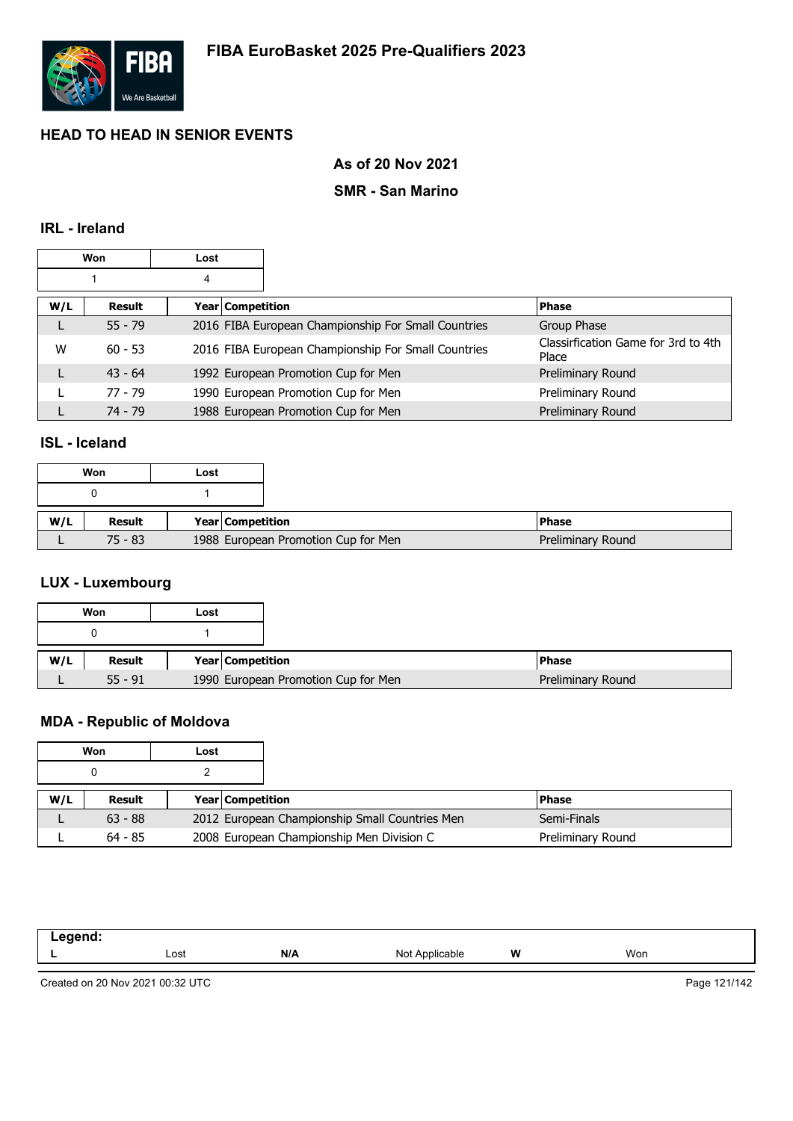

### **As of 20 Nov 2021**

### **SMR - San Marino**

### **IRL - Ireland**

| Won<br>Lost |           |                    |                                                     |                                              |
|-------------|-----------|--------------------|-----------------------------------------------------|----------------------------------------------|
|             |           | 4                  |                                                     |                                              |
| W/L         | Result    | Year   Competition |                                                     | <b>Phase</b>                                 |
| L           | $55 - 79$ |                    | 2016 FIBA European Championship For Small Countries | Group Phase                                  |
| W           | $60 - 53$ |                    | 2016 FIBA European Championship For Small Countries | Classirfication Game for 3rd to 4th<br>Place |
|             | $43 - 64$ |                    | 1992 European Promotion Cup for Men                 | Preliminary Round                            |
|             | $77 - 79$ |                    | 1990 European Promotion Cup for Men                 | Preliminary Round                            |
|             | $74 - 79$ |                    | 1988 European Promotion Cup for Men                 | Preliminary Round                            |

#### **ISL - Iceland**

| Won |           | Lost |                  |                                     |                   |
|-----|-----------|------|------------------|-------------------------------------|-------------------|
|     |           |      |                  |                                     |                   |
| W/L | Result    |      | Year Competition |                                     | <b>Phase</b>      |
|     | $75 - 83$ |      |                  | 1988 European Promotion Cup for Men | Preliminary Round |

### **LUX - Luxembourg**

|     | Won       | Lost                    |                                     |
|-----|-----------|-------------------------|-------------------------------------|
|     |           |                         |                                     |
|     |           |                         |                                     |
| W/L | Result    | <b>Year Competition</b> |                                     |
|     | $55 - 91$ |                         | 1990 European Promotion Cup for Men |

### **MDA - Republic of Moldova**

|     | Won       | Lost |                         |                                                |  |                   |
|-----|-----------|------|-------------------------|------------------------------------------------|--|-------------------|
|     |           |      |                         |                                                |  |                   |
| W/L | Result    |      | <b>Year Competition</b> |                                                |  | <b>Phase</b>      |
|     | $63 - 88$ |      |                         | 2012 European Championship Small Countries Men |  | Semi-Finals       |
|     | $64 - 85$ |      |                         | 2008 European Championship Men Division C      |  | Preliminary Round |

| $    -$<br>$  -$ |      |     |                         |   |     |
|------------------|------|-----|-------------------------|---|-----|
|                  | Lost | N/A | Not Applicable<br>1101. | W | Won |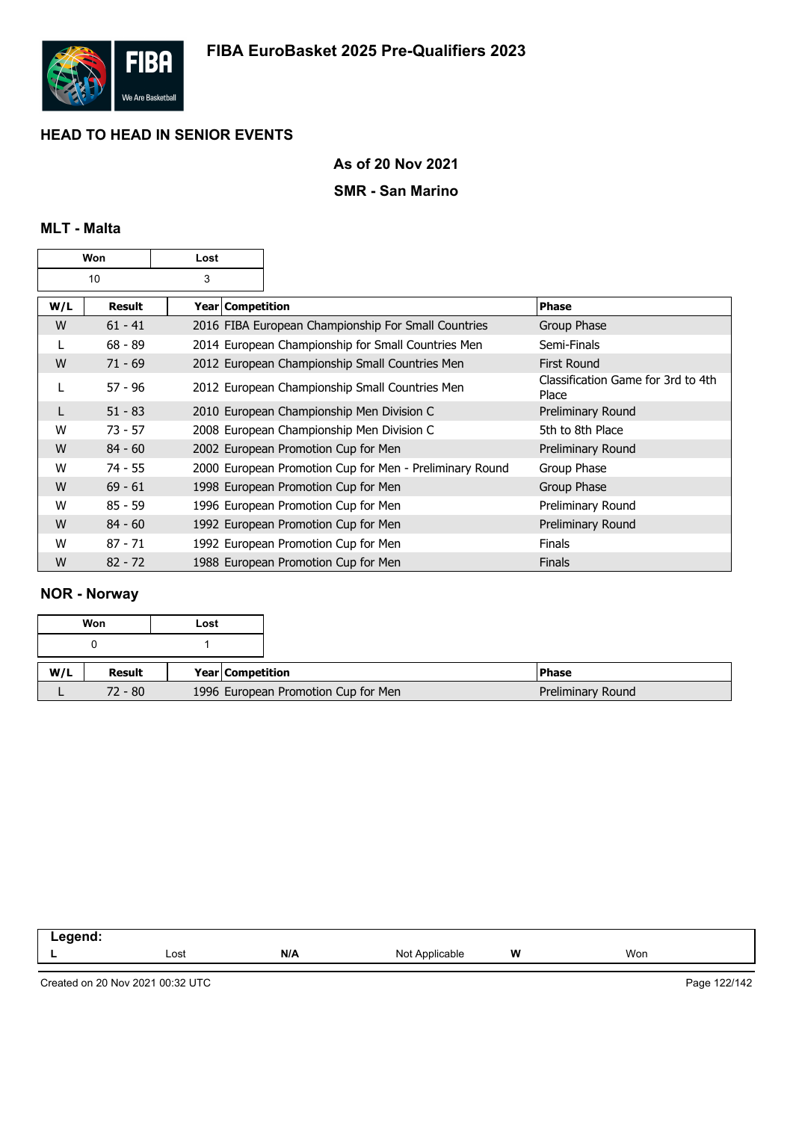

### **As of 20 Nov 2021**

### **SMR - San Marino**

### **MLT - Malta**

| Won |           | Lost               |                                                         |                                             |
|-----|-----------|--------------------|---------------------------------------------------------|---------------------------------------------|
|     | 10        | 3                  |                                                         |                                             |
| W/L | Result    | Year   Competition |                                                         | <b>Phase</b>                                |
| W   | $61 - 41$ |                    | 2016 FIBA European Championship For Small Countries     | Group Phase                                 |
| L   | $68 - 89$ |                    | 2014 European Championship for Small Countries Men      | Semi-Finals                                 |
| W   | $71 - 69$ |                    | 2012 European Championship Small Countries Men          | <b>First Round</b>                          |
| L   | $57 - 96$ |                    | 2012 European Championship Small Countries Men          | Classification Game for 3rd to 4th<br>Place |
| L   | $51 - 83$ |                    | 2010 European Championship Men Division C               | Preliminary Round                           |
| W   | $73 - 57$ |                    | 2008 European Championship Men Division C               | 5th to 8th Place                            |
| W   | $84 - 60$ |                    | 2002 European Promotion Cup for Men                     | Preliminary Round                           |
| W   | $74 - 55$ |                    | 2000 European Promotion Cup for Men - Preliminary Round | Group Phase                                 |
| W   | $69 - 61$ |                    | 1998 European Promotion Cup for Men                     | Group Phase                                 |
| W   | $85 - 59$ |                    | 1996 European Promotion Cup for Men                     | Preliminary Round                           |
| W   | $84 - 60$ |                    | 1992 European Promotion Cup for Men                     | Preliminary Round                           |
| W   | $87 - 71$ |                    | 1992 European Promotion Cup for Men                     | Finals                                      |
| W   | $82 - 72$ |                    | 1988 European Promotion Cup for Men                     | <b>Finals</b>                               |

### **NOR - Norway**

|     | Won     | Lost                                |
|-----|---------|-------------------------------------|
|     |         |                                     |
| W/L | Result  | Year Competition                    |
|     | 72 - 80 | 1996 European Promotion Cup for Men |

| - - |      |     |                               |        |     |  |
|-----|------|-----|-------------------------------|--------|-----|--|
|     | Lost | N/A | able<br>-Nc<br>חוו<br>$\cdot$ | W<br>. | Won |  |
|     |      |     |                               |        |     |  |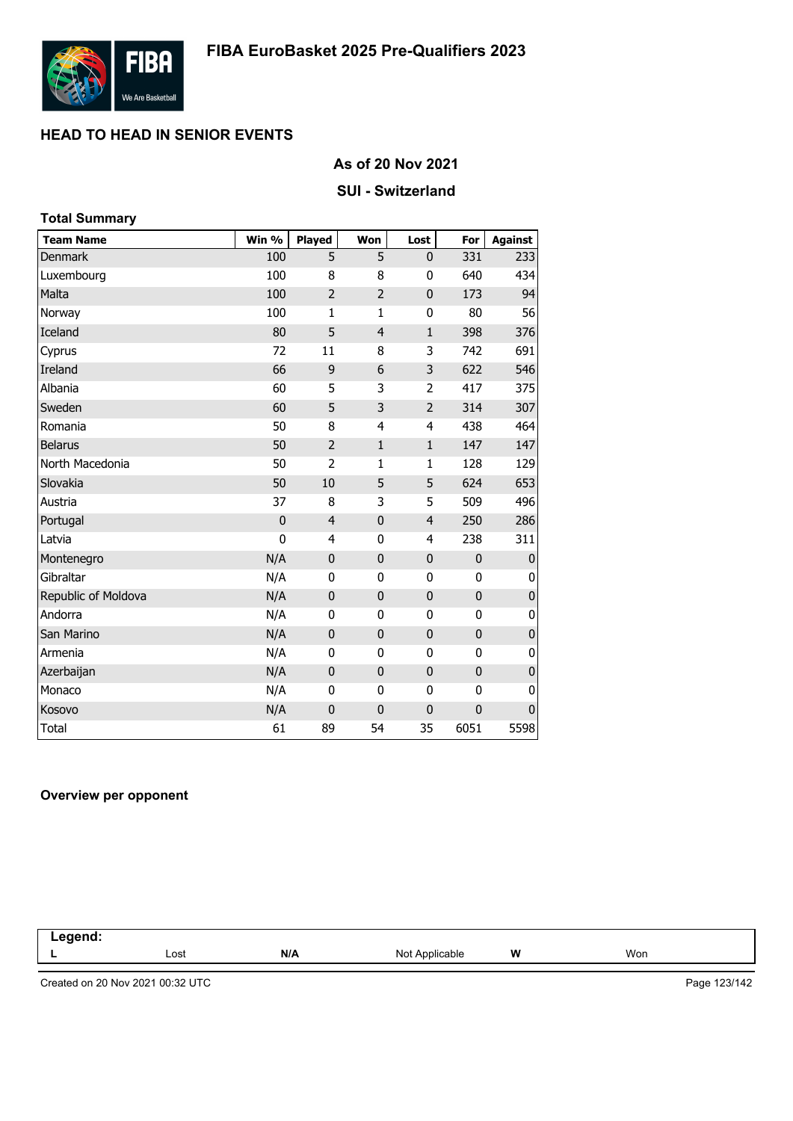

#### **As of 20 Nov 2021**

#### **SUI - Switzerland**

### **Team Name Win % Played Won Lost For Against** Denmark 100 5 5 0 331 233 Luxembourg 100 8 8 0 640 434 Malta 100 2 2 0 173 94 Norway 100 1 1 0 80 56 Iceland 80 5 4 1 398 376 Cyprus 72 11 8 3 742 691 Ireland 66 9 6 3 622 546 Albania 60 5 3 2 417 375 Sweden 60 5 3 2 314 307 Romania 50 8 4 4 438 464 Belarus 50 2 1 1 147 147 North Macedonia 50 2 1 1 128 129 Slovakia 50 10 5 5 624 653 Austria 37 8 3 5 509 496 Portugal 0 4 0 4 250 286 Latvia 0 4 0 4 238 311 Montenegro N/A 0 0 0 0 0 Gibraltar N/A 0 0 0 0 0 Republic of Moldova **N/A** 0 0 0 0 0 0 0 0 Andorra N/A 0 0 0 0 0 San Marino N/A 0 0 0 0 0 Armenia N/A 0 0 0 0 0 ere Azerbaijan kalendari kalendari kalendari N/A dan di Danmark dan ditemperaturan di Danmark di Nord-Afrika S<br>Azerbaijan Monaco N/A 0 0 0 0 0 Kosovo N/A 0 0 0 0 0 Total 61 89 54 35 6051 5598 **Total Summary**

### **Overview per opponent**

| .<br>--<br>$\sim$ $\sim$ $\sim$ $\sim$ $\sim$ |      |     |                              |   |     |
|-----------------------------------------------|------|-----|------------------------------|---|-----|
|                                               | Lost | N/A | Not /<br>$n_{m}$<br>plicable | W | Won |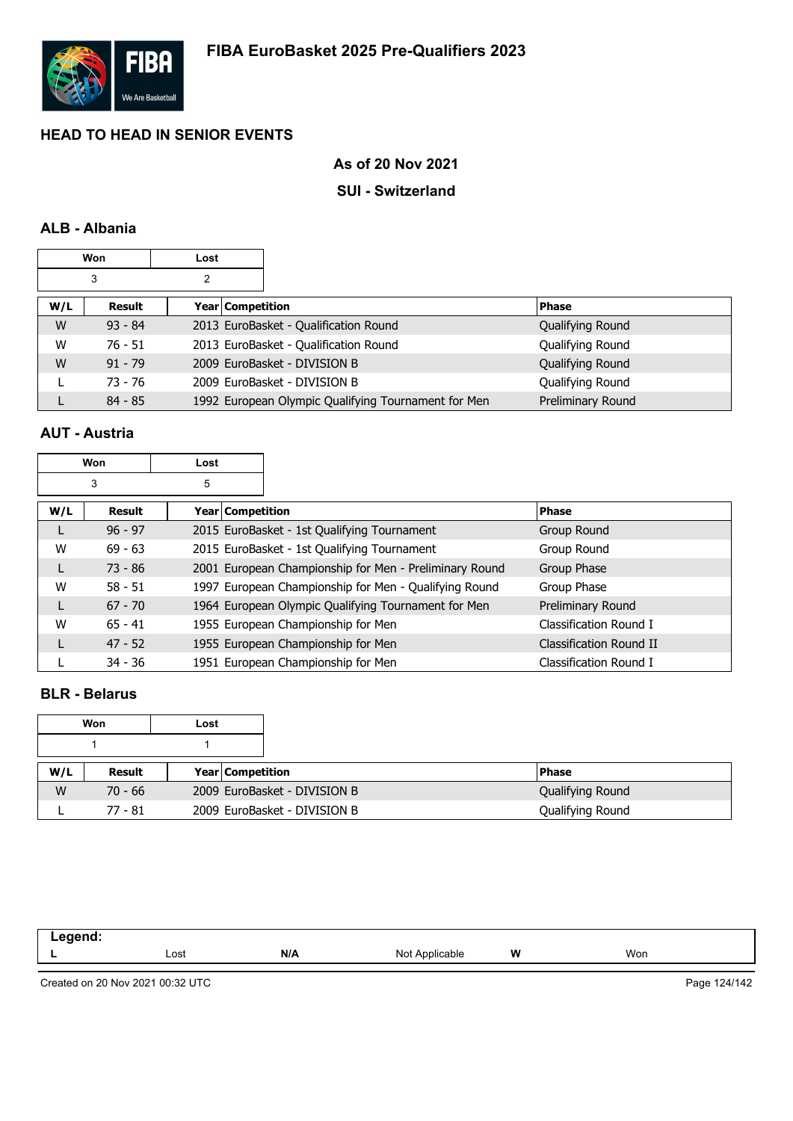

### **As of 20 Nov 2021**

### **SUI - Switzerland**

### **ALB - Albania**

|        | <b>Won</b> | Lost |                  |                                                     |                   |
|--------|------------|------|------------------|-----------------------------------------------------|-------------------|
| 3<br>2 |            |      |                  |                                                     |                   |
| W/L    | Result     |      | Year Competition |                                                     | <b>Phase</b>      |
| W      | $93 - 84$  |      |                  | 2013 EuroBasket - Qualification Round               | Qualifying Round  |
| W      | $76 - 51$  |      |                  | 2013 EuroBasket - Qualification Round               | Qualifying Round  |
| W      | $91 - 79$  |      |                  | 2009 EuroBasket - DIVISION B                        | Qualifying Round  |
|        | $73 - 76$  |      |                  | 2009 EuroBasket - DIVISION B                        | Qualifying Round  |
|        | $84 - 85$  |      |                  | 1992 European Olympic Qualifying Tournament for Men | Preliminary Round |

### **AUT - Austria**

| Won |           | Lost                    |                                                        |                         |
|-----|-----------|-------------------------|--------------------------------------------------------|-------------------------|
|     | 3         | 5                       |                                                        |                         |
| W/L | Result    | <b>Year Competition</b> |                                                        | <b>Phase</b>            |
| L   | $96 - 97$ |                         | 2015 EuroBasket - 1st Qualifying Tournament            | Group Round             |
| W   | $69 - 63$ |                         | 2015 EuroBasket - 1st Qualifying Tournament            | Group Round             |
| L   | $73 - 86$ |                         | 2001 European Championship for Men - Preliminary Round | Group Phase             |
| W   | $58 - 51$ |                         | 1997 European Championship for Men - Qualifying Round  | Group Phase             |
| L   | $67 - 70$ |                         | 1964 European Olympic Qualifying Tournament for Men    | Preliminary Round       |
| W   | $65 - 41$ |                         | 1955 European Championship for Men                     | Classification Round I  |
| L   | $47 - 52$ |                         | 1955 European Championship for Men                     | Classification Round II |
|     | $34 - 36$ |                         | 1951 European Championship for Men                     | Classification Round I  |

### **BLR - Belarus**

| Won<br>Lost |           |                         |                              |                  |
|-------------|-----------|-------------------------|------------------------------|------------------|
|             |           |                         |                              |                  |
| W/L         | Result    | <b>Year Competition</b> |                              | <b>Phase</b>     |
| W           | $70 - 66$ |                         | 2009 EuroBasket - DIVISION B | Qualifying Round |
|             | 77 - 81   |                         | 2009 EuroBasket - DIVISION B | Qualifying Round |

| . .<br>$\sim$ $\sim$ |      |     |             |   |     |  |
|----------------------|------|-----|-------------|---|-----|--|
|                      | Lost | N/A | Not<br>able | W | Won |  |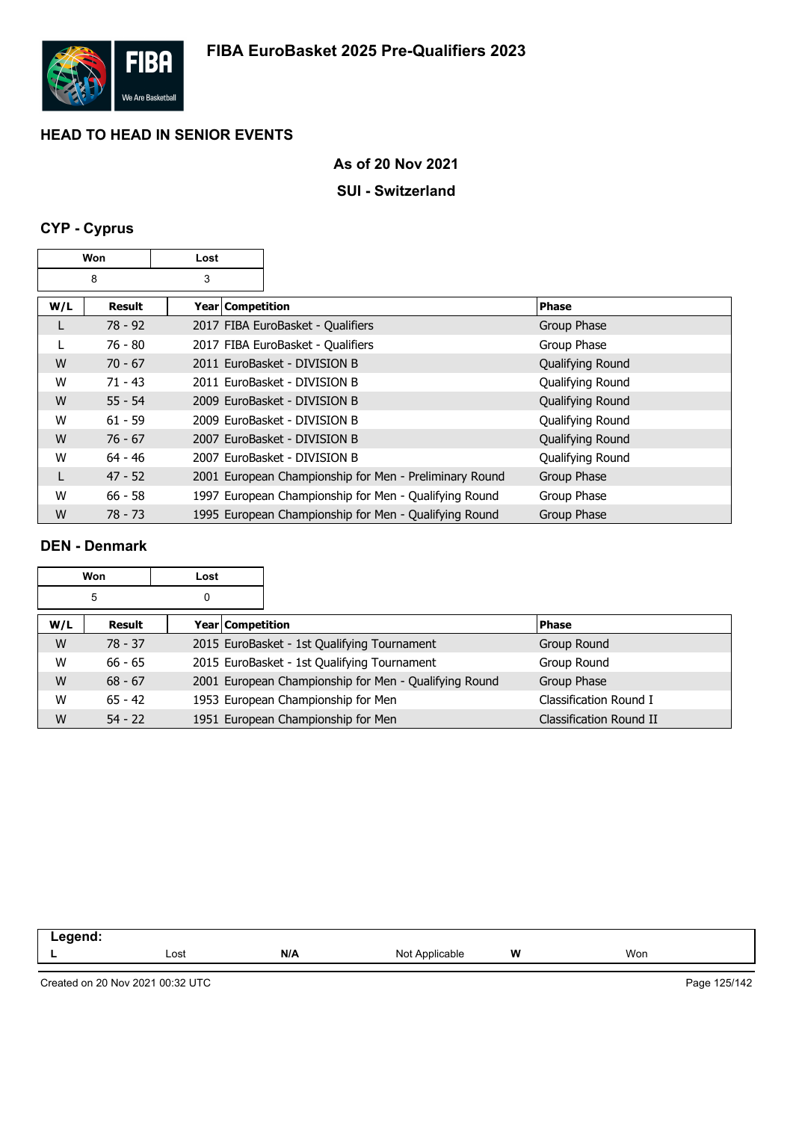

### **SUI - Switzerland**

## **CYP - Cyprus**

| Won |           | Lost |                    |                                                        |                  |
|-----|-----------|------|--------------------|--------------------------------------------------------|------------------|
|     | 8         | 3    |                    |                                                        |                  |
| W/L | Result    |      | Year   Competition |                                                        | <b>Phase</b>     |
| L   | $78 - 92$ |      |                    | 2017 FIBA EuroBasket - Qualifiers                      | Group Phase      |
|     | $76 - 80$ |      |                    | 2017 FIBA EuroBasket - Qualifiers                      | Group Phase      |
| W   | $70 - 67$ |      |                    | 2011 EuroBasket - DIVISION B                           | Qualifying Round |
| W   | $71 - 43$ |      |                    | 2011 EuroBasket - DIVISION B                           | Qualifying Round |
| W   | $55 - 54$ |      |                    | 2009 EuroBasket - DIVISION B                           | Qualifying Round |
| W   | $61 - 59$ |      |                    | 2009 EuroBasket - DIVISION B                           | Qualifying Round |
| W   | $76 - 67$ |      |                    | 2007 EuroBasket - DIVISION B                           | Qualifying Round |
| W   | $64 - 46$ |      |                    | 2007 EuroBasket - DIVISION B                           | Qualifying Round |
| L   | $47 - 52$ |      |                    | 2001 European Championship for Men - Preliminary Round | Group Phase      |
| W   | $66 - 58$ |      |                    | 1997 European Championship for Men - Qualifying Round  | Group Phase      |
| W   | 78 - 73   |      |                    | 1995 European Championship for Men - Qualifying Round  | Group Phase      |

### **DEN - Denmark**

| Won    |           | Lost |                  |                                                       |                         |  |
|--------|-----------|------|------------------|-------------------------------------------------------|-------------------------|--|
| 5<br>0 |           |      |                  |                                                       |                         |  |
| W/L    | Result    |      | Year Competition |                                                       | <b>Phase</b>            |  |
| W      | $78 - 37$ |      |                  | 2015 EuroBasket - 1st Qualifying Tournament           | Group Round             |  |
| W      | $66 - 65$ |      |                  | 2015 EuroBasket - 1st Qualifying Tournament           | Group Round             |  |
| W      | $68 - 67$ |      |                  | 2001 European Championship for Men - Qualifying Round | Group Phase             |  |
| W      | $65 - 42$ |      |                  | 1953 European Championship for Men                    | Classification Round I  |  |
| W      | $54 - 22$ |      |                  | 1951 European Championship for Men                    | Classification Round II |  |

| eaend<br>--<br>- - - |      |     |                         |   |     |  |
|----------------------|------|-----|-------------------------|---|-----|--|
|                      | Lost | N/A | N∩t<br>Applicable<br>◥◡ | W | Won |  |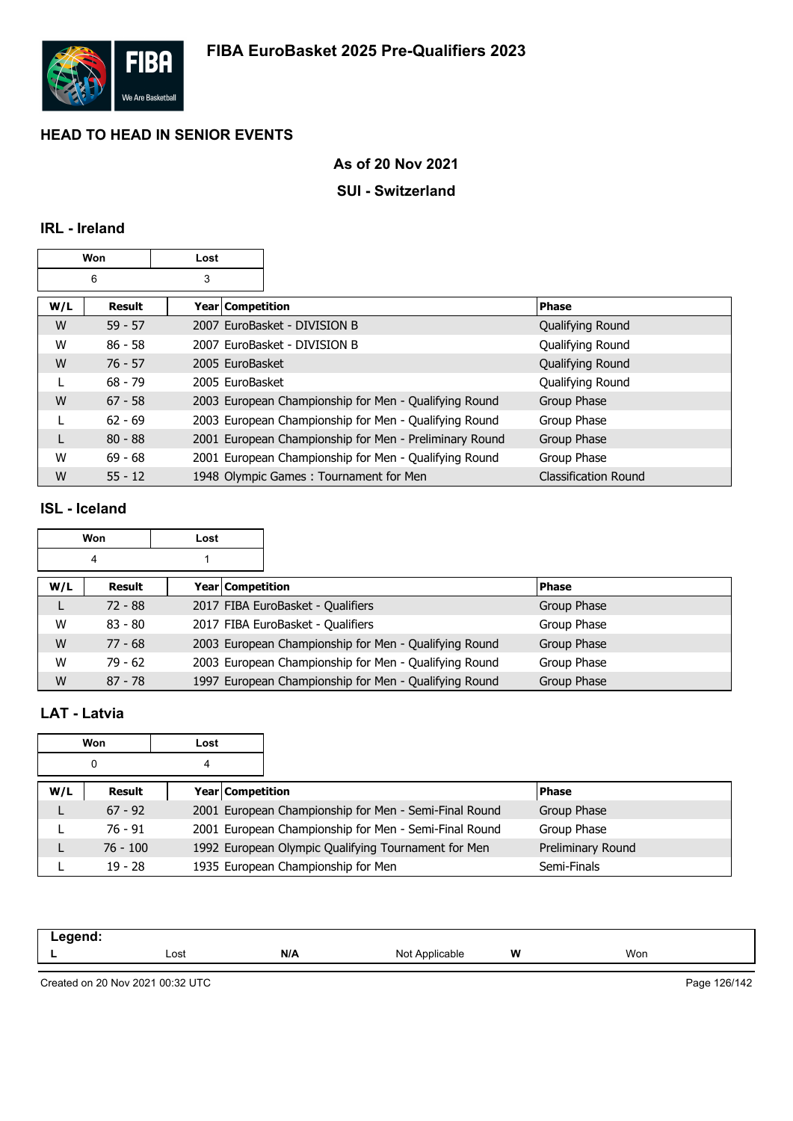

### **As of 20 Nov 2021**

### **SUI - Switzerland**

### **IRL - Ireland**

| Won<br>Lost |               |                    |                                                        |                             |
|-------------|---------------|--------------------|--------------------------------------------------------|-----------------------------|
|             | 6             | 3                  |                                                        |                             |
| W/L         | <b>Result</b> | Year   Competition |                                                        | <b>Phase</b>                |
| W           | $59 - 57$     |                    | 2007 EuroBasket - DIVISION B                           | Qualifying Round            |
| W           | $86 - 58$     |                    | 2007 EuroBasket - DIVISION B                           | Qualifying Round            |
| W           | $76 - 57$     | 2005 EuroBasket    |                                                        | Qualifying Round            |
| L           | $68 - 79$     | 2005 EuroBasket    |                                                        | Qualifying Round            |
| W           | $67 - 58$     |                    | 2003 European Championship for Men - Qualifying Round  | Group Phase                 |
| L           | $62 - 69$     |                    | 2003 European Championship for Men - Qualifying Round  | Group Phase                 |
| L           | $80 - 88$     |                    | 2001 European Championship for Men - Preliminary Round | Group Phase                 |
| W           | $69 - 68$     |                    | 2001 European Championship for Men - Qualifying Round  | Group Phase                 |
| W           | $55 - 12$     |                    | 1948 Olympic Games: Tournament for Men                 | <b>Classification Round</b> |

### **ISL - Iceland**

|     | Won       | Lost |                         |                                                       |              |
|-----|-----------|------|-------------------------|-------------------------------------------------------|--------------|
|     | 4         |      |                         |                                                       |              |
| W/L | Result    |      | <b>Year Competition</b> |                                                       | <b>Phase</b> |
|     | $72 - 88$ |      |                         | 2017 FIBA EuroBasket - Qualifiers                     | Group Phase  |
| W   | $83 - 80$ |      |                         | 2017 FIBA EuroBasket - Qualifiers                     | Group Phase  |
| W   | $77 - 68$ |      |                         | 2003 European Championship for Men - Qualifying Round | Group Phase  |
| W   | $79 - 62$ |      |                         | 2003 European Championship for Men - Qualifying Round | Group Phase  |
| W   | $87 - 78$ |      |                         | 1997 European Championship for Men - Qualifying Round | Group Phase  |

### **LAT - Latvia**

|     | Won        | Lost |                  |                                                       |                   |
|-----|------------|------|------------------|-------------------------------------------------------|-------------------|
|     | 0          | 4    |                  |                                                       |                   |
| W/L | Result     |      | Year Competition |                                                       | <b>Phase</b>      |
|     | $67 - 92$  |      |                  | 2001 European Championship for Men - Semi-Final Round | Group Phase       |
|     | 76 - 91    |      |                  | 2001 European Championship for Men - Semi-Final Round | Group Phase       |
|     | $76 - 100$ |      |                  | 1992 European Olympic Qualifying Tournament for Men   | Preliminary Round |
|     | $19 - 28$  |      |                  | 1935 European Championship for Men                    | Semi-Finals       |

| ----- |      |     |                                     |   |     |
|-------|------|-----|-------------------------------------|---|-----|
|       | Lost | N/A | NM<br>$\cdot$ Annuar<br>. .<br>ישוי | W | Won |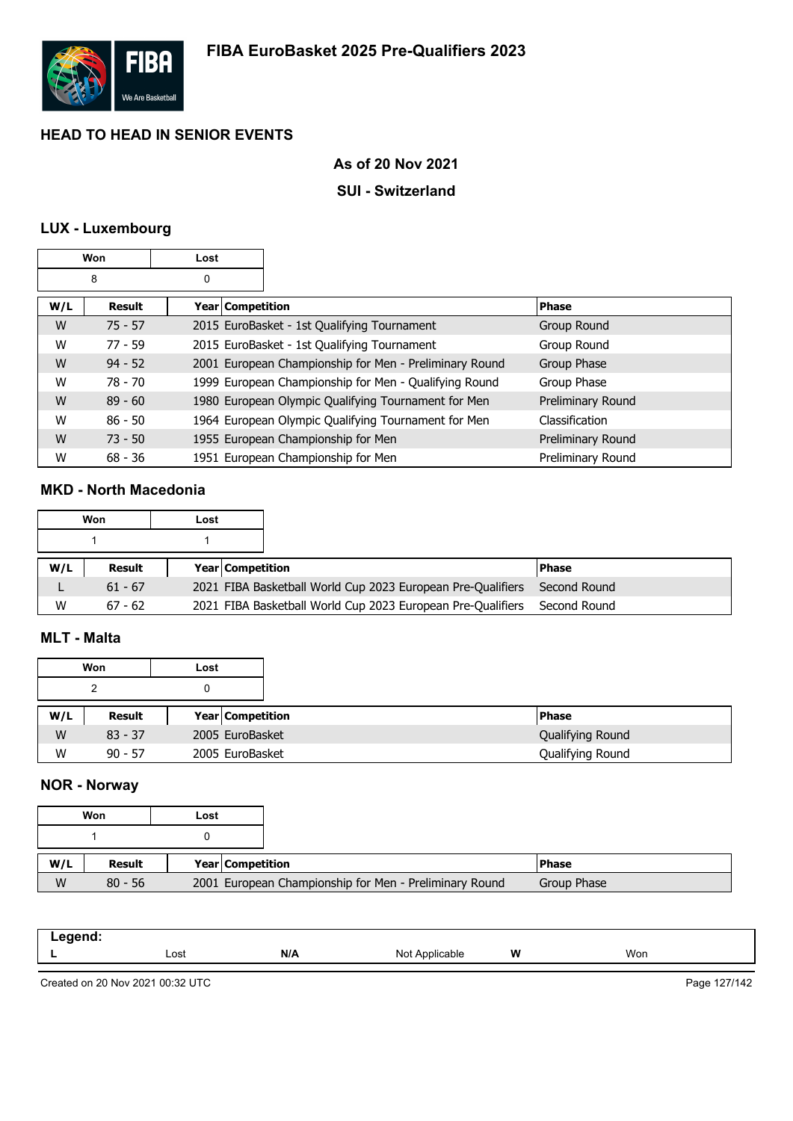

### **As of 20 Nov 2021**

### **SUI - Switzerland**

### **LUX - Luxembourg**

|     | Won       | Lost             |                                                        |                   |
|-----|-----------|------------------|--------------------------------------------------------|-------------------|
|     | 8         | 0                |                                                        |                   |
| W/L | Result    | Year Competition |                                                        | <b>Phase</b>      |
| W   | $75 - 57$ |                  | 2015 EuroBasket - 1st Qualifying Tournament            | Group Round       |
| W   | $77 - 59$ |                  | 2015 EuroBasket - 1st Qualifying Tournament            | Group Round       |
| W   | $94 - 52$ |                  | 2001 European Championship for Men - Preliminary Round | Group Phase       |
| W   | $78 - 70$ |                  | 1999 European Championship for Men - Qualifying Round  | Group Phase       |
| W   | $89 - 60$ |                  | 1980 European Olympic Qualifying Tournament for Men    | Preliminary Round |
| W   | $86 - 50$ |                  | 1964 European Olympic Qualifying Tournament for Men    | Classification    |
| W   | $73 - 50$ |                  | 1955 European Championship for Men                     | Preliminary Round |
| W   | $68 - 36$ |                  | 1951 European Championship for Men                     | Preliminary Round |

### **MKD - North Macedonia**

|     | Won       | Lost |                                                             |              |
|-----|-----------|------|-------------------------------------------------------------|--------------|
|     |           |      |                                                             |              |
| W/L | Result    |      | <b>Year Competition</b>                                     | l Phase      |
|     | $61 - 67$ |      | 2021 FIBA Basketball World Cup 2023 European Pre-Qualifiers | Second Round |
| W   | $67 - 62$ |      | 2021 FIBA Basketball World Cup 2023 European Pre-Qualifiers | Second Round |

### **MLT - Malta**

|     | Won       | Lost |                         |                  |
|-----|-----------|------|-------------------------|------------------|
|     | າ         |      |                         |                  |
| W/L | Result    |      | <b>Year Competition</b> | <b>Phase</b>     |
| W   | $83 - 37$ |      | 2005 EuroBasket         | Qualifying Round |
| W   | $90 - 57$ |      | 2005 EuroBasket         | Qualifying Round |

### **NOR - Norway**

|     | Won       | Lost |                         |                                                        |              |
|-----|-----------|------|-------------------------|--------------------------------------------------------|--------------|
|     |           |      |                         |                                                        |              |
| W/L | Result    |      | <b>Year Competition</b> |                                                        | <b>Phase</b> |
| W   | $80 - 56$ |      |                         | 2001 European Championship for Men - Preliminary Round | Group Phase  |

| Lost | N/A | הוח<br>$\cdots$ | W | Won |
|------|-----|-----------------|---|-----|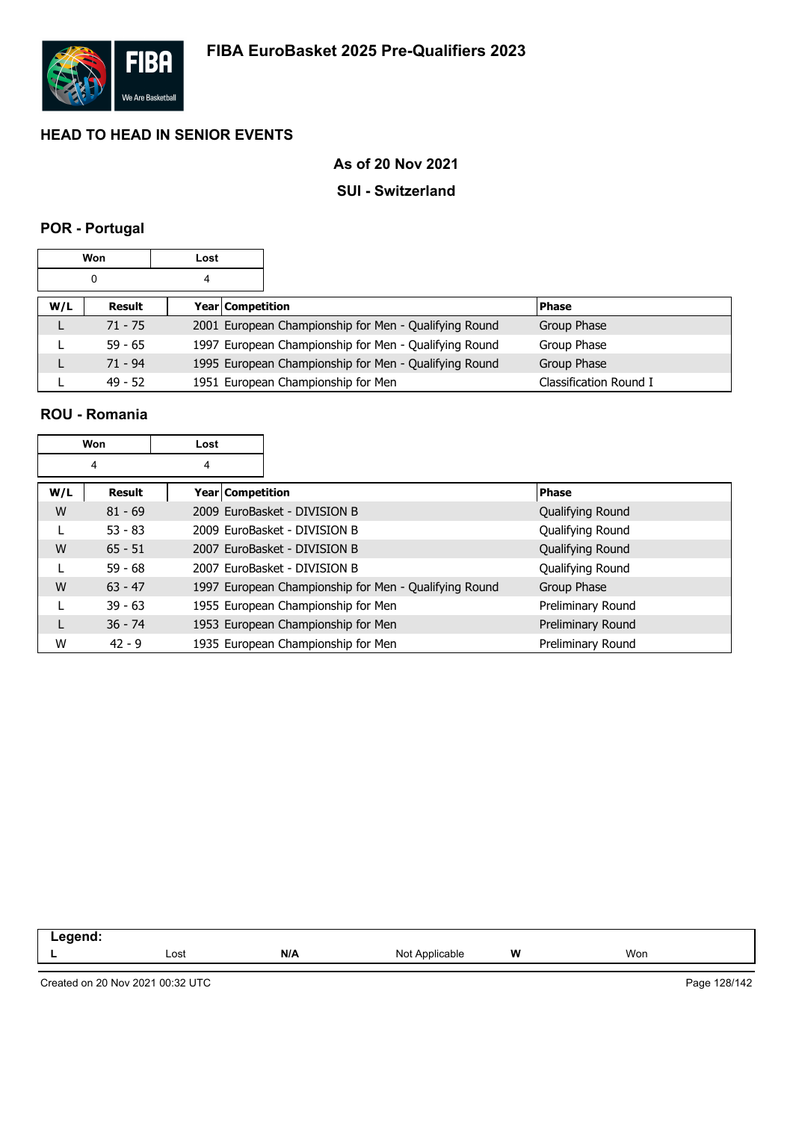

### **As of 20 Nov 2021**

### **SUI - Switzerland**

### **POR - Portugal**

|     | <b>Won</b> | Lost |                  |                                                       |                        |
|-----|------------|------|------------------|-------------------------------------------------------|------------------------|
|     | 0          | 4    |                  |                                                       |                        |
| W/L | Result     |      | Year Competition |                                                       | <b>Phase</b>           |
|     | $71 - 75$  |      |                  | 2001 European Championship for Men - Qualifying Round | Group Phase            |
|     | $59 - 65$  |      |                  | 1997 European Championship for Men - Qualifying Round | Group Phase            |
|     | $71 - 94$  |      |                  | 1995 European Championship for Men - Qualifying Round | Group Phase            |
|     | $49 - 52$  |      |                  | 1951 European Championship for Men                    | Classification Round I |

#### **ROU - Romania**

|     | Won       | Lost             |                                                       |                   |
|-----|-----------|------------------|-------------------------------------------------------|-------------------|
|     | 4         | 4                |                                                       |                   |
| W/L | Result    | Year Competition |                                                       | <b>Phase</b>      |
| W   | $81 - 69$ |                  | 2009 EuroBasket - DIVISION B                          | Qualifying Round  |
|     | $53 - 83$ |                  | 2009 EuroBasket - DIVISION B                          | Qualifying Round  |
| W   | $65 - 51$ |                  | 2007 EuroBasket - DIVISION B                          | Qualifying Round  |
|     | $59 - 68$ |                  | 2007 EuroBasket - DIVISION B                          | Qualifying Round  |
| W   | $63 - 47$ |                  | 1997 European Championship for Men - Qualifying Round | Group Phase       |
|     | $39 - 63$ |                  | 1955 European Championship for Men                    | Preliminary Round |
| L   | $36 - 74$ |                  | 1953 European Championship for Men                    | Preliminary Round |
| W   | $42 - 9$  |                  | 1935 European Championship for Men                    | Preliminary Round |

| Lost | N/A | <b>\pplicable</b><br>N∩t<br>. | W<br>. . | Won |
|------|-----|-------------------------------|----------|-----|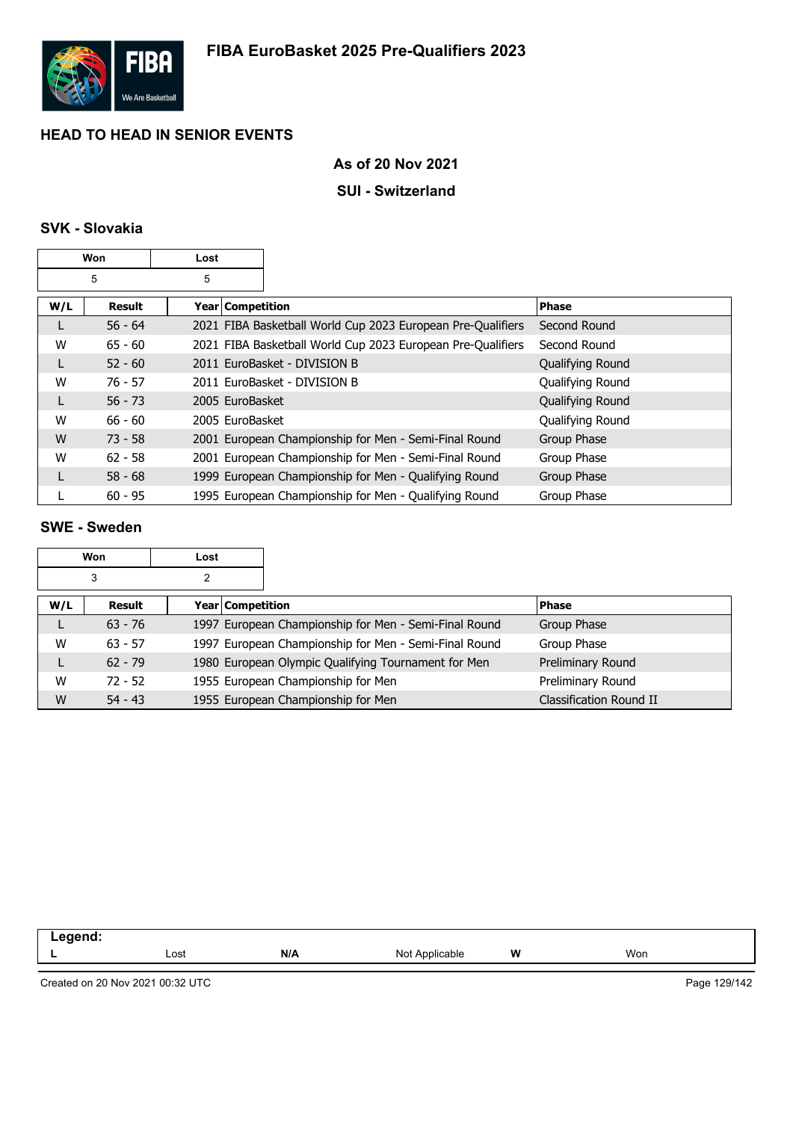

### **As of 20 Nov 2021**

### **SUI - Switzerland**

### **SVK - Slovakia**

|     | Won       | Lost                    |                                                             |                  |
|-----|-----------|-------------------------|-------------------------------------------------------------|------------------|
|     | 5         | 5                       |                                                             |                  |
| W/L | Result    | <b>Year Competition</b> |                                                             | <b>Phase</b>     |
|     | $56 - 64$ |                         | 2021 FIBA Basketball World Cup 2023 European Pre-Qualifiers | Second Round     |
| W   | $65 - 60$ |                         | 2021 FIBA Basketball World Cup 2023 European Pre-Qualifiers | Second Round     |
| L   | $52 - 60$ |                         | 2011 EuroBasket - DIVISION B                                | Qualifying Round |
| W   | $76 - 57$ |                         | 2011 EuroBasket - DIVISION B                                | Qualifying Round |
| L   | $56 - 73$ | 2005 EuroBasket         |                                                             | Qualifying Round |
| W   | $66 - 60$ | 2005 EuroBasket         |                                                             | Qualifying Round |
| W   | $73 - 58$ |                         | 2001 European Championship for Men - Semi-Final Round       | Group Phase      |
| W   | $62 - 58$ |                         | 2001 European Championship for Men - Semi-Final Round       | Group Phase      |
|     | $58 - 68$ |                         | 1999 European Championship for Men - Qualifying Round       | Group Phase      |
|     | $60 - 95$ |                         | 1995 European Championship for Men - Qualifying Round       | Group Phase      |

#### **SWE - Sweden**

|     | <b>Won</b> | Lost |                         |                                                       |                         |
|-----|------------|------|-------------------------|-------------------------------------------------------|-------------------------|
|     | 3          | 2    |                         |                                                       |                         |
| W/L | Result     |      | <b>Year Competition</b> |                                                       | <b>Phase</b>            |
|     | $63 - 76$  |      |                         | 1997 European Championship for Men - Semi-Final Round | Group Phase             |
| W   | $63 - 57$  |      |                         | 1997 European Championship for Men - Semi-Final Round | Group Phase             |
|     | $62 - 79$  |      |                         | 1980 European Olympic Qualifying Tournament for Men   | Preliminary Round       |
| W   | $72 - 52$  |      |                         | 1955 European Championship for Men                    | Preliminary Round       |
| W   | $54 - 43$  |      |                         | 1955 European Championship for Men                    | Classification Round II |

| - -<br>$\sim$ $\sim$ |      |     |             |                 |     |  |
|----------------------|------|-----|-------------|-----------------|-----|--|
|                      | Lost | N/A | able<br>-NC | <b>W</b><br>. . | Won |  |
|                      |      |     |             |                 |     |  |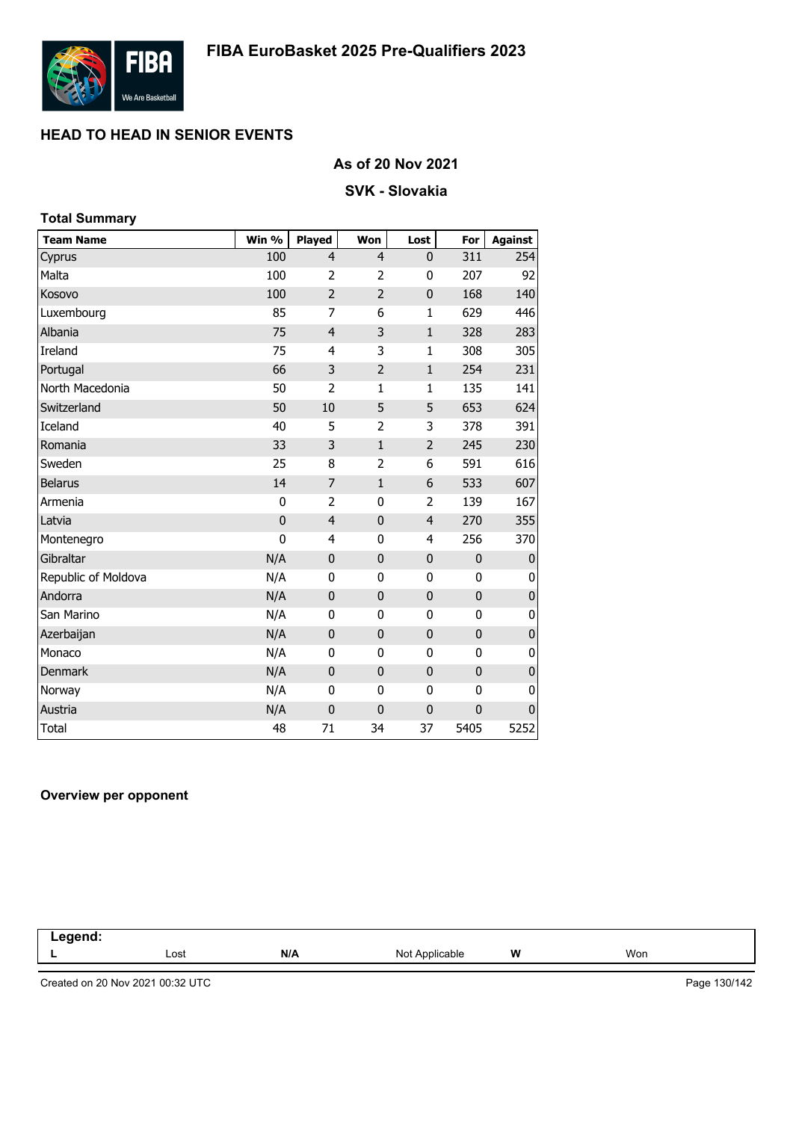

### **As of 20 Nov 2021**

### **SVK - Slovakia**

| <b>Total Summary</b> |             |                |                |                |             |                |
|----------------------|-------------|----------------|----------------|----------------|-------------|----------------|
| <b>Team Name</b>     | Win %       | <b>Played</b>  | Won            | Lost           | For         | <b>Against</b> |
| Cyprus               | 100         | 4              | $\overline{4}$ | 0              | 311         | 254            |
| Malta                | 100         | 2              | 2              | 0              | 207         | 92             |
| Kosovo               | 100         | $\overline{2}$ | 2              | 0              | 168         | 140            |
| Luxembourg           | 85          | 7              | 6              | $\mathbf{1}$   | 629         | 446            |
| Albania              | 75          | $\overline{4}$ | 3              | $\mathbf{1}$   | 328         | 283            |
| Ireland              | 75          | 4              | 3              | 1              | 308         | 305            |
| Portugal             | 66          | 3              | $\overline{2}$ | $\mathbf 1$    | 254         | 231            |
| North Macedonia      | 50          | $\overline{2}$ | 1              | 1              | 135         | 141            |
| Switzerland          | 50          | 10             | 5              | 5              | 653         | 624            |
| Iceland              | 40          | 5              | $\overline{2}$ | 3              | 378         | 391            |
| Romania              | 33          | 3              | $\mathbf{1}$   | $\overline{2}$ | 245         | 230            |
| Sweden               | 25          | 8              | $\overline{2}$ | 6              | 591         | 616            |
| <b>Belarus</b>       | 14          | 7              | $\mathbf{1}$   | 6              | 533         | 607            |
| Armenia              | 0           | $\overline{2}$ | 0              | 2              | 139         | 167            |
| Latvia               | $\mathbf 0$ | $\overline{4}$ | $\mathbf 0$    | $\overline{4}$ | 270         | 355            |
| Montenegro           | $\mathbf 0$ | 4              | $\mathbf 0$    | 4              | 256         | 370            |
| Gibraltar            | N/A         | $\mathbf{0}$   | $\mathbf 0$    | 0              | 0           | $\bf{0}$       |
| Republic of Moldova  | N/A         | 0              | 0              | 0              | 0           | 0              |
| Andorra              | N/A         | $\mathbf 0$    | $\mathbf 0$    | $\mathbf 0$    | 0           | $\pmb{0}$      |
| San Marino           | N/A         | 0              | 0              | 0              | 0           | 0              |
| Azerbaijan           | N/A         | $\mathbf 0$    | $\mathbf 0$    | $\mathbf{0}$   | 0           | $\mathbf 0$    |
| Monaco               | N/A         | 0              | 0              | 0              | 0           | 0              |
| <b>Denmark</b>       | N/A         | $\mathbf{0}$   | $\mathbf 0$    | 0              | $\mathbf 0$ | $\pmb{0}$      |
| Norway               | N/A         | 0              | 0              | 0              | 0           | 0              |
| Austria              | N/A         | $\mathbf 0$    | $\mathbf 0$    | $\mathbf{0}$   | 0           | $\mathbf{0}$   |
| Total                | 48          | 71             | 34             | 37             | 5405        | 5252           |

#### **Overview per opponent**

| -----<br>.<br>$\sim$ $\sim$ |      |     |                            |   |     |  |
|-----------------------------|------|-----|----------------------------|---|-----|--|
|                             | Lost | N/A | Not A<br><b>Applicable</b> | W | Won |  |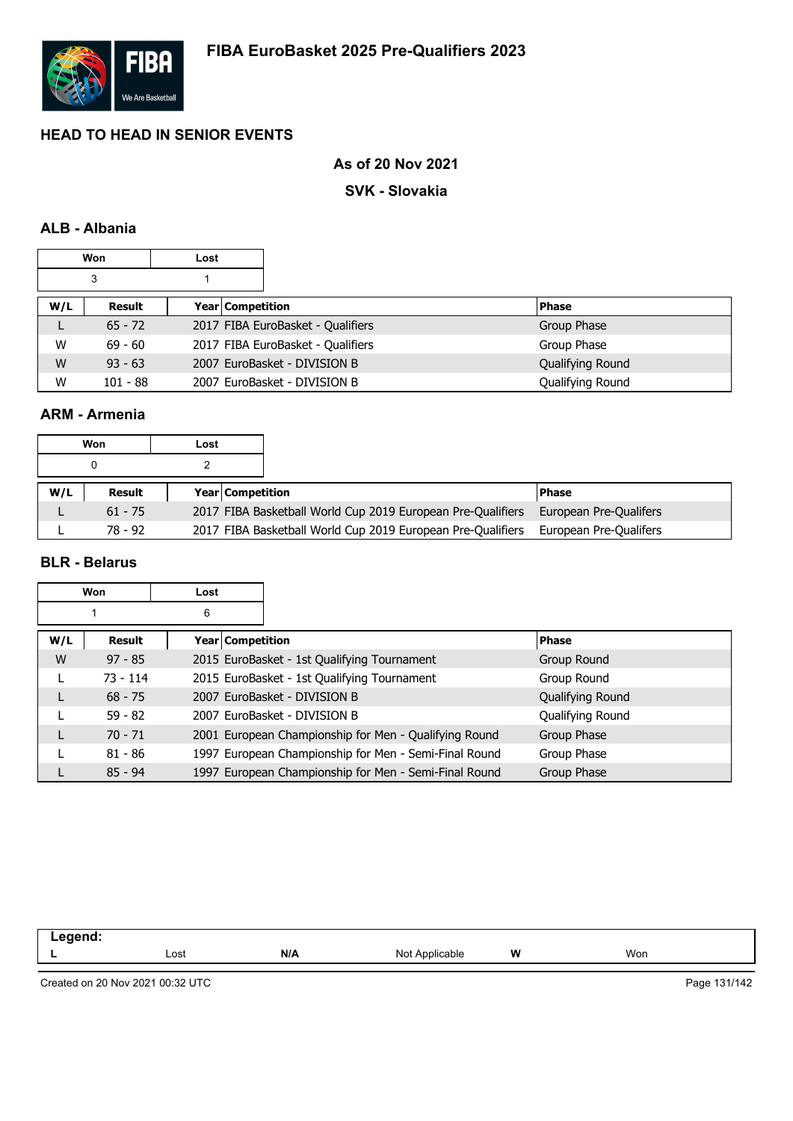

### **As of 20 Nov 2021**

#### **SVK - Slovakia**

### **ALB - Albania**

|     | <b>Won</b> | Lost |                  |                                   |                  |
|-----|------------|------|------------------|-----------------------------------|------------------|
| 3   |            |      |                  |                                   |                  |
| W/L | Result     |      | Year Competition |                                   | <b>Phase</b>     |
| ┗   | $65 - 72$  |      |                  | 2017 FIBA EuroBasket - Qualifiers | Group Phase      |
| W   | $69 - 60$  |      |                  | 2017 FIBA EuroBasket - Qualifiers | Group Phase      |
| W   | $93 - 63$  |      |                  | 2007 EuroBasket - DIVISION B      | Qualifying Round |
| W   | $101 - 88$ |      |                  | 2007 EuroBasket - DIVISION B      | Qualifying Round |

#### **ARM - Armenia**

|     | Won       | Lost |                         |                                                             |                        |
|-----|-----------|------|-------------------------|-------------------------------------------------------------|------------------------|
|     |           |      |                         |                                                             |                        |
| W/L | Result    |      | <b>Year Competition</b> |                                                             | <b>Phase</b>           |
|     | $61 - 75$ |      |                         | 2017 FIBA Basketball World Cup 2019 European Pre-Qualifiers | European Pre-Qualifers |
|     | 78 - 92   |      |                         | 2017 FIBA Basketball World Cup 2019 European Pre-Qualifiers | European Pre-Qualifers |

### **BLR - Belarus**

|     | Won        | Lost             |                                                       |                  |
|-----|------------|------------------|-------------------------------------------------------|------------------|
|     |            | 6                |                                                       |                  |
| W/L | Result     | Year Competition |                                                       | <b>Phase</b>     |
| W   | $97 - 85$  |                  | 2015 EuroBasket - 1st Qualifying Tournament           | Group Round      |
| L   | $73 - 114$ |                  | 2015 EuroBasket - 1st Qualifying Tournament           | Group Round      |
|     | $68 - 75$  |                  | 2007 EuroBasket - DIVISION B                          | Qualifying Round |
|     | $59 - 82$  |                  | 2007 EuroBasket - DIVISION B                          | Qualifying Round |
|     | $70 - 71$  |                  | 2001 European Championship for Men - Qualifying Round | Group Phase      |
|     | $81 - 86$  |                  | 1997 European Championship for Men - Semi-Final Round | Group Phase      |
|     | $85 - 94$  |                  | 1997 European Championship for Men - Semi-Final Round | Group Phase      |

| eaend<br>--<br>$-0.5$ |      |     |                   |   |     |  |
|-----------------------|------|-----|-------------------|---|-----|--|
|                       | Lost | N/A | Not<br>Applicable | W | Won |  |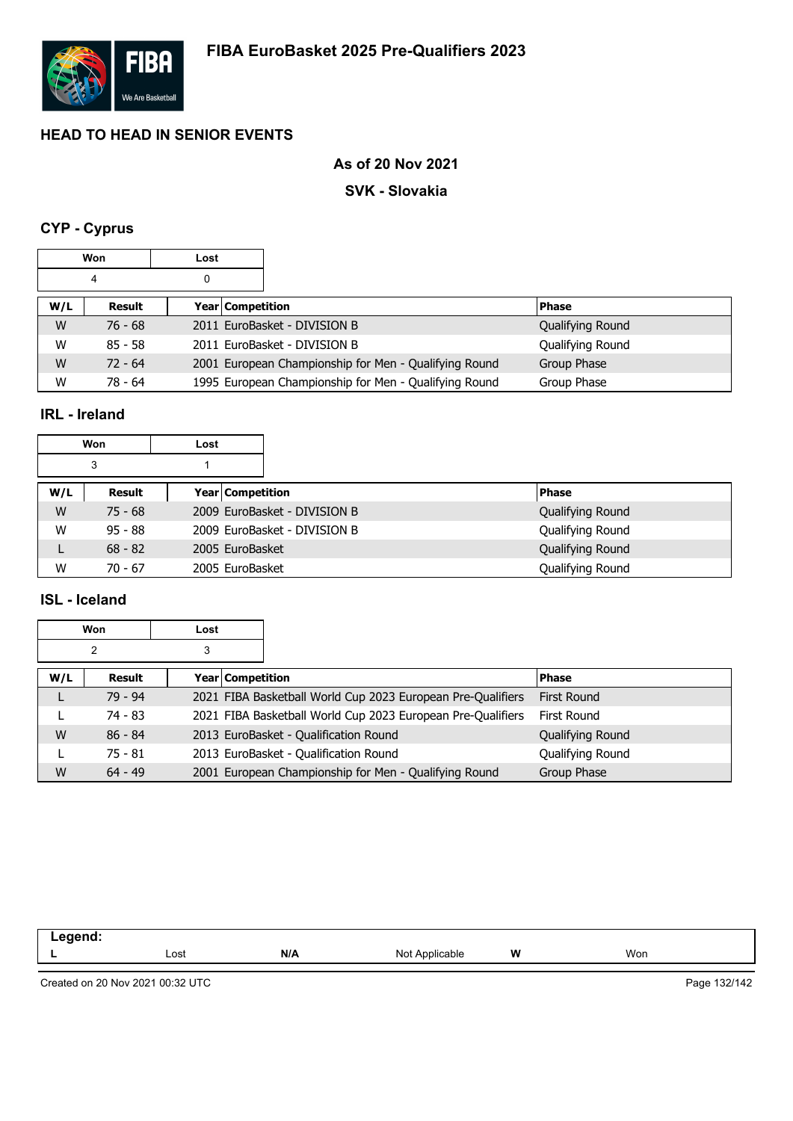

### **As of 20 Nov 2021**

#### **SVK - Slovakia**

## **CYP - Cyprus**

|     | <b>Won</b> | Lost |                         |                                                       |                  |
|-----|------------|------|-------------------------|-------------------------------------------------------|------------------|
|     | 4          | 0    |                         |                                                       |                  |
| W/L | Result     |      | <b>Year Competition</b> |                                                       | <b>Phase</b>     |
| W   | $76 - 68$  |      |                         | 2011 EuroBasket - DIVISION B                          | Qualifying Round |
| W   | $85 - 58$  |      |                         | 2011 EuroBasket - DIVISION B                          | Qualifying Round |
| W   | $72 - 64$  |      |                         | 2001 European Championship for Men - Qualifying Round | Group Phase      |
| W   | $78 - 64$  |      |                         | 1995 European Championship for Men - Qualifying Round | Group Phase      |

### **IRL - Ireland**

|     | Won       | Lost             |                              |                  |
|-----|-----------|------------------|------------------------------|------------------|
|     | 3         |                  |                              |                  |
| W/L | Result    | Year Competition |                              | <b>Phase</b>     |
| W   | $75 - 68$ |                  | 2009 EuroBasket - DIVISION B | Qualifying Round |
| W   | $95 - 88$ |                  | 2009 EuroBasket - DIVISION B | Qualifying Round |
|     | $68 - 82$ | 2005 EuroBasket  |                              | Qualifying Round |
| W   | $70 - 67$ | 2005 EuroBasket  |                              | Qualifying Round |

### **ISL - Iceland**

|     | Won       | Lost |                  |                                                             |                    |
|-----|-----------|------|------------------|-------------------------------------------------------------|--------------------|
|     | 2         | 3    |                  |                                                             |                    |
| W/L | Result    |      | Year Competition |                                                             | <b>Phase</b>       |
|     | $79 - 94$ |      |                  | 2021 FIBA Basketball World Cup 2023 European Pre-Qualifiers | <b>First Round</b> |
|     | 74 - 83   |      |                  | 2021 FIBA Basketball World Cup 2023 European Pre-Qualifiers | First Round        |
| W   | $86 - 84$ |      |                  | 2013 EuroBasket - Qualification Round                       | Qualifying Round   |
|     | $75 - 81$ |      |                  | 2013 EuroBasket - Qualification Round                       | Qualifying Round   |
| W   | $64 - 49$ |      |                  | 2001 European Championship for Men - Qualifying Round       | Group Phase        |

| -----<br>-- 0<br>$\sim$ |      |     |                   |   |     |
|-------------------------|------|-----|-------------------|---|-----|
|                         | Lost | N/A | Not<br>Applicable | W | Won |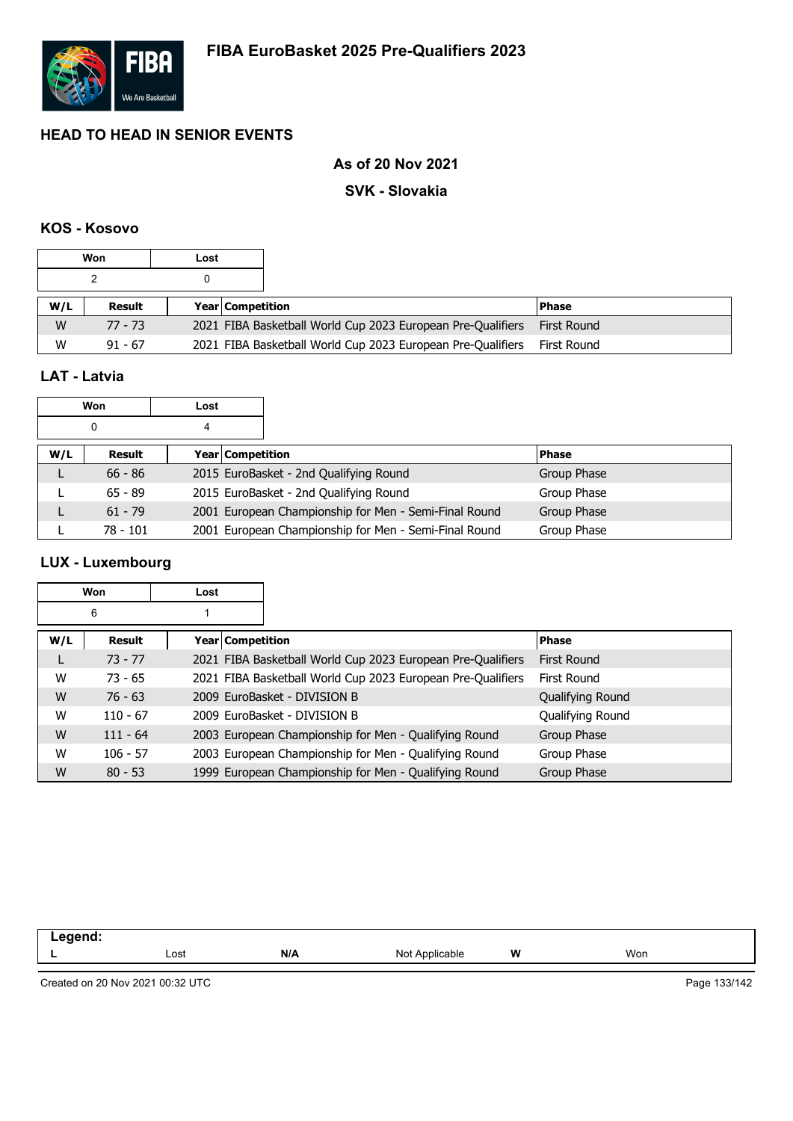

### **As of 20 Nov 2021**

#### **SVK - Slovakia**

#### **KOS - Kosovo**

|     | Won       | Lost |                         |                                                             |             |
|-----|-----------|------|-------------------------|-------------------------------------------------------------|-------------|
|     |           |      |                         |                                                             |             |
| W/L | Result    |      | <b>Year Competition</b> |                                                             | l Phase     |
| W   | $77 - 73$ |      |                         | 2021 FIBA Basketball World Cup 2023 European Pre-Qualifiers | First Round |
| W   | $91 - 67$ |      |                         | 2021 FIBA Basketball World Cup 2023 European Pre-Qualifiers | First Round |

### **LAT - Latvia**

|     | Won        | Lost               |                                                       |             |
|-----|------------|--------------------|-------------------------------------------------------|-------------|
|     | 0          | 4                  |                                                       |             |
| W/L | Result     | Year   Competition |                                                       | l Phase     |
|     | $66 - 86$  |                    | 2015 EuroBasket - 2nd Qualifying Round                | Group Phase |
|     | $65 - 89$  |                    | 2015 EuroBasket - 2nd Qualifying Round                | Group Phase |
|     | $61 - 79$  |                    | 2001 European Championship for Men - Semi-Final Round | Group Phase |
|     | $78 - 101$ |                    | 2001 European Championship for Men - Semi-Final Round | Group Phase |

### **LUX - Luxembourg**

|     | Won        | Lost |                  |                                                             |                  |
|-----|------------|------|------------------|-------------------------------------------------------------|------------------|
|     | 6          |      |                  |                                                             |                  |
| W/L | Result     |      | Year Competition |                                                             | <b>Phase</b>     |
| L   | $73 - 77$  |      |                  | 2021 FIBA Basketball World Cup 2023 European Pre-Qualifiers | First Round      |
| W   | $73 - 65$  |      |                  | 2021 FIBA Basketball World Cup 2023 European Pre-Qualifiers | First Round      |
| W   | $76 - 63$  |      |                  | 2009 EuroBasket - DIVISION B                                | Qualifying Round |
| W   | $110 - 67$ |      |                  | 2009 EuroBasket - DIVISION B                                | Qualifying Round |
| W   | $111 - 64$ |      |                  | 2003 European Championship for Men - Qualifying Round       | Group Phase      |
| W   | $106 - 57$ |      |                  | 2003 European Championship for Men - Qualifying Round       | Group Phase      |
| W   | $80 - 53$  |      |                  | 1999 European Championship for Men - Qualifying Round       | Group Phase      |

| .<br>--<br>$- - -$ |      |     |                                                     |   |     |
|--------------------|------|-----|-----------------------------------------------------|---|-----|
| _                  | Lost | N/A | $\ddot{\phantom{0}}$<br>Not A<br>Annlicable<br>avic | W | Won |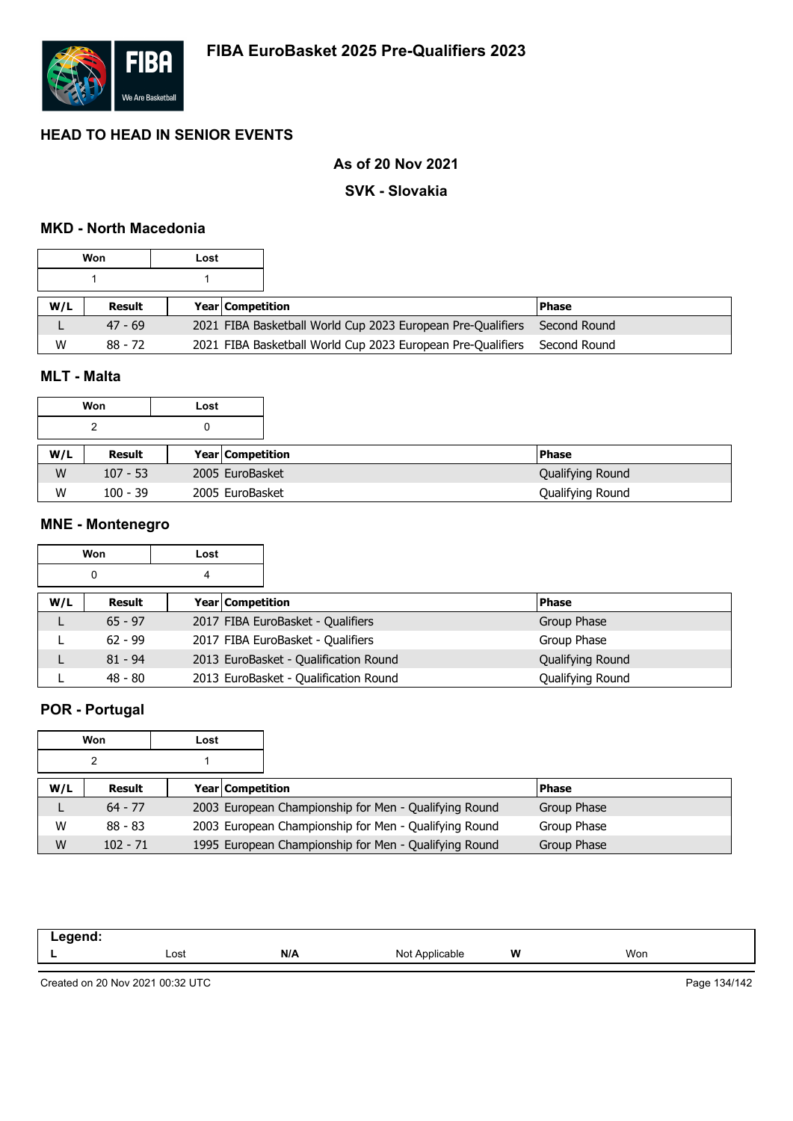

### **As of 20 Nov 2021**

#### **SVK - Slovakia**

### **MKD - North Macedonia**

|     | Won       | Lost |                                                             |              |
|-----|-----------|------|-------------------------------------------------------------|--------------|
|     |           |      |                                                             |              |
| W/L | Result    |      | <b>Year Competition</b>                                     | l Phase      |
|     | $47 - 69$ |      | 2021 FIBA Basketball World Cup 2023 European Pre-Qualifiers | Second Round |
| W   | $88 - 72$ |      | 2021 FIBA Basketball World Cup 2023 European Pre-Qualifiers | Second Round |

### **MLT - Malta**

|     | Won        | Lost                    |                  |
|-----|------------|-------------------------|------------------|
|     | າ          |                         |                  |
| W/L | Result     | <b>Year Competition</b> | <b>Phase</b>     |
| W   | $107 - 53$ | 2005 EuroBasket         | Qualifying Round |
| W   | $100 - 39$ | 2005 EuroBasket         | Qualifying Round |

#### **MNE - Montenegro**

|     | Won       | Lost             |                                       |                  |
|-----|-----------|------------------|---------------------------------------|------------------|
|     | 0         | 4                |                                       |                  |
| W/L | Result    | Year Competition |                                       | <b>Phase</b>     |
|     | $65 - 97$ |                  | 2017 FIBA EuroBasket - Qualifiers     | Group Phase      |
|     | $62 - 99$ |                  | 2017 FIBA EuroBasket - Qualifiers     | Group Phase      |
|     | $81 - 94$ |                  | 2013 EuroBasket - Qualification Round | Qualifying Round |
|     | $48 - 80$ |                  | 2013 EuroBasket - Qualification Round | Qualifying Round |

### **POR - Portugal**

|     | Won        | Lost |                                                       |              |
|-----|------------|------|-------------------------------------------------------|--------------|
|     | ົ          |      |                                                       |              |
| W/L | Result     |      | <b>Year Competition</b>                               | <b>Phase</b> |
|     | $64 - 77$  |      | 2003 European Championship for Men - Qualifying Round | Group Phase  |
| W   | $88 - 83$  |      | 2003 European Championship for Men - Qualifying Round | Group Phase  |
| W   | $102 - 71$ |      | 1995 European Championship for Men - Qualifying Round | Group Phase  |

| - -- - -- --<br>. |      |     |                                             |   |     |
|-------------------|------|-----|---------------------------------------------|---|-----|
| -                 | Lost | N/A | $N \sim$<br>Annlicable<br>900ء۔<br>$\cdots$ | W | Won |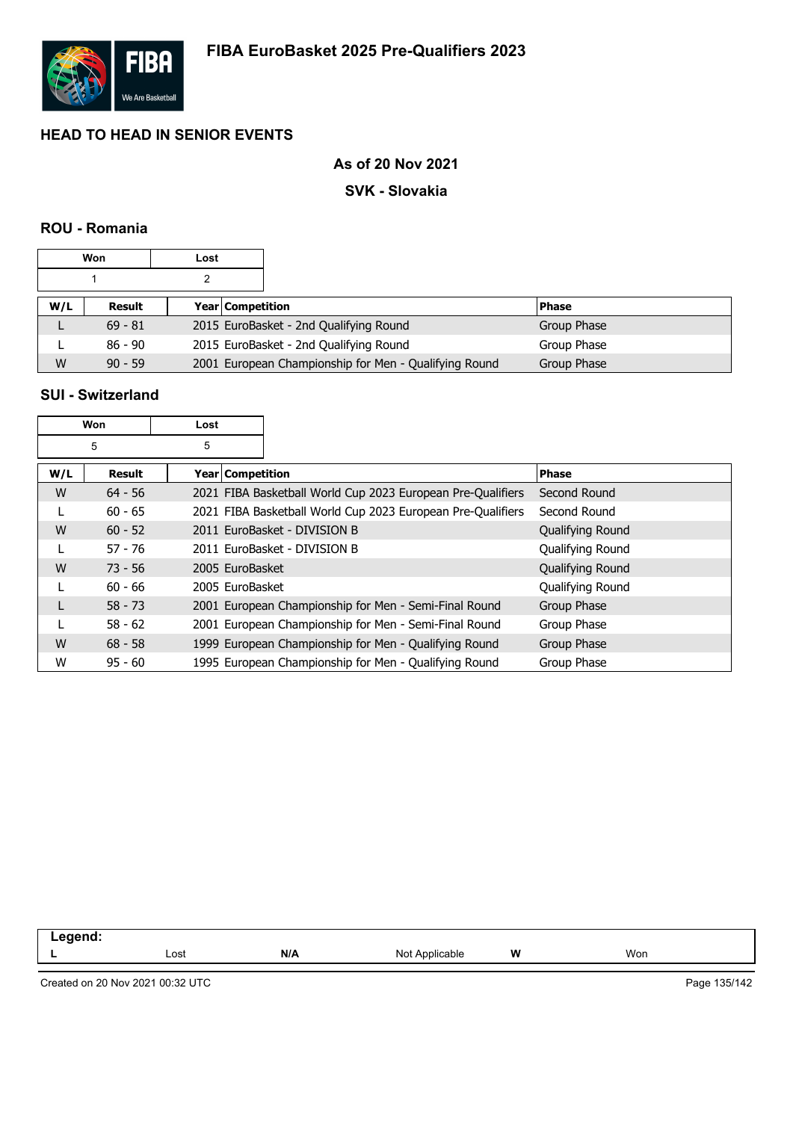

### **As of 20 Nov 2021**

#### **SVK - Slovakia**

### **ROU - Romania**

|     | Won       | Lost |                                                       |              |
|-----|-----------|------|-------------------------------------------------------|--------------|
|     |           |      |                                                       |              |
| W/L | Result    |      | <b>Year Competition</b>                               | <b>Phase</b> |
|     | $69 - 81$ |      | 2015 EuroBasket - 2nd Qualifying Round                | Group Phase  |
|     | 86 - 90   |      | 2015 EuroBasket - 2nd Qualifying Round                | Group Phase  |
| W   | $90 - 59$ |      | 2001 European Championship for Men - Qualifying Round | Group Phase  |

### **SUI - Switzerland**

|     | Won       | Lost             |                                                             |                  |
|-----|-----------|------------------|-------------------------------------------------------------|------------------|
|     | 5         | 5                |                                                             |                  |
| W/L | Result    | Year Competition |                                                             | <b>Phase</b>     |
| W   | $64 - 56$ |                  | 2021 FIBA Basketball World Cup 2023 European Pre-Qualifiers | Second Round     |
|     | $60 - 65$ |                  | 2021 FIBA Basketball World Cup 2023 European Pre-Qualifiers | Second Round     |
| W   | $60 - 52$ |                  | 2011 EuroBasket - DIVISION B                                | Qualifying Round |
|     | $57 - 76$ |                  | 2011 EuroBasket - DIVISION B                                | Qualifying Round |
| W   | $73 - 56$ | 2005 EuroBasket  |                                                             | Qualifying Round |
|     | $60 - 66$ | 2005 EuroBasket  |                                                             | Qualifying Round |
|     | $58 - 73$ |                  | 2001 European Championship for Men - Semi-Final Round       | Group Phase      |
|     | $58 - 62$ |                  | 2001 European Championship for Men - Semi-Final Round       | Group Phase      |
| W   | $68 - 58$ |                  | 1999 European Championship for Men - Qualifying Round       | Group Phase      |
| W   | $95 - 60$ |                  | 1995 European Championship for Men - Qualifying Round       | Group Phase      |

| <b>M/</b>                      |                |                         |     |
|--------------------------------|----------------|-------------------------|-----|
| Lost<br>$\mathbf{m}$<br>$\sim$ | NI∩<br>$\cdot$ | w<br>nnlıc<br>able<br>. | Won |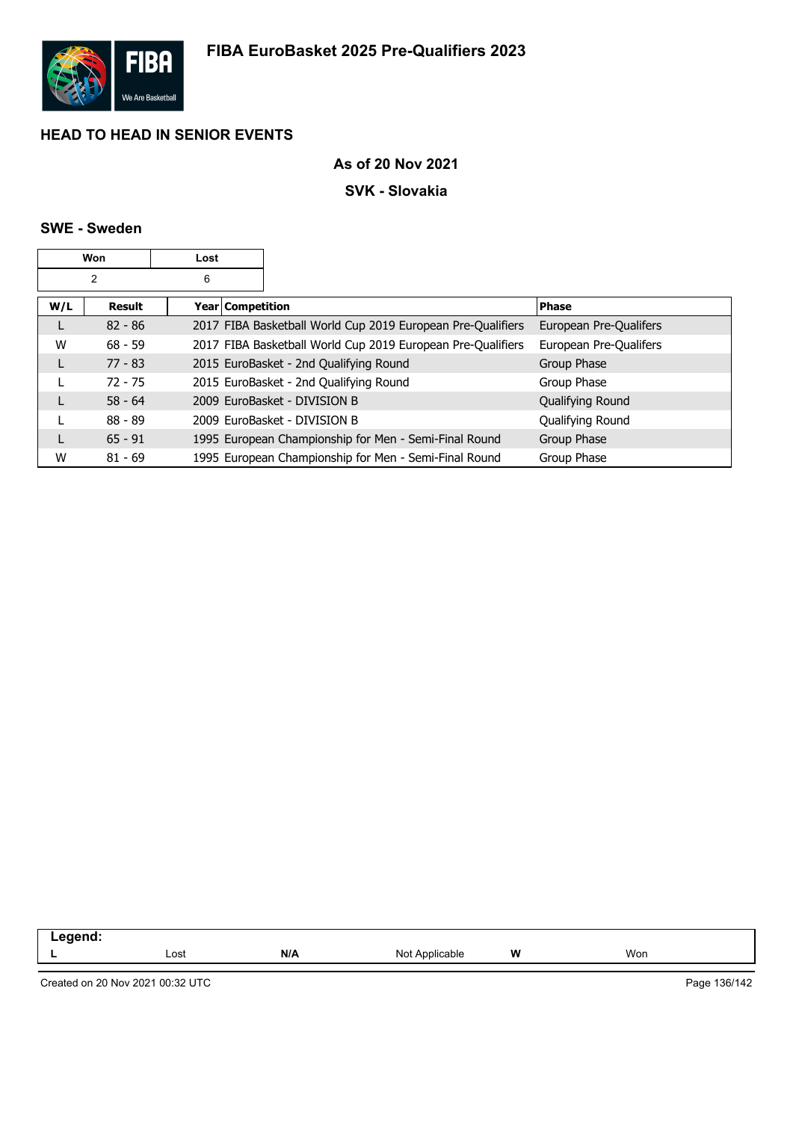

### **As of 20 Nov 2021**

#### **SVK - Slovakia**

### **SWE - Sweden**

|     | Won            | Lost             |                                                             |                        |
|-----|----------------|------------------|-------------------------------------------------------------|------------------------|
|     | $\overline{2}$ | 6                |                                                             |                        |
| W/L | <b>Result</b>  | Year Competition |                                                             | <b>Phase</b>           |
|     | $82 - 86$      |                  | 2017 FIBA Basketball World Cup 2019 European Pre-Qualifiers | European Pre-Qualifers |
| W   | $68 - 59$      |                  | 2017 FIBA Basketball World Cup 2019 European Pre-Qualifiers | European Pre-Qualifers |
|     | $77 - 83$      |                  | 2015 EuroBasket - 2nd Qualifying Round                      | Group Phase            |
|     | $72 - 75$      |                  | 2015 EuroBasket - 2nd Qualifying Round                      | Group Phase            |
|     | $58 - 64$      |                  | 2009 EuroBasket - DIVISION B                                | Qualifying Round       |
|     | $88 - 89$      |                  | 2009 EuroBasket - DIVISION B                                | Qualifying Round       |
|     | $65 - 91$      |                  | 1995 European Championship for Men - Semi-Final Round       | Group Phase            |
| W   | $81 - 69$      |                  | 1995 European Championship for Men - Semi-Final Round       | Group Phase            |

| . |      |     |                   |          |     |
|---|------|-----|-------------------|----------|-----|
|   | Lost | N/A | N∩t<br>Applicable | <b>W</b> | Won |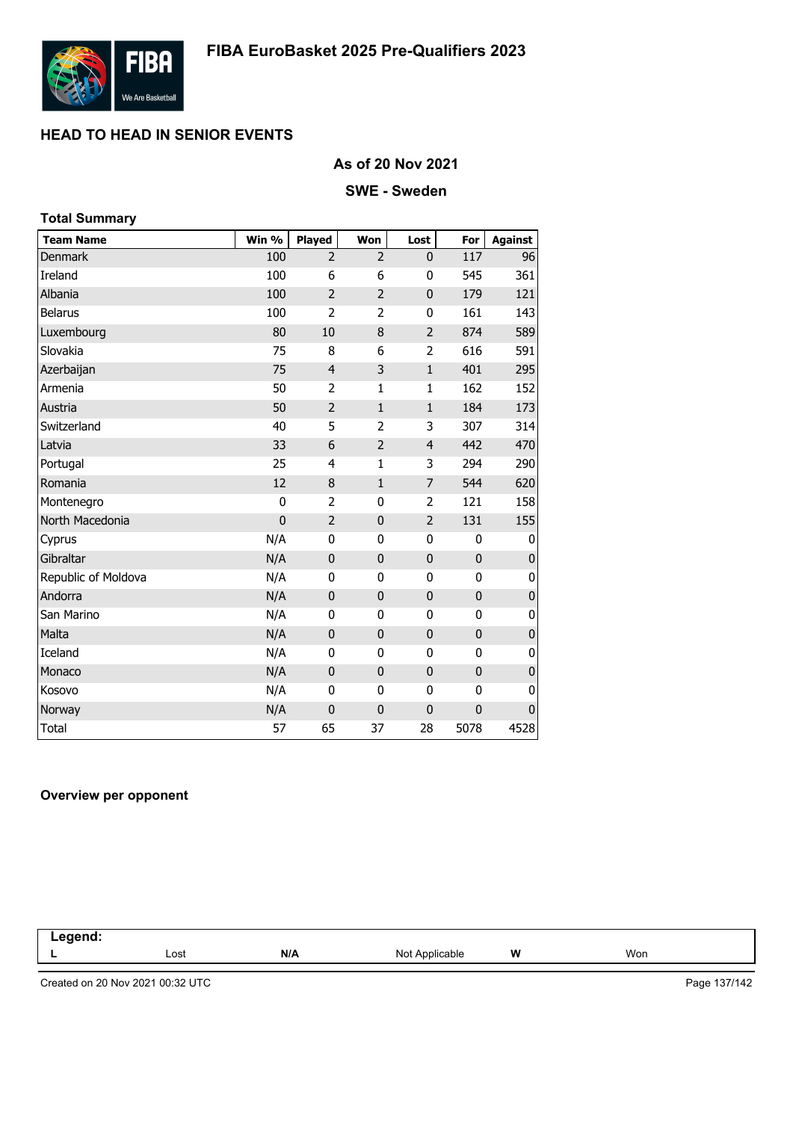

### **As of 20 Nov 2021**

#### **SWE - Sweden**

| <b>Total Summary</b> |             |                |                |                |             |                |
|----------------------|-------------|----------------|----------------|----------------|-------------|----------------|
| <b>Team Name</b>     | Win %       | <b>Played</b>  | Won            | Lost           | For         | <b>Against</b> |
| <b>Denmark</b>       | 100         | $\overline{2}$ | $\overline{2}$ | 0              | 117         | 96             |
| Ireland              | 100         | 6              | 6              | 0              | 545         | 361            |
| Albania              | 100         | $\overline{2}$ | $\overline{2}$ | 0              | 179         | 121            |
| Belarus              | 100         | $\overline{2}$ | $\overline{2}$ | 0              | 161         | 143            |
| Luxembourg           | 80          | 10             | 8              | $\overline{2}$ | 874         | 589            |
| Slovakia             | 75          | 8              | 6              | 2              | 616         | 591            |
| Azerbaijan           | 75          | $\overline{4}$ | 3              | $\mathbf 1$    | 401         | 295            |
| Armenia              | 50          | 2              | $\mathbf{1}$   | $\mathbf 1$    | 162         | 152            |
| Austria              | 50          | $\overline{2}$ | $1\,$          | $\mathbf{1}$   | 184         | 173            |
| Switzerland          | 40          | 5              | 2              | 3              | 307         | 314            |
| Latvia               | 33          | 6              | $\overline{2}$ | $\overline{4}$ | 442         | 470            |
| Portugal             | 25          | 4              | 1              | 3              | 294         | 290            |
| Romania              | 12          | 8              | $\mathbf{1}$   | 7              | 544         | 620            |
| Montenegro           | 0           | $\overline{2}$ | 0              | 2              | 121         | 158            |
| North Macedonia      | $\mathbf 0$ | $\overline{2}$ | $\mathbf 0$    | $\overline{2}$ | 131         | 155            |
| Cyprus               | N/A         | 0              | 0              | $\bf{0}$       | 0           | 0              |
| Gibraltar            | N/A         | $\mathbf 0$    | $\mathbf 0$    | $\mathbf 0$    | $\mathbf 0$ | $\pmb{0}$      |
| Republic of Moldova  | N/A         | 0              | 0              | $\mathbf 0$    | 0           | 0              |
| Andorra              | N/A         | $\mathbf 0$    | $\mathbf 0$    | $\pmb{0}$      | $\mathbf 0$ | $\pmb{0}$      |
| San Marino           | N/A         | 0              | 0              | 0              | 0           | 0              |
| Malta                | N/A         | $\mathbf 0$    | 0              | 0              | $\mathbf 0$ | $\pmb{0}$      |
| Iceland              | N/A         | 0              | 0              | 0              | 0           | 0              |
| Monaco               | N/A         | $\mathbf 0$    | $\mathbf 0$    | $\mathbf 0$    | $\mathbf 0$ | $\pmb{0}$      |
| Kosovo               | N/A         | 0              | 0              | 0              | 0           | 0              |
| Norway               | N/A         | 0              | $\mathbf 0$    | $\mathbf{0}$   | $\mathbf 0$ | $\mathbf 0$    |
| <b>Total</b>         | 57          | 65             | 37             | 28             | 5078        | 4528           |

#### **Overview per opponent**

| .<br>nenc.<br>-- |      |     |                     |   |     |  |
|------------------|------|-----|---------------------|---|-----|--|
|                  | Lost | N/A | Not<br>`Applicable` | W | Won |  |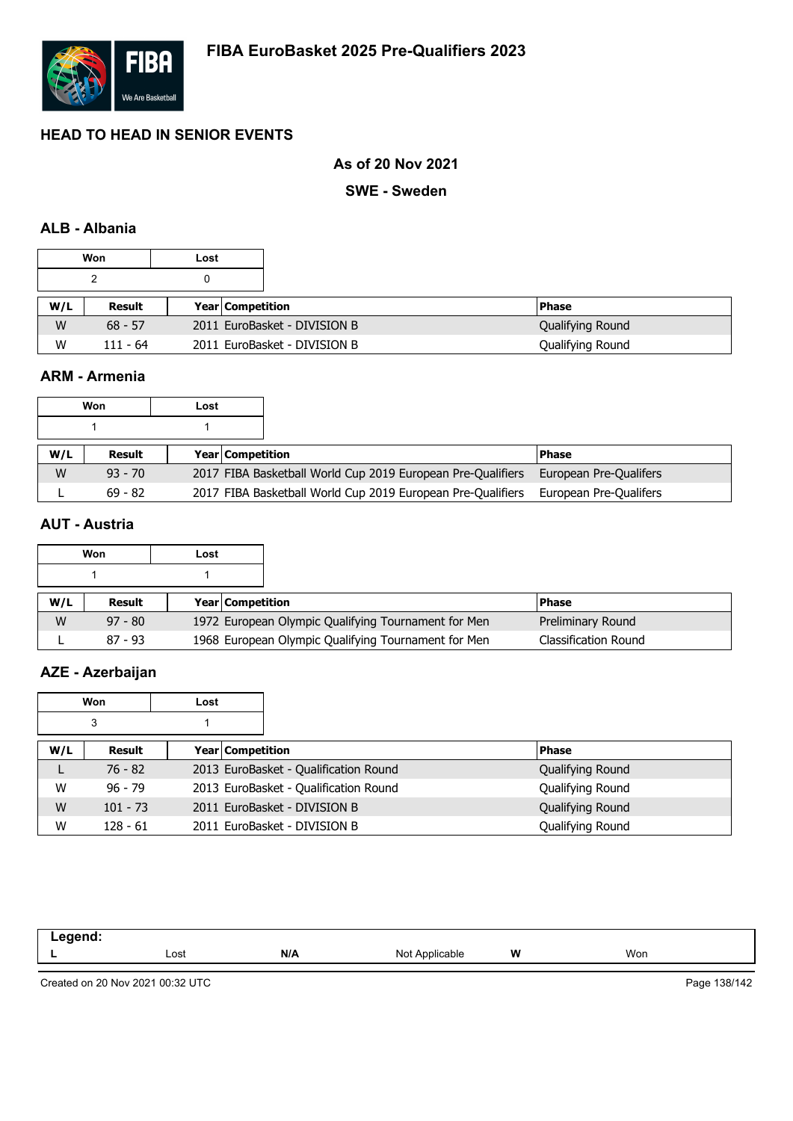

### **As of 20 Nov 2021**

#### **SWE - Sweden**

### **ALB - Albania**

|     | Won        | Lost |                              |                  |
|-----|------------|------|------------------------------|------------------|
| 0   |            |      |                              |                  |
| W/L | Result     |      | <b>Year Competition</b>      | <b>Phase</b>     |
| W   | $68 - 57$  |      | 2011 EuroBasket - DIVISION B | Qualifying Round |
| W   | $111 - 64$ |      | 2011 EuroBasket - DIVISION B | Qualifying Round |

### **ARM - Armenia**

|     | Won           | Lost |                         |                                                             |                        |
|-----|---------------|------|-------------------------|-------------------------------------------------------------|------------------------|
|     |               |      |                         |                                                             |                        |
| W/L | <b>Result</b> |      | <b>Year Competition</b> |                                                             | <b>IPhase</b>          |
| W   | $93 - 70$     |      |                         | 2017 FIBA Basketball World Cup 2019 European Pre-Qualifiers | European Pre-Qualifers |
|     | $69 - 82$     |      |                         | 2017 FIBA Basketball World Cup 2019 European Pre-Qualifiers | European Pre-Qualifers |

## **AUT - Austria**

|     | Won       | Lost |                                                     |                             |
|-----|-----------|------|-----------------------------------------------------|-----------------------------|
|     |           |      |                                                     |                             |
| W/L | Result    |      | <b>Year Competition</b>                             | <b>Phase</b>                |
| W   | $97 - 80$ |      | 1972 European Olympic Qualifying Tournament for Men | Preliminary Round           |
|     | $87 - 93$ |      | 1968 European Olympic Qualifying Tournament for Men | <b>Classification Round</b> |

### **AZE - Azerbaijan**

|     | Won        | Lost                    |                                       |                  |
|-----|------------|-------------------------|---------------------------------------|------------------|
|     | 3          |                         |                                       |                  |
| W/L | Result     | <b>Year Competition</b> |                                       | <b>Phase</b>     |
| ┗   | $76 - 82$  |                         | 2013 EuroBasket - Qualification Round | Qualifying Round |
| W   | $96 - 79$  |                         | 2013 EuroBasket - Qualification Round | Qualifying Round |
| W   | $101 - 73$ |                         | 2011 EuroBasket - DIVISION B          | Qualifying Round |
| W   | $128 - 61$ |                         | 2011 EuroBasket - DIVISION B          | Qualifying Round |

| -----<br>.<br>$\sim$ $\sim$ |      |     |                   |   |     |  |
|-----------------------------|------|-----|-------------------|---|-----|--|
| . .                         | Lost | N/A | Not<br>Applicable | W | Won |  |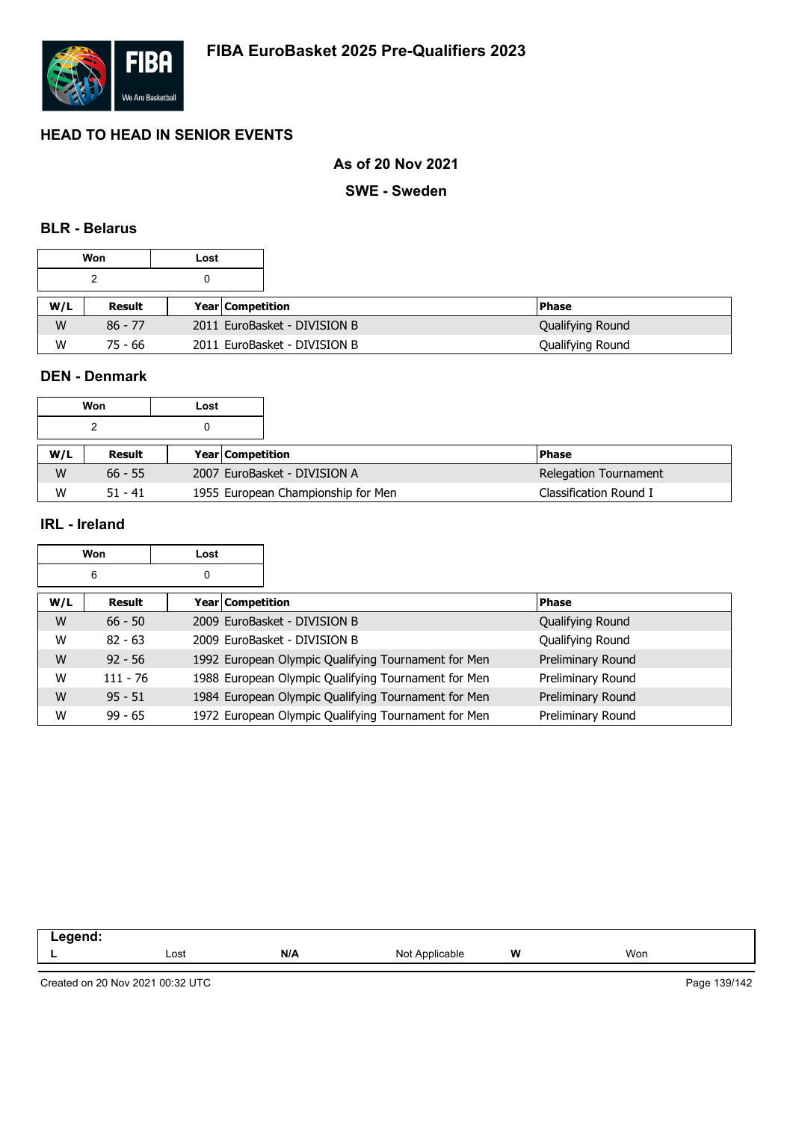

### **As of 20 Nov 2021**

**SWE - Sweden**

#### **BLR - Belarus**

|     | Won       | Lost |                              |                  |
|-----|-----------|------|------------------------------|------------------|
| 0   |           |      |                              |                  |
| W/L | Result    |      | <b>Year Competition</b>      | l Phase          |
| W   | $86 - 77$ |      | 2011 EuroBasket - DIVISION B | Qualifying Round |
| W   | 75 - 66   |      | 2011 EuroBasket - DIVISION B | Qualifying Round |

### **DEN - Denmark**

|     | Won       | Lost |                                    |                              |
|-----|-----------|------|------------------------------------|------------------------------|
|     |           |      |                                    |                              |
| W/L | Result    |      | <b>Year Competition</b>            | l Phase                      |
| W   | $66 - 55$ |      | 2007 EuroBasket - DIVISION A       | <b>Relegation Tournament</b> |
| W   | $51 - 41$ |      | 1955 European Championship for Men | Classification Round I       |

### **IRL - Ireland**

|     | Won        | Lost |                         |                                                     |                   |
|-----|------------|------|-------------------------|-----------------------------------------------------|-------------------|
|     | 6          | 0    |                         |                                                     |                   |
| W/L | Result     |      | <b>Year Competition</b> |                                                     | <b>Phase</b>      |
| W   | $66 - 50$  |      |                         | 2009 EuroBasket - DIVISION B                        | Qualifying Round  |
| W   | $82 - 63$  |      |                         | 2009 EuroBasket - DIVISION B                        | Qualifying Round  |
| W   | $92 - 56$  |      |                         | 1992 European Olympic Qualifying Tournament for Men | Preliminary Round |
| W   | $111 - 76$ |      |                         | 1988 European Olympic Qualifying Tournament for Men | Preliminary Round |
| W   | $95 - 51$  |      |                         | 1984 European Olympic Qualifying Tournament for Men | Preliminary Round |
| W   | $99 - 65$  |      |                         | 1972 European Olympic Qualifying Tournament for Men | Preliminary Round |

| -----<br>-- 3 |      |     |                                     |   |     |
|---------------|------|-----|-------------------------------------|---|-----|
|               | Lost | N/A | NM†<br><b>Icable</b><br>Anr<br>ט שו | W | Won |
|               |      |     |                                     |   |     |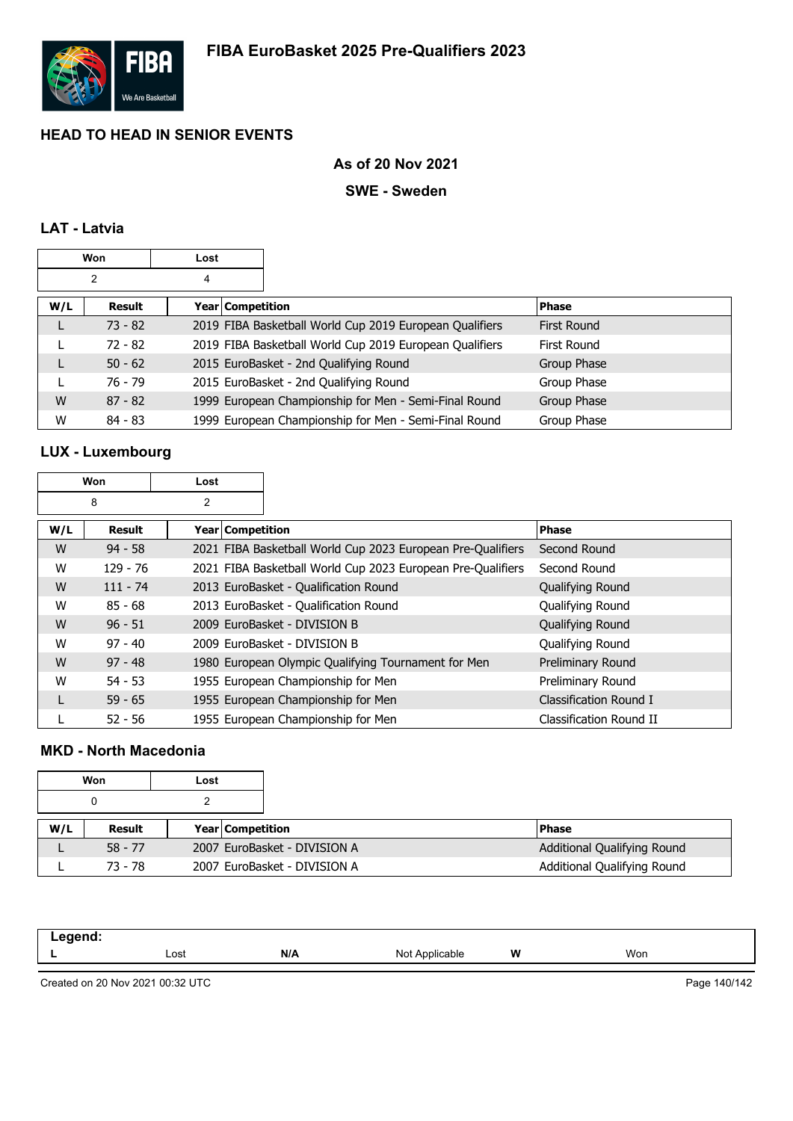

### **As of 20 Nov 2021**

#### **SWE - Sweden**

### **LAT - Latvia**

|     | Won            | Lost |                    |                                                         |                    |
|-----|----------------|------|--------------------|---------------------------------------------------------|--------------------|
|     | $\overline{2}$ | 4    |                    |                                                         |                    |
| W/L | Result         |      | Year   Competition |                                                         | <b>Phase</b>       |
| L   | $73 - 82$      |      |                    | 2019 FIBA Basketball World Cup 2019 European Qualifiers | <b>First Round</b> |
|     | $72 - 82$      |      |                    | 2019 FIBA Basketball World Cup 2019 European Qualifiers | First Round        |
| L   | $50 - 62$      |      |                    | 2015 EuroBasket - 2nd Qualifying Round                  | Group Phase        |
|     | $76 - 79$      |      |                    | 2015 EuroBasket - 2nd Qualifying Round                  | Group Phase        |
| W   | $87 - 82$      |      |                    | 1999 European Championship for Men - Semi-Final Round   | Group Phase        |
| W   | $84 - 83$      |      |                    | 1999 European Championship for Men - Semi-Final Round   | Group Phase        |

## **LUX - Luxembourg**

|     | Won        | Lost             |                                                             |                         |
|-----|------------|------------------|-------------------------------------------------------------|-------------------------|
|     | 8          | 2                |                                                             |                         |
| W/L | Result     | Year Competition |                                                             | <b>Phase</b>            |
| W   | $94 - 58$  |                  | 2021 FIBA Basketball World Cup 2023 European Pre-Qualifiers | Second Round            |
| W   | $129 - 76$ |                  | 2021 FIBA Basketball World Cup 2023 European Pre-Qualifiers | Second Round            |
| W   | $111 - 74$ |                  | 2013 EuroBasket - Qualification Round                       | Qualifying Round        |
| W   | $85 - 68$  |                  | 2013 EuroBasket - Qualification Round                       | Qualifying Round        |
| W   | $96 - 51$  |                  | 2009 EuroBasket - DIVISION B                                | Qualifying Round        |
| W   | $97 - 40$  |                  | 2009 EuroBasket - DIVISION B                                | Qualifying Round        |
| W   | $97 - 48$  |                  | 1980 European Olympic Qualifying Tournament for Men         | Preliminary Round       |
| W   | $54 - 53$  |                  | 1955 European Championship for Men                          | Preliminary Round       |
| L   | $59 - 65$  |                  | 1955 European Championship for Men                          | Classification Round I  |
|     | $52 - 56$  |                  | 1955 European Championship for Men                          | Classification Round II |

### **MKD - North Macedonia**

|     | Won       | Lost |                              |                             |
|-----|-----------|------|------------------------------|-----------------------------|
|     |           |      |                              |                             |
| W/L | Result    |      | Year Competition             | <b>Phase</b>                |
|     | $58 - 77$ |      | 2007 EuroBasket - DIVISION A | Additional Qualifying Round |
|     | 73 - 78   |      | 2007 EuroBasket - DIVISION A | Additional Qualifying Round |

| .<br>______ |      |     |                   |   |     |
|-------------|------|-----|-------------------|---|-----|
|             | Lost | N/A | Not<br>Annlicable | W | Won |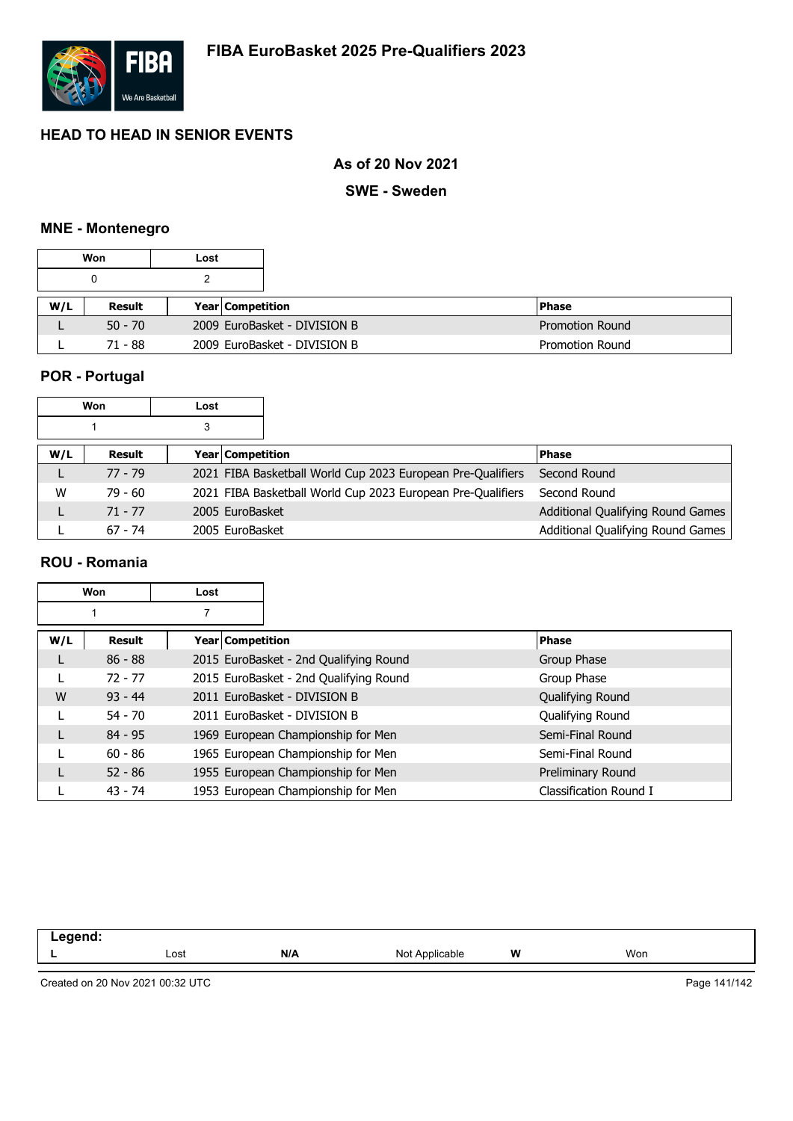

### **As of 20 Nov 2021**

**SWE - Sweden**

### **MNE - Montenegro**

|     | Won       | Lost |                         |                              |                        |
|-----|-----------|------|-------------------------|------------------------------|------------------------|
|     |           |      |                         |                              |                        |
| W/L | Result    |      | <b>Year Competition</b> |                              | <b>Phase</b>           |
|     | $50 - 70$ |      |                         | 2009 EuroBasket - DIVISION B | <b>Promotion Round</b> |
|     | $71 - 88$ |      |                         | 2009 EuroBasket - DIVISION B | <b>Promotion Round</b> |

### **POR - Portugal**

|     | Won       | Lost                    |                                                             |                                   |
|-----|-----------|-------------------------|-------------------------------------------------------------|-----------------------------------|
|     |           |                         |                                                             |                                   |
| W/L | Result    | <b>Year Competition</b> |                                                             | <b>Phase</b>                      |
|     | $77 - 79$ |                         | 2021 FIBA Basketball World Cup 2023 European Pre-Qualifiers | Second Round                      |
| W   | $79 - 60$ |                         | 2021 FIBA Basketball World Cup 2023 European Pre-Qualifiers | Second Round                      |
|     | $71 - 77$ | 2005 EuroBasket         |                                                             | Additional Qualifying Round Games |
|     | $67 - 74$ | 2005 EuroBasket         |                                                             | Additional Qualifying Round Games |

#### **ROU - Romania**

|     | Won       | Lost             |                                        |                        |
|-----|-----------|------------------|----------------------------------------|------------------------|
|     |           |                  |                                        |                        |
| W/L | Result    | Year Competition |                                        | <b>Phase</b>           |
|     | $86 - 88$ |                  | 2015 EuroBasket - 2nd Qualifying Round | Group Phase            |
|     | $72 - 77$ |                  | 2015 EuroBasket - 2nd Qualifying Round | Group Phase            |
| W   | $93 - 44$ |                  | 2011 EuroBasket - DIVISION B           | Qualifying Round       |
|     | $54 - 70$ |                  | 2011 EuroBasket - DIVISION B           | Qualifying Round       |
|     | $84 - 95$ |                  | 1969 European Championship for Men     | Semi-Final Round       |
|     | $60 - 86$ |                  | 1965 European Championship for Men     | Semi-Final Round       |
|     | $52 - 86$ |                  | 1955 European Championship for Men     | Preliminary Round      |
|     | $43 - 74$ |                  | 1953 European Championship for Men     | Classification Round I |

| -----<br>- - - |      |     |                                           |   |     |  |
|----------------|------|-----|-------------------------------------------|---|-----|--|
|                | Lost | N/A | nic.<br>Applicable -<br>$\cdot\cdot\cdot$ | W | Won |  |